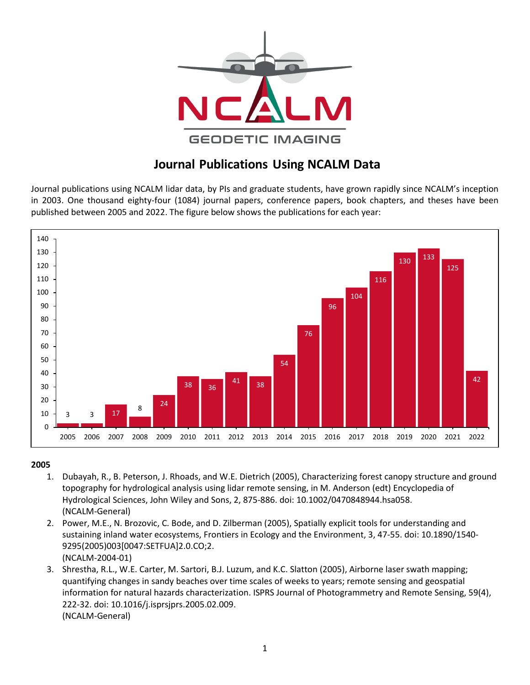

# **Journal Publications Using NCALM Data**

Journal publications using NCALM lidar data, by PIs and graduate students, have grown rapidly since NCALM's inception in 2003. One thousand eighty-four (1084) journal papers, conference papers, book chapters, and theses have been published between 2005 and 2022. The figure below shows the publications for each year:



- 1. Dubayah, R., B. Peterson, J. Rhoads, and W.E. Dietrich (2005), Characterizing forest canopy structure and ground topography for hydrological analysis using lidar remote sensing, in M. Anderson (edt) Encyclopedia of Hydrological Sciences, John Wiley and Sons, 2, 875-886. doi: 10.1002/0470848944.hsa058. (NCALM-General)
- 2. Power, M.E., N. Brozovic, C. Bode, and D. Zilberman (2005), Spatially explicit tools for understanding and sustaining inland water ecosystems, Frontiers in Ecology and the Environment, 3, 47-55. doi[: 10.1890/1540-](http://dx.doi.org/10.1890%2f1540-9295%282005%29003%5b0047%3aSETFUA%5d2.0.CO%3b2) [9295\(2005\)003\[0047:SETFUA\]2.0.CO;2.](http://dx.doi.org/10.1890%2f1540-9295%282005%29003%5b0047%3aSETFUA%5d2.0.CO%3b2) (NCALM-2004-01)
- 3. Shrestha, R.L., W.E. Carter, M. Sartori, B.J. Luzum, and K.C. Slatton (2005), Airborne laser swath mapping; quantifying changes in sandy beaches over time scales of weeks to years; remote sensing and geospatial information for natural hazards characterization. ISPRS Journal of Photogrammetry and Remote Sensing, 59(4), 222-32. doi: 10.1016/j.isprsjprs.2005.02.009. (NCALM-General)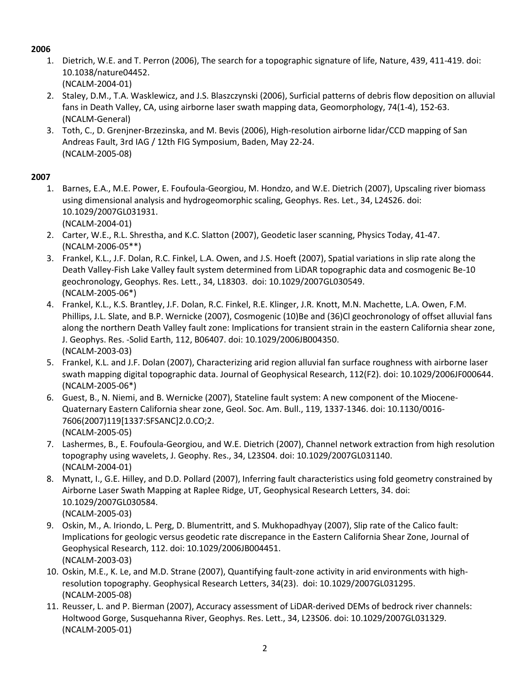1. Dietrich, W.E. and T. Perron (2006), The search for a topographic signature of life, Nature, 439, 411-419. doi: 10.1038/nature04452.

(NCALM-2004-01)

- 2. Staley, D.M., T.A. Wasklewicz, and J.S. Blaszczynski (2006), Surficial patterns of debris flow deposition on alluvial fans in Death Valley, CA, using airborne laser swath mapping data, Geomorphology, 74(1-4), 152-63. (NCALM-General)
- 3. Toth, C., D. Grenjner-Brzezinska, and M. Bevis (2006), High-resolution airborne lidar/CCD mapping of San Andreas Fault, 3rd IAG / 12th FIG Symposium, Baden, May 22-24. (NCALM-2005-08)

- 1. Barnes, E.A., M.E. Power, E. Foufoula-Georgiou, M. Hondzo, and W.E. Dietrich (2007), Upscaling river biomass using dimensional analysis and hydrogeomorphic scaling, Geophys. Res. Let., 34, L24S26. doi: 10.1029/2007GL031931. (NCALM-2004-01)
- 2. Carter, W.E., R.L. Shrestha, and K.C. Slatton (2007), Geodetic laser scanning, Physics Today, 41-47. (NCALM-2006-05\*\*)
- 3. Frankel, K.L., J.F. Dolan, R.C. Finkel, L.A. Owen, and J.S. Hoeft (2007), Spatial variations in slip rate along the Death Valley-Fish Lake Valley fault system determined from LiDAR topographic data and cosmogenic Be-10 geochronology, Geophys. Res. Lett., 34, L18303. doi: 10.1029/2007GL030549. (NCALM-2005-06\*)
- 4. Frankel, K.L., K.S. Brantley, J.F. Dolan, R.C. Finkel, R.E. Klinger, J.R. Knott, M.N. Machette, L.A. Owen, F.M. Phillips, J.L. Slate, and B.P. Wernicke (2007), Cosmogenic (10)Be and (36)Cl geochronology of offset alluvial fans along the northern Death Valley fault zone: Implications for transient strain in the eastern California shear zone, J. Geophys. Res. -Solid Earth, 112, B06407. doi: 10.1029/2006JB004350. (NCALM-2003-03)
- 5. Frankel, K.L. and J.F. Dolan (2007), Characterizing arid region alluvial fan surface roughness with airborne laser swath mapping digital topographic data. Journal of Geophysical Research, 112(F2). doi: 10.1029/2006JF000644. (NCALM-2005-06\*)
- 6. Guest, B., N. Niemi, and B. Wernicke (2007), Stateline fault system: A new component of the Miocene-Quaternary Eastern California shear zone, Geol. Soc. Am. Bull., 119, 1337-1346. doi: 10.1130/0016- 7606(2007)119[1337:SFSANC]2.0.CO;2. (NCALM-2005-05)
- 7. Lashermes, B., E. Foufoula-Georgiou, and W.E. Dietrich (2007), Channel network extraction from high resolution topography using wavelets, J. Geophy. Res., 34, L23S04. doi: 10.1029/2007GL031140. (NCALM-2004-01)
- 8. Mynatt, I., G.E. Hilley, and D.D. Pollard (2007), Inferring fault characteristics using fold geometry constrained by Airborne Laser Swath Mapping at Raplee Ridge, UT, Geophysical Research Letters, 34. doi: 10.1029/2007GL030584. (NCALM-2005-03)
- 9. Oskin, M., A. Iriondo, L. Perg, D. Blumentritt, and S. Mukhopadhyay (2007), Slip rate of the Calico fault: Implications for geologic versus geodetic rate discrepance in the Eastern California Shear Zone, Journal of Geophysical Research, 112. doi: 10.1029/2006JB004451. (NCALM-2003-03)
- 10. Oskin, M.E., K. Le, and M.D. Strane (2007), Quantifying fault-zone activity in arid environments with highresolution topography. Geophysical Research Letters, 34(23). doi: 10.1029/2007GL031295. (NCALM-2005-08)
- 11. Reusser, L. and P. Bierman (2007), Accuracy assessment of LiDAR-derived DEMs of bedrock river channels: Holtwood Gorge, Susquehanna River, Geophys. Res. Lett., 34, L23S06. doi: 10.1029/2007GL031329. (NCALM-2005-01)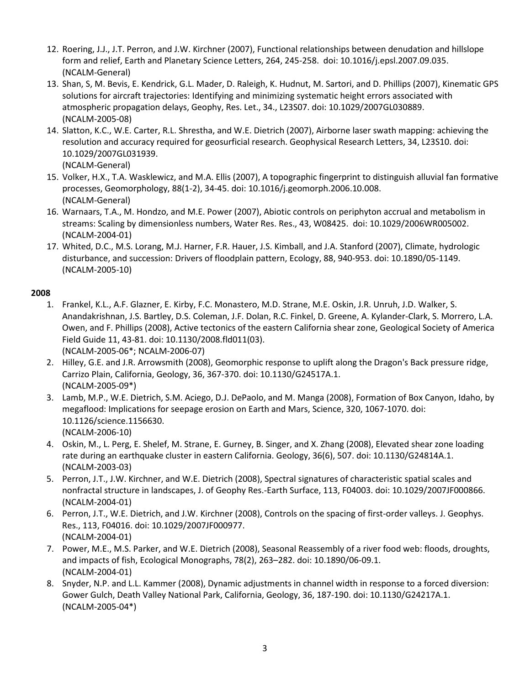- 12. Roering, J.J., J.T. Perron, and J.W. Kirchner (2007), Functional relationships between denudation and hillslope form and relief, Earth and Planetary Science Letters, 264, 245-258. doi: 10.1016/j.epsl.2007.09.035. (NCALM-General)
- 13. Shan, S, M. Bevis, E. Kendrick, G.L. Mader, D. Raleigh, K. Hudnut, M. Sartori, and D. Phillips (2007), Kinematic GPS solutions for aircraft trajectories: Identifying and minimizing systematic height errors associated with atmospheric propagation delays, Geophy, Res. Let., 34., L23S07. doi: 10.1029/2007GL030889. (NCALM-2005-08)
- 14. Slatton, K.C., W.E. Carter, R.L. Shrestha, and W.E. Dietrich (2007), Airborne laser swath mapping: achieving the resolution and accuracy required for geosurficial research. Geophysical Research Letters, 34, L23S10. doi: 10.1029/2007GL031939.

- 15. Volker, H.X., T.A. Wasklewicz, and M.A. Ellis (2007), A topographic fingerprint to distinguish alluvial fan formative processes, Geomorphology, 88(1-2), 34-45. doi: [10.1016/j.geomorph.2006.10.008.](http://dx.doi.org/10.1016/j.geomorph.2006.10.008) (NCALM-General)
- 16. Warnaars, T.A., M. Hondzo, and M.E. Power (2007), Abiotic controls on periphyton accrual and metabolism in streams: Scaling by dimensionless numbers, Water Res. Res., 43, W08425. doi: 10.1029/2006WR005002. (NCALM-2004-01)
- 17. Whited, D.C., M.S. Lorang, M.J. Harner, F.R. Hauer, J.S. Kimball, and J.A. Stanford (2007), Climate, hydrologic disturbance, and succession: Drivers of floodplain pattern, Ecology, 88, 940-953. doi: 10.1890/05-1149. (NCALM-2005-10)

- 1. Frankel, K.L., A.F. Glazner, E. Kirby, F.C. Monastero, M.D. Strane, M.E. Oskin, J.R. Unruh, J.D. Walker, S. Anandakrishnan, J.S. Bartley, D.S. Coleman, J.F. Dolan, R.C. Finkel, D. Greene, A. Kylander-Clark, S. Morrero, L.A. Owen, and F. Phillips (2008), Active tectonics of the eastern California shear zone, Geological Society of America Field Guide 11, 43-81. doi: 10.1130/2008.fld011(03). (NCALM-2005-06\*; NCALM-2006-07)
- 2. Hilley, G.E. and J.R. Arrowsmith (2008), Geomorphic response to uplift along the Dragon's Back pressure ridge, Carrizo Plain, California, Geology, 36, 367-370. doi: 10.1130/G24517A.1. (NCALM-2005-09\*)
- 3. Lamb, M.P., W.E. Dietrich, S.M. Aciego, D.J. DePaolo, and M. Manga (2008), Formation of Box Canyon, Idaho, by megaflood: Implications for seepage erosion on Earth and Mars, Science, 320, 1067-1070. doi: 10.1126/science.1156630. (NCALM-2006-10)
- 4. Oskin, M., L. Perg, E. Shelef, M. Strane, E. Gurney, B. Singer, and X. Zhang (2008), Elevated shear zone loading rate during an earthquake cluster in eastern California. Geology, 36(6), 507. doi: 10.1130/G24814A.1. (NCALM-2003-03)
- 5. Perron, J.T., J.W. Kirchner, and W.E. Dietrich (2008), Spectral signatures of characteristic spatial scales and nonfractal structure in landscapes, J. of Geophy Res.-Earth Surface, 113, F04003. doi: 10.1029/2007JF000866. (NCALM-2004-01)
- 6. Perron, J.T., W.E. Dietrich, and J.W. Kirchner (2008), Controls on the spacing of first-order valleys. J. Geophys. Res., 113, F04016. doi: 10.1029/2007JF000977. (NCALM-2004-01)
- 7. Power, M.E., M.S. Parker, and W.E. Dietrich (2008), Seasonal Reassembly of a river food web: floods, droughts, and impacts of fish, Ecological Monographs, 78(2), 263–282. doi: 10.1890/06-09.1. (NCALM-2004-01)
- 8. Snyder, N.P. and L.L. Kammer (2008), Dynamic adjustments in channel width in response to a forced diversion: Gower Gulch, Death Valley National Park, California, Geology, 36, 187-190. doi: 10.1130/G24217A.1. (NCALM-2005-04\*)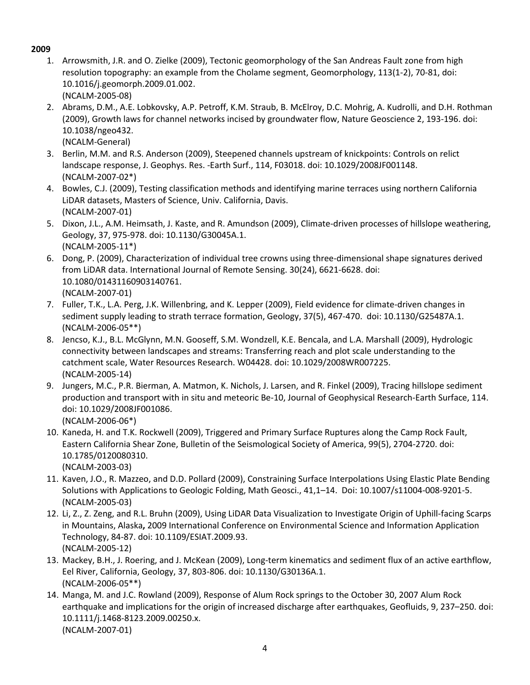- 1. Arrowsmith, J.R. and O. Zielke (2009), Tectonic geomorphology of the San Andreas Fault zone from high resolution topography: an example from the Cholame segment, [Geomorphology,](http://www.refworks.com/refworks2/?r=references%7CMainLayout::init) 113(1-2), 70-81, doi: 10.1016/j.geomorph.2009.01.002. (NCALM-2005-08)
- 2. Abrams, D.M., A.E. Lobkovsky, A.P. Petroff, K.M. Straub, B. McElroy, D.C. Mohrig, A. Kudrolli, and D.H. Rothman (2009), Growth laws for channel networks incised by groundwater flow, Nature Geoscience 2, 193-196. doi: 10.1038/ngeo432.
- (NCALM-General) 3. Berlin, M.M. and R.S. Anderson (2009), Steepened channels upstream of knickpoints: Controls on relict
- landscape response, J. Geophys. Res. -Earth Surf., 114, F03018. doi: 10.1029/2008JF001148. (NCALM-2007-02\*)
- 4. Bowles, C.J. (2009), Testing classification methods and identifying marine terraces using northern California LiDAR datasets, Masters of Science, Univ. California, Davis. (NCALM-2007-01)
- 5. Dixon, J.L., A.M. Heimsath, J. Kaste, and R. Amundson (2009), Climate-driven processes of hillslope weathering, Geology, 37, 975-978. doi: 10.1130/G30045A.1. (NCALM-2005-11\*)
- 6. Dong, P. (2009), Characterization of individual tree crowns using three-dimensional shape signatures derived from LiDAR data. International Journal of Remote Sensing. 30(24), 6621-6628. doi: 10.1080/01431160903140761. (NCALM-2007-01)
- 7. Fuller, T.K., L.A. Perg, J.K. Willenbring, and K. Lepper (2009), Field evidence for climate-driven changes in sediment supply leading to strath terrace formation, Geology, 37(5), 467-470. doi: 10.1130/G25487A.1. (NCALM-2006-05\*\*)
- 8. Jencso, K.J., B.L. McGlynn, M.N. Gooseff, S.M. Wondzell, K.E. Bencala, and L.A. Marshall (2009), Hydrologic connectivity between landscapes and streams: Transferring reach and plot scale understanding to the catchment scale, Water Resources Research. W04428. doi: 10.1029/2008WR007225. (NCALM-2005-14)
- 9. Jungers, M.C., P.R. Bierman, A. Matmon, K. Nichols, J. Larsen, and R. Finkel (2009), Tracing hillslope sediment production and transport with in situ and meteoric Be-10, Journal of Geophysical Research-Earth Surface, 114. doi: 10.1029/2008JF001086. (NCALM-2006-06\*)
- 10. Kaneda, H. and T.K. Rockwell (2009), Triggered and Primary Surface Ruptures along the Camp Rock Fault, Eastern California Shear Zone, Bulletin of the Seismological Society of America, 99(5), 2704-2720. doi: 10.1785/0120080310. (NCALM-2003-03)
- 11. Kaven, J.O., R. Mazzeo, and D.D. Pollard (2009), Constraining Surface Interpolations Using Elastic Plate Bending Solutions with Applications to Geologic Folding, Math Geosci., 41,1–14. Doi: 10.1007/s11004-008-9201-5. (NCALM-2005-03)
- 12. Li, Z., Z. Zeng, and R.L. Bruhn (2009), Using LiDAR Data Visualization to Investigate Origin of Uphill-facing Scarps in Mountains, Alaska**,** 2009 International Conference on Environmental Science and Information Application Technology, 84-87. doi: 10.1109/ESIAT.2009.93. (NCALM-2005-12)
- 13. Mackey, B.H., J. Roering, and J. McKean (2009), Long-term kinematics and sediment flux of an active earthflow, Eel River, California, Geology, 37, 803-806. doi: 10.1130/G30136A.1. (NCALM-2006-05\*\*)
- 14. Manga, M. and J.C. Rowland (2009), Response of Alum Rock springs to the October 30, 2007 Alum Rock earthquake and implications for the origin of increased discharge after earthquakes, Geofluids, 9, 237–250. doi: 10.1111/j.1468-8123.2009.00250.x. (NCALM-2007-01)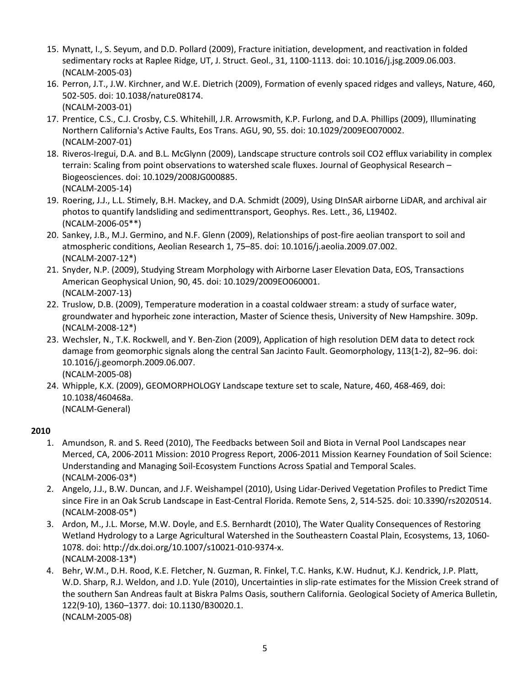- 15. Mynatt, I., S. Seyum, and D.D. Pollard (2009), Fracture initiation, development, and reactivation in folded sedimentary rocks at Raplee Ridge, UT, J. Struct. Geol., 31, 1100-1113. doi: [10.1016/j.jsg.2009.06.003.](http://adsabs.harvard.edu/cgi-bin/nph-abs_connect?fforward=http://dx.doi.org/10.1016/j.jsg.2009.06.003) (NCALM-2005-03)
- 16. Perron, J.T., J.W. Kirchner, and W.E. Dietrich (2009), Formation of evenly spaced ridges and valleys, Nature, 460, 502-505. doi: 10.1038/nature08174. (NCALM-2003-01)
- 17. Prentice, C.S., C.J. Crosby, C.S. Whitehill, J.R. Arrowsmith, K.P. Furlong, and D.A. Phillips (2009), Illuminating Northern California's Active Faults, Eos Trans. AGU, 90, 55. doi: 10.1029/2009EO070002. (NCALM-2007-01)
- 18. Riveros-Iregui, D.A. and B.L. McGlynn (2009), Landscape structure controls soil CO2 efflux variability in complex terrain: Scaling from point observations to watershed scale fluxes. Journal of Geophysical Research – Biogeosciences. doi: 10.1029/2008JG000885. (NCALM-2005-14)
- 19. Roering, J.J., L.L. Stimely, B.H. Mackey, and D.A. Schmidt (2009), Using DInSAR airborne LiDAR, and archival air photos to quantify landsliding and sedimenttransport, Geophys. Res. Lett., 36, L19402. (NCALM-2006-05\*\*)
- 20. Sankey, J.B., M.J. Germino, and N.F. Glenn (2009), Relationships of post-fire aeolian transport to soil and atmospheric conditions, Aeolian Research 1, 75–85. doi: 10.1016/j.aeolia.2009.07.002. (NCALM-2007-12\*)
- 21. Snyder, N.P. (2009), Studying Stream Morphology with Airborne Laser Elevation Data, EOS, Transactions American Geophysical Union, 90, 45. doi: 10.1029/2009EO060001. (NCALM-2007-13)
- 22. Truslow, D.B. (2009), Temperature moderation in a coastal coldwaer stream: a study of surface water, groundwater and hyporheic zone interaction, Master of Science thesis, University of New Hampshire. 309p. (NCALM-2008-12\*)
- 23. Wechsler, N., T.K. Rockwell, and Y. Ben-Zion (2009), Application of high resolution DEM data to detect rock damage from geomorphic signals along the central San Jacinto Fault. Geomorphology, 113(1-2), 82–96. doi: 10.1016/j.geomorph.2009.06.007. (NCALM-2005-08)
- 24. Whipple, K.X. (2009), GEOMORPHOLOGY Landscape texture set to scale, Nature, 460, 468-469, doi: 10.1038/460468a. (NCALM-General)

- 1. Amundson, R. and S. Reed (2010), The Feedbacks between Soil and Biota in Vernal Pool Landscapes near Merced, CA, 2006-2011 Mission: 2010 Progress Report, 2006-2011 Mission Kearney Foundation of Soil Science: Understanding and Managing Soil-Ecosystem Functions Across Spatial and Temporal Scales. (NCALM-2006-03\*)
- 2. Angelo, J.J., B.W. Duncan, and J.F. Weishampel (2010), Using Lidar-Derived Vegetation Profiles to Predict Time since Fire in an Oak Scrub Landscape in East-Central Florida. Remote Sens, 2, 514-525. doi: 10.3390/rs2020514. (NCALM-2008-05\*)
- 3. Ardon, M., J.L. Morse, M.W. Doyle, and E.S. Bernhardt (2010), The Water Quality Consequences of Restoring Wetland Hydrology to a Large Agricultural Watershed in the Southeastern Coastal Plain, Ecosystems, 13, 1060- 1078. doi: [http://dx.doi.org/10.1007/s10021-010-9374-x.](http://dx.doi.org/10.1007/s10021-010-9374-x) (NCALM-2008-13\*)
- 4. Behr, W.M., D.H. Rood, K.E. Fletcher, N. Guzman, R. Finkel, T.C. Hanks, K.W. Hudnut, K.J. Kendrick, J.P. Platt, W.D. Sharp, R.J. Weldon, and J.D. Yule (2010), Uncertainties in slip-rate estimates for the Mission Creek strand of the southern San Andreas fault at Biskra Palms Oasis, southern California. Geological Society of America Bulletin, 122(9-10), 1360–1377. doi: 10.1130/B30020.1. (NCALM-2005-08)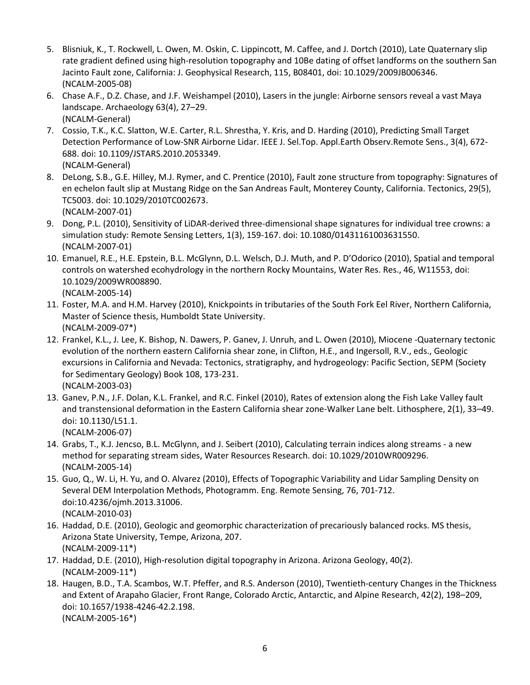- 5. Blisniuk, K., T. Rockwell, L. Owen, M. Oskin, C. Lippincott, M. Caffee, and J. Dortch (2010), Late Quaternary slip rate gradient defined using high-resolution topography and 10Be dating of offset landforms on the southern San Jacinto Fault zone, California: J. Geophysical Research, 115, B08401, doi: 10.1029/2009JB006346. (NCALM-2005-08)
- 6. Chase A.F., D.Z. Chase, and J.F. Weishampel (2010), Lasers in the jungle: Airborne sensors reveal a vast Maya landscape. Archaeology 63(4), 27–29. (NCALM-General)
- 7. [Cossio, T.K.,](http://www.refworks.com/refworks2/?r=references%7CMainLayout::init) K.C. [Slatton, W](http://www.refworks.com/refworks2/?r=references%7CMainLayout::init).E[. Carter, R](http://www.refworks.com/refworks2/?r=references%7CMainLayout::init).L[. Shrestha, Y. Kris,](http://www.refworks.com/refworks2/?r=references%7CMainLayout::init) and D. [Harding](http://www.refworks.com/refworks2/?r=references%7CMainLayout::init) (2010), Predicting Small Target Detection Performance of Low-SNR Airborne Lidar. [IEEE J. Sel.Top. Appl.Earth](http://www.refworks.com/refworks2/?r=references%7CMainLayout::init) Observ.Remote Sens., 3(4), 672- 688. doi: 10.1109/JSTARS.2010.2053349. (NCALM-General)
- 8. DeLong, S.B., G.E. Hilley, M.J. Rymer, and C. Prentice (2010), Fault zone structure from topography: Signatures of en echelon fault slip at Mustang Ridge on the San Andreas Fault, Monterey County, California. Tectonics, 29(5), TC5003. doi: 10.1029/2010TC002673. (NCALM-2007-01)
- 9. Dong, P.L. (2010), Sensitivity of LiDAR-derived three-dimensional shape signatures for individual tree crowns: a simulation study: Remote Sensing Letters, 1(3), 159-167. doi: 10.1080/01431161003631550. (NCALM-2007-01)
- 10. Emanuel, R.E., H.E. Epstein, B.L. McGlynn, D.L. Welsch, D.J. Muth, and P. D'Odorico (2010), Spatial and temporal controls on watershed ecohydrology in the northern Rocky Mountains, Water Res. Res., 46, W11553, doi: 10.1029/2009WR008890.

(NCALM-2005-14)

- 11. Foster, M.A. and H.M. Harvey (2010), Knickpoints in tributaries of the South Fork Eel River, Northern California, Master of Science thesis, Humboldt State University. (NCALM-2009-07\*)
- 12. Frankel, K.L., J. Lee, K. Bishop, N. Dawers, P. Ganev, J. Unruh, and L. Owen (2010), Miocene -Quaternary tectonic evolution of the northern eastern California shear zone, in Clifton, H.E., and Ingersoll, R.V., eds., Geologic excursions in California and Nevada: Tectonics, stratigraphy, and hydrogeology: Pacific Section, SEPM (Society for Sedimentary Geology) Book 108, 173-231. (NCALM-2003-03)
- 13. Ganev, P.N., J.F. Dolan, K.L. Frankel, and R.C. Finkel (2010), Rates of extension along the Fish Lake Valley fault and transtensional deformation in the Eastern California shear zone-Walker Lane belt. Lithosphere, 2(1), 33–49. doi: 10.1130/L51.1. (NCALM-2006-07)
- 14. Grabs, T., K.J. Jencso, B.L. McGlynn, and J. Seibert (2010), Calculating terrain indices along streams a new method for separating stream sides, Water Resources Research. doi: 10.1029/2010WR009296. (NCALM-2005-14)
- 15. Guo, Q., W. Li, H. Yu, and O. Alvarez (2010), Effects of Topographic Variability and Lidar Sampling Density on Several DEM Interpolation Methods, Photogramm. Eng. Remote Sensing, 76, 701-712. doi:10.4236/ojmh.2013.31006. (NCALM-2010-03)
- 16. Haddad, D.E. (2010), Geologic and geomorphic characterization of precariously balanced rocks. MS thesis, Arizona State University, Tempe, Arizona, 207. (NCALM-2009-11\*)
- 17. Haddad, D.E. (2010), High-resolution digital topography in Arizona. Arizona Geology, 40(2). (NCALM-2009-11\*)
- 18. Haugen, B.D., T.A. Scambos, W.T. Pfeffer, and R.S. Anderson (2010), Twentieth-century Changes in the Thickness and Extent of Arapaho Glacier, Front Range, Colorado Arctic, Antarctic, and Alpine Research, 42(2), 198–209, doi: 10.1657/1938-4246-42.2.198. (NCALM-2005-16\*)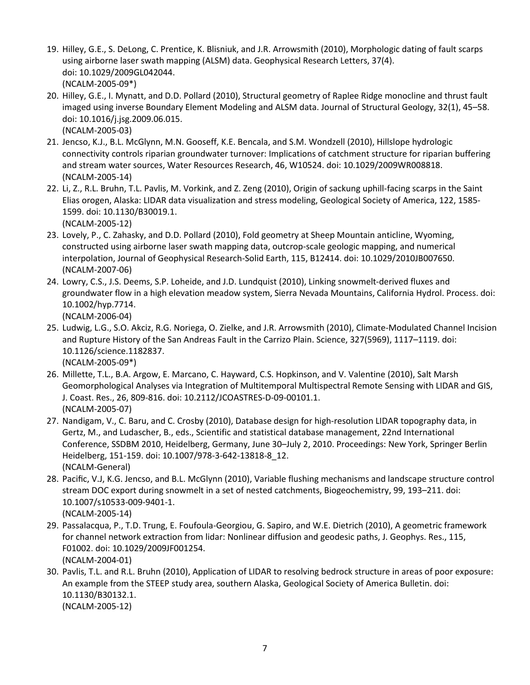- 19. Hilley, G.E., S. DeLong, C. Prentice, K. Blisniuk, and J.R. Arrowsmith (2010), Morphologic dating of fault scarps using airborne laser swath mapping (ALSM) data. Geophysical Research Letters, 37(4). doi: 10.1029/2009GL042044. (NCALM-2005-09\*)
- 20. Hilley, G.E., I. Mynatt, and D.D. Pollard (2010), Structural geometry of Raplee Ridge monocline and thrust fault imaged using inverse Boundary Element Modeling and ALSM data. Journal of Structural Geology, 32(1), 45–58. doi: 10.1016/j.jsg.2009.06.015. (NCALM-2005-03)
- 21. Jencso, K.J., B.L. McGlynn, M.N. Gooseff, K.E. Bencala, and S.M. Wondzell (2010), Hillslope hydrologic connectivity controls riparian groundwater turnover: Implications of catchment structure for riparian buffering and stream water sources, Water Resources Research, 46, W10524. doi: 10.1029/2009WR008818. (NCALM-2005-14)
- 22. Li, Z., R.L. Bruhn, T.L. Pavlis, M. Vorkink, and Z. Zeng (2010), Origin of sackung uphill-facing scarps in the Saint Elias orogen, Alaska: LIDAR data visualization and stress modeling, Geological Society of America, 122, 1585- 1599. doi: 10.1130/B30019.1. (NCALM-2005-12)
- 23. Lovely, P., C. Zahasky, and D.D. Pollard (2010), Fold geometry at Sheep Mountain anticline, Wyoming, constructed using airborne laser swath mapping data, outcrop-scale geologic mapping, and numerical interpolation, Journal of Geophysical Research-Solid Earth, 115, B12414. doi: 10.1029/2010JB007650. (NCALM-2007-06)
- 24. Lowry, C.S., J.S. Deems, S.P. Loheide, and J.D. Lundquist (2010), Linking snowmelt-derived fluxes and groundwater flow in a high elevation meadow system, Sierra Nevada Mountains, California Hydrol. Process. doi: 10.1002/hyp.7714. (NCALM-2006-04)
- 25. Ludwig, L.G., S.O. Akciz, R.G. Noriega, O. Zielke, and J.R. Arrowsmith (2010), Climate-Modulated Channel Incision and Rupture History of the San Andreas Fault in the Carrizo Plain. Science, 327(5969), 1117–1119. doi: 10.1126/science.1182837.

(NCALM-2005-09\*)

- 26. Millette, T.L., B.A. Argow, E. Marcano, C. Hayward, C.S. Hopkinson, and V. Valentine (2010), Salt Marsh Geomorphological Analyses via Integration of Multitemporal Multispectral Remote Sensing with LIDAR and GIS, J. Coast. Res., 26, 809-816. doi: 10.2112/JCOASTRES-D-09-00101.1. (NCALM-2005-07)
- 27. Nandigam, V., C. Baru, and C. Crosby (2010), Database design for high-resolution LIDAR topography data, in Gertz, M., and Ludascher, B., eds., Scientific and statistical database management, 22nd International Conference, SSDBM 2010, Heidelberg, Germany, June 30–July 2, 2010. Proceedings: New York, Springer Berlin Heidelberg, 151-159. doi: 10.1007/978-3-642-13818-8\_12. (NCALM-General)
- 28. Pacific, V.J, K.G. Jencso, and B.L. McGlynn (2010), Variable flushing mechanisms and landscape structure control stream DOC export during snowmelt in a set of nested catchments, Biogeochemistry, 99, 193–211. doi: 10.1007/s10533-009-9401-1. (NCALM-2005-14)
- 29. Passalacqua, P., T.D. Trung, E. Foufoula-Georgiou, G. Sapiro, and W.E. Dietrich (2010), A geometric framework for channel network extraction from lidar: Nonlinear diffusion and geodesic paths, J. Geophys. Res., 115, F01002. doi: 10.1029/2009JF001254. (NCALM-2004-01)
- 30. Pavlis, T.L. and R.L. Bruhn (2010), Application of LIDAR to resolving bedrock structure in areas of poor exposure: An example from the STEEP study area, southern Alaska, Geological Society of America Bulletin. doi: 10.1130/B30132.1. (NCALM-2005-12)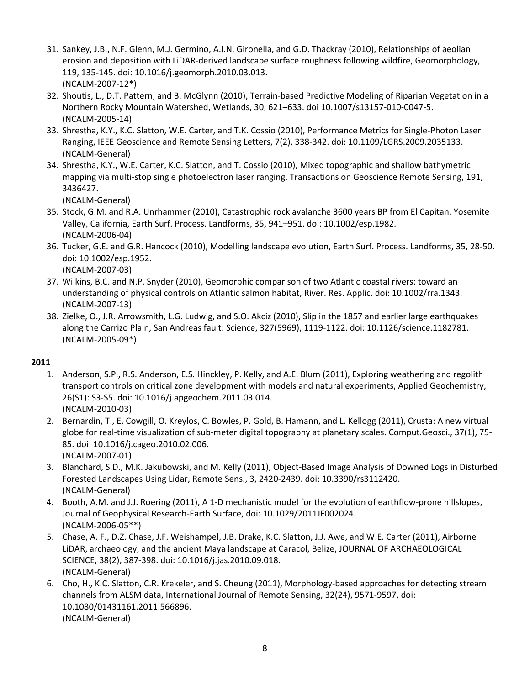- 31. Sankey, J.B., N.F. Glenn, M.J. Germino, A.I.N. Gironella, and G.D. Thackray (2010), Relationships of aeolian erosion and deposition with LiDAR-derived landscape surface roughness following wildfire, Geomorphology, 119, 135-145. doi: 10.1016/j.geomorph.2010.03.013. (NCALM-2007-12\*)
- 32. Shoutis, L., D.T. Pattern, and B. McGlynn (2010), Terrain-based Predictive Modeling of Riparian Vegetation in a Northern Rocky Mountain Watershed, Wetlands, 30, 621–633. doi 10.1007/s13157-010-0047-5. (NCALM-2005-14)
- 33. Shrestha, K.Y., K.C. Slatton, W.E. Carter, and T.K. Cossio (2010), Performance Metrics for Single-Photon Laser Ranging, IEEE Geoscience and Remote Sensing Letters, 7(2), 338-342. doi: 10.1109/LGRS.2009.2035133. (NCALM-General)
- 34. Shrestha, K.Y., W.E. Carter, K.C. Slatton, and T. Cossio (2010), Mixed topographic and shallow bathymetric mapping via multi-stop single photoelectron laser ranging. Transactions on Geoscience Remote Sensing, 191, 3436427.

- 35. Stock, G.M. and R.A. Unrhammer (2010), Catastrophic rock avalanche 3600 years BP from El Capitan, Yosemite Valley, California, Earth Surf. Process. Landforms, 35, 941–951. doi: 10.1002/esp.1982. (NCALM-2006-04)
- 36. Tucker, G.E. and G.R. Hancock (2010), Modelling landscape evolution, Earth Surf. Process. Landforms, 35, 28-50. doi: 10.1002/esp.1952. (NCALM-2007-03)
- 37. Wilkins, B.C. and N.P. Snyder (2010), Geomorphic comparison of two Atlantic coastal rivers: toward an understanding of physical controls on Atlantic salmon habitat, River. Res. Applic. doi: 10.1002/rra.1343. (NCALM-2007-13)
- 38. Zielke, O., J.R. Arrowsmith, L.G. Ludwig, and S.O. Akciz (2010), Slip in the 1857 and earlier large earthquakes along the Carrizo Plain, San Andreas fault: Science, 327(5969), 1119-1122. doi: 10.1126/science.1182781. (NCALM-2005-09\*)

- 1. Anderson, S.P., R.S. Anderson, E.S. Hinckley, P. Kelly, and A.E. Blum (2011), Exploring weathering and regolith transport controls on critical zone development with models and natural experiments, Applied Geochemistry, 26(S1): S3-S5. doi: 10.1016/j.apgeochem.2011.03.014. (NCALM-2010-03)
- 2. Bernardin, T., E. Cowgill, O. Kreylos, C. Bowles, P. Gold, B. Hamann, and L. Kellogg (2011), Crusta: A new virtual globe for real-time visualization of sub-meter digital topography at planetary scales. Comput.Geosci., 37(1), 75- 85. doi: 10.1016/j.cageo.2010.02.006. (NCALM-2007-01)
- 3. Blanchard, S.D., M.K. Jakubowski, and M. Kelly (2011), Object-Based Image Analysis of Downed Logs in Disturbed Forested Landscapes Using Lidar, Remote Sens., 3, 2420-2439. doi: 10.3390/rs3112420. (NCALM-General)
- 4. Booth, A.M. and J.J. Roering (2011), A 1-D mechanistic model for the evolution of earthflow-prone hillslopes, Journal of Geophysical Research-Earth Surface, doi: 10.1029/2011JF002024. (NCALM-2006-05\*\*)
- 5. Chase, A. F., D.Z. Chase, J.F. Weishampel, J.B. Drake, K.C. Slatton, J.J. Awe, and W.E. Carter (2011), Airborne LiDAR, archaeology, and the ancient Maya landscape at Caracol, Belize, JOURNAL OF ARCHAEOLOGICAL SCIENCE, 38(2), 387-398. doi: 10.1016/j.jas.2010.09.018. (NCALM-General)
- 6. Cho, H., K.C. Slatton, C.R. Krekeler, and S. Cheung (2011), Morphology-based approaches for detecting stream channels from ALSM data, International Journal of Remote Sensing, 32(24), 9571-9597, doi: 10.1080/01431161.2011.566896. (NCALM-General)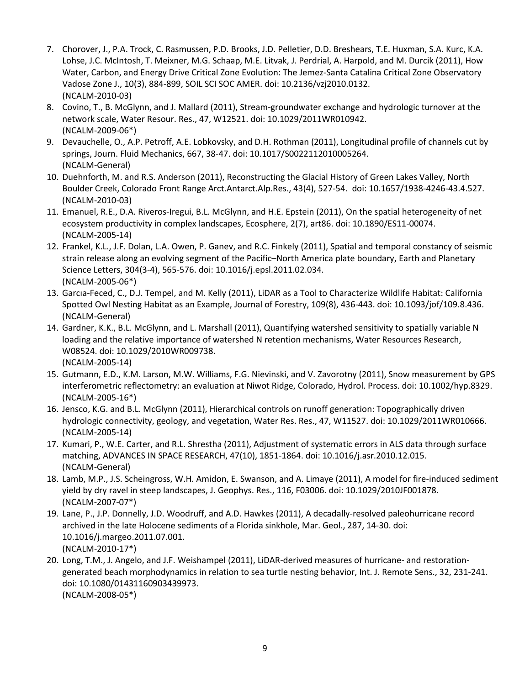- 7. Chorover, J., P.A. Trock, C. Rasmussen, P.D. Brooks, J.D. Pelletier, D.D. Breshears, T.E. Huxman, S.A. Kurc, K.A. Lohse, J.C. McIntosh, T. Meixner, M.G. Schaap, M.E. Litvak, J. Perdrial, A. Harpold, and M. Durcik (2011), How Water, Carbon, and Energy Drive Critical Zone Evolution: The Jemez-Santa Catalina Critical Zone Observatory [Vadose Zone J.,](http://www.refworks.com/refworks2/?r=references%7CMainLayout::init) 10(3), 884-899, SOIL SCI SOC AMER. doi: 10.2136/vzj2010.0132. (NCALM-2010-03)
- 8. Covino, T., B. McGlynn, and J. Mallard (2011), Stream-groundwater exchange and hydrologic turnover at the network scale, Water Resour. Res., 47, W12521. doi: 10.1029/2011WR010942. (NCALM-2009-06\*)
- 9. Devauchelle, O., A.P. Petroff, A.E. Lobkovsky, and D.H. Rothman (2011), Longitudinal profile of channels cut by springs, Journ. Fluid Mechanics, 667, 38-47. doi: 10.1017/S0022112010005264. (NCALM-General)
- 10. [Duehnforth, M.](http://www.refworks.com/refworks2/?r=references%7CMainLayout::init) and R.S. [Anderson](http://www.refworks.com/refworks2/?r=references%7CMainLayout::init) (2011), Reconstructing the Glacial History of Green Lakes Valley, North Boulder Creek, Colorado Front Range [Arct.Antarct.Alp.Res.,](http://www.refworks.com/refworks2/?r=references%7CMainLayout::init) 43(4), 527-54. doi: 10.1657/1938-4246-43.4.527. (NCALM-2010-03)
- 11. Emanuel, R.E., D.A. Riveros-Iregui, B.L. McGlynn, and H.E. Epstein (2011), On the spatial heterogeneity of net ecosystem productivity in complex landscapes, Ecosphere, 2(7), art86. doi: 10.1890/ES11-00074. (NCALM-2005-14)
- 12. Frankel, K.L., J.F. Dolan, L.A. Owen, P. Ganev, and R.C. Finkely (2011), Spatial and temporal constancy of seismic strain release along an evolving segment of the Pacific–North America plate boundary, Earth and Planetary Science Letters, 304(3-4), 565-576. doi: 10.1016/j.epsl.2011.02.034. (NCALM-2005-06\*)
- 13. Garcıa-Feced, C., D.J. Tempel, and M. Kelly (2011), LiDAR as a Tool to Characterize Wildlife Habitat: California Spotted Owl Nesting Habitat as an Example, Journal of Forestry, 109(8), 436-443. doi: 10.1093/jof/109.8.436. (NCALM-General)
- 14. Gardner, K.K., B.L. McGlynn, and L. Marshall (2011), Quantifying watershed sensitivity to spatially variable N loading and the relative importance of watershed N retention mechanisms, Water Resources Research, W08524. doi: 10.1029/2010WR009738. (NCALM-2005-14)
- 15. Gutmann, E.D., K.M. Larson, M.W. Williams, F.G. Nievinski, and V. Zavorotny (2011), Snow measurement by GPS interferometric reflectometry: an evaluation at Niwot Ridge, Colorado, Hydrol. Process. doi: 10.1002/hyp.8329. (NCALM-2005-16\*)
- 16. Jensco, K.G. and B.L. McGlynn (2011), Hierarchical controls on runoff generation: Topographically driven hydrologic connectivity, geology, and vegetation, Water Res. Res., 47, W11527. doi: 10.1029/2011WR010666. (NCALM-2005-14)
- 17. Kumari, P., W.E. Carter, and R.L. Shrestha (2011), Adjustment of systematic errors in ALS data through surface matching, ADVANCES IN SPACE RESEARCH, 47(10), 1851-1864. doi: 10.1016/j.asr.2010.12.015. (NCALM-General)
- 18. Lamb, M.P., J.S. Scheingross, W.H. Amidon, E. Swanson, and A. Limaye (2011), A model for fire-induced sediment yield by dry ravel in steep landscapes, J. Geophys. Res., 116, F03006. doi: 10.1029/2010JF001878. (NCALM-2007-07\*)
- 19. Lane, P., J.P. Donnelly, J.D. Woodruff, and A.D. Hawkes (2011), A decadally-resolved paleohurricane record archived in the late Holocene sediments of a Florida sinkhole, Mar. Geol., 287, 14-30. doi: 10.1016/j.margeo.2011.07.001. (NCALM-2010-17\*)
- 20. Long, T.M., J. Angelo, and J.F. Weishampel (2011), LiDAR-derived measures of hurricane- and restorationgenerated beach morphodynamics in relation to sea turtle nesting behavior, Int. J. Remote Sens., 32, 231-241. doi: 10.1080/01431160903439973. (NCALM-2008-05\*)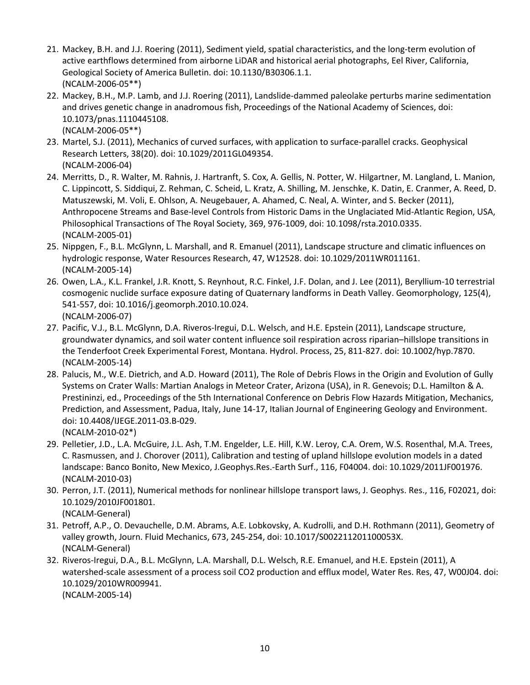- 21. Mackey, B.H. and J.J. Roering (2011), Sediment yield, spatial characteristics, and the long-term evolution of active earthflows determined from airborne LiDAR and historical aerial photographs, Eel River, California, Geological Society of America Bulletin. doi: 10.1130/B30306.1.1. (NCALM-2006-05\*\*)
- 22. Mackey, B.H., M.P. Lamb, and J.J. Roering (2011), Landslide-dammed paleolake perturbs marine sedimentation and drives genetic change in anadromous fish, Proceedings of the National Academy of Sciences, doi: 10.1073/pnas.1110445108. (NCALM-2006-05\*\*)
- 23. Martel, S.J. (2011), Mechanics of curved surfaces, with application to surface-parallel cracks. Geophysical Research Letters, 38(20). doi: 10.1029/2011GL049354. (NCALM-2006-04)
- 24. Merritts, D., R. Walter, M. Rahnis, J. Hartranft, S. Cox, A. Gellis, N. Potter, W. Hilgartner, M. Langland, L. Manion, C. Lippincott, S. Siddiqui, Z. Rehman, C. Scheid, L. Kratz, A. Shilling, M. Jenschke, K. Datin, E. Cranmer, A. Reed, D. Matuszewski, M. Voli, E. Ohlson, A. Neugebauer, A. Ahamed, C. Neal, A. Winter, and S. Becker (2011), Anthropocene Streams and Base-level Controls from Historic Dams in the Unglaciated Mid-Atlantic Region, USA, Philosophical Transactions of The Royal Society, 369, 976-1009, doi: 10.1098/rsta.2010.0335. (NCALM-2005-01)
- 25. Nippgen, F., B.L. McGlynn, L. Marshall, and R. Emanuel (2011), Landscape structure and climatic influences on hydrologic response, Water Resources Research, 47, W12528. doi: 10.1029/2011WR011161. (NCALM-2005-14)
- 26. Owen, L.A., K.L. Frankel, J.R. Knott, S. Reynhout, R.C. Finkel, J.F. Dolan, and J. Lee (2011), Beryllium-10 terrestrial cosmogenic nuclide surface exposure dating of Quaternary landforms in Death Valley. Geomorphology, 125(4), 541-557, doi: 10.1016/j.geomorph.2010.10.024. (NCALM-2006-07)
- 27. Pacific, V.J., B.L. McGlynn, D.A. Riveros-Iregui, D.L. Welsch, and H.E. Epstein (2011), Landscape structure, groundwater dynamics, and soil water content influence soil respiration across riparian–hillslope transitions in the Tenderfoot Creek Experimental Forest, Montana. Hydrol. Process, 25, 811-827. doi: 10.1002/hyp.7870. (NCALM-2005-14)
- 28. Palucis, M., W.E. Dietrich, and A.D. Howard (2011), The Role of Debris Flows in the Origin and Evolution of Gully Systems on Crater Walls: Martian Analogs in Meteor Crater, Arizona (USA), in R. Genevois; D.L. Hamilton & A. Prestininzi, ed., Proceedings of the 5th International Conference on Debris Flow Hazards Mitigation, Mechanics, Prediction, and Assessment, Padua, Italy, June 14-17, Italian Journal of Engineering Geology and Environment. doi: 10.4408/IJEGE.2011-03.B-029. (NCALM-2010-02\*)
- 29. Pelletier, J.D., L.A[. McGuire, J](http://www.refworks.com/refworks2/?r=references%7CMainLayout::init).L. [Ash, T](http://www.refworks.com/refworks2/?r=references%7CMainLayout::init).M. [Engelder, L](http://www.refworks.com/refworks2/?r=references%7CMainLayout::init).E. [Hill, K](http://www.refworks.com/refworks2/?r=references%7CMainLayout::init).W. Leroy, C.A. [Orem, W](http://www.refworks.com/refworks2/?r=references%7CMainLayout::init).S. [Rosenthal, M](http://www.refworks.com/refworks2/?r=references%7CMainLayout::init).A. [Trees,](http://www.refworks.com/refworks2/?r=references%7CMainLayout::init)  C. [Rasmussen, a](http://www.refworks.com/refworks2/?r=references%7CMainLayout::init)nd J. [Chorover](http://www.refworks.com/refworks2/?r=references%7CMainLayout::init) (2011), Calibration and testing of upland hillslope evolution models in a dated landscape: Banco Bonito, New Mexico, [J.Geophys.Res.-Earth Surf.,](http://www.refworks.com/refworks2/?r=references%7CMainLayout::init) 116, F04004. doi: 10.1029/2011JF001976. (NCALM-2010-03)
- 30. Perron, J.T. (2011), Numerical methods for nonlinear hillslope transport laws, J. Geophys. Res., 116, F02021, doi: 10.1029/2010JF001801. (NCALM-General)
- 31. Petroff, A.P., O. Devauchelle, D.M. Abrams, A.E. Lobkovsky, A. Kudrolli, and D.H. Rothmann (2011), Geometry of valley growth, Journ. Fluid Mechanics, 673, 245-254, doi: 10.1017/S002211201100053X. (NCALM-General)
- 32. Riveros-Iregui, D.A., B.L. McGlynn, L.A. Marshall, D.L. Welsch, R.E. Emanuel, and H.E. Epstein (2011), A watershed-scale assessment of a process soil CO2 production and efflux model, Water Res. Res, 47, W00J04. doi: 10.1029/2010WR009941. (NCALM-2005-14)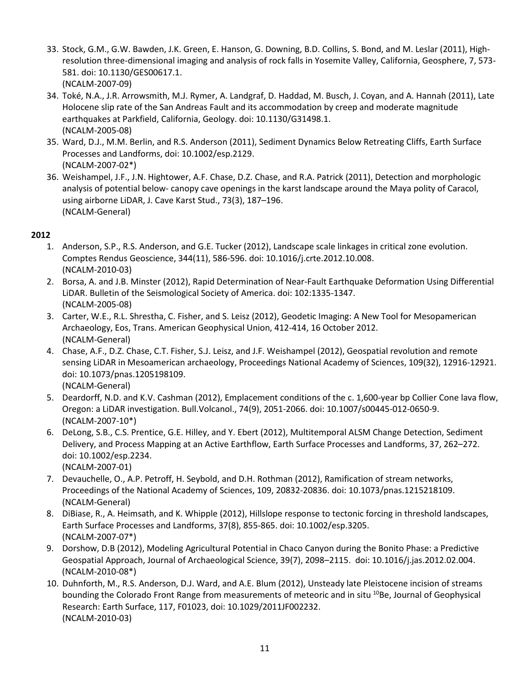- 33. Stock, G.M., G.W. Bawden, J.K. Green, E. Hanson, G. Downing, B.D. Collins, S. Bond, and M. Leslar (2011), Highresolution three-dimensional imaging and analysis of rock falls in Yosemite Valley, California, Geosphere, 7, 573- 581. doi: 10.1130/GES00617.1. (NCALM-2007-09)
- 34. Toké, N.A., J.R. Arrowsmith, M.J. Rymer, A. Landgraf, D. Haddad, M. Busch, J. Coyan, and A. Hannah (2011), Late Holocene slip rate of the San Andreas Fault and its accommodation by creep and moderate magnitude earthquakes at Parkfield, California, Geology. doi: 10.1130/G31498.1. (NCALM-2005-08)
- 35. Ward, D.J., M.M. Berlin, and R.S. Anderson (2011), Sediment Dynamics Below Retreating Cliffs, Earth Surface Processes and Landforms, doi: 10.1002/esp.2129. (NCALM-2007-02\*)
- 36. Weishampel, J.F., J.N. Hightower, A.F. Chase, D.Z. Chase, and R.A. Patrick (2011), Detection and morphologic analysis of potential below- canopy cave openings in the karst landscape around the Maya polity of Caracol, using airborne LiDAR, J. Cave Karst Stud., 73(3), 187–196. (NCALM-General)

- 1. Anderson, S.P., R.S. Anderson, and G.E. Tucker (2012), Landscape scale linkages in critical zone evolution. Comptes Rendus Geoscience, 344(11), 586-596. doi: 10.1016/j.crte.2012.10.008. (NCALM-2010-03)
- 2. Borsa, A. and J.B. Minster (2012), Rapid Determination of Near-Fault Earthquake Deformation Using Differential LiDAR. Bulletin of the Seismological Society of America. doi: 102:1335-1347. (NCALM-2005-08)
- 3. Carter, W.E., R.L. Shrestha, C. Fisher, and S. Leisz (2012), Geodetic Imaging: A New Tool for Mesopamerican Archaeology, Eos, Trans. American Geophysical Union, 412-414, 16 October 2012. (NCALM-General)
- 4. Chase, A.F., D.Z. Chase, C.T. Fisher, S.J. Leisz, and J.F. Weishampel (2012), Geospatial revolution and remote sensing LiDAR in Mesoamerican archaeology, Proceedings National Academy of Sciences, 109(32), 12916-12921. doi: 10.1073/pnas.1205198109.

(NCALM-General)

- 5. Deardorff, N.D. and K.V. Cashman (2012), Emplacement conditions of the c. 1,600-year bp Collier Cone lava flow, Oregon: a LiDAR investigation. Bull.Volcanol., 74(9), 2051-2066. doi: 10.1007/s00445-012-0650-9. (NCALM-2007-10\*)
- 6. DeLong, S.B., C.S. Prentice, G.E. Hilley, and Y. Ebert (2012), Multitemporal ALSM Change Detection, Sediment Delivery, and Process Mapping at an Active Earthflow, Earth Surface Processes and Landforms, 37, 262–272. doi: 10.1002/esp.2234. (NCALM-2007-01)
- 7. Devauchelle, O., A.P. Petroff, H. Seybold, and D.H. Rothman (2012), Ramification of stream networks, Proceedings of the National Academy of Sciences, 109, 20832-20836. doi: 10.1073/pnas.1215218109. (NCALM-General)
- 8. DiBiase, R., A. Heimsath, and K. Whipple (2012), Hillslope response to tectonic forcing in threshold landscapes, Earth Surface Processes and Landforms, 37(8), 855-865. doi: 10.1002/esp.3205. (NCALM-2007-07\*)
- 9. Dorshow, D.B (2012), Modeling Agricultural Potential in Chaco Canyon during the Bonito Phase: a Predictive Geospatial Approach, Journal of Archaeological Science, 39(7), 2098–2115. doi: 10.1016/j.jas.2012.02.004. (NCALM-2010-08\*)
- 10. Duhnforth, M., R.S. Anderson, D.J. Ward, and A.E. Blum (2012), [Unsteady late Pleistocene incision of streams](http://czo.colorado.edu/pub/2012/duhnforth_incision_2012.pdf)  bounding the Colorado Front Range from measurements of meteoric and in situ <sup>10</sup>Be, Journal of Geophysical Research: Earth Surface, 117, F01023, doi: 10.1029/2011JF002232. (NCALM-2010-03)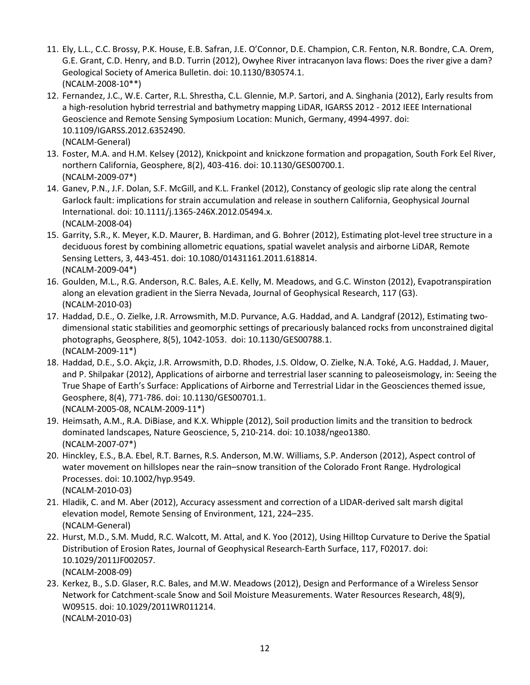- 11. Ely, L.L., C.C. Brossy, P.K. House, E.B. Safran, J.E. O'Connor, D.E. Champion, C.R. Fenton, N.R. Bondre, C.A. Orem, G.E. Grant, C.D. Henry, and B.D. Turrin (2012), Owyhee River intracanyon lava flows: Does the river give a dam? Geological Society of America Bulletin. doi: 10.1130/B30574.1. (NCALM-2008-10\*\*)
- 12. Fernandez, J.C., W.E. Carter, R.L. Shrestha, C.L. Glennie, M.P. Sartori, and A. Singhania (2012), Early results from a high-resolution hybrid terrestrial and bathymetry mapping LiDAR, IGARSS 2012 - 2012 IEEE International Geoscience and Remote Sensing Symposium Location: Munich, Germany, 4994-4997. doi: 10.1109/IGARSS.2012.6352490. (NCALM-General)
- 13. Foster, M.A. and H.M. Kelsey (2012), Knickpoint and knickzone formation and propagation, South Fork Eel River, northern California, Geosphere, 8(2), 403-416. doi: 10.1130/GES00700.1. (NCALM-2009-07\*)
- 14. Ganev, P.N., J.F. Dolan, S.F. McGill, and K.L. Frankel (2012), Constancy of geologic slip rate along the central Garlock fault: implications for strain accumulation and release in southern California, Geophysical Journal International. doi: 10.1111/j.1365-246X.2012.05494.x. (NCALM-2008-04)
- 15. Garrity, S.R., K. Meyer, K.D. Maurer, B. Hardiman, and G. Bohrer (2012), Estimating plot-level tree structure in a deciduous forest by combining allometric equations, spatial wavelet analysis and airborne LiDAR, Remote Sensing Letters, 3, 443-451. doi: 10.1080/01431161.2011.618814. (NCALM-2009-04\*)
- 16. Goulden, M.L., R.G. Anderson, R.C. Bales, A.E. Kelly, M. Meadows, and G.C. Winston (2012), [Evapotranspiration](http://criticalzone.org/sierra/publications/pub/goulden-et-al-2012-evapotranspiration-along-an-elevation-gradient-in-the-si/)  [along an elevation gradient in the Sierra Nevada,](http://criticalzone.org/sierra/publications/pub/goulden-et-al-2012-evapotranspiration-along-an-elevation-gradient-in-the-si/) Journal of Geophysical Research, 117 (G3). (NCALM-2010-03)
- 17. Haddad, D.E., O. Zielke, J.R. Arrowsmith, M.D. Purvance, A.G. Haddad, and A. Landgraf (2012), Estimating twodimensional static stabilities and geomorphic settings of precariously balanced rocks from unconstrained digital photographs, Geosphere, 8(5), 1042-1053. doi: 10.1130/GES00788.1. (NCALM-2009-11\*)
- 18. Haddad, D.E., S.O. Akçiz, J.R. Arrowsmith, D.D. Rhodes, J.S. Oldow, O. Zielke, N.A. Toké, A.G. Haddad, J. Mauer, and P. Shilpakar (2012), Applications of airborne and terrestrial laser scanning to paleoseismology, in: Seeing the True Shape of Earth's Surface: Applications of Airborne and Terrestrial Lidar in the Geosciences themed issue, Geosphere, 8(4), 771-786. doi: 10.1130/GES00701.1. (NCALM-2005-08, NCALM-2009-11\*)
- 19. Heimsath, A.M., R.A. DiBiase, and K.X. Whipple (2012), Soil production limits and the transition to bedrock dominated landscapes, Nature Geoscience, 5, 210-214. doi: 10.1038/ngeo1380. (NCALM-2007-07\*)
- 20. Hinckley, E.S., B.A. Ebel, R.T. Barnes, R.S. Anderson, M.W. Williams, S.P. Anderson (2012), Aspect control of water movement on hillslopes near the rain–snow transition of the Colorado Front Range. Hydrological Processes. doi: 10.1002/hyp.9549. (NCALM-2010-03)
- 21. Hladik, C. and M. Aber (2012), Accuracy assessment and correction of a LIDAR-derived salt marsh digital elevation model, Remote Sensing of Environment, 121, 224–235. (NCALM-General)
- 22. Hurst, M.D., S.M. Mudd, R.C. Walcott, M. Attal, and K. Yoo (2012), Using Hilltop Curvature to Derive the Spatial Distribution of Erosion Rates, Journal of Geophysical Research-Earth Surface, 117, F02017. doi: 10.1029/2011JF002057. (NCALM-2008-09)
- 23. Kerkez, B., S.D. Glaser, R.C. Bales, and M.W. Meadows (2012), Design and Performance of a Wireless Sensor Network for Catchment-scale Snow and Soil Moisture Measurements. Water Resources Research, 48(9), W09515. doi: 10.1029/2011WR011214. (NCALM-2010-03)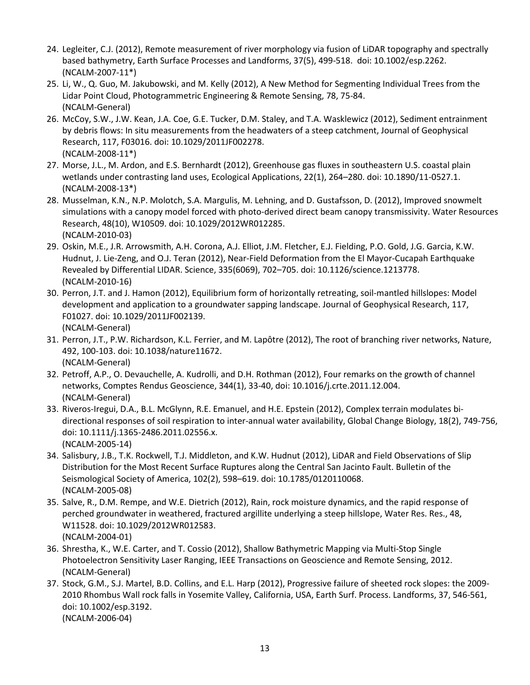- 24. Legleiter, C.J. (2012), Remote measurement of river morphology via fusion of LiDAR topography and spectrally based bathymetry, Earth Surface Processes and Landforms, 37(5), 499-518. doi: 10.1002/esp.2262. (NCALM-2007-11\*)
- 25. Li, W., Q. Guo, M. Jakubowski, and M. Kelly (2012), [A New Method for Segmenting Individual Trees from the](http://criticalzone.org/sierra/publications/pub/li-et-al-2012-a-new-method-for-segmenting-individual-trees-from-the-lidar-p/)  [Lidar Point Cloud,](http://criticalzone.org/sierra/publications/pub/li-et-al-2012-a-new-method-for-segmenting-individual-trees-from-the-lidar-p/) Photogrammetric Engineering & Remote Sensing, 78, 75-84. (NCALM-General)
- 26. McCoy, S.W., J.W. Kean, J.A. Coe, G.E. Tucker, D.M. Staley, and T.A. Wasklewicz (2012), Sediment entrainment by debris flows: In situ measurements from the headwaters of a steep catchment, Journal of Geophysical Research, 117, F03016. doi: 10.1029/2011JF002278. (NCALM-2008-11\*)
- 27. Morse, J.L., M. Ardon, and E.S. Bernhardt (2012), Greenhouse gas fluxes in southeastern U.S. coastal plain wetlands under contrasting land uses, Ecological Applications, 22(1), 264–280. doi: 10.1890/11-0527.1. (NCALM-2008-13\*)
- 28. [Musselman, K.N., N.P. Molotch, S.A.](http://criticalzone.org/sierra/publications/pub/musselman-et-al-2012-improved-snowmelt-simulations-with-a-canopy-model-forc/) Margulis, M. Lehning, and D. Gustafsson, D. (2012), Improved snowmelt [simulations with a canopy model forced with photo-derived direct beam canopy transmissivity.](http://criticalzone.org/sierra/publications/pub/musselman-et-al-2012-improved-snowmelt-simulations-with-a-canopy-model-forc/) Water Resources Research, 48(10), W10509. doi: 10.1029/2012WR012285. (NCALM-2010-03)
- 29. Oskin, M.E., J.R. Arrowsmith, A.H. Corona, A.J. Elliot, J.M. Fletcher, E.J. Fielding, P.O. Gold, J.G. Garcia, K.W. Hudnut, J. Lie-Zeng, and O.J. Teran (2012), Near-Field Deformation from the El Mayor-Cucapah Earthquake Revealed by Differential LIDAR. Science, 335(6069), 702–705. doi: 10.1126/science.1213778. (NCALM-2010-16)
- 30. Perron, J.T. and J. Hamon (2012), Equilibrium form of horizontally retreating, soil-mantled hillslopes: Model development and application to a groundwater sapping landscape. Journal of Geophysical Research, 117, F01027. doi: 10.1029/2011JF002139. (NCALM-General)
- 31. Perron, J.T., P.W. Richardson, K.L. Ferrier, and M. Lapôtre (2012), The root of branching river networks, Nature, 492, 100-103. doi: 10.1038/nature11672. (NCALM-General)
- 32. Petroff, A.P., O. Devauchelle, A. Kudrolli, and D.H. Rothman (2012), Four remarks on the growth of channel networks, Comptes Rendus Geoscience, 344(1), 33-40, doi: 10.1016/j.crte.2011.12.004. (NCALM-General)
- 33. Riveros-Iregui, D.A., B.L. McGlynn, R.E. Emanuel, and H.E. Epstein (2012), Complex terrain modulates bidirectional responses of soil respiration to inter-annual water availability, Global Change Biology, 18(2), 749-756, doi: 10.1111/j.1365-2486.2011.02556.x. (NCALM-2005-14)
- 34. Salisbury, J.B., T.K. Rockwell, T.J. Middleton, and K.W. Hudnut (2012), LiDAR and Field Observations of Slip Distribution for the Most Recent Surface Ruptures along the Central San Jacinto Fault. Bulletin of the Seismological Society of America, 102(2), 598–619. doi: 10.1785/0120110068. (NCALM-2005-08)
- 35. Salve, R., D.M. Rempe, and W.E. Dietrich (2012), Rain, rock moisture dynamics, and the rapid response of perched groundwater in weathered, fractured argillite underlying a steep hillslope, Water Res. Res., 48, W11528. doi: 10.1029/2012WR012583. (NCALM-2004-01)
- 36. Shrestha, K., W.E. Carter, and T. Cossio (2012), Shallow Bathymetric Mapping via Multi-Stop Single Photoelectron Sensitivity Laser Ranging, IEEE Transactions on Geoscience and Remote Sensing, 2012. (NCALM-General)
- 37. Stock, G.M., S.J. Martel, B.D. Collins, and E.L. Harp (2012), Progressive failure of sheeted rock slopes: the 2009- 2010 Rhombus Wall rock falls in Yosemite Valley, California, USA, Earth Surf. Process. Landforms, 37, 546-561, doi: 10.1002/esp.3192. (NCALM-2006-04)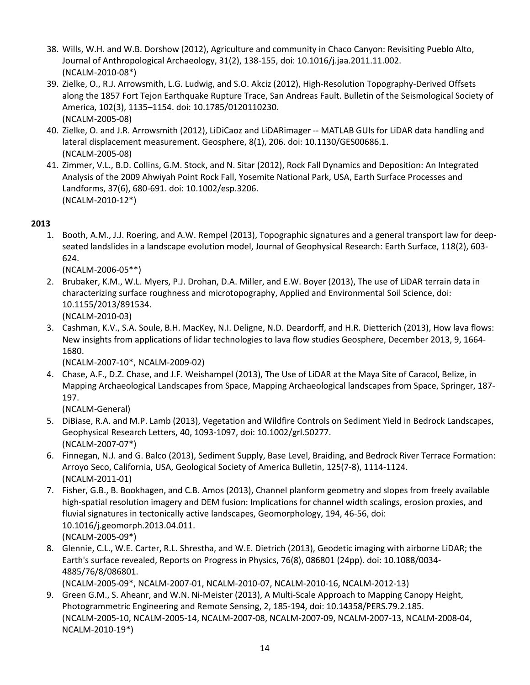- 38. Wills, W.H. and W.B. Dorshow (2012), Agriculture and community in Chaco Canyon: Revisiting Pueblo Alto, Journal of Anthropological Archaeology, 31(2), 138-155, doi: 10.1016/j.jaa.2011.11.002. (NCALM-2010-08\*)
- 39. Zielke, O., R.J. Arrowsmith, L.G. Ludwig, and S.O. Akciz (2012), High-Resolution Topography-Derived Offsets along the 1857 Fort Tejon Earthquake Rupture Trace, San Andreas Fault. Bulletin of the Seismological Society of America, 102(3), 1135–1154. doi: 10.1785/0120110230. (NCALM-2005-08)
- 40. Zielke, O. and J.R. Arrowsmith (2012), LiDiCaoz and LiDARimager -- MATLAB GUIs for LiDAR data handling and lateral displacement measurement. Geosphere, 8(1), 206. doi: 10.1130/GES00686.1. (NCALM-2005-08)
- 41. Zimmer, V.L., B.D. Collins, G.M. Stock, and N. Sitar (2012), Rock Fall Dynamics and Deposition: An Integrated Analysis of the 2009 Ahwiyah Point Rock Fall, Yosemite National Park, USA, Earth Surface Processes and Landforms, 37(6), 680-691. doi: 10.1002/esp.3206. (NCALM-2010-12\*)

1. Booth, A.M., J.J. Roering, and A.W. Rempel (2013), Topographic signatures and a general transport law for deepseated landslides in a landscape evolution model, Journal of Geophysical Research: Earth Surface, 118(2), 603- 624.

(NCALM-2006-05\*\*)

2. Brubaker, K.M., W.L. Myers, P.J. Drohan, D.A. Miller, and E.W. Boyer (2013), The use of LiDAR terrain data in characterizing surface roughness and microtopography, Applied and Environmental Soil Science, doi: 10.1155/2013/891534.

(NCALM-2010-03)

3. Cashman, K.V., S.A. Soule, B.H. MacKey, N.I. Deligne, N.D. Deardorff, and H.R. Dietterich (2013), How lava flows: New insights from applications of lidar technologies to lava flow studies Geosphere, December 2013, 9, 1664- 1680.

(NCALM-2007-10\*, NCALM-2009-02)

4. Chase, A.F., D.Z. Chase, and J.F. Weishampel (2013), The Use of LiDAR at the Maya Site of Caracol, Belize, in Mapping Archaeological Landscapes from Space, Mapping Archaeological landscapes from Space, Springer, 187- 197.

(NCALM-General)

- 5. DiBiase, R.A. and M.P. Lamb (2013), Vegetation and Wildfire Controls on Sediment Yield in Bedrock Landscapes, Geophysical Research Letters, 40, 1093-1097, doi: 10.1002/grl.50277. (NCALM-2007-07\*)
- 6. Finnegan, N.J. and G. Balco (2013), Sediment Supply, Base Level, Braiding, and Bedrock River Terrace Formation: Arroyo Seco, California, USA, Geological Society of America Bulletin, 125(7-8), 1114-1124. (NCALM-2011-01)
- 7. Fisher, G.B., B. Bookhagen, and C.B. Amos (2013), Channel planform geometry and slopes from freely available high-spatial resolution imagery and DEM fusion: Implications for channel width scalings, erosion proxies, and fluvial signatures in tectonically active landscapes, Geomorphology, 194, 46-56, doi: 10.1016/j.geomorph.2013.04.011. (NCALM-2005-09\*)
- 8. Glennie, C.L., W.E. Carter, R.L. Shrestha, and W.E. Dietrich (2013), Geodetic imaging with airborne LiDAR; the Earth's surface revealed, Reports on Progress in Physics, 76(8), 086801 (24pp). doi: 10.1088/0034- 4885/76/8/086801.

(NCALM-2005-09\*, NCALM-2007-01, NCALM-2010-07, NCALM-2010-16, NCALM-2012-13)

9. Green G.M., S. Aheanr, and W.N. Ni-Meister (2013), A Multi-Scale Approach to Mapping Canopy Height, Photogrammetric Engineering and Remote Sensing, 2, 185-194, doi: 10.14358/PERS.79.2.185. (NCALM-2005-10, NCALM-2005-14, NCALM-2007-08, NCALM-2007-09, NCALM-2007-13, NCALM-2008-04, NCALM-2010-19\*)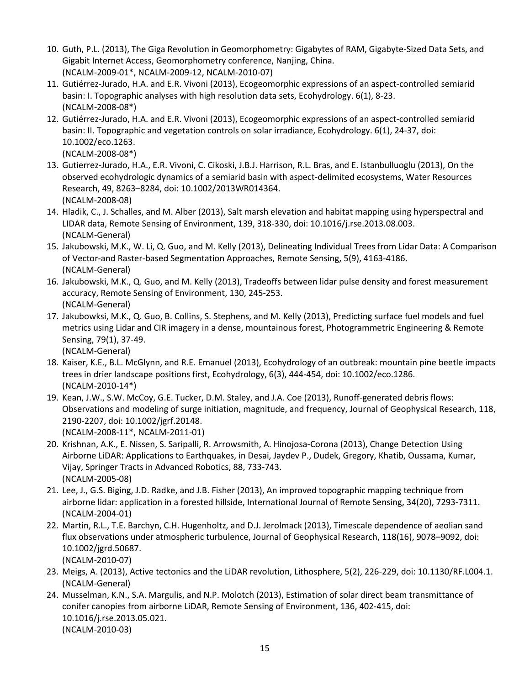- 10. Guth, P.L. (2013), The Giga Revolution in Geomorphometry: Gigabytes of RAM, Gigabyte-Sized Data Sets, and Gigabit Internet Access, Geomorphometry conference, Nanjing, China. (NCALM-2009-01\*, NCALM-2009-12, NCALM-2010-07)
- 11. Gutiérrez-Jurado, H.A. and E.R. Vivoni (2013), Ecogeomorphic expressions of an aspect-controlled semiarid basin: I. Topographic analyses with high resolution data sets, Ecohydrology. 6(1), 8-23. (NCALM-2008-08\*)
- 12. Gutiérrez-Jurado, H.A. and E.R. Vivoni (2013), Ecogeomorphic expressions of an aspect-controlled semiarid basin: II. Topographic and vegetation controls on solar irradiance, Ecohydrology. 6(1), 24-37, doi: 10.1002/eco.1263.
	- (NCALM-2008-08\*)
- 13. Gutierrez-Jurado, H.A., E.R. Vivoni, C. Cikoski, J.B.J. Harrison, R.L. Bras, and E. Istanbulluoglu (2013), On the observed ecohydrologic dynamics of a semiarid basin with aspect-delimited ecosystems, Water Resources Research, 49, 8263–8284, doi: 10.1002/2013WR014364. (NCALM-2008-08)
- 14. Hladik, C., J. Schalles, and M. Alber (2013), Salt marsh elevation and habitat mapping using hyperspectral and LIDAR data, Remote Sensing of Environment, 139, 318-330, doi: 10.1016/j.rse.2013.08.003. (NCALM-General)
- 15. Jakubowski, M.K., W. Li, Q. Guo, and M. Kelly (2013), Delineating Individual Trees from Lidar Data: A Comparison of Vector-and Raster-based Segmentation Approaches, Remote Sensing, 5(9), 4163-4186. (NCALM-General)
- 16. Jakubowski, M.K., Q. Guo, and M. Kelly (2013), Tradeoffs between lidar pulse density and forest measurement accuracy, Remote Sensing of Environment, 130, 245-253. (NCALM-General)
- 17. Jakubowksi, M.K., Q. Guo, B. Collins, S. Stephens, and M. Kelly (2013), Predicting surface fuel models and fuel metrics using Lidar and CIR imagery in a dense, mountainous forest, Photogrammetric Engineering & Remote Sensing, 79(1), 37-49.
	- (NCALM-General)
- 18. Kaiser, K.E., B.L. McGlynn, and R.E. Emanuel (2013)[, Ecohydrology of an outbreak: mountain pine beetle impacts](http://onlinelibrary.wiley.com/doi/10.1002/eco.1286/abstract)  [trees in drier landscape positions first,](http://onlinelibrary.wiley.com/doi/10.1002/eco.1286/abstract) Ecohydrology, 6(3), 444-454, doi: 10.1002/eco.1286. (NCALM-2010-14\*)
- 19. Kean, J.W., S.W. McCoy, G.E. Tucker, D.M. Staley, and J.A. Coe (2013), Runoff-generated debris flows: Observations and modeling of surge initiation, magnitude, and frequency, Journal of Geophysical Research, 118, 2190-2207, doi: 10.1002/jgrf.20148. (NCALM-2008-11\*, NCALM-2011-01)
- 20. Krishnan, A.K., E. Nissen, S. Saripalli, R. Arrowsmith, A. Hinojosa-Corona (2013), Change Detection Using Airborne LiDAR: Applications to Earthquakes, in Desai, Jaydev P., Dudek, Gregory, Khatib, Oussama, Kumar, Vijay, Springer Tracts in Advanced Robotics, 88, 733-743. (NCALM-2005-08)
- 21. Lee, J., G.S. Biging, J.D. Radke, and J.B. Fisher (2013), An improved topographic mapping technique from airborne lidar: application in a forested hillside, International Journal of Remote Sensing, 34(20), 7293-7311. (NCALM-2004-01)
- 22. Martin, R.L., T.E. Barchyn, C.H. Hugenholtz, and D.J. Jerolmack (2013), Timescale dependence of aeolian sand flux observations under atmospheric turbulence, Journal of Geophysical Research, 118(16), 9078–9092, doi: 10.1002/jgrd.50687. (NCALM-2010-07)
- 23. Meigs, A. (2013), Active tectonics and the LiDAR revolution, Lithosphere, 5(2), 226-229, doi: 10.1130/RF.L004.1. (NCALM-General)
	- 24. Musselman, K.N., S.A. Margulis, and N.P. Molotch (2013), Estimation of solar direct beam transmittance of conifer canopies from airborne LiDAR, Remote Sensing of Environment, 136, 402-415, doi: 10.1016/j.rse.2013.05.021. (NCALM-2010-03)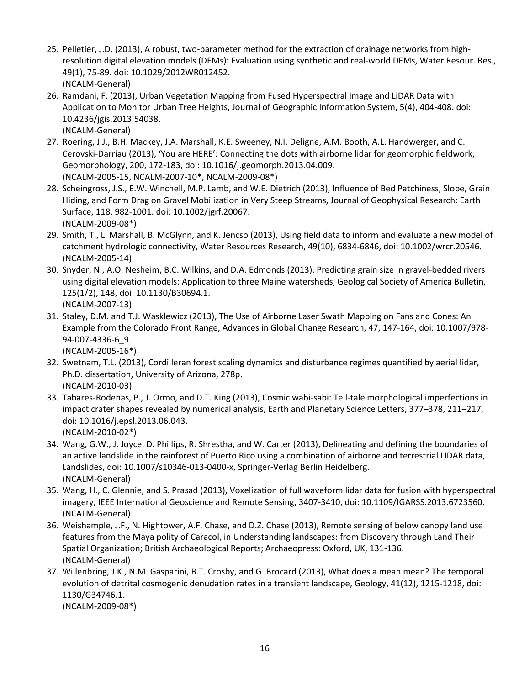- 25. Pelletier, J.D. (2013), A robust, two-parameter method for the extraction of drainage networks from highresolution digital elevation models (DEMs): Evaluation using synthetic and real-world DEMs, Water Resour. Res., 49(1), 75-89. doi: 10.1029/2012WR012452. (NCALM-General)
- 26. Ramdani, F. (2013), Urban Vegetation Mapping from Fused Hyperspectral Image and LiDAR Data with Application to Monitor Urban Tree Heights, Journal of Geographic Information System, 5(4), 404-408. doi: 10.4236/jgis.2013.54038. (NCALM-General)
- 27. Roering, J.J., B.H. Mackey, J.A. Marshall, K.E. Sweeney, N.I. Deligne, A.M. Booth, A.L. Handwerger, and C. Cerovski-Darriau (2013), 'You are HERE': Connecting the dots with airborne lidar for geomorphic fieldwork, Geomorphology, 200, 172-183, doi: 10.1016/j.geomorph.2013.04.009. (NCALM-2005-15, NCALM-2007-10\*, NCALM-2009-08\*)
- 28. Scheingross, J.S., E.W. Winchell, M.P. Lamb, and W.E. Dietrich (2013), Influence of Bed Patchiness, Slope, Grain Hiding, and Form Drag on Gravel Mobilization in Very Steep Streams, Journal of Geophysical Research: Earth Surface, 118, 982-1001. doi: 10.1002/jgrf.20067. (NCALM-2009-08\*)
- 29. Smith, T., L. Marshall, B. McGlynn, and K. Jencso (2013), Using field data to inform and evaluate a new model of catchment hydrologic connectivity, Water Resources Research, 49(10), 6834-6846, doi: 10.1002/wrcr.20546. (NCALM-2005-14)
- 30. Snyder, N., A.O. Nesheim, B.C. Wilkins, and D.A. Edmonds (2013), Predicting grain size in gravel-bedded rivers using digital elevation models: Application to three Maine watersheds, Geological Society of America Bulletin, 125(1/2), 148, doi: 10.1130/B30694.1. (NCALM-2007-13)
- 31. Staley, D.M. and T.J. Wasklewicz (2013), The Use of Airborne Laser Swath Mapping on Fans and Cones: An Example from the Colorado Front Range, Advances in Global Change Research, 47, 147-164, doi: 10.1007/978- 94-007-4336-6\_9.

(NCALM-2005-16\*)

- 32. Swetnam, T.L. (2013), Cordilleran forest scaling dynamics and disturbance regimes quantified by aerial lidar, Ph.D. dissertation, University of Arizona, 278p. (NCALM-2010-03)
- 33. Tabares-Rodenas, P., J. Ormo, and D.T. King (2013), Cosmic wabi-sabi: Tell-tale morphological imperfections in impact crater shapes revealed by numerical analysis, Earth and Planetary Science Letters, 377–378, 211–217, doi: 10.1016/j.epsl.2013.06.043. (NCALM-2010-02\*)
- 34. Wang, G.W., J. Joyce, D. Phillips, R. Shrestha, and W. Carter (2013), Delineating and defining the boundaries of an active landslide in the rainforest of Puerto Rico using a combination of airborne and terrestrial LIDAR data, Landslides, doi: 10.1007/s10346-013-0400-x, Springer-Verlag Berlin Heidelberg. (NCALM-General)
- 35. Wang, H., C. Glennie, and S. Prasad (2013), Voxelization of full waveform lidar data for fusion with hyperspectral imagery, IEEE International Geoscience and Remote Sensing, 3407-3410, doi: 10.1109/IGARSS.2013.6723560. (NCALM-General)
- 36. Weishample, J.F., N. Hightower, A.F. Chase, and D.Z. Chase (2013), Remote sensing of below canopy land use features from the Maya polity of Caracol, in Understanding landscapes: from Discovery through Land Their Spatial Organization; British Archaeological Reports; Archaeopress: Oxford, UK, 131-136. (NCALM-General)
- 37. Willenbring, J.K., N.M. Gasparini, B.T. Crosby, and G. Brocard (2013), What does a mean mean? The temporal evolution of detrital cosmogenic denudation rates in a transient landscape, Geology, 41(12), 1215-1218, doi: 1130/G34746.1.

(NCALM-2009-08\*)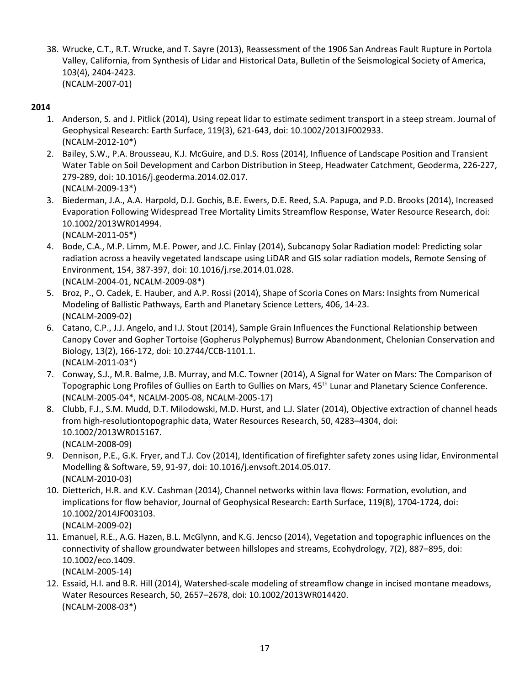38. Wrucke, C.T., R.T. Wrucke, and T. Sayre (2013), Reassessment of the 1906 San Andreas Fault Rupture in Portola Valley, California, from Synthesis of Lidar and Historical Data, Bulletin of the Seismological Society of America, 103(4), 2404-2423. (NCALM-2007-01)

### **2014**

- 1. Anderson, S. and J. Pitlick (2014), Using repeat lidar to estimate sediment transport in a steep stream. Journal of Geophysical Research: Earth Surface, 119(3), 621-643, doi: 10.1002/2013JF002933. (NCALM-2012-10\*)
- 2. Bailey, S.W., P.A. Brousseau, K.J. McGuire, and D.S. Ross (2014), Influence of Landscape Position and Transient Water Table on Soil Development and Carbon Distribution in Steep, Headwater Catchment, Geoderma, 226-227, 279-289, doi: 10.1016/j.geoderma.2014.02.017. (NCALM-2009-13\*)
- 3. Biederman, J.A., A.A. Harpold, D.J. Gochis, B.E. Ewers, D.E. Reed, S.A. Papuga, and P.D. Brooks (2014), Increased Evaporation Following Widespread Tree Mortality Limits Streamflow Response, Water Resource Research, doi: 10.1002/2013WR014994.

(NCALM-2011-05\*)

- 4. Bode, C.A., M.P. Limm, M.E. Power, and J.C. Finlay (2014), Subcanopy Solar Radiation model: Predicting solar radiation across a heavily vegetated landscape using LiDAR and GIS solar radiation models, Remote Sensing of Environment, 154, 387-397, doi: 10.1016/j.rse.2014.01.028. (NCALM-2004-01, NCALM-2009-08\*)
- 5. Broz, P., O. Cadek, E. Hauber, and A.P. Rossi (2014), Shape of Scoria Cones on Mars: Insights from Numerical Modeling of Ballistic Pathways, Earth and Planetary Science Letters, 406, 14-23. (NCALM-2009-02)
- 6. Catano, C.P., J.J. Angelo, and I.J. Stout (2014), Sample Grain Influences the Functional Relationship between Canopy Cover and Gopher Tortoise (Gopherus Polyphemus) Burrow Abandonment, Chelonian Conservation and Biology, 13(2), 166-172, doi: 10.2744/CCB-1101.1. (NCALM-2011-03\*)
- 7. Conway, S.J., M.R. Balme, J.B. Murray, and M.C. Towner (2014), A Signal for Water on Mars: The Comparison of Topographic Long Profiles of Gullies on Earth to Gullies on Mars, 45th Lunar and Planetary Science Conference. (NCALM-2005-04\*, NCALM-2005-08, NCALM-2005-17)
- 8. Clubb, F.J., S.M. Mudd, D.T. Milodowski, M.D. Hurst, and L.J. Slater (2014), Objective extraction of channel heads from high-resolutiontopographic data, Water Resources Research, 50, 4283–4304, doi: 10.1002/2013WR015167. (NCALM-2008-09)
- 9. Dennison, P.E., G.K. Fryer, and T.J. Cov (2014), Identification of firefighter safety zones using lidar, Environmental Modelling & Software, 59, 91-97, doi: 10.1016/j.envsoft.2014.05.017. (NCALM-2010-03)
- 10. Dietterich, H.R. and K.V. Cashman (2014), Channel networks within lava flows: Formation, evolution, and implications for flow behavior, Journal of Geophysical Research: Earth Surface, 119(8), 1704-1724, doi: 10.1002/2014JF003103. (NCALM-2009-02)
- 11. Emanuel, R.E., A.G. Hazen, B.L. McGlynn, and K.G. Jencso (2014), Vegetation and topographic influences on the connectivity of shallow groundwater between hillslopes and streams, Ecohydrology, 7(2), 887–895, doi: 10.1002/eco.1409. (NCALM-2005-14)
- 12. Essaid, H.I. and B.R. Hill (2014), Watershed-scale modeling of streamflow change in incised montane meadows, Water Resources Research, 50, 2657–2678, doi: 10.1002/2013WR014420. (NCALM-2008-03\*)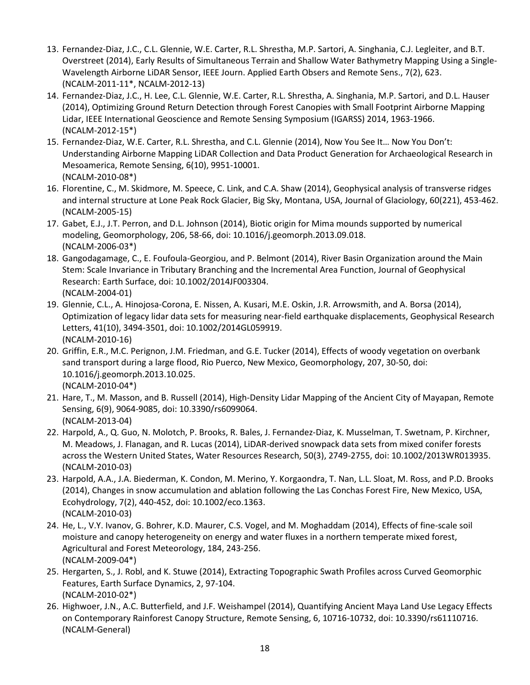- 13. Fernandez-Diaz, J.C., C.L. Glennie, W.E. Carter, R.L. Shrestha, M.P. Sartori, A. Singhania, C.J. Legleiter, and B.T. Overstreet (2014), Early Results of Simultaneous Terrain and Shallow Water Bathymetry Mapping Using a Single-Wavelength Airborne LiDAR Sensor, IEEE Journ. Applied Earth Obsers and Remote Sens., 7(2), 623. (NCALM-2011-11\*, NCALM-2012-13)
- 14. Fernandez-Diaz, J.C., H. Lee, C.L. Glennie, W.E. Carter, R.L. Shrestha, A. Singhania, M.P. Sartori, and D.L. Hauser (2014), Optimizing Ground Return Detection through Forest Canopies with Small Footprint Airborne Mapping Lidar, IEEE International Geoscience and Remote Sensing Symposium (IGARSS) 2014, 1963-1966. (NCALM-2012-15\*)
- 15. Fernandez-Diaz, W.E. Carter, R.L. Shrestha, and C.L. Glennie (2014), Now You See It… Now You Don't: Understanding Airborne Mapping LiDAR Collection and Data Product Generation for Archaeological Research in Mesoamerica, Remote Sensing, 6(10), 9951-10001. (NCALM-2010-08\*)
- 16. Florentine, C., M. Skidmore, M. Speece, C. Link, and C.A. Shaw (2014), Geophysical analysis of transverse ridges and internal structure at Lone Peak Rock Glacier, Big Sky, Montana, USA, Journal of Glaciology, 60(221), 453-462. (NCALM-2005-15)
- 17. Gabet, E.J., J.T. Perron, and D.L. Johnson (2014), Biotic origin for Mima mounds supported by numerical modeling, Geomorphology, 206, 58-66, doi: 10.1016/j.geomorph.2013.09.018. (NCALM-2006-03\*)
- 18. Gangodagamage, C., E. Foufoula-Georgiou, and P. Belmont (2014), River Basin Organization around the Main Stem: Scale Invariance in Tributary Branching and the Incremental Area Function, Journal of Geophysical Research: Earth Surface, doi: 10.1002/2014JF003304. (NCALM-2004-01)
- 19. Glennie, C.L., A. Hinojosa-Corona, E. Nissen, A. Kusari, M.E. Oskin, J.R. Arrowsmith, and A. Borsa (2014), Optimization of legacy lidar data sets for measuring near-field earthquake displacements, Geophysical Research Letters, 41(10), 3494-3501, doi: 10.1002/2014GL059919. (NCALM-2010-16)
- 20. Griffin, E.R., M.C. Perignon, J.M. Friedman, and G.E. Tucker (2014), Effects of woody vegetation on overbank sand transport during a large flood, Rio Puerco, New Mexico, Geomorphology, 207, 30-50, doi: 10.1016/j.geomorph.2013.10.025. (NCALM-2010-04\*)
- 21. Hare, T., M. Masson, and B. Russell (2014), High-Density Lidar Mapping of the Ancient City of Mayapan, Remote Sensing, 6(9), 9064-9085, doi: 10.3390/rs6099064. (NCALM-2013-04)
- 22. Harpold, A., Q. Guo, N. Molotch, P. Brooks, R. Bales, J. Fernandez-Diaz, K. Musselman, T. Swetnam, P. Kirchner, M. Meadows, J. Flanagan, and R. Lucas (2014), LiDAR-derived snowpack data sets from mixed conifer forests across the Western United States, Water Resources Research, 50(3), 2749-2755, doi: 10.1002/2013WR013935. (NCALM-2010-03)
- 23. Harpold, A.A., J.A. Biederman, K. Condon, M. Merino, Y. Korgaondra, T. Nan, L.L. Sloat, M. Ross, and P.D. Brooks (2014), Changes in snow accumulation and ablation following the Las Conchas Forest Fire, New Mexico, USA, Ecohydrology, 7(2), 440-452, doi: 10.1002/eco.1363. (NCALM-2010-03)
- 24. He, L., V.Y. Ivanov, G. Bohrer, K.D. Maurer, C.S. Vogel, and M. Moghaddam (2014), Effects of fine-scale soil moisture and canopy heterogeneity on energy and water fluxes in a northern temperate mixed forest, Agricultural and Forest Meteorology, 184, 243-256. (NCALM-2009-04\*)
- 25. Hergarten, S., J. Robl, and K. Stuwe (2014), Extracting Topographic Swath Profiles across Curved Geomorphic Features, Earth Surface Dynamics, 2, 97-104. (NCALM-2010-02\*)
- 26. Highwoer, J.N., A.C. Butterfield, and J.F. Weishampel (2014), Quantifying Ancient Maya Land Use Legacy Effects on Contemporary Rainforest Canopy Structure, Remote Sensing, 6, 10716-10732, doi: 10.3390/rs61110716. (NCALM-General)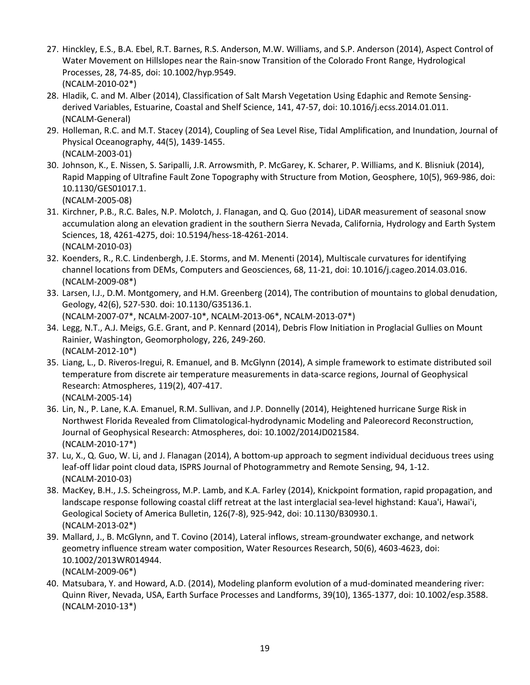- 27. Hinckley, E.S., B.A. Ebel, R.T. Barnes, R.S. Anderson, M.W. Williams, and S.P. Anderson (2014), Aspect Control of Water Movement on Hillslopes near the Rain-snow Transition of the Colorado Front Range, Hydrological Processes, 28, 74-85, doi: 10.1002/hyp.9549. (NCALM-2010-02\*)
- 28. Hladik, C. and M. Alber (2014), Classification of Salt Marsh Vegetation Using Edaphic and Remote Sensingderived Variables, Estuarine, Coastal and Shelf Science, 141, 47-57, doi: 10.1016/j.ecss.2014.01.011. (NCALM-General)
- 29. Holleman, R.C. and M.T. Stacey (2014), Coupling of Sea Level Rise, Tidal Amplification, and Inundation, Journal of Physical Oceanography, 44(5), 1439-1455. (NCALM-2003-01)
- 30. Johnson, K., E. Nissen, S. Saripalli, J.R. Arrowsmith, P. McGarey, K. Scharer, P. Williams, and K. Blisniuk (2014), Rapid Mapping of Ultrafine Fault Zone Topography with Structure from Motion, Geosphere, 10(5), 969-986, doi: 10.1130/GES01017.1.

(NCALM-2005-08)

- 31. Kirchner, P.B., R.C. Bales, N.P. Molotch, J. Flanagan, and Q. Guo (2014), LiDAR measurement of seasonal snow accumulation along an elevation gradient in the southern Sierra Nevada, California, Hydrology and Earth System Sciences, 18, 4261-4275, doi: 10.5194/hess-18-4261-2014. (NCALM-2010-03)
- 32. Koenders, R., R.C. Lindenbergh, J.E. Storms, and M. Menenti (2014), Multiscale curvatures for identifying channel locations from DEMs, Computers and Geosciences, 68, 11-21, doi: 10.1016/j.cageo.2014.03.016. (NCALM-2009-08\*)
- 33. Larsen, I.J., D.M. Montgomery, and H.M. Greenberg (2014), The contribution of mountains to global denudation, Geology, 42(6), 527-530. doi: 10.1130/G35136.1. (NCALM-2007-07\*, NCALM-2007-10\*, NCALM-2013-06\*, NCALM-2013-07\*)
- 34. Legg, N.T., A.J. Meigs, G.E. Grant, and P. Kennard (2014), Debris Flow Initiation in Proglacial Gullies on Mount Rainier, Washington, Geomorphology, 226, 249-260. (NCALM-2012-10\*)
- 35. Liang, L., D. Riveros-Iregui, R. Emanuel, and B. McGlynn (2014), A simple framework to estimate distributed soil temperature from discrete air temperature measurements in data-scarce regions, Journal of Geophysical Research: Atmospheres, 119(2), 407-417. (NCALM-2005-14)
- 36. Lin, N., P. Lane, K.A. Emanuel, R.M. Sullivan, and J.P. Donnelly (2014), Heightened hurricane Surge Risk in Northwest Florida Revealed from Climatological-hydrodynamic Modeling and Paleorecord Reconstruction, Journal of Geophysical Research: Atmospheres, doi: 10.1002/2014JD021584. (NCALM-2010-17\*)
- 37. Lu, X., Q. Guo, W. Li, and J. Flanagan (2014), A bottom-up approach to segment individual deciduous trees using leaf-off lidar point cloud data, ISPRS Journal of Photogrammetry and Remote Sensing, 94, 1-12. (NCALM-2010-03)
- 38. MacKey, B.H., J.S. Scheingross, M.P. Lamb, and K.A. Farley (2014), Knickpoint formation, rapid propagation, and landscape response following coastal cliff retreat at the last interglacial sea-level highstand: Kaua'i, Hawai'i, Geological Society of America Bulletin, 126(7-8), 925-942, doi: 10.1130/B30930.1. (NCALM-2013-02\*)
- 39. Mallard, J., B. McGlynn, and T. Covino (2014), Lateral inflows, stream-groundwater exchange, and network geometry influence stream water composition, Water Resources Research, 50(6), 4603-4623, doi: 10.1002/2013WR014944. (NCALM-2009-06\*)
- 40. Matsubara, Y. and Howard, A.D. (2014), Modeling planform evolution of a mud-dominated meandering river: Quinn River, Nevada, USA, Earth Surface Processes and Landforms, 39(10), 1365-1377, doi: 10.1002/esp.3588. (NCALM-2010-13\*)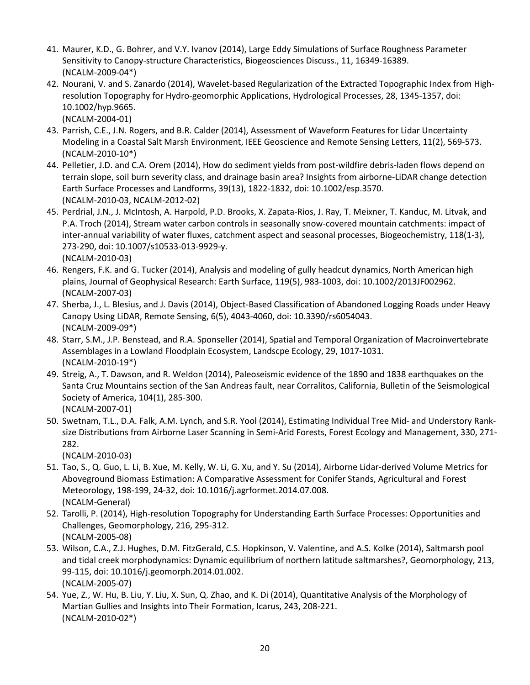- 41. Maurer, K.D., G. Bohrer, and V.Y. Ivanov (2014), Large Eddy Simulations of Surface Roughness Parameter Sensitivity to Canopy-structure Characteristics, Biogeosciences Discuss., 11, 16349-16389. (NCALM-2009-04\*)
- 42. Nourani, V. and S. Zanardo (2014), Wavelet-based Regularization of the Extracted Topographic Index from Highresolution Topography for Hydro-geomorphic Applications, Hydrological Processes, 28, 1345-1357, doi: 10.1002/hyp.9665.
	- (NCALM-2004-01)
- 43. Parrish, C.E., J.N. Rogers, and B.R. Calder (2014), Assessment of Waveform Features for Lidar Uncertainty Modeling in a Coastal Salt Marsh Environment, IEEE Geoscience and Remote Sensing Letters, 11(2), 569-573. (NCALM-2010-10\*)
- 44. Pelletier, J.D. and C.A. Orem (2014), How do sediment yields from post-wildfire debris-laden flows depend on terrain slope, soil burn severity class, and drainage basin area? Insights from airborne-LiDAR change detection Earth Surface Processes and Landforms, 39(13), 1822-1832, doi: 10.1002/esp.3570. (NCALM-2010-03, NCALM-2012-02)
- 45. Perdrial, J.N., J. McIntosh, A. Harpold, P.D. Brooks, X. Zapata-Rios, J. Ray, T. Meixner, T. Kanduc, M. Litvak, and P.A. Troch (2014), Stream water carbon controls in seasonally snow-covered mountain catchments: impact of inter-annual variability of water fluxes, catchment aspect and seasonal processes, Biogeochemistry, 118(1-3), 273-290, doi: 10.1007/s10533-013-9929-y. (NCALM-2010-03)
- 46. Rengers, F.K. and G. Tucker (2014), Analysis and modeling of gully headcut dynamics, North American high plains, Journal of Geophysical Research: Earth Surface, 119(5), 983-1003, doi: 10.1002/2013JF002962. (NCALM-2007-03)
- 47. Sherba, J., L. Blesius, and J. Davis (2014), Object-Based Classification of Abandoned Logging Roads under Heavy Canopy Using LiDAR, Remote Sensing, 6(5), 4043-4060, doi: 10.3390/rs6054043. (NCALM-2009-09\*)
- 48. Starr, S.M., J.P. Benstead, and R.A. Sponseller (2014), Spatial and Temporal Organization of Macroinvertebrate Assemblages in a Lowland Floodplain Ecosystem, Landscpe Ecology, 29, 1017-1031. (NCALM-2010-19\*)
- 49. Streig, A., T. Dawson, and R. Weldon (2014), Paleoseismic evidence of the 1890 and 1838 earthquakes on the Santa Cruz Mountains section of the San Andreas fault, near Corralitos, California, Bulletin of the Seismological Society of America, 104(1), 285-300. (NCALM-2007-01)
- 50. Swetnam, T.L., D.A. Falk, A.M. Lynch, and S.R. Yool (2014), Estimating Individual Tree Mid- and Understory Ranksize Distributions from Airborne Laser Scanning in Semi-Arid Forests, Forest Ecology and Management, 330, 271- 282.

(NCALM-2010-03)

- 51. Tao, S., Q. Guo, L. Li, B. Xue, M. Kelly, W. Li, G. Xu, and Y. Su (2014), Airborne Lidar-derived Volume Metrics for Aboveground Biomass Estimation: A Comparative Assessment for Conifer Stands, Agricultural and Forest Meteorology, 198-199, 24-32, doi: 10.1016/j.agrformet.2014.07.008. (NCALM-General)
- 52. Tarolli, P. (2014), High-resolution Topography for Understanding Earth Surface Processes: Opportunities and Challenges, Geomorphology, 216, 295-312. (NCALM-2005-08)
- 53. Wilson, C.A., Z.J. Hughes, D.M. FitzGerald, C.S. Hopkinson, V. Valentine, and A.S. Kolke (2014), Saltmarsh pool and tidal creek morphodynamics: Dynamic equilibrium of northern latitude saltmarshes?, Geomorphology, 213, 99-115, doi: 10.1016/j.geomorph.2014.01.002. (NCALM-2005-07)
- 54. Yue, Z., W. Hu, B. Liu, Y. Liu, X. Sun, Q. Zhao, and K. Di (2014), Quantitative Analysis of the Morphology of Martian Gullies and Insights into Their Formation, Icarus, 243, 208-221. (NCALM-2010-02\*)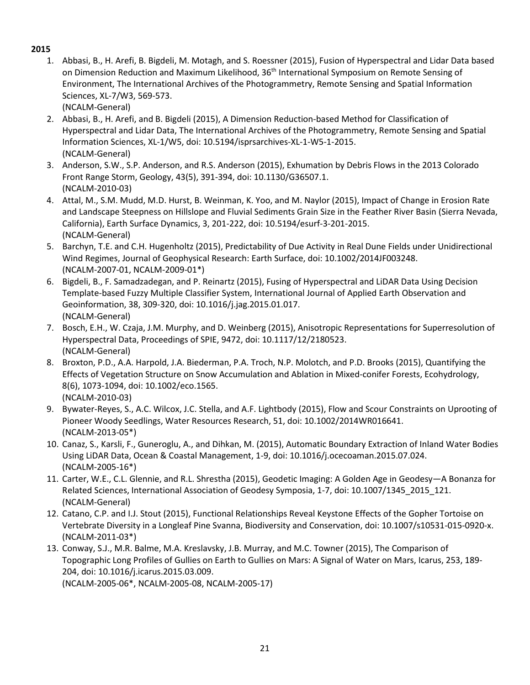1. Abbasi, B., H. Arefi, B. Bigdeli, M. Motagh, and S. Roessner (2015), Fusion of Hyperspectral and Lidar Data based on Dimension Reduction and Maximum Likelihood, 36<sup>th</sup> International Symposium on Remote Sensing of Environment, The International Archives of the Photogrammetry, Remote Sensing and Spatial Information Sciences, XL-7/W3, 569-573.

(NCALM-General)

- 2. Abbasi, B., H. Arefi, and B. Bigdeli (2015), A Dimension Reduction-based Method for Classification of Hyperspectral and Lidar Data, The International Archives of the Photogrammetry, Remote Sensing and Spatial Information Sciences, XL-1/W5, doi: 10.5194/isprsarchives-XL-1-W5-1-2015. (NCALM-General)
- 3. Anderson, S.W., S.P. Anderson, and R.S. Anderson (2015), Exhumation by Debris Flows in the 2013 Colorado Front Range Storm, Geology, 43(5), 391-394, doi: [10.1130/G36507.1.](http://dx.doi.org/10.14358/PERS.81.5.387) (NCALM-2010-03)
- 4. Attal, M., S.M. Mudd, M.D. Hurst, B. Weinman, K. Yoo, and M. Naylor (2015), Impact of Change in Erosion Rate and Landscape Steepness on Hillslope and Fluvial Sediments Grain Size in the Feather River Basin (Sierra Nevada, California), Earth Surface Dynamics, 3, 201-222, doi[: 10.5194/esurf-3-201-2015.](http://dx.doi.org/10.14358/PERS.81.5.387) (NCALM-General)
- 5. Barchyn, T.E. and C.H. Hugenholtz (2015), Predictability of Due Activity in Real Dune Fields under Unidirectional Wind Regimes, Journal of Geophysical Research: Earth Surface, doi: [10.1002/2014JF003248.](http://dx.doi.org/10.14358/PERS.81.5.387) (NCALM-2007-01, NCALM-2009-01\*)
- 6. Bigdeli, B., F. Samadzadegan, and P. Reinartz (2015), Fusing of Hyperspectral and LiDAR Data Using Decision Template-based Fuzzy Multiple Classifier System, International Journal of Applied Earth Observation and Geoinformation, 38, 309-320, doi: 10.1016/j.jag.2015.01.017. (NCALM-General)
- 7. Bosch, E.H., W. Czaja, J.M. Murphy, and D. Weinberg (2015), Anisotropic Representations for Superresolution of Hyperspectral Data, Proceedings of SPIE, 9472, doi: 10.1117/12/2180523. (NCALM-General)
- 8. Broxton, P.D., A.A. Harpold, J.A. Biederman, P.A. Troch, N.P. Molotch, and P.D. Brooks (2015), Quantifying the Effects of Vegetation Structure on Snow Accumulation and Ablation in Mixed-conifer Forests, Ecohydrology, 8(6), 1073-1094, doi: 10.1002/eco.1565. (NCALM-2010-03)
- 9. Bywater-Reyes, S., A.C. Wilcox, J.C. Stella, and A.F. Lightbody (2015), Flow and Scour Constraints on Uprooting of Pioneer Woody Seedlings, Water Resources Research, 51, doi: 10.1002/2014WR016641. (NCALM-2013-05\*)
- 10. Canaz, S., Karsli, F., Guneroglu, A., and Dihkan, M. (2015), Automatic Boundary Extraction of Inland Water Bodies Using LiDAR Data, Ocean & Coastal Management, 1-9, doi: 10.1016/j.ocecoaman.2015.07.024. (NCALM-2005-16\*)
- 11. Carter, W.E., C.L. Glennie, and R.L. Shrestha (2015), Geodetic Imaging: A Golden Age in Geodesy—A Bonanza for Related Sciences, International Association of Geodesy Symposia, 1-7, doi: 10.1007/1345\_2015\_121. (NCALM-General)
- 12. Catano, C.P. and I.J. Stout (2015), Functional Relationships Reveal Keystone Effects of the Gopher Tortoise on Vertebrate Diversity in a Longleaf Pine Svanna, Biodiversity and Conservation, doi: 10.1007/s10531-015-0920-x. (NCALM-2011-03\*)
- 13. Conway, S.J., M.R. Balme, M.A. Kreslavsky, J.B. Murray, and M.C. Towner (2015), The Comparison of Topographic Long Profiles of Gullies on Earth to Gullies on Mars: A Signal of Water on Mars, Icarus, 253, 189- 204, doi: 10.1016/j.icarus.2015.03.009.

(NCALM-2005-06\*, NCALM-2005-08, NCALM-2005-17)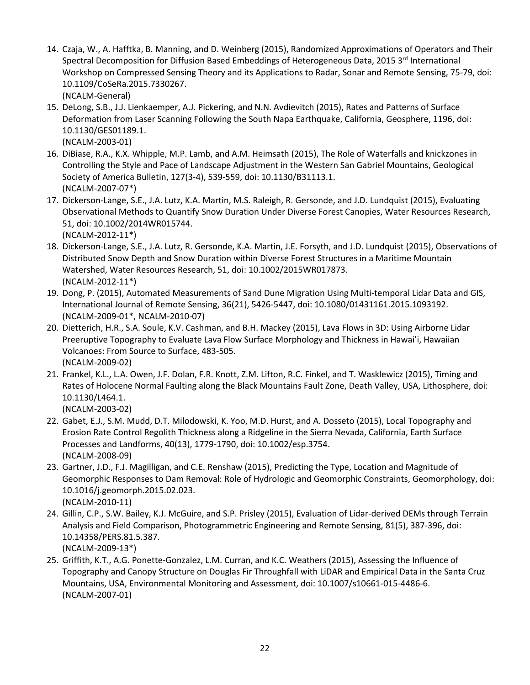- 14. Czaja, W., A. Hafftka, B. Manning, and D. Weinberg (2015), Randomized Approximations of Operators and Their Spectral Decomposition for Diffusion Based Embeddings of Heterogeneous Data, 2015 3rd International Workshop on Compressed Sensing Theory and its Applications to Radar, Sonar and Remote Sensing, 75-79, doi: 10.1109/CoSeRa.2015.7330267. (NCALM-General)
- 15. DeLong, S.B., J.J. Lienkaemper, A.J. Pickering, and N.N. Avdievitch (2015), Rates and Patterns of Surface Deformation from Laser Scanning Following the South Napa Earthquake, California, Geosphere, 1196, doi: 10.1130/GES01189.1.
	- (NCALM-2003-01)
- 16. DiBiase, R.A., K.X. Whipple, M.P. Lamb, and A.M. Heimsath (2015), The Role of Waterfalls and knickzones in Controlling the Style and Pace of Landscape Adjustment in the Western San Gabriel Mountains, Geological Society of America Bulletin, 127(3-4), 539-559, doi: 10.1130/B31113.1. (NCALM-2007-07\*)
- 17. Dickerson-Lange, S.E., J.A. Lutz, K.A. Martin, M.S. Raleigh, R. Gersonde, and J.D. Lundquist (2015), Evaluating Observational Methods to Quantify Snow Duration Under Diverse Forest Canopies, Water Resources Research, 51, doi: 10.1002/2014WR015744. (NCALM-2012-11\*)
- 18. Dickerson-Lange, S.E., J.A. Lutz, R. Gersonde, K.A. Martin, J.E. Forsyth, and J.D. Lundquist (2015), Observations of Distributed Snow Depth and Snow Duration within Diverse Forest Structures in a Maritime Mountain Watershed, Water Resources Research, 51, doi: 10.1002/2015WR017873. (NCALM-2012-11\*)
- 19. Dong, P. (2015), Automated Measurements of Sand Dune Migration Using Multi-temporal Lidar Data and GIS, International Journal of Remote Sensing, 36(21), 5426-5447, doi: 10.1080/01431161.2015.1093192. (NCALM-2009-01\*, NCALM-2010-07)
- 20. Dietterich, H.R., S.A. Soule, K.V. Cashman, and B.H. Mackey (2015), Lava Flows in 3D: Using Airborne Lidar Preeruptive Topography to Evaluate Lava Flow Surface Morphology and Thickness in Hawai'i, Hawaiian Volcanoes: From Source to Surface, 483-505. (NCALM-2009-02)
- 21. Frankel, K.L., L.A. Owen, J.F. Dolan, F.R. Knott, Z.M. Lifton, R.C. Finkel, and T. Wasklewicz (2015), Timing and Rates of Holocene Normal Faulting along the Black Mountains Fault Zone, Death Valley, USA, Lithosphere, doi: 10.1130/L464.1.

(NCALM-2003-02)

- 22. Gabet, E.J., S.M. Mudd, D.T. Milodowski, K. Yoo, M.D. Hurst, and A. Dosseto (2015), Local Topography and Erosion Rate Control Regolith Thickness along a Ridgeline in the Sierra Nevada, California, Earth Surface Processes and Landforms, 40(13), 1779-1790, doi: 10.1002/esp.3754. (NCALM-2008-09)
- 23. Gartner, J.D., F.J. Magilligan, and C.E. Renshaw (2015), Predicting the Type, Location and Magnitude of Geomorphic Responses to Dam Removal: Role of Hydrologic and Geomorphic Constraints, Geomorphology, doi: [10.1016/j.geomorph.2015.02.023.](http://dx.doi.org/10.1016/j.geomorph.2015.02.023) (NCALM-2010-11)
- 24. Gillin, C.P., S.W. Bailey, K.J. McGuire, and S.P. Prisley (2015), Evaluation of Lidar-derived DEMs through Terrain Analysis and Field Comparison, Photogrammetric Engineering and Remote Sensing, 81(5), 387-396, doi: [10.14358/PERS.81.5.387.](http://dx.doi.org/10.14358/PERS.81.5.387) (NCALM-2009-13\*)
- 25. Griffith, K.T., A.G. Ponette-Gonzalez, L.M. Curran, and K.C. Weathers (2015), Assessing the Influence of Topography and Canopy Structure on Douglas Fir Throughfall with LiDAR and Empirical Data in the Santa Cruz Mountains, USA, Environmental Monitoring and Assessment, doi: [10.1007/s10661-015-4486-6.](http://dx.doi.org/10.14358/PERS.81.5.387) (NCALM-2007-01)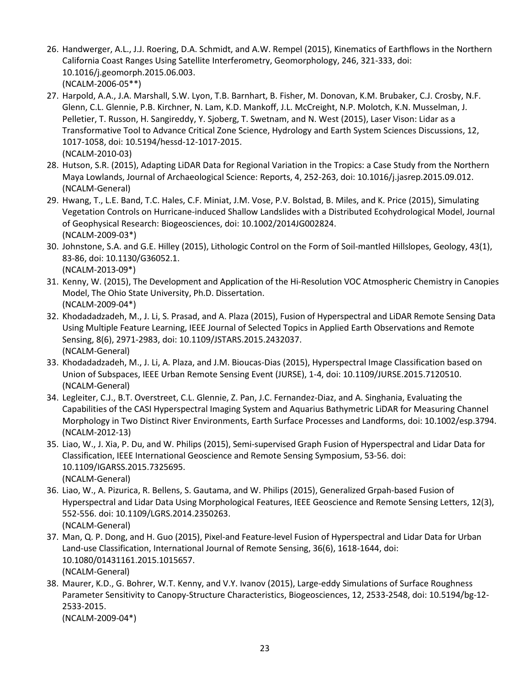- 26. Handwerger, A.L., J.J. Roering, D.A. Schmidt, and A.W. Rempel (2015), Kinematics of Earthflows in the Northern California Coast Ranges Using Satellite Interferometry, Geomorphology, 246, 321-333, doi: 10.1016/j.geomorph.2015.06.003. (NCALM-2006-05\*\*)
- 27. Harpold, A.A., J.A. Marshall, S.W. Lyon, T.B. Barnhart, B. Fisher, M. Donovan, K.M. Brubaker, C.J. Crosby, N.F. Glenn, C.L. Glennie, P.B. Kirchner, N. Lam, K.D. Mankoff, J.L. McCreight, N.P. Molotch, K.N. Musselman, J. Pelletier, T. Russon, H. Sangireddy, Y. Sjoberg, T. Swetnam, and N. West (2015), Laser Vison: Lidar as a Transformative Tool to Advance Critical Zone Science, Hydrology and Earth System Sciences Discussions, 12, 1017-1058, doi: 10.5194/hessd-12-1017-2015. (NCALM-2010-03)
- 28. Hutson, S.R. (2015), Adapting LiDAR Data for Regional Variation in the Tropics: a Case Study from the Northern Maya Lowlands, Journal of Archaeological Science: Reports, 4, 252-263, doi: 10.1016/j.jasrep.2015.09.012. (NCALM-General)
- 29. Hwang, T., L.E. Band, T.C. Hales, C.F. Miniat, J.M. Vose, P.V. Bolstad, B. Miles, and K. Price (2015), Simulating Vegetation Controls on Hurricane-induced Shallow Landslides with a Distributed Ecohydrological Model, Journal of Geophysical Research: Biogeosciences, doi: 10.1002/2014JG002824. (NCALM-2009-03\*)
- 30. Johnstone, S.A. and G.E. Hilley (2015), Lithologic Control on the Form of Soil-mantled Hillslopes, Geology, 43(1), 83-86, doi: 10.1130/G36052.1. (NCALM-2013-09\*)
- 31. Kenny, W. (2015), The Development and Application of the Hi-Resolution VOC Atmospheric Chemistry in Canopies Model, The Ohio State University, Ph.D. Dissertation. (NCALM-2009-04\*)
- 32. Khodadadzadeh, M., J. Li, S. Prasad, and A. Plaza (2015), Fusion of Hyperspectral and LiDAR Remote Sensing Data Using Multiple Feature Learning, IEEE Journal of Selected Topics in Applied Earth Observations and Remote Sensing, 8(6), 2971-2983, doi: 10.1109/JSTARS.2015.2432037. (NCALM-General)
- 33. Khodadadzadeh, M., J. Li, A. Plaza, and J.M. Bioucas-Dias (2015), Hyperspectral Image Classification based on Union of Subspaces, IEEE Urban Remote Sensing Event (JURSE), 1-4, doi: 10.1109/JURSE.2015.7120510. (NCALM-General)
- 34. Legleiter, C.J., B.T. Overstreet, C.L. Glennie, Z. Pan, J.C. Fernandez-Diaz, and A. Singhania, Evaluating the Capabilities of the CASI Hyperspectral Imaging System and Aquarius Bathymetric LiDAR for Measuring Channel Morphology in Two Distinct River Environments, Earth Surface Processes and Landforms, doi: 10.1002/esp.3794. (NCALM-2012-13)
- 35. Liao, W., J. Xia, P. Du, and W. Philips (2015), Semi-supervised Graph Fusion of Hyperspectral and Lidar Data for Classification, IEEE International Geoscience and Remote Sensing Symposium, 53-56. doi: 10.1109/IGARSS.2015.7325695. (NCALM-General)
- 36. Liao, W., A. Pizurica, R. Bellens, S. Gautama, and W. Philips (2015), Generalized Grpah-based Fusion of Hyperspectral and Lidar Data Using Morphological Features, IEEE Geoscience and Remote Sensing Letters, 12(3), 552-556. doi: 10.1109/LGRS.2014.2350263. (NCALM-General)
- 37. Man, Q. P. Dong, and H. Guo (2015), Pixel-and Feature-level Fusion of Hyperspectral and Lidar Data for Urban Land-use Classification, International Journal of Remote Sensing, 36(6), 1618-1644, doi: 10.1080/01431161.2015.1015657. (NCALM-General)
- 38. Maurer, K.D., G. Bohrer, W.T. Kenny, and V.Y. Ivanov (2015), Large-eddy Simulations of Surface Roughness Parameter Sensitivity to Canopy-Structure Characteristics, Biogeosciences, 12, 2533-2548, doi: 10.5194/bg-12- 2533-2015. (NCALM-2009-04\*)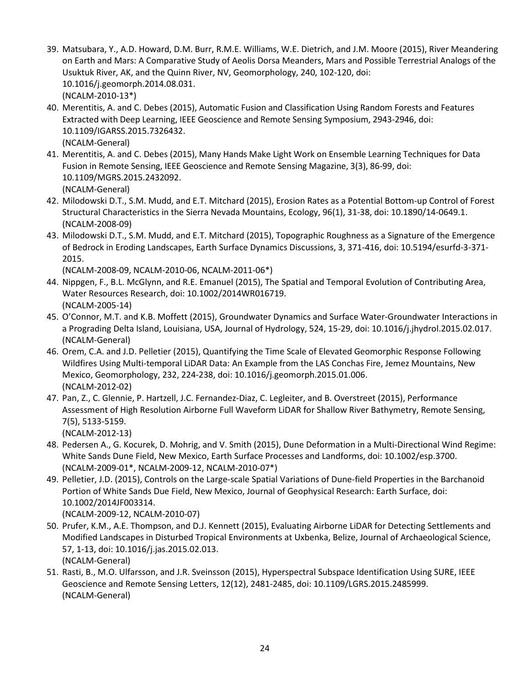- 39. Matsubara, Y., A.D. Howard, D.M. Burr, R.M.E. Williams, W.E. Dietrich, and J.M. Moore (2015), River Meandering on Earth and Mars: A Comparative Study of Aeolis Dorsa Meanders, Mars and Possible Terrestrial Analogs of the Usuktuk River, AK, and the Quinn River, NV, Geomorphology, 240, 102-120, doi: 10.1016/j.geomorph.2014.08.031. (NCALM-2010-13\*)
- 40. Merentitis, A. and C. Debes (2015), Automatic Fusion and Classification Using Random Forests and Features Extracted with Deep Learning, IEEE Geoscience and Remote Sensing Symposium, 2943-2946, doi: 10.1109/IGARSS.2015.7326432. (NCALM-General)
- 41. Merentitis, A. and C. Debes (2015), Many Hands Make Light Work on Ensemble Learning Techniques for Data Fusion in Remote Sensing, IEEE Geoscience and Remote Sensing Magazine, 3(3), 86-99, doi: 10.1109/MGRS.2015.2432092. (NCALM-General)
- 42. Milodowski D.T., S.M. Mudd, and E.T. Mitchard (2015), Erosion Rates as a Potential Bottom-up Control of Forest Structural Characteristics in the Sierra Nevada Mountains, Ecology, 96(1), 31-38, doi: 10.1890/14-0649.1. (NCALM-2008-09)
- 43. Milodowski D.T., S.M. Mudd, and E.T. Mitchard (2015), Topographic Roughness as a Signature of the Emergence of Bedrock in Eroding Landscapes, Earth Surface Dynamics Discussions, 3, 371-416, doi: 10.5194/esurfd-3-371- 2015.

(NCALM-2008-09, NCALM-2010-06, NCALM-2011-06\*)

- 44. Nippgen, F., B.L. McGlynn, and R.E. Emanuel (2015), The Spatial and Temporal Evolution of Contributing Area, Water Resources Research, doi: [10.1002/2014WR016719.](http://dx.doi.org/10.14358/PERS.81.5.387) (NCALM-2005-14)
- 45. O'Connor, M.T. and K.B. Moffett (2015), Groundwater Dynamics and Surface Water-Groundwater Interactions in a Prograding Delta Island, Louisiana, USA, Journal of Hydrology, 524, 15-29, doi: 10.1016/j.jhydrol.2015.02.017. (NCALM-General)
- 46. Orem, C.A. and J.D. Pelletier (2015), Quantifying the Time Scale of Elevated Geomorphic Response Following Wildfires Using Multi-temporal LiDAR Data: An Example from the LAS Conchas Fire, Jemez Mountains, New Mexico, Geomorphology, 232, 224-238, doi: 10.1016/j.geomorph.2015.01.006. (NCALM-2012-02)
- 47. Pan, Z., C. Glennie, P. Hartzell, J.C. Fernandez-Diaz, C. Legleiter, and B. Overstreet (2015), Performance Assessment of High Resolution Airborne Full Waveform LiDAR for Shallow River Bathymetry, Remote Sensing, 7(5), 5133-5159. (NCALM-2012-13)
- 48. Pedersen A., G. Kocurek, D. Mohrig, and V. Smith (2015), Dune Deformation in a Multi-Directional Wind Regime: White Sands Dune Field, New Mexico, Earth Surface Processes and Landforms, doi: 10.1002/esp.3700. (NCALM-2009-01\*, NCALM-2009-12, NCALM-2010-07\*)
- 49. Pelletier, J.D. (2015), Controls on the Large-scale Spatial Variations of Dune-field Properties in the Barchanoid Portion of White Sands Due Field, New Mexico, Journal of Geophysical Research: Earth Surface, doi: 10.1002/2014JF003314.

(NCALM-2009-12, NCALM-2010-07)

- 50. Prufer, K.M., A.E. Thompson, and D.J. Kennett (2015), Evaluating Airborne LiDAR for Detecting Settlements and Modified Landscapes in Disturbed Tropical Environments at Uxbenka, Belize, Journal of Archaeological Science, 57, 1-13, doi: 10.1016/j.jas.2015.02.013. (NCALM-General)
- 51. Rasti, B., M.O. Ulfarsson, and J.R. Sveinsson (2015), Hyperspectral Subspace Identification Using SURE, IEEE Geoscience and Remote Sensing Letters, 12(12), 2481-2485, doi: 10.1109/LGRS.2015.2485999. (NCALM-General)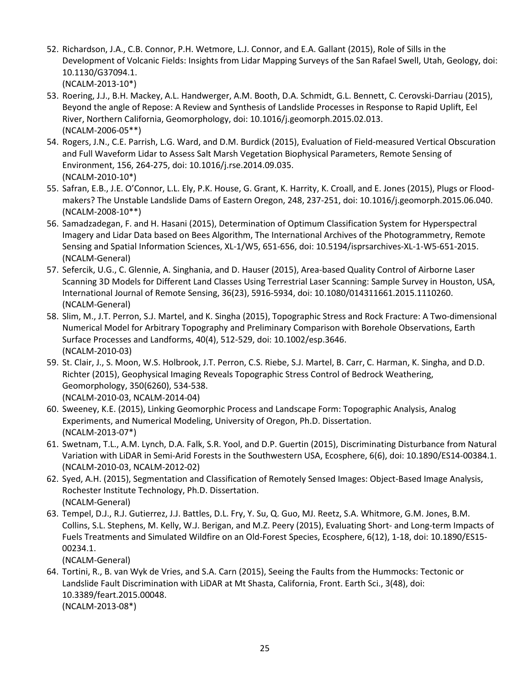- 52. Richardson, J.A., C.B. Connor, P.H. Wetmore, L.J. Connor, and E.A. Gallant (2015), Role of Sills in the Development of Volcanic Fields: Insights from Lidar Mapping Surveys of the San Rafael Swell, Utah, Geology, doi: 10.1130/G37094.1. (NCALM-2013-10\*)
- 53. Roering, J.J., B.H. Mackey, A.L. Handwerger, A.M. Booth, D.A. Schmidt, G.L. Bennett, C. Cerovski-Darriau (2015), Beyond the angle of Repose: A Review and Synthesis of Landslide Processes in Response to Rapid Uplift, Eel River, Northern California, Geomorphology, doi: 10.1016/j.geomorph.2015.02.013. (NCALM-2006-05\*\*)
- 54. Rogers, J.N., C.E. Parrish, L.G. Ward, and D.M. Burdick (2015), Evaluation of Field-measured Vertical Obscuration and Full Waveform Lidar to Assess Salt Marsh Vegetation Biophysical Parameters, Remote Sensing of Environment, 156, 264-275, doi: 10.1016/j.rse.2014.09.035. (NCALM-2010-10\*)
- 55. Safran, E.B., J.E. O'Connor, L.L. Ely, P.K. House, G. Grant, K. Harrity, K. Croall, and E. Jones (2015), Plugs or Floodmakers? The Unstable Landslide Dams of Eastern Oregon, 248, 237-251, doi: 10.1016/j.geomorph.2015.06.040. (NCALM-2008-10\*\*)
- 56. Samadzadegan, F. and H. Hasani (2015), Determination of Optimum Classification System for Hyperspectral Imagery and Lidar Data based on Bees Algorithm, The International Archives of the Photogrammetry, Remote Sensing and Spatial Information Sciences, XL-1/W5, 651-656, doi: 10.5194/isprsarchives-XL-1-W5-651-2015. (NCALM-General)
- 57. Sefercik, U.G., C. Glennie, A. Singhania, and D. Hauser (2015), Area-based Quality Control of Airborne Laser Scanning 3D Models for Different Land Classes Using Terrestrial Laser Scanning: Sample Survey in Houston, USA, International Journal of Remote Sensing, 36(23), 5916-5934, doi: 10.1080/014311661.2015.1110260. (NCALM-General)
- 58. Slim, M., J.T. Perron, S.J. Martel, and K. Singha (2015), Topographic Stress and Rock Fracture: A Two-dimensional Numerical Model for Arbitrary Topography and Preliminary Comparison with Borehole Observations, Earth Surface Processes and Landforms, 40(4), 512-529, doi: 10.1002/esp.3646. (NCALM-2010-03)
- 59. St. Clair, J., S. Moon, W.S. Holbrook, J.T. Perron, C.S. Riebe, S.J. Martel, B. Carr, C. Harman, K. Singha, and D.D. Richter (2015), Geophysical Imaging Reveals Topographic Stress Control of Bedrock Weathering, Geomorphology, 350(6260), 534-538. (NCALM-2010-03, NCALM-2014-04)
- 60. Sweeney, K.E. (2015), Linking Geomorphic Process and Landscape Form: Topographic Analysis, Analog Experiments, and Numerical Modeling, University of Oregon, Ph.D. Dissertation. (NCALM-2013-07\*)
- 61. Swetnam, T.L., A.M. Lynch, D.A. Falk, S.R. Yool, and D.P. Guertin (2015), Discriminating Disturbance from Natural Variation with LiDAR in Semi-Arid Forests in the Southwestern USA, Ecosphere, 6(6), doi: 10.1890/ES14-00384.1. (NCALM-2010-03, NCALM-2012-02)
- 62. Syed, A.H. (2015), Segmentation and Classification of Remotely Sensed Images: Object-Based Image Analysis, Rochester Institute Technology, Ph.D. Dissertation. (NCALM-General)
- 63. Tempel, D.J., R.J. Gutierrez, J.J. Battles, D.L. Fry, Y. Su, Q. Guo, MJ. Reetz, S.A. Whitmore, G.M. Jones, B.M. Collins, S.L. Stephens, M. Kelly, W.J. Berigan, and M.Z. Peery (2015), Evaluating Short- and Long-term Impacts of Fuels Treatments and Simulated Wildfire on an Old-Forest Species, Ecosphere, 6(12), 1-18, doi: 10.1890/ES15- 00234.1.

64. Tortini, R., B. van Wyk de Vries, and S.A. Carn (2015), Seeing the Faults from the Hummocks: Tectonic or Landslide Fault Discrimination with LiDAR at Mt Shasta, California, Front. Earth Sci., 3(48), doi: 10.3389/feart.2015.00048. (NCALM-2013-08\*)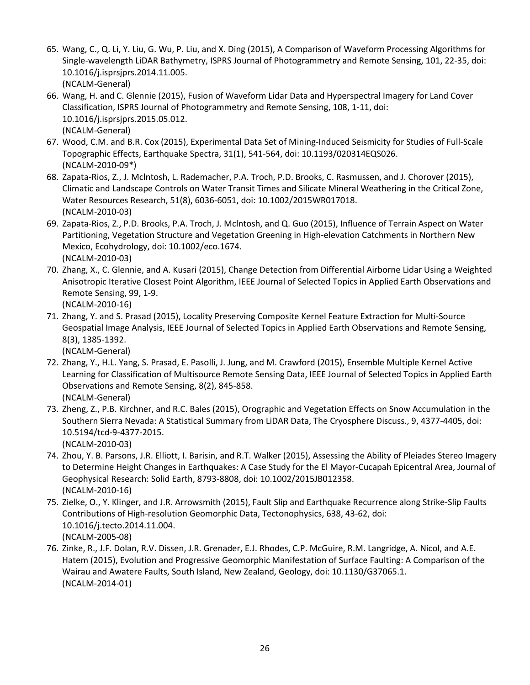- 65. Wang, C., Q. Li, Y. Liu, G. Wu, P. Liu, and X. Ding (2015), A Comparison of Waveform Processing Algorithms for Single-wavelength LiDAR Bathymetry, ISPRS Journal of Photogrammetry and Remote Sensing, 101, 22-35, doi: 10.1016/j.isprsjprs.2014.11.005. (NCALM-General)
- 66. Wang, H. and C. Glennie (2015), Fusion of Waveform Lidar Data and Hyperspectral Imagery for Land Cover Classification, ISPRS Journal of Photogrammetry and Remote Sensing, 108, 1-11, doi: 10.1016/j.isprsjprs.2015.05.012. (NCALM-General)
- 67. Wood, C.M. and B.R. Cox (2015), Experimental Data Set of Mining-Induced Seismicity for Studies of Full-Scale Topographic Effects, Earthquake Spectra, 31(1), 541-564, doi: 10.1193/020314EQS026. (NCALM-2010-09\*)
- 68. Zapata-Rios, Z., J. Mclntosh, L. Rademacher, P.A. Troch, P.D. Brooks, C. Rasmussen, and J. Chorover (2015), Climatic and Landscape Controls on Water Transit Times and Silicate Mineral Weathering in the Critical Zone, Water Resources Research, 51(8), 6036-6051, doi: 10.1002/2015WR017018. (NCALM-2010-03)
- 69. Zapata-Rios, Z., P.D. Brooks, P.A. Troch, J. Mclntosh, and Q. Guo (2015), Influence of Terrain Aspect on Water Partitioning, Vegetation Structure and Vegetation Greening in High-elevation Catchments in Northern New Mexico, Ecohydrology, doi: 10.1002/eco.1674. (NCALM-2010-03)
- 70. Zhang, X., C. Glennie, and A. Kusari (2015), Change Detection from Differential Airborne Lidar Using a Weighted Anisotropic Iterative Closest Point Algorithm, IEEE Journal of Selected Topics in Applied Earth Observations and Remote Sensing, 99, 1-9. (NCALM-2010-16)
- 71. Zhang, Y. and S. Prasad (2015), Locality Preserving Composite Kernel Feature Extraction for Multi-Source Geospatial Image Analysis, IEEE Journal of Selected Topics in Applied Earth Observations and Remote Sensing, 8(3), 1385-1392.

- 72. Zhang, Y., H.L. Yang, S. Prasad, E. Pasolli, J. Jung, and M. Crawford (2015), Ensemble Multiple Kernel Active Learning for Classification of Multisource Remote Sensing Data, IEEE Journal of Selected Topics in Applied Earth Observations and Remote Sensing, 8(2), 845-858. (NCALM-General)
- 73. Zheng, Z., P.B. Kirchner, and R.C. Bales (2015), Orographic and Vegetation Effects on Snow Accumulation in the Southern Sierra Nevada: A Statistical Summary from LiDAR Data, The Cryosphere Discuss., 9, 4377-4405, doi: 10.5194/tcd-9-4377-2015.

(NCALM-2010-03)

- 74. Zhou, Y. B. Parsons, J.R. Elliott, I. Barisin, and R.T. Walker (2015), Assessing the Ability of Pleiades Stereo Imagery to Determine Height Changes in Earthquakes: A Case Study for the El Mayor-Cucapah Epicentral Area, Journal of Geophysical Research: Solid Earth, 8793-8808, doi: 10.1002/2015JB012358. (NCALM-2010-16)
- 75. Zielke, O., Y. Klinger, and J.R. Arrowsmith (2015), Fault Slip and Earthquake Recurrence along Strike-Slip Faults Contributions of High-resolution Geomorphic Data, Tectonophysics, 638, 43-62, doi: 10.1016/j.tecto.2014.11.004. (NCALM-2005-08)
- 76. Zinke, R., J.F. Dolan, R.V. Dissen, J.R. Grenader, E.J. Rhodes, C.P. McGuire, R.M. Langridge, A. Nicol, and A.E. Hatem (2015), Evolution and Progressive Geomorphic Manifestation of Surface Faulting: A Comparison of the Wairau and Awatere Faults, South Island, New Zealand, Geology, doi: 10.1130/G37065.1. (NCALM-2014-01)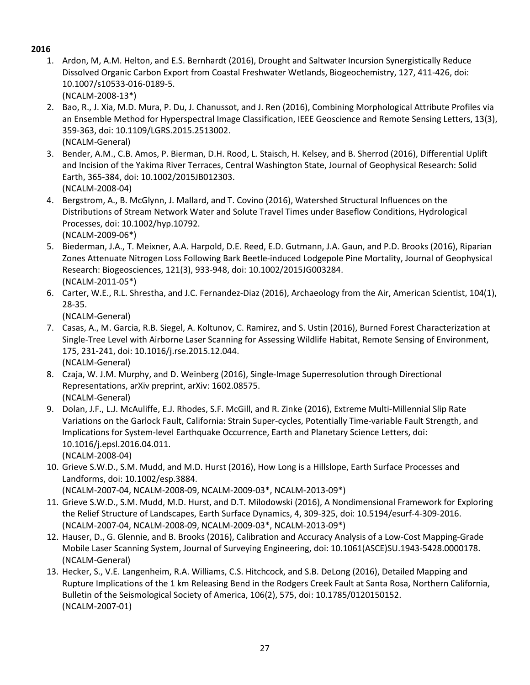- 1. Ardon, M, A.M. Helton, and E.S. Bernhardt (2016), Drought and Saltwater Incursion Synergistically Reduce Dissolved Organic Carbon Export from Coastal Freshwater Wetlands, Biogeochemistry, 127, 411-426, doi: 10.1007/s10533-016-0189-5. (NCALM-2008-13\*)
- 2. Bao, R., J. Xia, M.D. Mura, P. Du, J. Chanussot, and J. Ren (2016), Combining Morphological Attribute Profiles via an Ensemble Method for Hyperspectral Image Classification, IEEE Geoscience and Remote Sensing Letters, 13(3), 359-363, doi[: 10.1109/LGRS.2015.2513002.](http://dx.doi.org/10.1109/LGRS.2015.2513002) (NCALM-General)
- 3. Bender, A.M., C.B. Amos, P. Bierman, D.H. Rood, L. Staisch, H. Kelsey, and B. Sherrod (2016), Differential Uplift and Incision of the Yakima River Terraces, Central Washington State, Journal of Geophysical Research: Solid Earth, 365-384, doi: 10.1002/2015JB012303. (NCALM-2008-04)
- 4. Bergstrom, A., B. McGlynn, J. Mallard, and T. Covino (2016), Watershed Structural Influences on the Distributions of Stream Network Water and Solute Travel Times under Baseflow Conditions, Hydrological Processes, doi: 10.1002/hyp.10792. (NCALM-2009-06\*)
- 5. Biederman, J.A., T. Meixner, A.A. Harpold, D.E. Reed, E.D. Gutmann, J.A. Gaun, and P.D. Brooks (2016), Riparian Zones Attenuate Nitrogen Loss Following Bark Beetle-induced Lodgepole Pine Mortality, Journal of Geophysical Research: Biogeosciences, 121(3), 933-948, doi: 10.1002/2015JG003284. (NCALM-2011-05\*)
- 6. Carter, W.E., R.L. Shrestha, and J.C. Fernandez-Diaz (2016), Archaeology from the Air, American Scientist, 104(1), 28-35.

(NCALM-General)

- 7. Casas, A., M. Garcia, R.B. Siegel, A. Koltunov, C. Ramirez, and S. Ustin (2016), Burned Forest Characterization at Single-Tree Level with Airborne Laser Scanning for Assessing Wildlife Habitat, Remote Sensing of Environment, 175, 231-241, doi: 10.1016/j.rse.2015.12.044. (NCALM-General)
- 8. Czaja, W. J.M. Murphy, and D. Weinberg (2016), Single-Image Superresolution through Directional Representations, arXiv preprint, arXiv: 1602.08575. (NCALM-General)
- 9. Dolan, J.F., L.J. McAuliffe, E.J. Rhodes, S.F. McGill, and R. Zinke (2016), Extreme Multi-Millennial Slip Rate Variations on the Garlock Fault, California: Strain Super-cycles, Potentially Time-variable Fault Strength, and Implications for System-level Earthquake Occurrence, Earth and Planetary Science Letters, doi: 10.1016/j.epsl.2016.04.011. (NCALM-2008-04)
- 10. Grieve S.W.D., S.M. Mudd, and M.D. Hurst (2016), How Long is a Hillslope, Earth Surface Processes and Landforms, doi: 10.1002/esp.3884. (NCALM-2007-04, NCALM-2008-09, NCALM-2009-03\*, NCALM-2013-09\*)
- 11. Grieve S.W.D., S.M. Mudd, M.D. Hurst, and D.T. Milodowski (2016), A Nondimensional Framework for Exploring the Relief Structure of Landscapes, Earth Surface Dynamics, 4, 309-325, doi: 10.5194/esurf-4-309-2016. (NCALM-2007-04, NCALM-2008-09, NCALM-2009-03\*, NCALM-2013-09\*)
- 12. Hauser, D., G. Glennie, and B. Brooks (2016), Calibration and Accuracy Analysis of a Low-Cost Mapping-Grade Mobile Laser Scanning System, Journal of Surveying Engineering, doi: 10.1061(ASCE)SU.1943-5428.0000178. (NCALM-General)
- 13. Hecker, S., V.E. Langenheim, R.A. Williams, C.S. Hitchcock, and S.B. DeLong (2016), Detailed Mapping and Rupture Implications of the 1 km Releasing Bend in the Rodgers Creek Fault at Santa Rosa, Northern California, Bulletin of the Seismological Society of America, 106(2), 575, doi: 10.1785/0120150152. (NCALM-2007-01)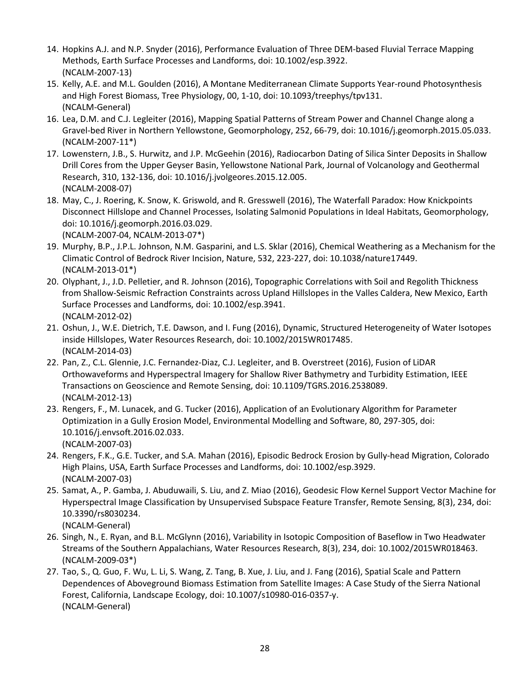- 14. Hopkins A.J. and N.P. Snyder (2016), Performance Evaluation of Three DEM-based Fluvial Terrace Mapping Methods, Earth Surface Processes and Landforms, doi: 10.1002/esp.3922. (NCALM-2007-13)
- 15. Kelly, A.E. and M.L. Goulden (2016), A Montane Mediterranean Climate Supports Year-round Photosynthesis and High Forest Biomass, Tree Physiology, 00, 1-10, doi: 10.1093/treephys/tpv131. (NCALM-General)
- 16. Lea, D.M. and C.J. Legleiter (2016), Mapping Spatial Patterns of Stream Power and Channel Change along a Gravel-bed River in Northern Yellowstone, Geomorphology, 252, 66-79, doi: 10.1016/j.geomorph.2015.05.033. (NCALM-2007-11\*)
- 17. Lowenstern, J.B., S. Hurwitz, and J.P. McGeehin (2016), Radiocarbon Dating of Silica Sinter Deposits in Shallow Drill Cores from the Upper Geyser Basin, Yellowstone National Park, Journal of Volcanology and Geothermal Research, 310, 132-136, doi: 10.1016/j.jvolgeores.2015.12.005. (NCALM-2008-07)
- 18. May, C., J. Roering, K. Snow, K. Griswold, and R. Gresswell (2016), The Waterfall Paradox: How Knickpoints Disconnect Hillslope and Channel Processes, Isolating Salmonid Populations in Ideal Habitats, Geomorphology, doi: 10.1016/j.geomorph.2016.03.029. (NCALM-2007-04, NCALM-2013-07\*)
- 19. Murphy, B.P., J.P.L. Johnson, N.M. Gasparini, and L.S. Sklar (2016), Chemical Weathering as a Mechanism for the Climatic Control of Bedrock River Incision, Nature, 532, 223-227, doi: 10.1038/nature17449. (NCALM-2013-01\*)
- 20. Olyphant, J., J.D. Pelletier, and R. Johnson (2016), Topographic Correlations with Soil and Regolith Thickness from Shallow-Seismic Refraction Constraints across Upland Hillslopes in the Valles Caldera, New Mexico, Earth Surface Processes and Landforms, doi: 10.1002/esp.3941. (NCALM-2012-02)
- 21. Oshun, J., W.E. Dietrich, T.E. Dawson, and I. Fung (2016), Dynamic, Structured Heterogeneity of Water Isotopes inside Hillslopes, Water Resources Research, doi: 10.1002/2015WR017485. (NCALM-2014-03)
- 22. Pan, Z., C.L. Glennie, J.C. Fernandez-Diaz, C.J. Legleiter, and B. Overstreet (2016), Fusion of LiDAR Orthowaveforms and Hyperspectral Imagery for Shallow River Bathymetry and Turbidity Estimation, IEEE Transactions on Geoscience and Remote Sensing, doi: 10.1109/TGRS.2016.2538089. (NCALM-2012-13)
- 23. Rengers, F., M. Lunacek, and G. Tucker (2016), Application of an Evolutionary Algorithm for Parameter Optimization in a Gully Erosion Model, Environmental Modelling and Software, 80, 297-305, doi: 10.1016/j.envsoft.2016.02.033. (NCALM-2007-03)
- 24. Rengers, F.K., G.E. Tucker, and S.A. Mahan (2016), Episodic Bedrock Erosion by Gully-head Migration, Colorado High Plains, USA, Earth Surface Processes and Landforms, doi: 10.1002/esp.3929. (NCALM-2007-03)
- 25. Samat, A., P. Gamba, J. Abuduwaili, S. Liu, and Z. Miao (2016), Geodesic Flow Kernel Support Vector Machine for Hyperspectral Image Classification by Unsupervised Subspace Feature Transfer, Remote Sensing, 8(3), 234, doi: 10.3390/rs8030234.
	- (NCALM-General)
- 26. Singh, N., E. Ryan, and B.L. McGlynn (2016), Variability in Isotopic Composition of Baseflow in Two Headwater Streams of the Southern Appalachians, Water Resources Research, 8(3), 234, doi: 10.1002/2015WR018463. (NCALM-2009-03\*)
- 27. Tao, S., Q. Guo, F. Wu, L. Li, S. Wang, Z. Tang, B. Xue, J. Liu, and J. Fang (2016), Spatial Scale and Pattern Dependences of Aboveground Biomass Estimation from Satellite Images: A Case Study of the Sierra National Forest, California, Landscape Ecology, doi: 10.1007/s10980-016-0357-y. (NCALM-General)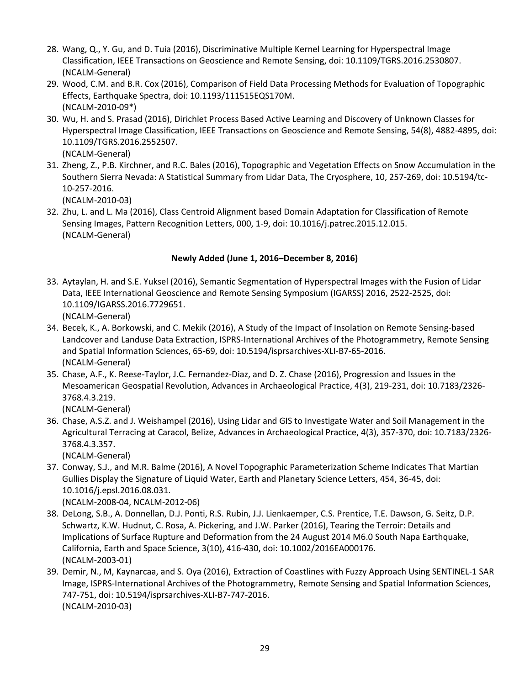- 28. Wang, Q., Y. Gu, and D. Tuia (2016), Discriminative Multiple Kernel Learning for Hyperspectral Image Classification, IEEE Transactions on Geoscience and Remote Sensing, doi: 10.1109/TGRS.2016.2530807. (NCALM-General)
- 29. Wood, C.M. and B.R. Cox (2016), Comparison of Field Data Processing Methods for Evaluation of Topographic Effects, Earthquake Spectra, doi: 10.1193/111515EQS170M. (NCALM-2010-09\*)
- 30. Wu, H. and S. Prasad (2016), Dirichlet Process Based Active Learning and Discovery of Unknown Classes for Hyperspectral Image Classification, IEEE Transactions on Geoscience and Remote Sensing, 54(8), 4882-4895, doi: 10.1109/TGRS.2016.2552507.
	- (NCALM-General)
- 31. Zheng, Z., P.B. Kirchner, and R.C. Bales (2016), Topographic and Vegetation Effects on Snow Accumulation in the Southern Sierra Nevada: A Statistical Summary from Lidar Data, The Cryosphere, 10, 257-269, doi: 10.5194/tc-10-257-2016.

(NCALM-2010-03)

32. Zhu, L. and L. Ma (2016), Class Centroid Alignment based Domain Adaptation for Classification of Remote Sensing Images, Pattern Recognition Letters, 000, 1-9, doi: 10.1016/j.patrec.2015.12.015. (NCALM-General)

## **Newly Added (June 1, 2016–December 8, 2016)**

33. Aytaylan, H. and S.E. Yuksel (2016), Semantic Segmentation of Hyperspectral Images with the Fusion of Lidar Data, IEEE International Geoscience and Remote Sensing Symposium (IGARSS) 2016, 2522-2525, doi: 10.1109/IGARSS.2016.7729651.

(NCALM-General)

- 34. Becek, K., A. Borkowski, and C. Mekik (2016), A Study of the Impact of Insolation on Remote Sensing-based Landcover and Landuse Data Extraction, ISPRS-International Archives of the Photogrammetry, Remote Sensing and Spatial Information Sciences, 65-69, doi: 10.5194/isprsarchives-XLI-B7-65-2016. (NCALM-General)
- 35. Chase, A.F., K. Reese-Taylor, J.C. Fernandez-Diaz, and D. Z. Chase (2016), Progression and Issues in the Mesoamerican Geospatial Revolution, Advances in Archaeological Practice, 4(3), 219-231, doi: 10.7183/2326- 3768.4.3.219.

(NCALM-General)

36. Chase, A.S.Z. and J. Weishampel (2016), Using Lidar and GIS to Investigate Water and Soil Management in the Agricultural Terracing at Caracol, Belize, Advances in Archaeological Practice, 4(3), 357-370, doi: 10.7183/2326- 3768.4.3.357.

(NCALM-General)

37. Conway, S.J., and M.R. Balme (2016), A Novel Topographic Parameterization Scheme Indicates That Martian Gullies Display the Signature of Liquid Water, Earth and Planetary Science Letters, 454, 36-45, doi: 10.1016/j.epsl.2016.08.031.

(NCALM-2008-04, NCALM-2012-06)

- 38. DeLong, S.B., A. Donnellan, D.J. Ponti, R.S. Rubin, J.J. Lienkaemper, C.S. Prentice, T.E. Dawson, G. Seitz, D.P. Schwartz, K.W. Hudnut, C. Rosa, A. Pickering, and J.W. Parker (2016), Tearing the Terroir: Details and Implications of Surface Rupture and Deformation from the 24 August 2014 M6.0 South Napa Earthquake, California, Earth and Space Science, 3(10), 416-430, doi: 10.1002/2016EA000176. (NCALM-2003-01)
- 39. Demir, N., M, Kaynarcaa, and S. Oya (2016), Extraction of Coastlines with Fuzzy Approach Using SENTINEL-1 SAR Image, ISPRS-International Archives of the Photogrammetry, Remote Sensing and Spatial Information Sciences, 747-751, doi: 10.5194/isprsarchives-XLI-B7-747-2016. (NCALM-2010-03)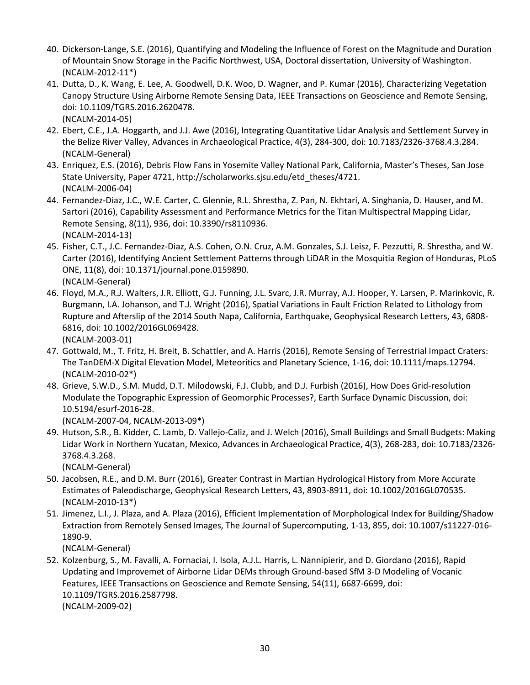- 40. Dickerson-Lange, S.E. (2016), Quantifying and Modeling the Influence of Forest on the Magnitude and Duration of Mountain Snow Storage in the Pacific Northwest, USA, Doctoral dissertation, University of Washington. (NCALM-2012-11\*)
- 41. Dutta, D., K. Wang, E. Lee, A. Goodwell, D.K. Woo, D. Wagner, and P. Kumar (2016), Characterizing Vegetation Canopy Structure Using Airborne Remote Sensing Data, IEEE Transactions on Geoscience and Remote Sensing, doi: 10.1109/TGRS.2016.2620478. (NCALM-2014-05)
- 42. Ebert, C.E., J.A. Hoggarth, and J.J. Awe (2016), Integrating Quantitative Lidar Analysis and Settlement Survey in the Belize River Valley, Advances in Archaeological Practice, 4(3), 284-300, doi: 10.7183/2326-3768.4.3.284. (NCALM-General)
- 43. Enriquez, E.S. (2016), Debris Flow Fans in Yosemite Valley National Park, California, Master's Theses, San Jose State University, Paper 4721, http://scholarworks.sjsu.edu/etd\_theses/4721. (NCALM-2006-04)
- 44. Fernandez-Diaz, J.C., W.E. Carter, C. Glennie, R.L. Shrestha, Z. Pan, N. Ekhtari, A. Singhania, D. Hauser, and M. Sartori (2016), Capability Assessment and Performance Metrics for the Titan Multispectral Mapping Lidar, Remote Sensing, 8(11), 936, doi: 10.3390/rs8110936. (NCALM-2014-13)
- 45. Fisher, C.T., J.C. Fernandez-Diaz, A.S. Cohen, O.N. Cruz, A.M. Gonzales, S.J. Leisz, F. Pezzutti, R. Shrestha, and W. Carter (2016), Identifying Ancient Settlement Patterns through LiDAR in the Mosquitia Region of Honduras, PLoS ONE, 11(8), doi: 10.1371/journal.pone.0159890. (NCALM-General)
- 46. Floyd, M.A., R.J. Walters, J.R. Elliott, G.J. Funning, J.L. Svarc, J.R. Murray, A.J. Hooper, Y. Larsen, P. Marinkovic, R. Burgmann, I.A. Johanson, and T.J. Wright (2016), Spatial Variations in Fault Friction Related to Lithology from Rupture and Afterslip of the 2014 South Napa, California, Earthquake, Geophysical Research Letters, 43, 6808- 6816, doi: 10.1002/2016GL069428. (NCALM-2003-01)
- 47. Gottwald, M., T. Fritz, H. Breit, B. Schattler, and A. Harris (2016), Remote Sensing of Terrestrial Impact Craters: The TanDEM-X Digital Elevation Model, Meteoritics and Planetary Science, 1-16, doi: 10.1111/maps.12794. (NCALM-2010-02\*)
- 48. Grieve, S.W.D., S.M. Mudd, D.T. Milodowski, F.J. Clubb, and D.J. Furbish (2016), How Does Grid-resolution Modulate the Topographic Expression of Geomorphic Processes?, Earth Surface Dynamic Discussion, doi: 10.5194/esurf-2016-28. (NCALM-2007-04, NCALM-2013-09\*)
- 49. Hutson, S.R., B. Kidder, C. Lamb, D. Vallejo-Caliz, and J. Welch (2016), Small Buildings and Small Budgets: Making Lidar Work in Northern Yucatan, Mexico, Advances in Archaeological Practice, 4(3), 268-283, doi: 10.7183/2326- 3768.4.3.268.

- 50. Jacobsen, R.E., and D.M. Burr (2016), Greater Contrast in Martian Hydrological History from More Accurate Estimates of Paleodischarge, Geophysical Research Letters, 43, 8903-8911, doi: 10.1002/2016GL070535. (NCALM-2010-13\*)
- 51. Jimenez, L.I., J. Plaza, and A. Plaza (2016), Efficient Implementation of Morphological Index for Building/Shadow Extraction from Remotely Sensed Images, The Journal of Supercomputing, 1-13, 855, doi: 10.1007/s11227-016- 1890-9.

(NCALM-General)

52. Kolzenburg, S., M. Favalli, A. Fornaciai, I. Isola, A.J.L. Harris, L. Nannipierir, and D. Giordano (2016), Rapid Updating and Improvemet of Airborne Lidar DEMs through Ground-based SfM 3-D Modeling of Vocanic Features, IEEE Transactions on Geoscience and Remote Sensing, 54(11), 6687-6699, doi: 10.1109/TGRS.2016.2587798. (NCALM-2009-02)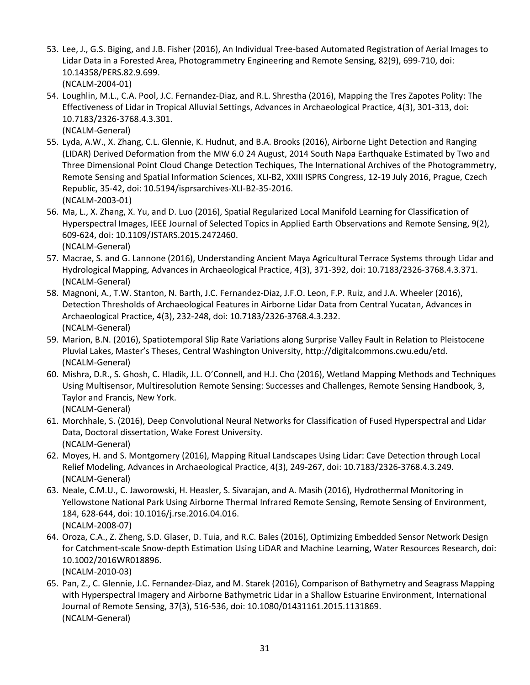- 53. Lee, J., G.S. Biging, and J.B. Fisher (2016), An Individual Tree-based Automated Registration of Aerial Images to Lidar Data in a Forested Area, Photogrammetry Engineering and Remote Sensing, 82(9), 699-710, doi: 10.14358/PERS.82.9.699.
	- (NCALM-2004-01)
- 54. Loughlin, M.L., C.A. Pool, J.C. Fernandez-Diaz, and R.L. Shrestha (2016), Mapping the Tres Zapotes Polity: The Effectiveness of Lidar in Tropical Alluvial Settings, Advances in Archaeological Practice, 4(3), 301-313, doi: 10.7183/2326-3768.4.3.301. (NCALM-General)
- 55. Lyda, A.W., X. Zhang, C.L. Glennie, K. Hudnut, and B.A. Brooks (2016), Airborne Light Detection and Ranging (LIDAR) Derived Deformation from the MW 6.0 24 August, 2014 South Napa Earthquake Estimated by Two and Three Dimensional Point Cloud Change Detection Techiques, The International Archives of the Photogrammetry, Remote Sensing and Spatial Information Sciences, XLI-B2, XXIII ISPRS Congress, 12-19 July 2016, Prague, Czech Republic, 35-42, doi: 10.5194/isprsarchives-XLI-B2-35-2016. (NCALM-2003-01)
- 56. Ma, L., X. Zhang, X. Yu, and D. Luo (2016), Spatial Regularized Local Manifold Learning for Classification of Hyperspectral Images, IEEE Journal of Selected Topics in Applied Earth Observations and Remote Sensing, 9(2), 609-624, doi: 10.1109/JSTARS.2015.2472460. (NCALM-General)
- 57. Macrae, S. and G. Lannone (2016), Understanding Ancient Maya Agricultural Terrace Systems through Lidar and Hydrological Mapping, Advances in Archaeological Practice, 4(3), 371-392, doi: 10.7183/2326-3768.4.3.371. (NCALM-General)
- 58. Magnoni, A., T.W. Stanton, N. Barth, J.C. Fernandez-Diaz, J.F.O. Leon, F.P. Ruiz, and J.A. Wheeler (2016), Detection Thresholds of Archaeological Features in Airborne Lidar Data from Central Yucatan, Advances in Archaeological Practice, 4(3), 232-248, doi: 10.7183/2326-3768.4.3.232. (NCALM-General)
- 59. Marion, B.N. (2016), Spatiotemporal Slip Rate Variations along Surprise Valley Fault in Relation to Pleistocene Pluvial Lakes, Master's Theses, Central Washington University, http://digitalcommons.cwu.edu/etd. (NCALM-General)
- 60. Mishra, D.R., S. Ghosh, C. Hladik, J.L. O'Connell, and H.J. Cho (2016), Wetland Mapping Methods and Techniques Using Multisensor, Multiresolution Remote Sensing: Successes and Challenges, Remote Sensing Handbook, 3, Taylor and Francis, New York. (NCALM-General)
- 61. Morchhale, S. (2016), Deep Convolutional Neural Networks for Classification of Fused Hyperspectral and Lidar Data, Doctoral dissertation, Wake Forest University. (NCALM-General)
- 62. Moyes, H. and S. Montgomery (2016), Mapping Ritual Landscapes Using Lidar: Cave Detection through Local Relief Modeling, Advances in Archaeological Practice, 4(3), 249-267, doi: 10.7183/2326-3768.4.3.249. (NCALM-General)
- 63. Neale, C.M.U., C. Jaworowski, H. Heasler, S. Sivarajan, and A. Masih (2016), Hydrothermal Monitoring in Yellowstone National Park Using Airborne Thermal Infrared Remote Sensing, Remote Sensing of Environment, 184, 628-644, doi: 10.1016/j.rse.2016.04.016. (NCALM-2008-07)
- 64. Oroza, C.A., Z. Zheng, S.D. Glaser, D. Tuia, and R.C. Bales (2016), Optimizing Embedded Sensor Network Design for Catchment-scale Snow-depth Estimation Using LiDAR and Machine Learning, Water Resources Research, doi: 10.1002/2016WR018896.

(NCALM-2010-03)

65. Pan, Z., C. Glennie, J.C. Fernandez-Diaz, and M. Starek (2016), Comparison of Bathymetry and Seagrass Mapping with Hyperspectral Imagery and Airborne Bathymetric Lidar in a Shallow Estuarine Environment, International Journal of Remote Sensing, 37(3), 516-536, doi: 10.1080/01431161.2015.1131869. (NCALM-General)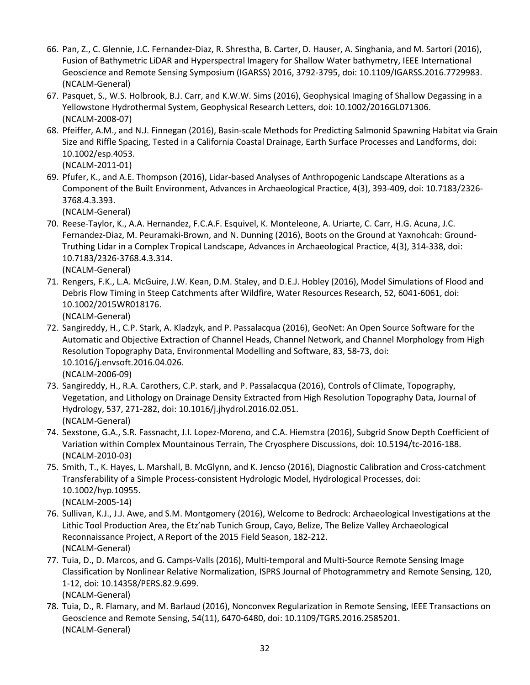- 66. Pan, Z., C. Glennie, J.C. Fernandez-Diaz, R. Shrestha, B. Carter, D. Hauser, A. Singhania, and M. Sartori (2016), Fusion of Bathymetric LiDAR and Hyperspectral Imagery for Shallow Water bathymetry, IEEE International Geoscience and Remote Sensing Symposium (IGARSS) 2016, 3792-3795, doi: 10.1109/IGARSS.2016.7729983. (NCALM-General)
- 67. Pasquet, S., W.S. Holbrook, B.J. Carr, and K.W.W. Sims (2016), Geophysical Imaging of Shallow Degassing in a Yellowstone Hydrothermal System, Geophysical Research Letters, doi: 10.1002/2016GL071306. (NCALM-2008-07)
- 68. Pfeiffer, A.M., and N.J. Finnegan (2016), Basin-scale Methods for Predicting Salmonid Spawning Habitat via Grain Size and Riffle Spacing, Tested in a California Coastal Drainage, Earth Surface Processes and Landforms, doi: 10.1002/esp.4053.
	- (NCALM-2011-01)
- 69. Pfufer, K., and A.E. Thompson (2016), Lidar-based Analyses of Anthropogenic Landscape Alterations as a Component of the Built Environment, Advances in Archaeological Practice, 4(3), 393-409, doi: 10.7183/2326- 3768.4.3.393.

- 70. Reese-Taylor, K., A.A. Hernandez, F.C.A.F. Esquivel, K. Monteleone, A. Uriarte, C. Carr, H.G. Acuna, J.C. Fernandez-Diaz, M. Peuramaki-Brown, and N. Dunning (2016), Boots on the Ground at Yaxnohcah: Ground-Truthing Lidar in a Complex Tropical Landscape, Advances in Archaeological Practice, 4(3), 314-338, doi: 10.7183/2326-3768.4.3.314. (NCALM-General)
- 71. Rengers, F.K., L.A. McGuire, J.W. Kean, D.M. Staley, and D.E.J. Hobley (2016), Model Simulations of Flood and Debris Flow Timing in Steep Catchments after Wildfire, Water Resources Research, 52, 6041-6061, doi: 10.1002/2015WR018176.

(NCALM-General)

- 72. Sangireddy, H., C.P. Stark, A. Kladzyk, and P. Passalacqua (2016), GeoNet: An Open Source Software for the Automatic and Objective Extraction of Channel Heads, Channel Network, and Channel Morphology from High Resolution Topography Data, Environmental Modelling and Software, 83, 58-73, doi: 10.1016/j.envsoft.2016.04.026. (NCALM-2006-09)
- 73. Sangireddy, H., R.A. Carothers, C.P. stark, and P. Passalacqua (2016), Controls of Climate, Topography, Vegetation, and Lithology on Drainage Density Extracted from High Resolution Topography Data, Journal of Hydrology, 537, 271-282, doi: 10.1016/j.jhydrol.2016.02.051. (NCALM-General)
- 74. Sexstone, G.A., S.R. Fassnacht, J.I. Lopez-Moreno, and C.A. Hiemstra (2016), Subgrid Snow Depth Coefficient of Variation within Complex Mountainous Terrain, The Cryosphere Discussions, doi: 10.5194/tc-2016-188. (NCALM-2010-03)
- 75. Smith, T., K. Hayes, L. Marshall, B. McGlynn, and K. Jencso (2016), Diagnostic Calibration and Cross-catchment Transferability of a Simple Process-consistent Hydrologic Model, Hydrological Processes, doi: 10.1002/hyp.10955. (NCALM-2005-14)
- 76. Sullivan, K.J., J.J. Awe, and S.M. Montgomery (2016), Welcome to Bedrock: Archaeological Investigations at the Lithic Tool Production Area, the Etz'nab Tunich Group, Cayo, Belize, The Belize Valley Archaeological Reconnaissance Project, A Report of the 2015 Field Season, 182-212. (NCALM-General)
- 77. Tuia, D., D. Marcos, and G. Camps-Valls (2016), Multi-temporal and Multi-Source Remote Sensing Image Classification by Nonlinear Relative Normalization, ISPRS Journal of Photogrammetry and Remote Sensing, 120, 1-12, doi: 10.14358/PERS.82.9.699. (NCALM-General)
- 78. Tuia, D., R. Flamary, and M. Barlaud (2016), Nonconvex Regularization in Remote Sensing, IEEE Transactions on Geoscience and Remote Sensing, 54(11), 6470-6480, doi: 10.1109/TGRS.2016.2585201. (NCALM-General)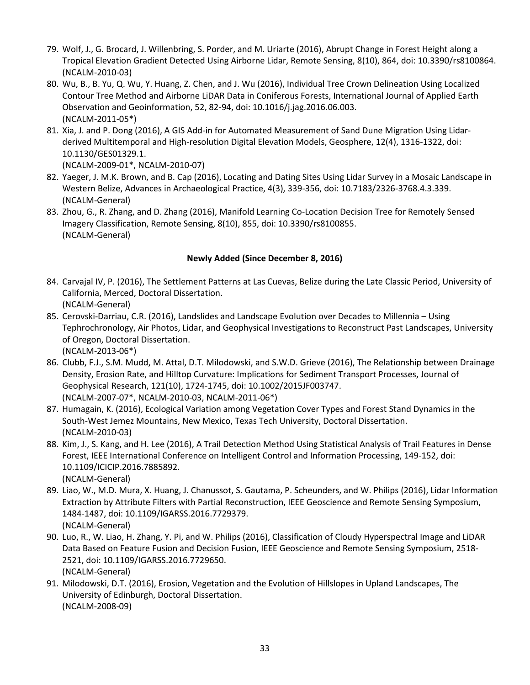- 79. Wolf, J., G. Brocard, J. Willenbring, S. Porder, and M. Uriarte (2016), Abrupt Change in Forest Height along a Tropical Elevation Gradient Detected Using Airborne Lidar, Remote Sensing, 8(10), 864, doi: 10.3390/rs8100864. (NCALM-2010-03)
- 80. Wu, B., B. Yu, Q. Wu, Y. Huang, Z. Chen, and J. Wu (2016), Individual Tree Crown Delineation Using Localized Contour Tree Method and Airborne LiDAR Data in Coniferous Forests, International Journal of Applied Earth Observation and Geoinformation, 52, 82-94, doi: 10.1016/j.jag.2016.06.003. (NCALM-2011-05\*)
- 81. Xia, J. and P. Dong (2016), A GIS Add-in for Automated Measurement of Sand Dune Migration Using Lidarderived Multitemporal and High-resolution Digital Elevation Models, Geosphere, 12(4), 1316-1322, doi: 10.1130/GES01329.1.

(NCALM-2009-01\*, NCALM-2010-07)

- 82. Yaeger, J. M.K. Brown, and B. Cap (2016), Locating and Dating Sites Using Lidar Survey in a Mosaic Landscape in Western Belize, Advances in Archaeological Practice, 4(3), 339-356, doi: 10.7183/2326-3768.4.3.339. (NCALM-General)
- 83. Zhou, G., R. Zhang, and D. Zhang (2016), Manifold Learning Co-Location Decision Tree for Remotely Sensed Imagery Classification, Remote Sensing, 8(10), 855, doi: 10.3390/rs8100855. (NCALM-General)

## **Newly Added (Since December 8, 2016)**

- 84. Carvajal IV, P. (2016), The Settlement Patterns at Las Cuevas, Belize during the Late Classic Period, University of California, Merced, Doctoral Dissertation. (NCALM-General)
- 85. Cerovski-Darriau, C.R. (2016), Landslides and Landscape Evolution over Decades to Millennia Using Tephrochronology, Air Photos, Lidar, and Geophysical Investigations to Reconstruct Past Landscapes, University of Oregon, Doctoral Dissertation.

(NCALM-2013-06\*)

- 86. Clubb, F.J., S.M. Mudd, M. Attal, D.T. Milodowski, and S.W.D. Grieve (2016), The Relationship between Drainage Density, Erosion Rate, and Hilltop Curvature: Implications for Sediment Transport Processes, Journal of Geophysical Research, 121(10), 1724-1745, doi: 10.1002/2015JF003747. (NCALM-2007-07\*, NCALM-2010-03, NCALM-2011-06\*)
- 87. Humagain, K. (2016), Ecological Variation among Vegetation Cover Types and Forest Stand Dynamics in the South-West Jemez Mountains, New Mexico, Texas Tech University, Doctoral Dissertation. (NCALM-2010-03)
- 88. Kim, J., S. Kang, and H. Lee (2016), A Trail Detection Method Using Statistical Analysis of Trail Features in Dense Forest, IEEE International Conference on Intelligent Control and Information Processing, 149-152, doi: 10.1109/ICICIP.2016.7885892. (NCALM-General)
- 89. Liao, W., M.D. Mura, X. Huang, J. Chanussot, S. Gautama, P. Scheunders, and W. Philips (2016), Lidar Information Extraction by Attribute Filters with Partial Reconstruction, IEEE Geoscience and Remote Sensing Symposium, 1484-1487, doi: 10.1109/IGARSS.2016.7729379. (NCALM-General)
- 90. Luo, R., W. Liao, H. Zhang, Y. Pi, and W. Philips (2016), Classification of Cloudy Hyperspectral Image and LiDAR Data Based on Feature Fusion and Decision Fusion, IEEE Geoscience and Remote Sensing Symposium, 2518- 2521, doi: 10.1109/IGARSS.2016.7729650. (NCALM-General)
- 91. Milodowski, D.T. (2016), Erosion, Vegetation and the Evolution of Hillslopes in Upland Landscapes, The University of Edinburgh, Doctoral Dissertation. (NCALM-2008-09)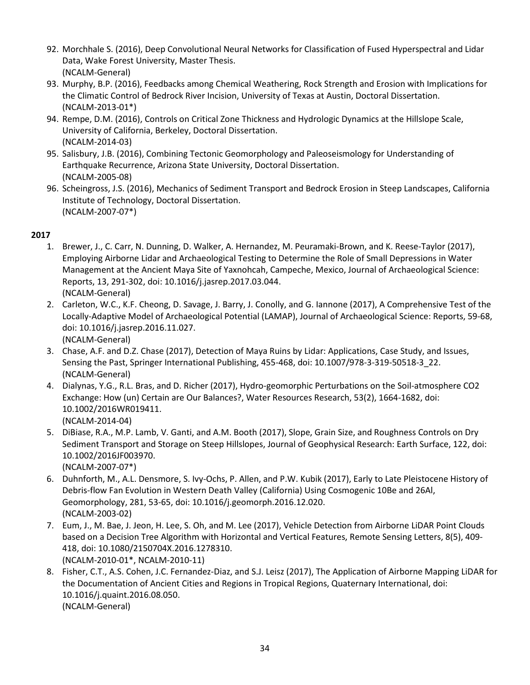- 92. Morchhale S. (2016), Deep Convolutional Neural Networks for Classification of Fused Hyperspectral and Lidar Data, Wake Forest University, Master Thesis. (NCALM-General)
- 93. Murphy, B.P. (2016), Feedbacks among Chemical Weathering, Rock Strength and Erosion with Implications for the Climatic Control of Bedrock River Incision, University of Texas at Austin, Doctoral Dissertation. (NCALM-2013-01\*)
- 94. Rempe, D.M. (2016), Controls on Critical Zone Thickness and Hydrologic Dynamics at the Hillslope Scale, University of California, Berkeley, Doctoral Dissertation. (NCALM-2014-03)
- 95. Salisbury, J.B. (2016), Combining Tectonic Geomorphology and Paleoseismology for Understanding of Earthquake Recurrence, Arizona State University, Doctoral Dissertation. (NCALM-2005-08)
- 96. Scheingross, J.S. (2016), Mechanics of Sediment Transport and Bedrock Erosion in Steep Landscapes, California Institute of Technology, Doctoral Dissertation. (NCALM-2007-07\*)

- 1. Brewer, J., C. Carr, N. Dunning, D. Walker, A. Hernandez, M. Peuramaki-Brown, and K. Reese-Taylor (2017), Employing Airborne Lidar and Archaeological Testing to Determine the Role of Small Depressions in Water Management at the Ancient Maya Site of Yaxnohcah, Campeche, Mexico, Journal of Archaeological Science: Reports, 13, 291-302, doi: 10.1016/j.jasrep.2017.03.044. (NCALM-General)
- 2. Carleton, W.C., K.F. Cheong, D. Savage, J. Barry, J. Conolly, and G. Iannone (2017), A Comprehensive Test of the Locally-Adaptive Model of Archaeological Potential (LAMAP), Journal of Archaeological Science: Reports, 59-68, doi: 10.1016/j.jasrep.2016.11.027. (NCALM-General)
- 3. Chase, A.F. and D.Z. Chase (2017), Detection of Maya Ruins by Lidar: Applications, Case Study, and Issues, Sensing the Past, Springer International Publishing, 455-468, doi: 10.1007/978-3-319-50518-3\_22. (NCALM-General)
- 4. Dialynas, Y.G., R.L. Bras, and D. Richer (2017), Hydro-geomorphic Perturbations on the Soil-atmosphere CO2 Exchange: How (un) Certain are Our Balances?, Water Resources Research, 53(2), 1664-1682, doi: 10.1002/2016WR019411. (NCALM-2014-04)
- 5. DiBiase, R.A., M.P. Lamb, V. Ganti, and A.M. Booth (2017), Slope, Grain Size, and Roughness Controls on Dry Sediment Transport and Storage on Steep Hillslopes, Journal of Geophysical Research: Earth Surface, 122, doi: 10.1002/2016JF003970. (NCALM-2007-07\*)
- 6. Duhnforth, M., A.L. Densmore, S. Ivy-Ochs, P. Allen, and P.W. Kubik (2017), Early to Late Pleistocene History of Debris-flow Fan Evolution in Western Death Valley (California) Using Cosmogenic 10Be and 26Al, Geomorphology, 281, 53-65, doi: 10.1016/j.geomorph.2016.12.020. (NCALM-2003-02)
- 7. Eum, J., M. Bae, J. Jeon, H. Lee, S. Oh, and M. Lee (2017), Vehicle Detection from Airborne LiDAR Point Clouds based on a Decision Tree Algorithm with Horizontal and Vertical Features, Remote Sensing Letters, 8(5), 409- 418, doi: 10.1080/2150704X.2016.1278310. (NCALM-2010-01\*, NCALM-2010-11)
- 8. Fisher, C.T., A.S. Cohen, J.C. Fernandez-Diaz, and S.J. Leisz (2017), The Application of Airborne Mapping LiDAR for the Documentation of Ancient Cities and Regions in Tropical Regions, Quaternary International, doi: 10.1016/j.quaint.2016.08.050. (NCALM-General)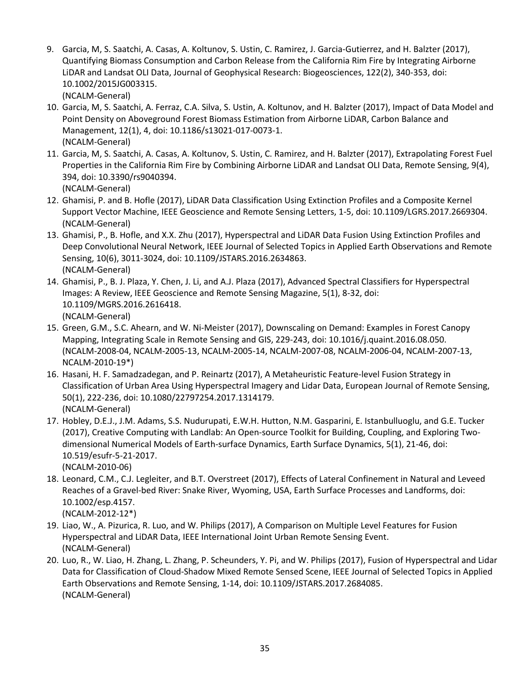- 9. Garcia, M, S. Saatchi, A. Casas, A. Koltunov, S. Ustin, C. Ramirez, J. Garcia-Gutierrez, and H. Balzter (2017), Quantifying Biomass Consumption and Carbon Release from the California Rim Fire by Integrating Airborne LiDAR and Landsat OLI Data, Journal of Geophysical Research: Biogeosciences, 122(2), 340-353, doi: 10.1002/2015JG003315. (NCALM-General)
- 10. Garcia, M, S. Saatchi, A. Ferraz, C.A. Silva, S. Ustin, A. Koltunov, and H. Balzter (2017), Impact of Data Model and Point Density on Aboveground Forest Biomass Estimation from Airborne LiDAR, Carbon Balance and Management, 12(1), 4, doi: 10.1186/s13021-017-0073-1. (NCALM-General)
- 11. Garcia, M, S. Saatchi, A. Casas, A. Koltunov, S. Ustin, C. Ramirez, and H. Balzter (2017), Extrapolating Forest Fuel Properties in the California Rim Fire by Combining Airborne LiDAR and Landsat OLI Data, Remote Sensing, 9(4), 394, doi: 10.3390/rs9040394. (NCALM-General)
- 12. Ghamisi, P. and B. Hofle (2017), LiDAR Data Classification Using Extinction Profiles and a Composite Kernel Support Vector Machine, IEEE Geoscience and Remote Sensing Letters, 1-5, doi: 10.1109/LGRS.2017.2669304. (NCALM-General)
- 13. Ghamisi, P., B. Hofle, and X.X. Zhu (2017), Hyperspectral and LiDAR Data Fusion Using Extinction Profiles and Deep Convolutional Neural Network, IEEE Journal of Selected Topics in Applied Earth Observations and Remote Sensing, 10(6), 3011-3024, doi: 10.1109/JSTARS.2016.2634863. (NCALM-General)
- 14. Ghamisi, P., B. J. Plaza, Y. Chen, J. Li, and A.J. Plaza (2017), Advanced Spectral Classifiers for Hyperspectral Images: A Review, IEEE Geoscience and Remote Sensing Magazine, 5(1), 8-32, doi: 10.1109/MGRS.2016.2616418. (NCALM-General)
- 15. Green, G.M., S.C. Ahearn, and W. Ni-Meister (2017), Downscaling on Demand: Examples in Forest Canopy Mapping, Integrating Scale in Remote Sensing and GIS, 229-243, doi: 10.1016/j.quaint.2016.08.050. (NCALM-2008-04, NCALM-2005-13, NCALM-2005-14, NCALM-2007-08, NCALM-2006-04, NCALM-2007-13, NCALM-2010-19\*)
- 16. Hasani, H. F. Samadzadegan, and P. Reinartz (2017), A Metaheuristic Feature-level Fusion Strategy in Classification of Urban Area Using Hyperspectral Imagery and Lidar Data, European Journal of Remote Sensing, 50(1), 222-236, doi: 10.1080/22797254.2017.1314179. (NCALM-General)
- 17. Hobley, D.E.J., J.M. Adams, S.S. Nudurupati, E.W.H. Hutton, N.M. Gasparini, E. Istanbulluoglu, and G.E. Tucker (2017), Creative Computing with Landlab: An Open-source Toolkit for Building, Coupling, and Exploring Twodimensional Numerical Models of Earth-surface Dynamics, Earth Surface Dynamics, 5(1), 21-46, doi: 10.519/esufr-5-21-2017.
	- (NCALM-2010-06)
- 18. Leonard, C.M., C.J. Legleiter, and B.T. Overstreet (2017), Effects of Lateral Confinement in Natural and Leveed Reaches of a Gravel-bed River: Snake River, Wyoming, USA, Earth Surface Processes and Landforms, doi: 10.1002/esp.4157. (NCALM-2012-12\*)
- 19. Liao, W., A. Pizurica, R. Luo, and W. Philips (2017), A Comparison on Multiple Level Features for Fusion Hyperspectral and LiDAR Data, IEEE International Joint Urban Remote Sensing Event. (NCALM-General)
- 20. Luo, R., W. Liao, H. Zhang, L. Zhang, P. Scheunders, Y. Pi, and W. Philips (2017), Fusion of Hyperspectral and Lidar Data for Classification of Cloud-Shadow Mixed Remote Sensed Scene, IEEE Journal of Selected Topics in Applied Earth Observations and Remote Sensing, 1-14, doi: 10.1109/JSTARS.2017.2684085. (NCALM-General)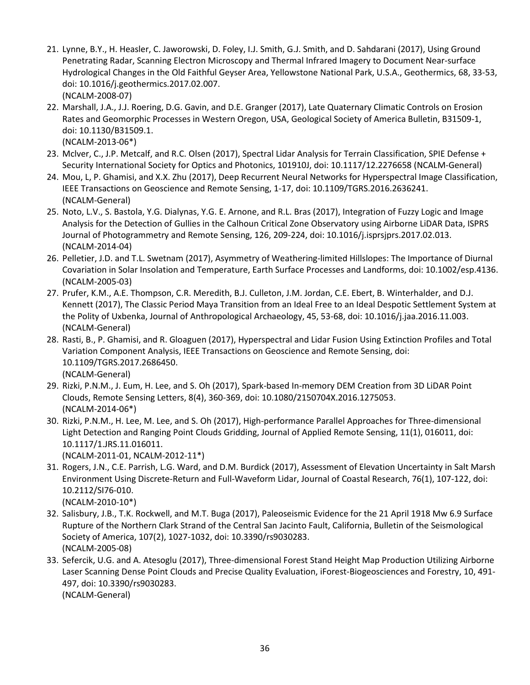- 21. Lynne, B.Y., H. Heasler, C. Jaworowski, D. Foley, I.J. Smith, G.J. Smith, and D. Sahdarani (2017), Using Ground Penetrating Radar, Scanning Electron Microscopy and Thermal Infrared Imagery to Document Near-surface Hydrological Changes in the Old Faithful Geyser Area, Yellowstone National Park, U.S.A., Geothermics, 68, 33-53, doi: 10.1016/j.geothermics.2017.02.007. (NCALM-2008-07)
- 22. Marshall, J.A., J.J. Roering, D.G. Gavin, and D.E. Granger (2017), Late Quaternary Climatic Controls on Erosion Rates and Geomorphic Processes in Western Oregon, USA, Geological Society of America Bulletin, B31509-1, doi: 10.1130/B31509.1. (NCALM-2013-06\*)
- 23. Mclver, C., J.P. Metcalf, and R.C. Olsen (2017), Spectral Lidar Analysis for Terrain Classification, SPIE Defense + Security International Society for Optics and Photonics, 101910J, doi: 10.1117/12.2276658 (NCALM-General)
- 24. Mou, L, P. Ghamisi, and X.X. Zhu (2017), Deep Recurrent Neural Networks for Hyperspectral Image Classification, IEEE Transactions on Geoscience and Remote Sensing, 1-17, doi: 10.1109/TGRS.2016.2636241. (NCALM-General)
- 25. Noto, L.V., S. Bastola, Y.G. Dialynas, Y.G. E. Arnone, and R.L. Bras (2017), Integration of Fuzzy Logic and Image Analysis for the Detection of Gullies in the Calhoun Critical Zone Observatory using Airborne LiDAR Data, ISPRS Journal of Photogrammetry and Remote Sensing, 126, 209-224, doi: 10.1016/j.isprsjprs.2017.02.013. (NCALM-2014-04)
- 26. Pelletier, J.D. and T.L. Swetnam (2017), Asymmetry of Weathering-limited Hillslopes: The Importance of Diurnal Covariation in Solar Insolation and Temperature, Earth Surface Processes and Landforms, doi: 10.1002/esp.4136. (NCALM-2005-03)
- 27. Prufer, K.M., A.E. Thompson, C.R. Meredith, B.J. Culleton, J.M. Jordan, C.E. Ebert, B. Winterhalder, and D.J. Kennett (2017), The Classic Period Maya Transition from an Ideal Free to an Ideal Despotic Settlement System at the Polity of Uxbenka, Journal of Anthropological Archaeology, 45, 53-68, doi: 10.1016/j.jaa.2016.11.003. (NCALM-General)
- 28. Rasti, B., P. Ghamisi, and R. Gloaguen (2017), Hyperspectral and Lidar Fusion Using Extinction Profiles and Total Variation Component Analysis, IEEE Transactions on Geoscience and Remote Sensing, doi: 10.1109/TGRS.2017.2686450. (NCALM-General)
- 29. Rizki, P.N.M., J. Eum, H. Lee, and S. Oh (2017), Spark-based In-memory DEM Creation from 3D LiDAR Point Clouds, Remote Sensing Letters, 8(4), 360-369, doi: 10.1080/2150704X.2016.1275053. (NCALM-2014-06\*)
- 30. Rizki, P.N.M., H. Lee, M. Lee, and S. Oh (2017), High-performance Parallel Approaches for Three-dimensional Light Detection and Ranging Point Clouds Gridding, Journal of Applied Remote Sensing, 11(1), 016011, doi: 10.1117/1.JRS.11.016011.

(NCALM-2011-01, NCALM-2012-11\*)

- 31. Rogers, J.N., C.E. Parrish, L.G. Ward, and D.M. Burdick (2017), Assessment of Elevation Uncertainty in Salt Marsh Environment Using Discrete-Return and Full-Waveform Lidar, Journal of Coastal Research, 76(1), 107-122, doi: 10.2112/SI76-010.
	- (NCALM-2010-10\*)
- 32. Salisbury, J.B., T.K. Rockwell, and M.T. Buga (2017), Paleoseismic Evidence for the 21 April 1918 Mw 6.9 Surface Rupture of the Northern Clark Strand of the Central San Jacinto Fault, California, Bulletin of the Seismological Society of America, 107(2), 1027-1032, doi: 10.3390/rs9030283. (NCALM-2005-08)
- 33. Sefercik, U.G. and A. Atesoglu (2017), Three-dimensional Forest Stand Height Map Production Utilizing Airborne Laser Scanning Dense Point Clouds and Precise Quality Evaluation, iForest-Biogeosciences and Forestry, 10, 491- 497, doi: 10.3390/rs9030283. (NCALM-General)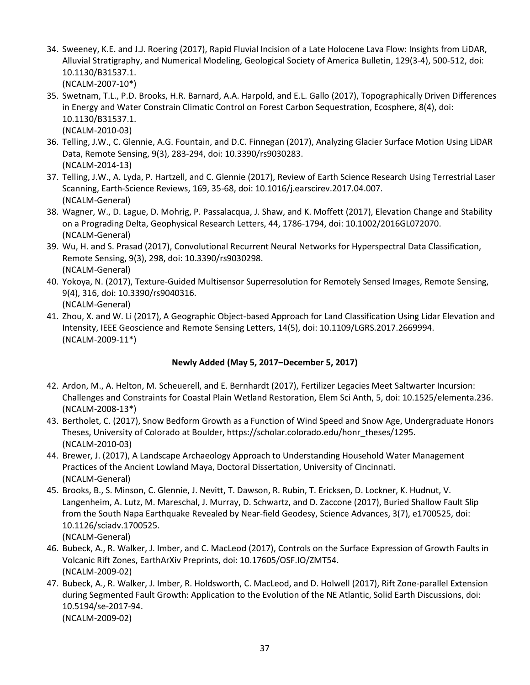- 34. Sweeney, K.E. and J.J. Roering (2017), Rapid Fluvial Incision of a Late Holocene Lava Flow: Insights from LiDAR, Alluvial Stratigraphy, and Numerical Modeling, Geological Society of America Bulletin, 129(3-4), 500-512, doi: 10.1130/B31537.1. (NCALM-2007-10\*)
- 35. Swetnam, T.L., P.D. Brooks, H.R. Barnard, A.A. Harpold, and E.L. Gallo (2017), Topographically Driven Differences in Energy and Water Constrain Climatic Control on Forest Carbon Sequestration, Ecosphere, 8(4), doi: 10.1130/B31537.1. (NCALM-2010-03)
- 36. Telling, J.W., C. Glennie, A.G. Fountain, and D.C. Finnegan (2017), Analyzing Glacier Surface Motion Using LiDAR Data, Remote Sensing, 9(3), 283-294, doi: 10.3390/rs9030283. (NCALM-2014-13)
- 37. Telling, J.W., A. Lyda, P. Hartzell, and C. Glennie (2017), Review of Earth Science Research Using Terrestrial Laser Scanning, Earth-Science Reviews, 169, 35-68, doi: 10.1016/j.earscirev.2017.04.007. (NCALM-General)
- 38. Wagner, W., D. Lague, D. Mohrig, P. Passalacqua, J. Shaw, and K. Moffett (2017), Elevation Change and Stability on a Prograding Delta, Geophysical Research Letters, 44, 1786-1794, doi: 10.1002/2016GL072070. (NCALM-General)
- 39. Wu, H. and S. Prasad (2017), Convolutional Recurrent Neural Networks for Hyperspectral Data Classification, Remote Sensing, 9(3), 298, doi: 10.3390/rs9030298. (NCALM-General)
- 40. Yokoya, N. (2017), Texture-Guided Multisensor Superresolution for Remotely Sensed Images, Remote Sensing, 9(4), 316, doi: 10.3390/rs9040316. (NCALM-General)
- 41. Zhou, X. and W. Li (2017), A Geographic Object-based Approach for Land Classification Using Lidar Elevation and Intensity, IEEE Geoscience and Remote Sensing Letters, 14(5), doi: 10.1109/LGRS.2017.2669994. (NCALM-2009-11\*)

## **Newly Added (May 5, 2017–December 5, 2017)**

- 42. Ardon, M., A. Helton, M. Scheuerell, and E. Bernhardt (2017), Fertilizer Legacies Meet Saltwarter Incursion: Challenges and Constraints for Coastal Plain Wetland Restoration, Elem Sci Anth, 5, doi: 10.1525/elementa.236. (NCALM-2008-13\*)
- 43. Bertholet, C. (2017), Snow Bedform Growth as a Function of Wind Speed and Snow Age, Undergraduate Honors Theses, University of Colorado at Boulder, https://scholar.colorado.edu/honr\_theses/1295. (NCALM-2010-03)
- 44. Brewer, J. (2017), A Landscape Archaeology Approach to Understanding Household Water Management Practices of the Ancient Lowland Maya, Doctoral Dissertation, University of Cincinnati. (NCALM-General)
- 45. Brooks, B., S. Minson, C. Glennie, J. Nevitt, T. Dawson, R. Rubin, T. Ericksen, D. Lockner, K. Hudnut, V. Langenheim, A. Lutz, M. Mareschal, J. Murray, D. Schwartz, and D. Zaccone (2017), Buried Shallow Fault Slip from the South Napa Earthquake Revealed by Near-field Geodesy, Science Advances, 3(7), e1700525, doi: 10.1126/sciadv.1700525. (NCALM-General)
- 46. Bubeck, A., R. Walker, J. Imber, and C. MacLeod (2017), Controls on the Surface Expression of Growth Faults in Volcanic Rift Zones, EarthArXiv Preprints, doi: 10.17605/OSF.IO/ZMT54. (NCALM-2009-02)
- 47. Bubeck, A., R. Walker, J. Imber, R. Holdsworth, C. MacLeod, and D. Holwell (2017), Rift Zone-parallel Extension during Segmented Fault Growth: Application to the Evolution of the NE Atlantic, Solid Earth Discussions, doi: 10.5194/se-2017-94. (NCALM-2009-02)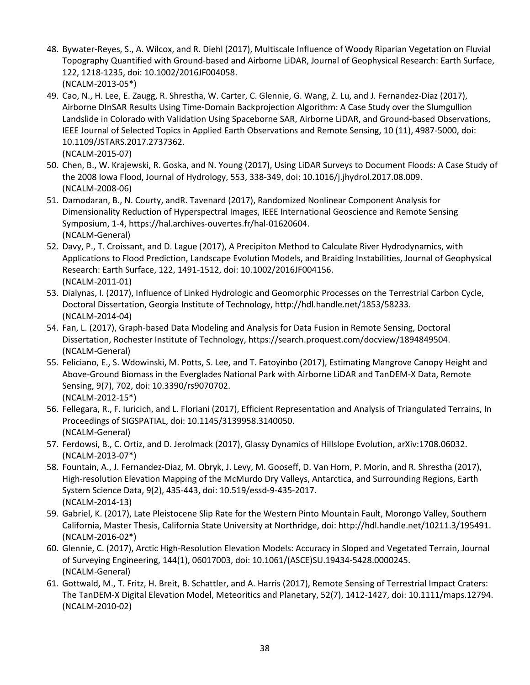- 48. Bywater-Reyes, S., A. Wilcox, and R. Diehl (2017), Multiscale Influence of Woody Riparian Vegetation on Fluvial Topography Quantified with Ground-based and Airborne LiDAR, Journal of Geophysical Research: Earth Surface, 122, 1218-1235, doi: 10.1002/2016JF004058. (NCALM-2013-05\*)
- 49. Cao, N., H. Lee, E. Zaugg, R. Shrestha, W. Carter, C. Glennie, G. Wang, Z. Lu, and J. Fernandez-Diaz (2017), Airborne DInSAR Results Using Time-Domain Backprojection Algorithm: A Case Study over the Slumgullion Landslide in Colorado with Validation Using Spaceborne SAR, Airborne LiDAR, and Ground-based Observations, IEEE Journal of Selected Topics in Applied Earth Observations and Remote Sensing, 10 (11), 4987-5000, doi: 10.1109/JSTARS.2017.2737362.
	- (NCALM-2015-07)
- 50. Chen, B., W. Krajewski, R. Goska, and N. Young (2017), Using LiDAR Surveys to Document Floods: A Case Study of the 2008 Iowa Flood, Journal of Hydrology, 553, 338-349, doi: 10.1016/j.jhydrol.2017.08.009. (NCALM-2008-06)
- 51. Damodaran, B., N. Courty, andR. Tavenard (2017), Randomized Nonlinear Component Analysis for Dimensionality Reduction of Hyperspectral Images, IEEE International Geoscience and Remote Sensing Symposium, 1-4, https://hal.archives-ouvertes.fr/hal-01620604. (NCALM-General)
- 52. Davy, P., T. Croissant, and D. Lague (2017), A Precipiton Method to Calculate River Hydrodynamics, with Applications to Flood Prediction, Landscape Evolution Models, and Braiding Instabilities, Journal of Geophysical Research: Earth Surface, 122, 1491-1512, doi: 10.1002/2016JF004156. (NCALM-2011-01)
- 53. Dialynas, I. (2017), Influence of Linked Hydrologic and Geomorphic Processes on the Terrestrial Carbon Cycle, Doctoral Dissertation, Georgia Institute of Technology, http://hdl.handle.net/1853/58233. (NCALM-2014-04)
- 54. Fan, L. (2017), Graph-based Data Modeling and Analysis for Data Fusion in Remote Sensing, Doctoral Dissertation, Rochester Institute of Technology, https://search.proquest.com/docview/1894849504. (NCALM-General)
- 55. Feliciano, E., S. Wdowinski, M. Potts, S. Lee, and T. Fatoyinbo (2017), Estimating Mangrove Canopy Height and Above-Ground Biomass in the Everglades National Park with Airborne LiDAR and TanDEM-X Data, Remote Sensing, 9(7), 702, doi: 10.3390/rs9070702. (NCALM-2012-15\*)
- 56. Fellegara, R., F. Iuricich, and L. Floriani (2017), Efficient Representation and Analysis of Triangulated Terrains, In Proceedings of SIGSPATIAL, doi: 10.1145/3139958.3140050. (NCALM-General)
- 57. Ferdowsi, B., C. Ortiz, and D. Jerolmack (2017), Glassy Dynamics of Hillslope Evolution, arXiv:1708.06032. (NCALM-2013-07\*)
- 58. Fountain, A., J. Fernandez-Diaz, M. Obryk, J. Levy, M. Gooseff, D. Van Horn, P. Morin, and R. Shrestha (2017), High-resolution Elevation Mapping of the McMurdo Dry Valleys, Antarctica, and Surrounding Regions, Earth System Science Data, 9(2), 435-443, doi: 10.519/essd-9-435-2017. (NCALM-2014-13)
- 59. Gabriel, K. (2017), Late Pleistocene Slip Rate for the Western Pinto Mountain Fault, Morongo Valley, Southern California, Master Thesis, California State University at Northridge, doi: http://hdl.handle.net/10211.3/195491. (NCALM-2016-02\*)
- 60. Glennie, C. (2017), Arctic High-Resolution Elevation Models: Accuracy in Sloped and Vegetated Terrain, Journal of Surveying Engineering, 144(1), 06017003, doi: 10.1061/(ASCE)SU.19434-5428.0000245. (NCALM-General)
- 61. Gottwald, M., T. Fritz, H. Breit, B. Schattler, and A. Harris (2017), Remote Sensing of Terrestrial Impact Craters: The TanDEM-X Digital Elevation Model, Meteoritics and Planetary, 52(7), 1412-1427, doi: 10.1111/maps.12794. (NCALM-2010-02)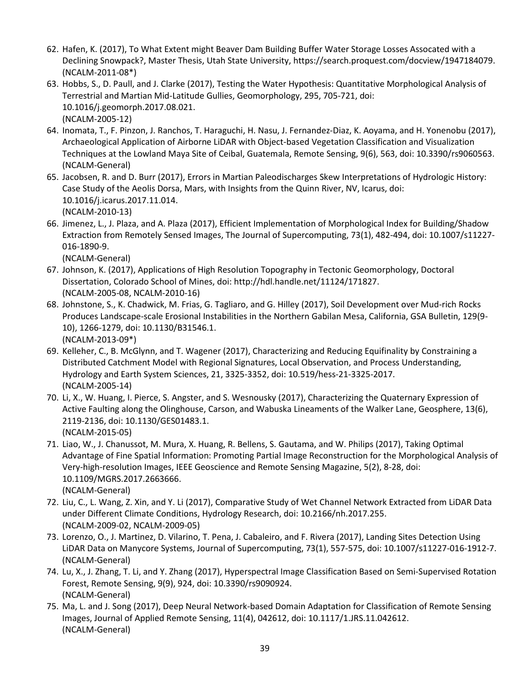- 62. Hafen, K. (2017), To What Extent might Beaver Dam Building Buffer Water Storage Losses Assocated with a Declining Snowpack?, Master Thesis, Utah State University, https://search.proquest.com/docview/1947184079. (NCALM-2011-08\*)
- 63. Hobbs, S., D. Paull, and J. Clarke (2017), Testing the Water Hypothesis: Quantitative Morphological Analysis of Terrestrial and Martian Mid-Latitude Gullies, Geomorphology, 295, 705-721, doi: 10.1016/j.geomorph.2017.08.021. (NCALM-2005-12)
- 64. Inomata, T., F. Pinzon, J. Ranchos, T. Haraguchi, H. Nasu, J. Fernandez-Diaz, K. Aoyama, and H. Yonenobu (2017), Archaeological Application of Airborne LiDAR with Object-based Vegetation Classification and Visualization Techniques at the Lowland Maya Site of Ceibal, Guatemala, Remote Sensing, 9(6), 563, doi: 10.3390/rs9060563. (NCALM-General)
- 65. Jacobsen, R. and D. Burr (2017), Errors in Martian Paleodischarges Skew Interpretations of Hydrologic History: Case Study of the Aeolis Dorsa, Mars, with Insights from the Quinn River, NV, Icarus, doi: 10.1016/j.icarus.2017.11.014. (NCALM-2010-13)
- 66. Jimenez, L., J. Plaza, and A. Plaza (2017), Efficient Implementation of Morphological Index for Building/Shadow Extraction from Remotely Sensed Images, The Journal of Supercomputing, 73(1), 482-494, doi: 10.1007/s11227- 016-1890-9.

- 67. Johnson, K. (2017), Applications of High Resolution Topography in Tectonic Geomorphology, Doctoral Dissertation, Colorado School of Mines, doi: http://hdl.handle.net/11124/171827. (NCALM-2005-08, NCALM-2010-16)
- 68. Johnstone, S., K. Chadwick, M. Frias, G. Tagliaro, and G. Hilley (2017), Soil Development over Mud-rich Rocks Produces Landscape-scale Erosional Instabilities in the Northern Gabilan Mesa, California, GSA Bulletin, 129(9- 10), 1266-1279, doi: 10.1130/B31546.1. (NCALM-2013-09\*)
- 69. Kelleher, C., B. McGlynn, and T. Wagener (2017), Characterizing and Reducing Equifinality by Constraining a Distributed Catchment Model with Regional Signatures, Local Observation, and Process Understanding, Hydrology and Earth System Sciences, 21, 3325-3352, doi: 10.519/hess-21-3325-2017. (NCALM-2005-14)
- 70. Li, X., W. Huang, I. Pierce, S. Angster, and S. Wesnousky (2017), Characterizing the Quaternary Expression of Active Faulting along the Olinghouse, Carson, and Wabuska Lineaments of the Walker Lane, Geosphere, 13(6), 2119-2136, doi: 10.1130/GES01483.1. (NCALM-2015-05)
- 71. Liao, W., J. Chanussot, M. Mura, X. Huang, R. Bellens, S. Gautama, and W. Philips (2017), Taking Optimal Advantage of Fine Spatial Information: Promoting Partial Image Reconstruction for the Morphological Analysis of Very-high-resolution Images, IEEE Geoscience and Remote Sensing Magazine, 5(2), 8-28, doi: 10.1109/MGRS.2017.2663666. (NCALM-General)
- 72. Liu, C., L. Wang, Z. Xin, and Y. Li (2017), Comparative Study of Wet Channel Network Extracted from LiDAR Data under Different Climate Conditions, Hydrology Research, doi: 10.2166/nh.2017.255. (NCALM-2009-02, NCALM-2009-05)
- 73. Lorenzo, O., J. Martinez, D. Vilarino, T. Pena, J. Cabaleiro, and F. Rivera (2017), Landing Sites Detection Using LiDAR Data on Manycore Systems, Journal of Supercomputing, 73(1), 557-575, doi: 10.1007/s11227-016-1912-7. (NCALM-General)
- 74. Lu, X., J. Zhang, T. Li, and Y. Zhang (2017), Hyperspectral Image Classification Based on Semi-Supervised Rotation Forest, Remote Sensing, 9(9), 924, doi: 10.3390/rs9090924. (NCALM-General)
- 75. Ma, L. and J. Song (2017), Deep Neural Network-based Domain Adaptation for Classification of Remote Sensing Images, Journal of Applied Remote Sensing, 11(4), 042612, doi: 10.1117/1.JRS.11.042612. (NCALM-General)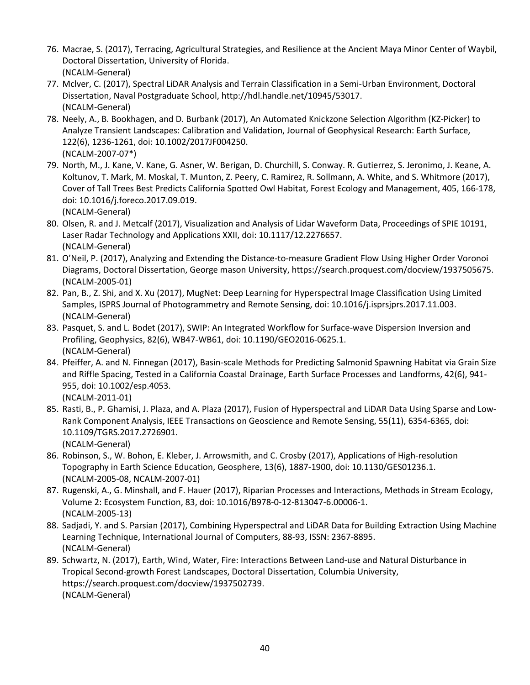- 76. Macrae, S. (2017), Terracing, Agricultural Strategies, and Resilience at the Ancient Maya Minor Center of Waybil, Doctoral Dissertation, University of Florida. (NCALM-General)
- 77. Mclver, C. (2017), Spectral LiDAR Analysis and Terrain Classification in a Semi-Urban Environment, Doctoral Dissertation, Naval Postgraduate School, http://hdl.handle.net/10945/53017. (NCALM-General)
- 78. Neely, A., B. Bookhagen, and D. Burbank (2017), An Automated Knickzone Selection Algorithm (KZ-Picker) to Analyze Transient Landscapes: Calibration and Validation, Journal of Geophysical Research: Earth Surface, 122(6), 1236-1261, doi: 10.1002/2017JF004250. (NCALM-2007-07\*)
- 79. North, M., J. Kane, V. Kane, G. Asner, W. Berigan, D. Churchill, S. Conway. R. Gutierrez, S. Jeronimo, J. Keane, A. Koltunov, T. Mark, M. Moskal, T. Munton, Z. Peery, C. Ramirez, R. Sollmann, A. White, and S. Whitmore (2017), Cover of Tall Trees Best Predicts California Spotted Owl Habitat, Forest Ecology and Management, 405, 166-178, doi: 10.1016/j.foreco.2017.09.019. (NCALM-General)
- 80. Olsen, R. and J. Metcalf (2017), Visualization and Analysis of Lidar Waveform Data, Proceedings of SPIE 10191, Laser Radar Technology and Applications XXII, doi: 10.1117/12.2276657. (NCALM-General)
- 81. O'Neil, P. (2017), Analyzing and Extending the Distance-to-measure Gradient Flow Using Higher Order Voronoi Diagrams, Doctoral Dissertation, George mason University, https://search.proquest.com/docview/1937505675. (NCALM-2005-01)
- 82. Pan, B., Z. Shi, and X. Xu (2017), MugNet: Deep Learning for Hyperspectral Image Classification Using Limited Samples, ISPRS Journal of Photogrammetry and Remote Sensing, doi: 10.1016/j.isprsjprs.2017.11.003. (NCALM-General)
- 83. Pasquet, S. and L. Bodet (2017), SWIP: An Integrated Workflow for Surface-wave Dispersion Inversion and Profiling, Geophysics, 82(6), WB47-WB61, doi: 10.1190/GEO2016-0625.1. (NCALM-General)
- 84. Pfeiffer, A. and N. Finnegan (2017), Basin-scale Methods for Predicting Salmonid Spawning Habitat via Grain Size and Riffle Spacing, Tested in a California Coastal Drainage, Earth Surface Processes and Landforms, 42(6), 941- 955, doi: 10.1002/esp.4053. (NCALM-2011-01)
- 85. Rasti, B., P. Ghamisi, J. Plaza, and A. Plaza (2017), Fusion of Hyperspectral and LiDAR Data Using Sparse and Low-Rank Component Analysis, IEEE Transactions on Geoscience and Remote Sensing, 55(11), 6354-6365, doi: 10.1109/TGRS.2017.2726901.

- 86. Robinson, S., W. Bohon, E. Kleber, J. Arrowsmith, and C. Crosby (2017), Applications of High-resolution Topography in Earth Science Education, Geosphere, 13(6), 1887-1900, doi: 10.1130/GES01236.1. (NCALM-2005-08, NCALM-2007-01)
- 87. Rugenski, A., G. Minshall, and F. Hauer (2017), Riparian Processes and Interactions, Methods in Stream Ecology, Volume 2: Ecosystem Function, 83, doi: 10.1016/B978-0-12-813047-6.00006-1. (NCALM-2005-13)
- 88. Sadjadi, Y. and S. Parsian (2017), Combining Hyperspectral and LiDAR Data for Building Extraction Using Machine Learning Technique, International Journal of Computers, 88-93, ISSN: 2367-8895. (NCALM-General)
- 89. Schwartz, N. (2017), Earth, Wind, Water, Fire: Interactions Between Land-use and Natural Disturbance in Tropical Second-growth Forest Landscapes, Doctoral Dissertation, Columbia University, https://search.proquest.com/docview/1937502739. (NCALM-General)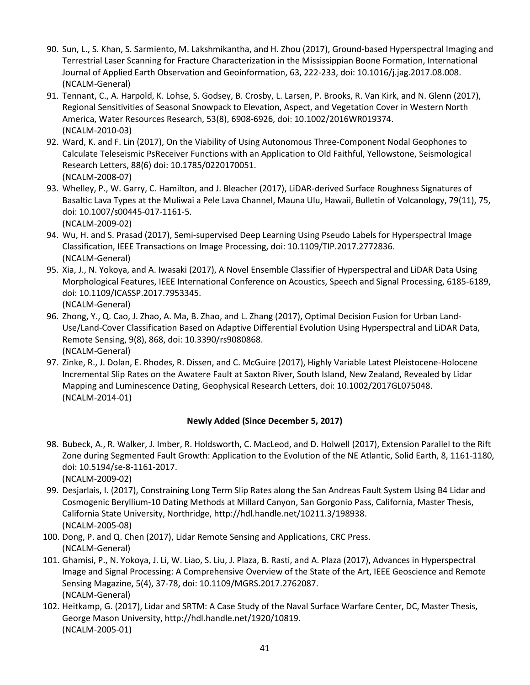- 90. Sun, L., S. Khan, S. Sarmiento, M. Lakshmikantha, and H. Zhou (2017), Ground-based Hyperspectral Imaging and Terrestrial Laser Scanning for Fracture Characterization in the Mississippian Boone Formation, International Journal of Applied Earth Observation and Geoinformation, 63, 222-233, doi: 10.1016/j.jag.2017.08.008. (NCALM-General)
- 91. Tennant, C., A. Harpold, K. Lohse, S. Godsey, B. Crosby, L. Larsen, P. Brooks, R. Van Kirk, and N. Glenn (2017), Regional Sensitivities of Seasonal Snowpack to Elevation, Aspect, and Vegetation Cover in Western North America, Water Resources Research, 53(8), 6908-6926, doi: 10.1002/2016WR019374. (NCALM-2010-03)
- 92. Ward, K. and F. Lin (2017), On the Viability of Using Autonomous Three-Component Nodal Geophones to Calculate Teleseismic PsReceiver Functions with an Application to Old Faithful, Yellowstone, Seismological Research Letters, 88(6) doi: 10.1785/0220170051. (NCALM-2008-07)
- 93. Whelley, P., W. Garry, C. Hamilton, and J. Bleacher (2017), LiDAR-derived Surface Roughness Signatures of Basaltic Lava Types at the Muliwai a Pele Lava Channel, Mauna Ulu, Hawaii, Bulletin of Volcanology, 79(11), 75, doi: 10.1007/s00445-017-1161-5. (NCALM-2009-02)
- 94. Wu, H. and S. Prasad (2017), Semi-supervised Deep Learning Using Pseudo Labels for Hyperspectral Image Classification, IEEE Transactions on Image Processing, doi: 10.1109/TIP.2017.2772836. (NCALM-General)
- 95. Xia, J., N. Yokoya, and A. Iwasaki (2017), A Novel Ensemble Classifier of Hyperspectral and LiDAR Data Using Morphological Features, IEEE International Conference on Acoustics, Speech and Signal Processing, 6185-6189, doi: 10.1109/ICASSP.2017.7953345. (NCALM-General)
- 96. Zhong, Y., Q. Cao, J. Zhao, A. Ma, B. Zhao, and L. Zhang (2017), Optimal Decision Fusion for Urban Land-Use/Land-Cover Classification Based on Adaptive Differential Evolution Using Hyperspectral and LiDAR Data, Remote Sensing, 9(8), 868, doi: 10.3390/rs9080868. (NCALM-General)
- 97. Zinke, R., J. Dolan, E. Rhodes, R. Dissen, and C. McGuire (2017), Highly Variable Latest Pleistocene-Holocene Incremental Slip Rates on the Awatere Fault at Saxton River, South Island, New Zealand, Revealed by Lidar Mapping and Luminescence Dating, Geophysical Research Letters, doi: 10.1002/2017GL075048. (NCALM-2014-01)

## **Newly Added (Since December 5, 2017)**

- 98. Bubeck, A., R. Walker, J. Imber, R. Holdsworth, C. MacLeod, and D. Holwell (2017), Extension Parallel to the Rift Zone during Segmented Fault Growth: Application to the Evolution of the NE Atlantic, Solid Earth, 8, 1161-1180, doi: 10.5194/se-8-1161-2017. (NCALM-2009-02)
- 99. Desjarlais, I. (2017), Constraining Long Term Slip Rates along the San Andreas Fault System Using B4 Lidar and Cosmogenic Beryllium-10 Dating Methods at Millard Canyon, San Gorgonio Pass, California, Master Thesis, California State University, Northridge, [http://hdl.handle.net/10211.3/198938.](http://hdl.handle.net/10211.3/198938) (NCALM-2005-08)
- 100. Dong, P. and Q. Chen (2017), Lidar Remote Sensing and Applications, CRC Press. (NCALM-General)
- 101. Ghamisi, P., N. Yokoya, J. Li, W. Liao, S. Liu, J. Plaza, B. Rasti, and A. Plaza (2017), Advances in Hyperspectral Image and Signal Processing: A Comprehensive Overview of the State of the Art, IEEE Geoscience and Remote Sensing Magazine, 5(4), 37-78, doi: 10.1109/MGRS.2017.2762087. (NCALM-General)
- 102. Heitkamp, G. (2017), Lidar and SRTM: A Case Study of the Naval Surface Warfare Center, DC, Master Thesis, George Mason University[, http://hdl.handle.net/1920/10819.](http://hdl.handle.net/1920/10819) (NCALM-2005-01)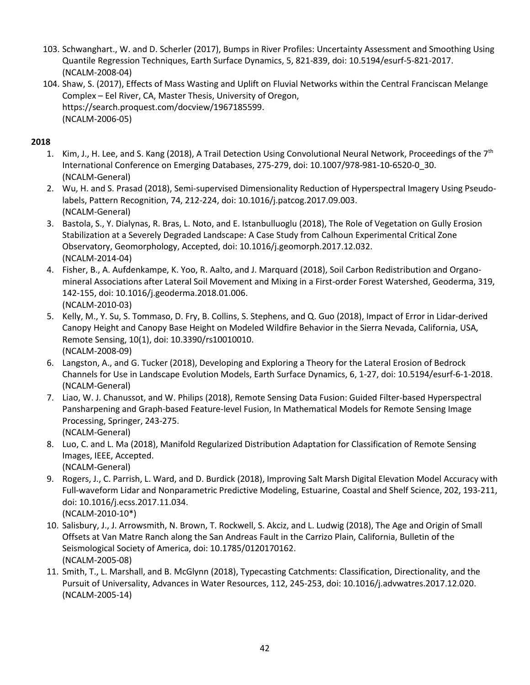- 103. Schwanghart., W. and D. Scherler (2017), Bumps in River Profiles: Uncertainty Assessment and Smoothing Using Quantile Regression Techniques, Earth Surface Dynamics, 5, 821-839, doi: 10.5194/esurf-5-821-2017. (NCALM-2008-04)
- 104. Shaw, S. (2017), Effects of Mass Wasting and Uplift on Fluvial Networks within the Central Franciscan Melange Complex – Eel River, CA, Master Thesis, University of Oregon, https://search.proquest.com/docview/1967185599. (NCALM-2006-05)

# **2018**

- 1. Kim, J., H. Lee, and S. Kang (2018), A Trail Detection Using Convolutional Neural Network, Proceedings of the 7<sup>th</sup> International Conference on Emerging Databases, 275-279, doi: 10.1007/978-981-10-6520-0\_30. (NCALM-General)
- 2. Wu, H. and S. Prasad (2018), Semi-supervised Dimensionality Reduction of Hyperspectral Imagery Using Pseudolabels, Pattern Recognition, 74, 212-224, doi: 10.1016/j.patcog.2017.09.003. (NCALM-General)
- 3. Bastola, S., Y. Dialynas, R. Bras, L. Noto, and E. Istanbulluoglu (2018), The Role of Vegetation on Gully Erosion Stabilization at a Severely Degraded Landscape: A Case Study from Calhoun Experimental Critical Zone Observatory, Geomorphology, Accepted, doi: 10.1016/j.geomorph.2017.12.032. (NCALM-2014-04)
- 4. Fisher, B., A. Aufdenkampe, K. Yoo, R. Aalto, and J. Marquard (2018), Soil Carbon Redistribution and Organomineral Associations after Lateral Soil Movement and Mixing in a First-order Forest Watershed, Geoderma, 319, 142-155, doi: 10.1016/j.geoderma.2018.01.006. (NCALM-2010-03)
- 5. Kelly, M., Y. Su, S. Tommaso, D. Fry, B. Collins, S. Stephens, and Q. Guo (2018), Impact of Error in Lidar-derived Canopy Height and Canopy Base Height on Modeled Wildfire Behavior in the Sierra Nevada, California, USA, Remote Sensing, 10(1), doi: 10.3390/rs10010010. (NCALM-2008-09)
- 6. Langston, A., and G. Tucker (2018), Developing and Exploring a Theory for the Lateral Erosion of Bedrock Channels for Use in Landscape Evolution Models, Earth Surface Dynamics, 6, 1-27, doi: 10.5194/esurf-6-1-2018. (NCALM-General)
- 7. Liao, W. J. Chanussot, and W. Philips (2018), Remote Sensing Data Fusion: Guided Filter-based Hyperspectral Pansharpening and Graph-based Feature-level Fusion, In Mathematical Models for Remote Sensing Image Processing, Springer, 243-275. (NCALM-General)
- 8. Luo, C. and L. Ma (2018), Manifold Regularized Distribution Adaptation for Classification of Remote Sensing Images, IEEE, Accepted. (NCALM-General)
- 9. Rogers, J., C. Parrish, L. Ward, and D. Burdick (2018), Improving Salt Marsh Digital Elevation Model Accuracy with Full-waveform Lidar and Nonparametric Predictive Modeling, Estuarine, Coastal and Shelf Science, 202, 193-211, doi: 10.1016/j.ecss.2017.11.034. (NCALM-2010-10\*)
- 10. Salisbury, J., J. Arrowsmith, N. Brown, T. Rockwell, S. Akciz, and L. Ludwig (2018), The Age and Origin of Small Offsets at Van Matre Ranch along the San Andreas Fault in the Carrizo Plain, California, Bulletin of the Seismological Society of America, doi: 10.1785/0120170162. (NCALM-2005-08)
- 11. Smith, T., L. Marshall, and B. McGlynn (2018), Typecasting Catchments: Classification, Directionality, and the Pursuit of Universality, Advances in Water Resources, 112, 245-253, doi: 10.1016/j.advwatres.2017.12.020. (NCALM-2005-14)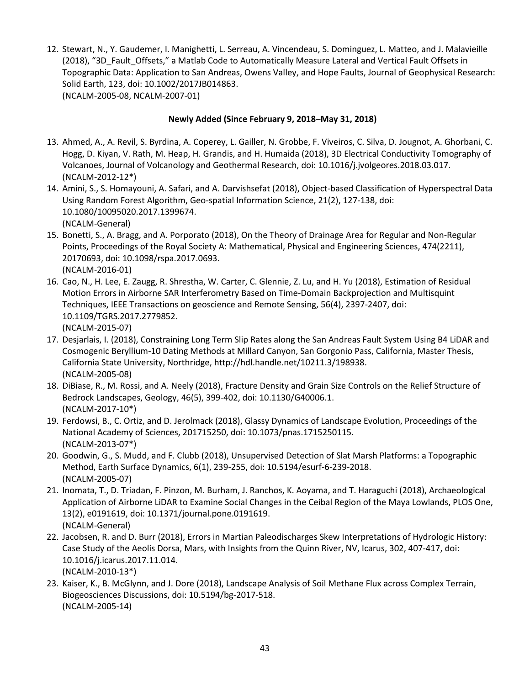12. Stewart, N., Y. Gaudemer, I. Manighetti, L. Serreau, A. Vincendeau, S. Dominguez, L. Matteo, and J. Malavieille (2018), "3D\_Fault\_Offsets," a Matlab Code to Automatically Measure Lateral and Vertical Fault Offsets in Topographic Data: Application to San Andreas, Owens Valley, and Hope Faults, Journal of Geophysical Research: Solid Earth, 123, doi: 10.1002/2017JB014863. (NCALM-2005-08, NCALM-2007-01)

#### **Newly Added (Since February 9, 2018–May 31, 2018)**

- 13. Ahmed, A., A. Revil, S. Byrdina, A. Coperey, L. Gailler, N. Grobbe, F. Viveiros, C. Silva, D. Jougnot, A. Ghorbani, C. Hogg, D. Kiyan, V. Rath, M. Heap, H. Grandis, and H. Humaida (2018), 3D Electrical Conductivity Tomography of Volcanoes, Journal of Volcanology and Geothermal Research, doi: 10.1016/j.jvolgeores.2018.03.017. (NCALM-2012-12\*)
- 14. Amini, S., S. Homayouni, A. Safari, and A. Darvishsefat (2018), Object-based Classification of Hyperspectral Data Using Random Forest Algorithm, Geo-spatial Information Science, 21(2), 127-138, doi: 10.1080/10095020.2017.1399674. (NCALM-General)
- 15. Bonetti, S., A. Bragg, and A. Porporato (2018), On the Theory of Drainage Area for Regular and Non-Regular Points, Proceedings of the Royal Society A: Mathematical, Physical and Engineering Sciences, 474(2211), 20170693, doi: 10.1098/rspa.2017.0693. (NCALM-2016-01)
- 16. Cao, N., H. Lee, E. Zaugg, R. Shrestha, W. Carter, C. Glennie, Z. Lu, and H. Yu (2018), Estimation of Residual Motion Errors in Airborne SAR Interferometry Based on Time-Domain Backprojection and Multisquint Techniques, IEEE Transactions on geoscience and Remote Sensing, 56(4), 2397-2407, doi: 10.1109/TGRS.2017.2779852. (NCALM-2015-07)
- 17. Desjarlais, I. (2018), Constraining Long Term Slip Rates along the San Andreas Fault System Using B4 LiDAR and Cosmogenic Beryllium-10 Dating Methods at Millard Canyon, San Gorgonio Pass, California, Master Thesis, California State University, Northridge, http://hdl.handle.net/10211.3/198938. (NCALM-2005-08)
- 18. DiBiase, R., M. Rossi, and A. Neely (2018), Fracture Density and Grain Size Controls on the Relief Structure of Bedrock Landscapes, Geology, 46(5), 399-402, doi: 10.1130/G40006.1. (NCALM-2017-10\*)
- 19. Ferdowsi, B., C. Ortiz, and D. Jerolmack (2018), Glassy Dynamics of Landscape Evolution, Proceedings of the National Academy of Sciences, 201715250, doi: 10.1073/pnas.1715250115. (NCALM-2013-07\*)
- 20. Goodwin, G., S. Mudd, and F. Clubb (2018), Unsupervised Detection of Slat Marsh Platforms: a Topographic Method, Earth Surface Dynamics, 6(1), 239-255, doi: 10.5194/esurf-6-239-2018. (NCALM-2005-07)
- 21. Inomata, T., D. Triadan, F. Pinzon, M. Burham, J. Ranchos, K. Aoyama, and T. Haraguchi (2018), Archaeological Application of Airborne LiDAR to Examine Social Changes in the Ceibal Region of the Maya Lowlands, PLOS One, 13(2), e0191619, doi: 10.1371/journal.pone.0191619. (NCALM-General)
- 22. Jacobsen, R. and D. Burr (2018), Errors in Martian Paleodischarges Skew Interpretations of Hydrologic History: Case Study of the Aeolis Dorsa, Mars, with Insights from the Quinn River, NV, Icarus, 302, 407-417, doi: 10.1016/j.icarus.2017.11.014. (NCALM-2010-13\*)
- 23. Kaiser, K., B. McGlynn, and J. Dore (2018), Landscape Analysis of Soil Methane Flux across Complex Terrain, Biogeosciences Discussions, doi: 10.5194/bg-2017-518. (NCALM-2005-14)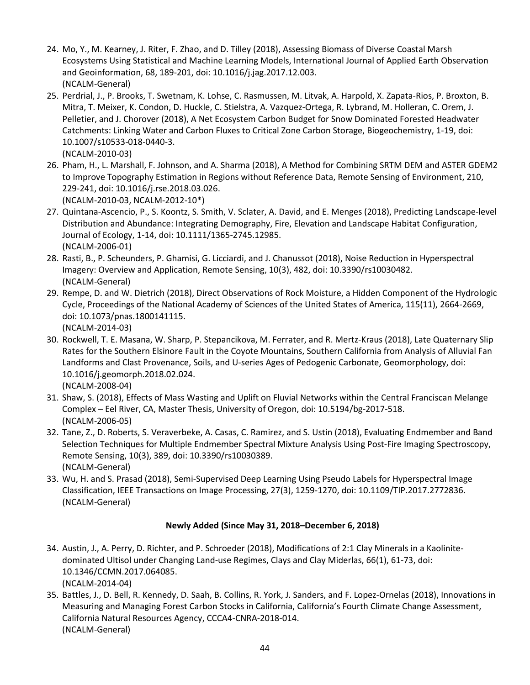- 24. Mo, Y., M. Kearney, J. Riter, F. Zhao, and D. Tilley (2018), Assessing Biomass of Diverse Coastal Marsh Ecosystems Using Statistical and Machine Learning Models, International Journal of Applied Earth Observation and Geoinformation, 68, 189-201, doi: 10.1016/j.jag.2017.12.003. (NCALM-General)
- 25. Perdrial, J., P. Brooks, T. Swetnam, K. Lohse, C. Rasmussen, M. Litvak, A. Harpold, X. Zapata-Rios, P. Broxton, B. Mitra, T. Meixer, K. Condon, D. Huckle, C. Stielstra, A. Vazquez-Ortega, R. Lybrand, M. Holleran, C. Orem, J. Pelletier, and J. Chorover (2018), A Net Ecosystem Carbon Budget for Snow Dominated Forested Headwater Catchments: Linking Water and Carbon Fluxes to Critical Zone Carbon Storage, Biogeochemistry, 1-19, doi: 10.1007/s10533-018-0440-3. (NCALM-2010-03)
- 26. Pham, H., L. Marshall, F. Johnson, and A. Sharma (2018), A Method for Combining SRTM DEM and ASTER GDEM2 to Improve Topography Estimation in Regions without Reference Data, Remote Sensing of Environment, 210, 229-241, doi: 10.1016/j.rse.2018.03.026. (NCALM-2010-03, NCALM-2012-10\*)
- 27. Quintana-Ascencio, P., S. Koontz, S. Smith, V. Sclater, A. David, and E. Menges (2018), Predicting Landscape-level Distribution and Abundance: Integrating Demography, Fire, Elevation and Landscape Habitat Configuration, Journal of Ecology, 1-14, doi: 10.1111/1365-2745.12985. (NCALM-2006-01)
- 28. Rasti, B., P. Scheunders, P. Ghamisi, G. Licciardi, and J. Chanussot (2018), Noise Reduction in Hyperspectral Imagery: Overview and Application, Remote Sensing, 10(3), 482, doi: 10.3390/rs10030482. (NCALM-General)
- 29. Rempe, D. and W. Dietrich (2018), Direct Observations of Rock Moisture, a Hidden Component of the Hydrologic Cycle, Proceedings of the National Academy of Sciences of the United States of America, 115(11), 2664-2669, doi: 10.1073/pnas.1800141115.

(NCALM-2014-03)

- 30. Rockwell, T. E. Masana, W. Sharp, P. Stepancikova, M. Ferrater, and R. Mertz-Kraus (2018), Late Quaternary Slip Rates for the Southern Elsinore Fault in the Coyote Mountains, Southern California from Analysis of Alluvial Fan Landforms and Clast Provenance, Soils, and U-series Ages of Pedogenic Carbonate, Geomorphology, doi: 10.1016/j.geomorph.2018.02.024. (NCALM-2008-04)
- 31. Shaw, S. (2018), Effects of Mass Wasting and Uplift on Fluvial Networks within the Central Franciscan Melange Complex – Eel River, CA, Master Thesis, University of Oregon, doi: 10.5194/bg-2017-518. (NCALM-2006-05)
- 32. Tane, Z., D. Roberts, S. Veraverbeke, A. Casas, C. Ramirez, and S. Ustin (2018), Evaluating Endmember and Band Selection Techniques for Multiple Endmember Spectral Mixture Analysis Using Post-Fire Imaging Spectroscopy, Remote Sensing, 10(3), 389, doi: 10.3390/rs10030389. (NCALM-General)
- 33. Wu, H. and S. Prasad (2018), Semi-Supervised Deep Learning Using Pseudo Labels for Hyperspectral Image Classification, IEEE Transactions on Image Processing, 27(3), 1259-1270, doi: 10.1109/TIP.2017.2772836. (NCALM-General)

## **Newly Added (Since May 31, 2018–December 6, 2018)**

- 34. Austin, J., A. Perry, D. Richter, and P. Schroeder (2018), Modifications of 2:1 Clay Minerals in a Kaolinitedominated Ultisol under Changing Land-use Regimes, Clays and Clay Miderlas, 66(1), 61-73, doi: 10.1346/CCMN.2017.064085. (NCALM-2014-04)
- 35. Battles, J., D. Bell, R. Kennedy, D. Saah, B. Collins, R. York, J. Sanders, and F. Lopez-Ornelas (2018), Innovations in Measuring and Managing Forest Carbon Stocks in California, California's Fourth Climate Change Assessment, California Natural Resources Agency, CCCA4-CNRA-2018-014. (NCALM-General)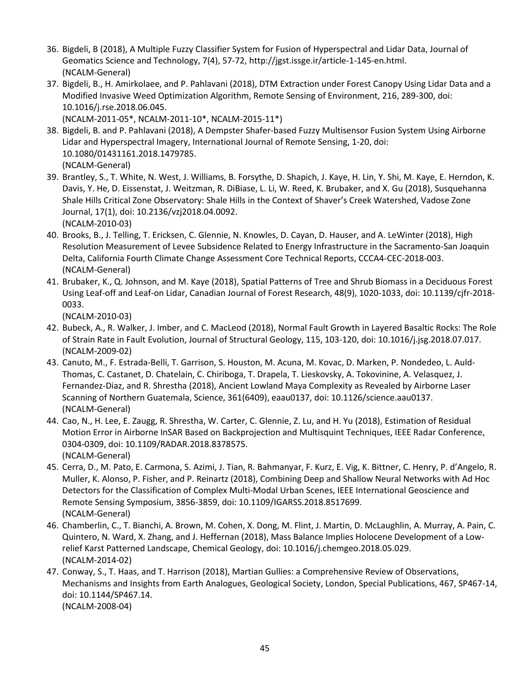- 36. Bigdeli, B (2018), A Multiple Fuzzy Classifier System for Fusion of Hyperspectral and Lidar Data, Journal of Geomatics Science and Technology, 7(4), 57-72, http://jgst.issge.ir/article-1-145-en.html. (NCALM-General)
- 37. Bigdeli, B., H. Amirkolaee, and P. Pahlavani (2018), DTM Extraction under Forest Canopy Using Lidar Data and a Modified Invasive Weed Optimization Algorithm, Remote Sensing of Environment, 216, 289-300, doi: 10.1016/j.rse.2018.06.045.

(NCALM-2011-05\*, NCALM-2011-10\*, NCALM-2015-11\*)

- 38. Bigdeli, B. and P. Pahlavani (2018), A Dempster Shafer-based Fuzzy Multisensor Fusion System Using Airborne Lidar and Hyperspectral Imagery, International Journal of Remote Sensing, 1-20, doi: 10.1080/01431161.2018.1479785. (NCALM-General)
- 39. Brantley, S., T. White, N. West, J. Williams, B. Forsythe, D. Shapich, J. Kaye, H. Lin, Y. Shi, M. Kaye, E. Herndon, K. Davis, Y. He, D. Eissenstat, J. Weitzman, R. DiBiase, L. Li, W. Reed, K. Brubaker, and X. Gu (2018), Susquehanna Shale Hills Critical Zone Observatory: Shale Hills in the Context of Shaver's Creek Watershed, Vadose Zone Journal, 17(1), doi: 10.2136/vzj2018.04.0092. (NCALM-2010-03)
- 40. Brooks, B., J. Telling, T. Ericksen, C. Glennie, N. Knowles, D. Cayan, D. Hauser, and A. LeWinter (2018), High Resolution Measurement of Levee Subsidence Related to Energy Infrastructure in the Sacramento-San Joaquin Delta, California Fourth Climate Change Assessment Core Technical Reports, CCCA4-CEC-2018-003. (NCALM-General)
- 41. Brubaker, K., Q. Johnson, and M. Kaye (2018), Spatial Patterns of Tree and Shrub Biomass in a Deciduous Forest Using Leaf-off and Leaf-on Lidar, Canadian Journal of Forest Research, 48(9), 1020-1033, doi: 10.1139/cjfr-2018- 0033.

(NCALM-2010-03)

- 42. Bubeck, A., R. Walker, J. Imber, and C. MacLeod (2018), Normal Fault Growth in Layered Basaltic Rocks: The Role of Strain Rate in Fault Evolution, Journal of Structural Geology, 115, 103-120, doi: 10.1016/j.jsg.2018.07.017. (NCALM-2009-02)
- 43. Canuto, M., F. Estrada-Belli, T. Garrison, S. Houston, M. Acuna, M. Kovac, D. Marken, P. Nondedeo, L. Auld-Thomas, C. Castanet, D. Chatelain, C. Chiriboga, T. Drapela, T. Lieskovsky, A. Tokovinine, A. Velasquez, J. Fernandez-Diaz, and R. Shrestha (2018), Ancient Lowland Maya Complexity as Revealed by Airborne Laser Scanning of Northern Guatemala, Science, 361(6409), eaau0137, doi: 10.1126/science.aau0137. (NCALM-General)
- 44. Cao, N., H. Lee, E. Zaugg, R. Shrestha, W. Carter, C. Glennie, Z. Lu, and H. Yu (2018), Estimation of Residual Motion Error in Airborne InSAR Based on Backprojection and Multisquint Techniques, IEEE Radar Conference, 0304-0309, doi: 10.1109/RADAR.2018.8378575. (NCALM-General)
- 45. Cerra, D., M. Pato, E. Carmona, S. Azimi, J. Tian, R. Bahmanyar, F. Kurz, E. Vig, K. Bittner, C. Henry, P. d'Angelo, R. Muller, K. Alonso, P. Fisher, and P. Reinartz (2018), Combining Deep and Shallow Neural Networks with Ad Hoc Detectors for the Classification of Complex Multi-Modal Urban Scenes, IEEE International Geoscience and Remote Sensing Symposium, 3856-3859, doi: 10.1109/IGARSS.2018.8517699. (NCALM-General)
- 46. Chamberlin, C., T. Bianchi, A. Brown, M. Cohen, X. Dong, M. Flint, J. Martin, D. McLaughlin, A. Murray, A. Pain, C. Quintero, N. Ward, X. Zhang, and J. Heffernan (2018), Mass Balance Implies Holocene Development of a Lowrelief Karst Patterned Landscape, Chemical Geology, doi: 10.1016/j.chemgeo.2018.05.029. (NCALM-2014-02)
- 47. Conway, S., T. Haas, and T. Harrison (2018), Martian Gullies: a Comprehensive Review of Observations, Mechanisms and Insights from Earth Analogues, Geological Society, London, Special Publications, 467, SP467-14, doi: 10.1144/SP467.14. (NCALM-2008-04)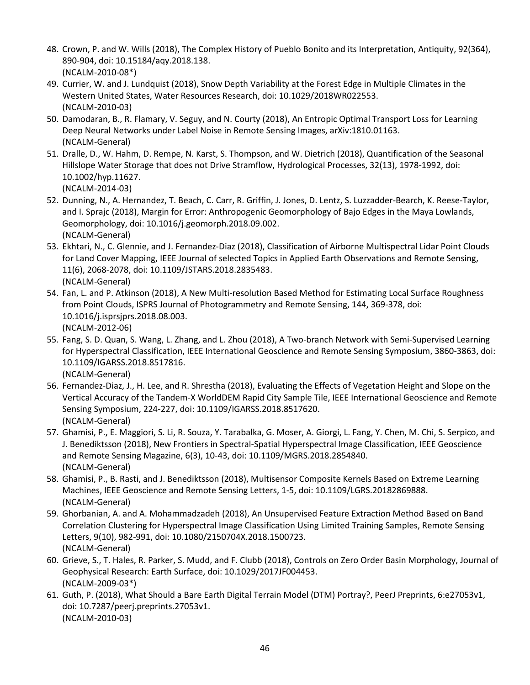- 48. Crown, P. and W. Wills (2018), The Complex History of Pueblo Bonito and its Interpretation, Antiquity, 92(364), 890-904, doi: 10.15184/aqy.2018.138. (NCALM-2010-08\*)
- 49. Currier, W. and J. Lundquist (2018), Snow Depth Variability at the Forest Edge in Multiple Climates in the Western United States, Water Resources Research, doi: 10.1029/2018WR022553. (NCALM-2010-03)
- 50. Damodaran, B., R. Flamary, V. Seguy, and N. Courty (2018), An Entropic Optimal Transport Loss for Learning Deep Neural Networks under Label Noise in Remote Sensing Images, arXiv:1810.01163. (NCALM-General)
- 51. Dralle, D., W. Hahm, D. Rempe, N. Karst, S. Thompson, and W. Dietrich (2018), Quantification of the Seasonal Hillslope Water Storage that does not Drive Stramflow, Hydrological Processes, 32(13), 1978-1992, doi: 10.1002/hyp.11627. (NCALM-2014-03)
- 52. Dunning, N., A. Hernandez, T. Beach, C. Carr, R. Griffin, J. Jones, D. Lentz, S. Luzzadder-Bearch, K. Reese-Taylor, and I. Sprajc (2018), Margin for Error: Anthropogenic Geomorphology of Bajo Edges in the Maya Lowlands, Geomorphology, doi: 10.1016/j.geomorph.2018.09.002. (NCALM-General)
- 53. Ekhtari, N., C. Glennie, and J. Fernandez-Diaz (2018), Classification of Airborne Multispectral Lidar Point Clouds for Land Cover Mapping, IEEE Journal of selected Topics in Applied Earth Observations and Remote Sensing, 11(6), 2068-2078, doi: 10.1109/JSTARS.2018.2835483. (NCALM-General)
- 54. Fan, L. and P. Atkinson (2018), A New Multi-resolution Based Method for Estimating Local Surface Roughness from Point Clouds, ISPRS Journal of Photogrammetry and Remote Sensing, 144, 369-378, doi: 10.1016/j.isprsjprs.2018.08.003. (NCALM-2012-06)
- 55. Fang, S. D. Quan, S. Wang, L. Zhang, and L. Zhou (2018), A Two-branch Network with Semi-Supervised Learning for Hyperspectral Classification, IEEE International Geoscience and Remote Sensing Symposium, 3860-3863, doi: 10.1109/IGARSS.2018.8517816. (NCALM-General)
- 56. Fernandez-Diaz, J., H. Lee, and R. Shrestha (2018), Evaluating the Effects of Vegetation Height and Slope on the Vertical Accuracy of the Tandem-X WorldDEM Rapid City Sample Tile, IEEE International Geoscience and Remote Sensing Symposium, 224-227, doi: 10.1109/IGARSS.2018.8517620. (NCALM-General)
- 57. Ghamisi, P., E. Maggiori, S. Li, R. Souza, Y. Tarabalka, G. Moser, A. Giorgi, L. Fang, Y. Chen, M. Chi, S. Serpico, and J. Benediktsson (2018), New Frontiers in Spectral-Spatial Hyperspectral Image Classification, IEEE Geoscience and Remote Sensing Magazine, 6(3), 10-43, doi: 10.1109/MGRS.2018.2854840. (NCALM-General)
- 58. Ghamisi, P., B. Rasti, and J. Benediktsson (2018), Multisensor Composite Kernels Based on Extreme Learning Machines, IEEE Geoscience and Remote Sensing Letters, 1-5, doi: 10.1109/LGRS.20182869888. (NCALM-General)
- 59. Ghorbanian, A. and A. Mohammadzadeh (2018), An Unsupervised Feature Extraction Method Based on Band Correlation Clustering for Hyperspectral Image Classification Using Limited Training Samples, Remote Sensing Letters, 9(10), 982-991, doi: 10.1080/2150704X.2018.1500723. (NCALM-General)
- 60. Grieve, S., T. Hales, R. Parker, S. Mudd, and F. Clubb (2018), Controls on Zero Order Basin Morphology, Journal of Geophysical Research: Earth Surface, doi: 10.1029/2017JF004453. (NCALM-2009-03\*)
- 61. Guth, P. (2018), What Should a Bare Earth Digital Terrain Model (DTM) Portray?, PeerJ Preprints, 6:e27053v1, doi: 10.7287/peerj.preprints.27053v1. (NCALM-2010-03)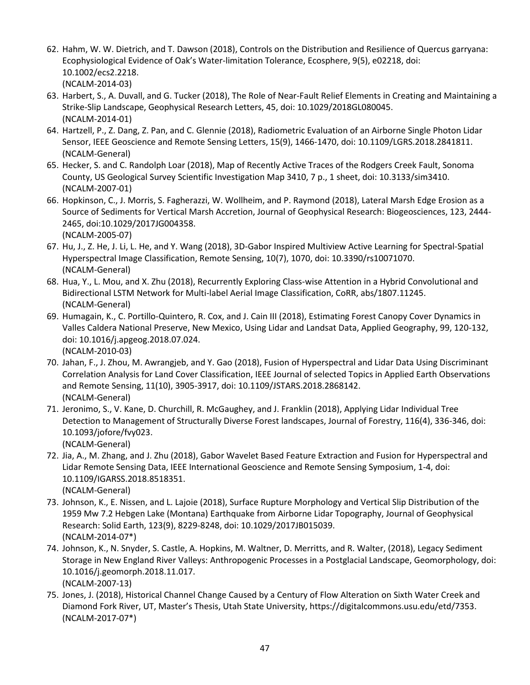- 62. Hahm, W. W. Dietrich, and T. Dawson (2018), Controls on the Distribution and Resilience of Quercus garryana: Ecophysiological Evidence of Oak's Water-limitation Tolerance, Ecosphere, 9(5), e02218, doi: 10.1002/ecs2.2218. (NCALM-2014-03)
- 63. Harbert, S., A. Duvall, and G. Tucker (2018), The Role of Near-Fault Relief Elements in Creating and Maintaining a Strike-Slip Landscape, Geophysical Research Letters, 45, doi: 10.1029/2018GL080045. (NCALM-2014-01)
- 64. Hartzell, P., Z. Dang, Z. Pan, and C. Glennie (2018), Radiometric Evaluation of an Airborne Single Photon Lidar Sensor, IEEE Geoscience and Remote Sensing Letters, 15(9), 1466-1470, doi: 10.1109/LGRS.2018.2841811. (NCALM-General)
- 65. Hecker, S. and C. Randolph Loar (2018), Map of Recently Active Traces of the Rodgers Creek Fault, Sonoma County, US Geological Survey Scientific Investigation Map 3410, 7 p., 1 sheet, doi: 10.3133/sim3410. (NCALM-2007-01)
- 66. Hopkinson, C., J. Morris, S. Fagherazzi, W. Wollheim, and P. Raymond (2018), Lateral Marsh Edge Erosion as a Source of Sediments for Vertical Marsh Accretion, Journal of Geophysical Research: Biogeosciences, 123, 2444- 2465, doi:10.1029/2017JG004358. (NCALM-2005-07)
- 67. Hu, J., Z. He, J. Li, L. He, and Y. Wang (2018), 3D-Gabor Inspired Multiview Active Learning for Spectral-Spatial Hyperspectral Image Classification, Remote Sensing, 10(7), 1070, doi: 10.3390/rs10071070. (NCALM-General)
- 68. Hua, Y., L. Mou, and X. Zhu (2018), Recurrently Exploring Class-wise Attention in a Hybrid Convolutional and Bidirectional LSTM Network for Multi-label Aerial Image Classification, CoRR, abs/1807.11245. (NCALM-General)
- 69. Humagain, K., C. Portillo-Quintero, R. Cox, and J. Cain III (2018), Estimating Forest Canopy Cover Dynamics in Valles Caldera National Preserve, New Mexico, Using Lidar and Landsat Data, Applied Geography, 99, 120-132, doi: 10.1016/j.apgeog.2018.07.024. (NCALM-2010-03)
- 70. Jahan, F., J. Zhou, M. Awrangjeb, and Y. Gao (2018), Fusion of Hyperspectral and Lidar Data Using Discriminant Correlation Analysis for Land Cover Classification, IEEE Journal of selected Topics in Applied Earth Observations and Remote Sensing, 11(10), 3905-3917, doi: 10.1109/JSTARS.2018.2868142. (NCALM-General)
- 71. Jeronimo, S., V. Kane, D. Churchill, R. McGaughey, and J. Franklin (2018), Applying Lidar Individual Tree Detection to Management of Structurally Diverse Forest landscapes, Journal of Forestry, 116(4), 336-346, doi: 10.1093/jofore/fvy023.

- 72. Jia, A., M. Zhang, and J. Zhu (2018), Gabor Wavelet Based Feature Extraction and Fusion for Hyperspectral and Lidar Remote Sensing Data, IEEE International Geoscience and Remote Sensing Symposium, 1-4, doi: 10.1109/IGARSS.2018.8518351. (NCALM-General)
- 73. Johnson, K., E. Nissen, and L. Lajoie (2018), Surface Rupture Morphology and Vertical Slip Distribution of the 1959 Mw 7.2 Hebgen Lake (Montana) Earthquake from Airborne Lidar Topography, Journal of Geophysical Research: Solid Earth, 123(9), 8229-8248, doi: 10.1029/2017JB015039. (NCALM-2014-07\*)
- 74. Johnson, K., N. Snyder, S. Castle, A. Hopkins, M. Waltner, D. Merritts, and R. Walter, (2018), Legacy Sediment Storage in New England River Valleys: Anthropogenic Processes in a Postglacial Landscape, Geomorphology, doi: 10.1016/j.geomorph.2018.11.017. (NCALM-2007-13)
- 75. Jones, J. (2018), Historical Channel Change Caused by a Century of Flow Alteration on Sixth Water Creek and Diamond Fork River, UT, Master's Thesis, Utah State University, https://digitalcommons.usu.edu/etd/7353. (NCALM-2017-07\*)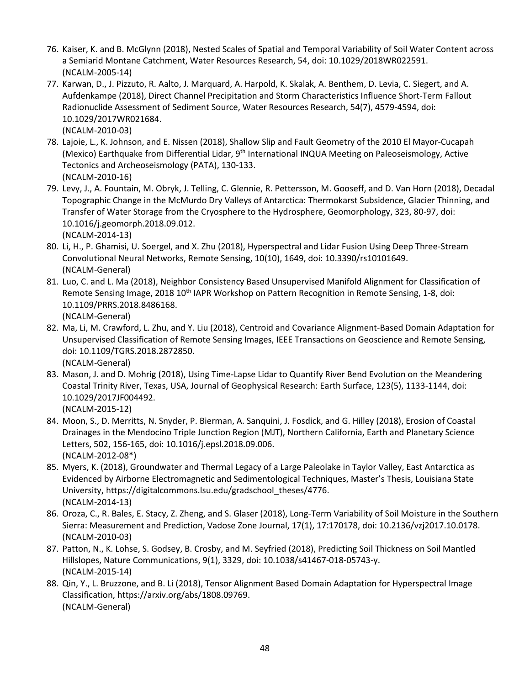- 76. Kaiser, K. and B. McGlynn (2018), Nested Scales of Spatial and Temporal Variability of Soil Water Content across a Semiarid Montane Catchment, Water Resources Research, 54, doi: 10.1029/2018WR022591. (NCALM-2005-14)
- 77. Karwan, D., J. Pizzuto, R. Aalto, J. Marquard, A. Harpold, K. Skalak, A. Benthem, D. Levia, C. Siegert, and A. Aufdenkampe (2018), Direct Channel Precipitation and Storm Characteristics Influence Short-Term Fallout Radionuclide Assessment of Sediment Source, Water Resources Research, 54(7), 4579-4594, doi: 10.1029/2017WR021684. (NCALM-2010-03)
- 78. Lajoie, L., K. Johnson, and E. Nissen (2018), Shallow Slip and Fault Geometry of the 2010 El Mayor-Cucapah (Mexico) Earthquake from Differential Lidar, 9<sup>th</sup> International INQUA Meeting on Paleoseismology, Active Tectonics and Archeoseismology (PATA), 130-133. (NCALM-2010-16)
- 79. Levy, J., A. Fountain, M. Obryk, J. Telling, C. Glennie, R. Pettersson, M. Gooseff, and D. Van Horn (2018), Decadal Topographic Change in the McMurdo Dry Valleys of Antarctica: Thermokarst Subsidence, Glacier Thinning, and Transfer of Water Storage from the Cryosphere to the Hydrosphere, Geomorphology, 323, 80-97, doi: 10.1016/j.geomorph.2018.09.012. (NCALM-2014-13)
- 80. Li, H., P. Ghamisi, U. Soergel, and X. Zhu (2018), Hyperspectral and Lidar Fusion Using Deep Three-Stream Convolutional Neural Networks, Remote Sensing, 10(10), 1649, doi: 10.3390/rs10101649. (NCALM-General)
- 81. Luo, C. and L. Ma (2018), Neighbor Consistency Based Unsupervised Manifold Alignment for Classification of Remote Sensing Image, 2018 10<sup>th</sup> IAPR Workshop on Pattern Recognition in Remote Sensing, 1-8, doi: 10.1109/PRRS.2018.8486168. (NCALM-General)
- 82. Ma, Li, M. Crawford, L. Zhu, and Y. Liu (2018), Centroid and Covariance Alignment-Based Domain Adaptation for Unsupervised Classification of Remote Sensing Images, IEEE Transactions on Geoscience and Remote Sensing, doi: 10.1109/TGRS.2018.2872850. (NCALM-General)
- 83. Mason, J. and D. Mohrig (2018), Using Time-Lapse Lidar to Quantify River Bend Evolution on the Meandering Coastal Trinity River, Texas, USA, Journal of Geophysical Research: Earth Surface, 123(5), 1133-1144, doi: 10.1029/2017JF004492.
	- (NCALM-2015-12)
- 84. Moon, S., D. Merritts, N. Snyder, P. Bierman, A. Sanquini, J. Fosdick, and G. Hilley (2018), Erosion of Coastal Drainages in the Mendocino Triple Junction Region (MJT), Northern California, Earth and Planetary Science Letters, 502, 156-165, doi: 10.1016/j.epsl.2018.09.006. (NCALM-2012-08\*)
- 85. Myers, K. (2018), Groundwater and Thermal Legacy of a Large Paleolake in Taylor Valley, East Antarctica as Evidenced by Airborne Electromagnetic and Sedimentological Techniques, Master's Thesis, Louisiana State University, https://digitalcommons.lsu.edu/gradschool\_theses/4776. (NCALM-2014-13)
- 86. Oroza, C., R. Bales, E. Stacy, Z. Zheng, and S. Glaser (2018), Long-Term Variability of Soil Moisture in the Southern Sierra: Measurement and Prediction, Vadose Zone Journal, 17(1), 17:170178, doi: 10.2136/vzj2017.10.0178. (NCALM-2010-03)
- 87. Patton, N., K. Lohse, S. Godsey, B. Crosby, and M. Seyfried (2018), Predicting Soil Thickness on Soil Mantled Hillslopes, Nature Communications, 9(1), 3329, doi: 10.1038/s41467-018-05743-y. (NCALM-2015-14)
- 88. Qin, Y., L. Bruzzone, and B. Li (2018), Tensor Alignment Based Domain Adaptation for Hyperspectral Image Classification, https://arxiv.org/abs/1808.09769. (NCALM-General)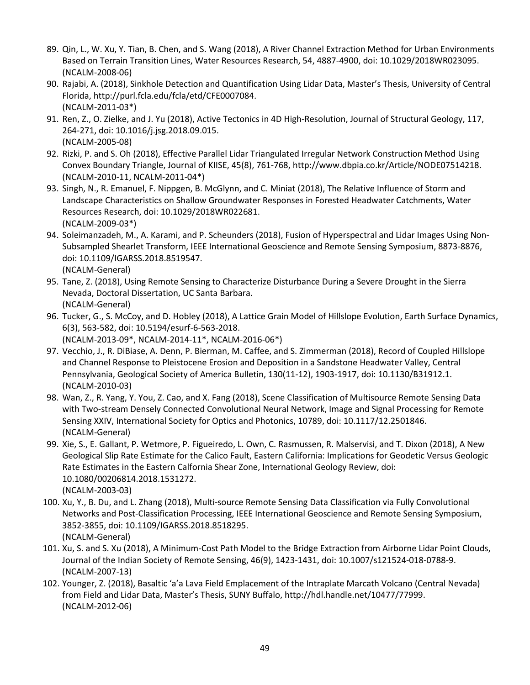- 89. Qin, L., W. Xu, Y. Tian, B. Chen, and S. Wang (2018), A River Channel Extraction Method for Urban Environments Based on Terrain Transition Lines, Water Resources Research, 54, 4887-4900, doi: 10.1029/2018WR023095. (NCALM-2008-06)
- 90. Rajabi, A. (2018), Sinkhole Detection and Quantification Using Lidar Data, Master's Thesis, University of Central Florida, http://purl.fcla.edu/fcla/etd/CFE0007084. (NCALM-2011-03\*)
- 91. Ren, Z., O. Zielke, and J. Yu (2018), Active Tectonics in 4D High-Resolution, Journal of Structural Geology, 117, 264-271, doi: 10.1016/j.jsg.2018.09.015. (NCALM-2005-08)
- 92. Rizki, P. and S. Oh (2018), Effective Parallel Lidar Triangulated Irregular Network Construction Method Using Convex Boundary Triangle, Journal of KIISE, 45(8), 761-768, http://www.dbpia.co.kr/Article/NODE07514218. (NCALM-2010-11, NCALM-2011-04\*)
- 93. Singh, N., R. Emanuel, F. Nippgen, B. McGlynn, and C. Miniat (2018), The Relative Influence of Storm and Landscape Characteristics on Shallow Groundwater Responses in Forested Headwater Catchments, Water Resources Research, doi: 10.1029/2018WR022681. (NCALM-2009-03\*)
- 94. Soleimanzadeh, M., A. Karami, and P. Scheunders (2018), Fusion of Hyperspectral and Lidar Images Using Non-Subsampled Shearlet Transform, IEEE International Geoscience and Remote Sensing Symposium, 8873-8876, doi: 10.1109/IGARSS.2018.8519547. (NCALM-General)
- 95. Tane, Z. (2018), Using Remote Sensing to Characterize Disturbance During a Severe Drought in the Sierra Nevada, Doctoral Dissertation, UC Santa Barbara. (NCALM-General)
- 96. Tucker, G., S. McCoy, and D. Hobley (2018), A Lattice Grain Model of Hillslope Evolution, Earth Surface Dynamics, 6(3), 563-582, doi: 10.5194/esurf-6-563-2018.

(NCALM-2013-09\*, NCALM-2014-11\*, NCALM-2016-06\*)

- 97. Vecchio, J., R. DiBiase, A. Denn, P. Bierman, M. Caffee, and S. Zimmerman (2018), Record of Coupled Hillslope and Channel Response to Pleistocene Erosion and Deposition in a Sandstone Headwater Valley, Central Pennsylvania, Geological Society of America Bulletin, 130(11-12), 1903-1917, doi: 10.1130/B31912.1. (NCALM-2010-03)
- 98. Wan, Z., R. Yang, Y. You, Z. Cao, and X. Fang (2018), Scene Classification of Multisource Remote Sensing Data with Two-stream Densely Connected Convolutional Neural Network, Image and Signal Processing for Remote Sensing XXIV, International Society for Optics and Photonics, 10789, doi: 10.1117/12.2501846. (NCALM-General)
- 99. Xie, S., E. Gallant, P. Wetmore, P. Figueiredo, L. Own, C. Rasmussen, R. Malservisi, and T. Dixon (2018), A New Geological Slip Rate Estimate for the Calico Fault, Eastern California: Implications for Geodetic Versus Geologic Rate Estimates in the Eastern Calfornia Shear Zone, International Geology Review, doi: 10.1080/00206814.2018.1531272. (NCALM-2003-03)
- 100. Xu, Y., B. Du, and L. Zhang (2018), Multi-source Remote Sensing Data Classification via Fully Convolutional Networks and Post-Classification Processing, IEEE International Geoscience and Remote Sensing Symposium, 3852-3855, doi: 10.1109/IGARSS.2018.8518295. (NCALM-General)
- 101. Xu, S. and S. Xu (2018), A Minimum-Cost Path Model to the Bridge Extraction from Airborne Lidar Point Clouds, Journal of the Indian Society of Remote Sensing, 46(9), 1423-1431, doi: 10.1007/s121524-018-0788-9. (NCALM-2007-13)
- 102. Younger, Z. (2018), Basaltic 'a'a Lava Field Emplacement of the Intraplate Marcath Volcano (Central Nevada) from Field and Lidar Data, Master's Thesis, SUNY Buffalo, http://hdl.handle.net/10477/77999. (NCALM-2012-06)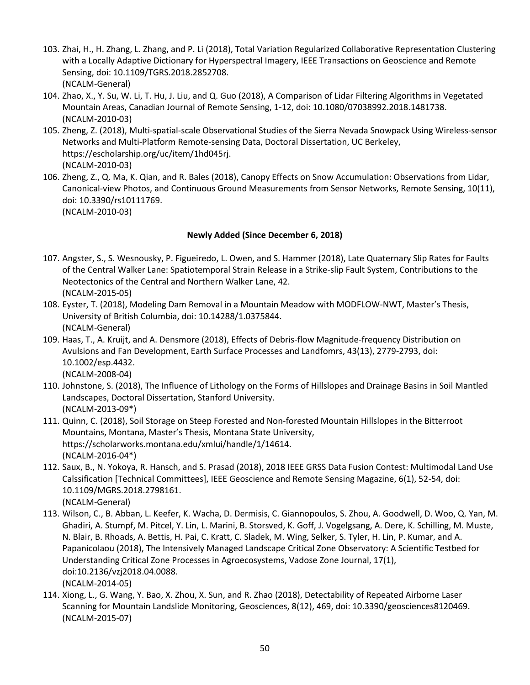- 103. Zhai, H., H. Zhang, L. Zhang, and P. Li (2018), Total Variation Regularized Collaborative Representation Clustering with a Locally Adaptive Dictionary for Hyperspectral Imagery, IEEE Transactions on Geoscience and Remote Sensing, doi: 10.1109/TGRS.2018.2852708. (NCALM-General)
- 104. Zhao, X., Y. Su, W. Li, T. Hu, J. Liu, and Q. Guo (2018), A Comparison of Lidar Filtering Algorithms in Vegetated Mountain Areas, Canadian Journal of Remote Sensing, 1-12, doi: 10.1080/07038992.2018.1481738. (NCALM-2010-03)
- 105. Zheng, Z. (2018), Multi-spatial-scale Observational Studies of the Sierra Nevada Snowpack Using Wireless-sensor Networks and Multi-Platform Remote-sensing Data, Doctoral Dissertation, UC Berkeley, https://escholarship.org/uc/item/1hd045rj. (NCALM-2010-03)
- 106. Zheng, Z., Q. Ma, K. Qian, and R. Bales (2018), Canopy Effects on Snow Accumulation: Observations from Lidar, Canonical-view Photos, and Continuous Ground Measurements from Sensor Networks, Remote Sensing, 10(11), doi: 10.3390/rs10111769. (NCALM-2010-03)

### **Newly Added (Since December 6, 2018)**

- 107. Angster, S., S. Wesnousky, P. Figueiredo, L. Owen, and S. Hammer (2018), Late Quaternary Slip Rates for Faults of the Central Walker Lane: Spatiotemporal Strain Release in a Strike-slip Fault System, Contributions to the Neotectonics of the Central and Northern Walker Lane, 42. (NCALM-2015-05)
- 108. Eyster, T. (2018), Modeling Dam Removal in a Mountain Meadow with MODFLOW-NWT, Master's Thesis, University of British Columbia, doi: 10.14288/1.0375844. (NCALM-General)
- 109. Haas, T., A. Kruijt, and A. Densmore (2018), Effects of Debris-flow Magnitude-frequency Distribution on Avulsions and Fan Development, Earth Surface Processes and Landfomrs, 43(13), 2779-2793, doi: 10.1002/esp.4432. (NCALM-2008-04)
- 110. Johnstone, S. (2018), The Influence of Lithology on the Forms of Hillslopes and Drainage Basins in Soil Mantled Landscapes, Doctoral Dissertation, Stanford University. (NCALM-2013-09\*)
- 111. Quinn, C. (2018), Soil Storage on Steep Forested and Non-forested Mountain Hillslopes in the Bitterroot Mountains, Montana, Master's Thesis, Montana State University, https://scholarworks.montana.edu/xmlui/handle/1/14614. (NCALM-2016-04\*)
- 112. Saux, B., N. Yokoya, R. Hansch, and S. Prasad (2018), 2018 IEEE GRSS Data Fusion Contest: Multimodal Land Use Calssification [Technical Committees], IEEE Geoscience and Remote Sensing Magazine, 6(1), 52-54, doi: 10.1109/MGRS.2018.2798161.
	- (NCALM-General)
- 113. Wilson, C., B. Abban, L. Keefer, K. Wacha, D. Dermisis, C. Giannopoulos, S. Zhou, A. Goodwell, D. Woo, Q. Yan, M. Ghadiri, A. Stumpf, M. Pitcel, Y. Lin, L. Marini, B. Storsved, K. Goff, J. Vogelgsang, A. Dere, K. Schilling, M. Muste, N. Blair, B. Rhoads, A. Bettis, H. Pai, C. Kratt, C. Sladek, M. Wing, Selker, S. Tyler, H. Lin, P. Kumar, and A. Papanicolaou (2018), The Intensively Managed Landscape Critical Zone Observatory: A Scientific Testbed for Understanding Critical Zone Processes in Agroecosystems, Vadose Zone Journal, 17(1), doi:10.2136/vzj2018.04.0088. (NCALM-2014-05)
- 114. Xiong, L., G. Wang, Y. Bao, X. Zhou, X. Sun, and R. Zhao (2018), Detectability of Repeated Airborne Laser Scanning for Mountain Landslide Monitoring, Geosciences, 8(12), 469, doi: 10.3390/geosciences8120469. (NCALM-2015-07)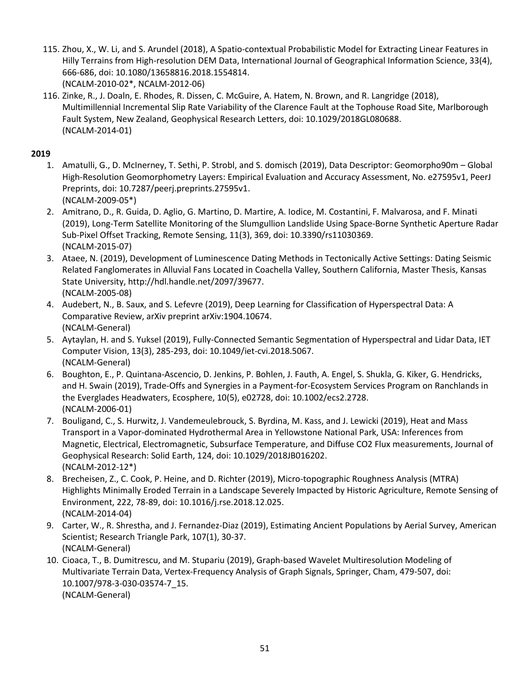- 115. Zhou, X., W. Li, and S. Arundel (2018), A Spatio-contextual Probabilistic Model for Extracting Linear Features in Hilly Terrains from High-resolution DEM Data, International Journal of Geographical Information Science, 33(4), 666-686, doi: 10.1080/13658816.2018.1554814. (NCALM-2010-02\*, NCALM-2012-06)
- 116. Zinke, R., J. Doaln, E. Rhodes, R. Dissen, C. McGuire, A. Hatem, N. Brown, and R. Langridge (2018), Multimillennial Incremental Slip Rate Variability of the Clarence Fault at the Tophouse Road Site, Marlborough Fault System, New Zealand, Geophysical Research Letters, doi: 10.1029/2018GL080688. (NCALM-2014-01)

### **2019**

- 1. Amatulli, G., D. McInerney, T. Sethi, P. Strobl, and S. domisch (2019), Data Descriptor: Geomorpho90m Global High-Resolution Geomorphometry Layers: Empirical Evaluation and Accuracy Assessment, No. e27595v1, PeerJ Preprints, doi: 10.7287/peerj.preprints.27595v1. (NCALM-2009-05\*)
- 2. Amitrano, D., R. Guida, D. Aglio, G. Martino, D. Martire, A. Iodice, M. Costantini, F. Malvarosa, and F. Minati (2019), Long-Term Satellite Monitoring of the Slumgullion Landslide Using Space-Borne Synthetic Aperture Radar Sub-Pixel Offset Tracking, Remote Sensing, 11(3), 369, doi: 10.3390/rs11030369. (NCALM-2015-07)
- 3. Ataee, N. (2019), Development of Luminescence Dating Methods in Tectonically Active Settings: Dating Seismic Related Fanglomerates in Alluvial Fans Located in Coachella Valley, Southern California, Master Thesis, Kansas State University, http://hdl.handle.net/2097/39677. (NCALM-2005-08)
- 4. Audebert, N., B. Saux, and S. Lefevre (2019), Deep Learning for Classification of Hyperspectral Data: A Comparative Review, arXiv preprint arXiv:1904.10674. (NCALM-General)
- 5. Aytaylan, H. and S. Yuksel (2019), Fully-Connected Semantic Segmentation of Hyperspectral and Lidar Data, IET Computer Vision, 13(3), 285-293, doi: 10.1049/iet-cvi.2018.5067. (NCALM-General)
- 6. Boughton, E., P. Quintana-Ascencio, D. Jenkins, P. Bohlen, J. Fauth, A. Engel, S. Shukla, G. Kiker, G. Hendricks, and H. Swain (2019), Trade-Offs and Synergies in a Payment-for-Ecosystem Services Program on Ranchlands in the Everglades Headwaters, Ecosphere, 10(5), e02728, doi: 10.1002/ecs2.2728. (NCALM-2006-01)
- 7. Bouligand, C., S. Hurwitz, J. Vandemeulebrouck, S. Byrdina, M. Kass, and J. Lewicki (2019), Heat and Mass Transport in a Vapor-dominated Hydrothermal Area in Yellowstone National Park, USA: Inferences from Magnetic, Electrical, Electromagnetic, Subsurface Temperature, and Diffuse CO2 Flux measurements, Journal of Geophysical Research: Solid Earth, 124, doi: 10.1029/2018JB016202. (NCALM-2012-12\*)
- 8. Brecheisen, Z., C. Cook, P. Heine, and D. Richter (2019), Micro-topographic Roughness Analysis (MTRA) Highlights Minimally Eroded Terrain in a Landscape Severely Impacted by Historic Agriculture, Remote Sensing of Environment, 222, 78-89, doi: 10.1016/j.rse.2018.12.025. (NCALM-2014-04)
- 9. Carter, W., R. Shrestha, and J. Fernandez-Diaz (2019), Estimating Ancient Populations by Aerial Survey, American Scientist; Research Triangle Park, 107(1), 30-37. (NCALM-General)
- 10. Cioaca, T., B. Dumitrescu, and M. Stupariu (2019), Graph-based Wavelet Multiresolution Modeling of Multivariate Terrain Data, Vertex-Frequency Analysis of Graph Signals, Springer, Cham, 479-507, doi: 10.1007/978-3-030-03574-7\_15. (NCALM-General)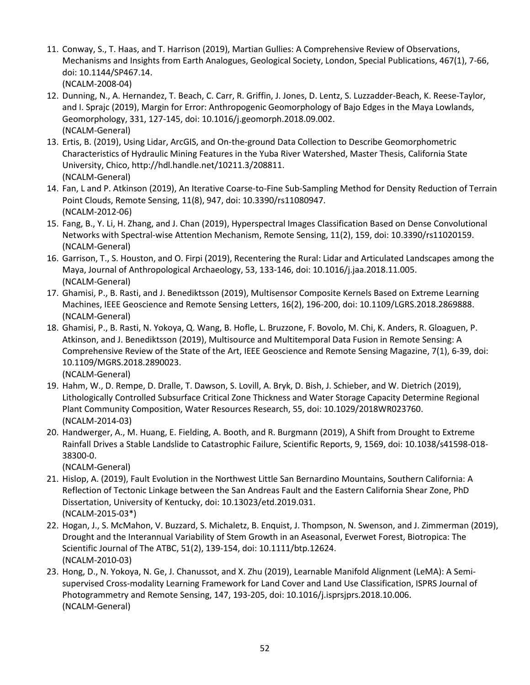- 11. Conway, S., T. Haas, and T. Harrison (2019), Martian Gullies: A Comprehensive Review of Observations, Mechanisms and Insights from Earth Analogues, Geological Society, London, Special Publications, 467(1), 7-66, doi: 10.1144/SP467.14.
	- (NCALM-2008-04)
- 12. Dunning, N., A. Hernandez, T. Beach, C. Carr, R. Griffin, J. Jones, D. Lentz, S. Luzzadder-Beach, K. Reese-Taylor, and I. Sprajc (2019), Margin for Error: Anthropogenic Geomorphology of Bajo Edges in the Maya Lowlands, Geomorphology, 331, 127-145, doi: 10.1016/j.geomorph.2018.09.002. (NCALM-General)
- 13. Ertis, B. (2019), Using Lidar, ArcGIS, and On-the-ground Data Collection to Describe Geomorphometric Characteristics of Hydraulic Mining Features in the Yuba River Watershed, Master Thesis, California State University, Chico, http://hdl.handle.net/10211.3/208811. (NCALM-General)
- 14. Fan, L and P. Atkinson (2019), An Iterative Coarse-to-Fine Sub-Sampling Method for Density Reduction of Terrain Point Clouds, Remote Sensing, 11(8), 947, doi: 10.3390/rs11080947. (NCALM-2012-06)
- 15. Fang, B., Y. Li, H. Zhang, and J. Chan (2019), Hyperspectral Images Classification Based on Dense Convolutional Networks with Spectral-wise Attention Mechanism, Remote Sensing, 11(2), 159, doi: 10.3390/rs11020159. (NCALM-General)
- 16. Garrison, T., S. Houston, and O. Firpi (2019), Recentering the Rural: Lidar and Articulated Landscapes among the Maya, Journal of Anthropological Archaeology, 53, 133-146, doi: 10.1016/j.jaa.2018.11.005. (NCALM-General)
- 17. Ghamisi, P., B. Rasti, and J. Benediktsson (2019), Multisensor Composite Kernels Based on Extreme Learning Machines, IEEE Geoscience and Remote Sensing Letters, 16(2), 196-200, doi: 10.1109/LGRS.2018.2869888. (NCALM-General)
- 18. Ghamisi, P., B. Rasti, N. Yokoya, Q. Wang, B. Hofle, L. Bruzzone, F. Bovolo, M. Chi, K. Anders, R. Gloaguen, P. Atkinson, and J. Benediktsson (2019), Multisource and Multitemporal Data Fusion in Remote Sensing: A Comprehensive Review of the State of the Art, IEEE Geoscience and Remote Sensing Magazine, 7(1), 6-39, doi: 10.1109/MGRS.2018.2890023.

- 19. Hahm, W., D. Rempe, D. Dralle, T. Dawson, S. Lovill, A. Bryk, D. Bish, J. Schieber, and W. Dietrich (2019), Lithologically Controlled Subsurface Critical Zone Thickness and Water Storage Capacity Determine Regional Plant Community Composition, Water Resources Research, 55, doi: 10.1029/2018WR023760. (NCALM-2014-03)
- 20. Handwerger, A., M. Huang, E. Fielding, A. Booth, and R. Burgmann (2019), A Shift from Drought to Extreme Rainfall Drives a Stable Landslide to Catastrophic Failure, Scientific Reports, 9, 1569, doi: 10.1038/s41598-018- 38300-0.

- 21. Hislop, A. (2019), Fault Evolution in the Northwest Little San Bernardino Mountains, Southern California: A Reflection of Tectonic Linkage between the San Andreas Fault and the Eastern California Shear Zone, PhD Dissertation, University of Kentucky, doi: 10.13023/etd.2019.031. (NCALM-2015-03\*)
- 22. Hogan, J., S. McMahon, V. Buzzard, S. Michaletz, B. Enquist, J. Thompson, N. Swenson, and J. Zimmerman (2019), Drought and the Interannual Variability of Stem Growth in an Aseasonal, Everwet Forest, Biotropica: The Scientific Journal of The ATBC, 51(2), 139-154, doi: 10.1111/btp.12624. (NCALM-2010-03)
- 23. Hong, D., N. Yokoya, N. Ge, J. Chanussot, and X. Zhu (2019), Learnable Manifold Alignment (LeMA): A Semisupervised Cross-modality Learning Framework for Land Cover and Land Use Classification, ISPRS Journal of Photogrammetry and Remote Sensing, 147, 193-205, doi: 10.1016/j.isprsjprs.2018.10.006. (NCALM-General)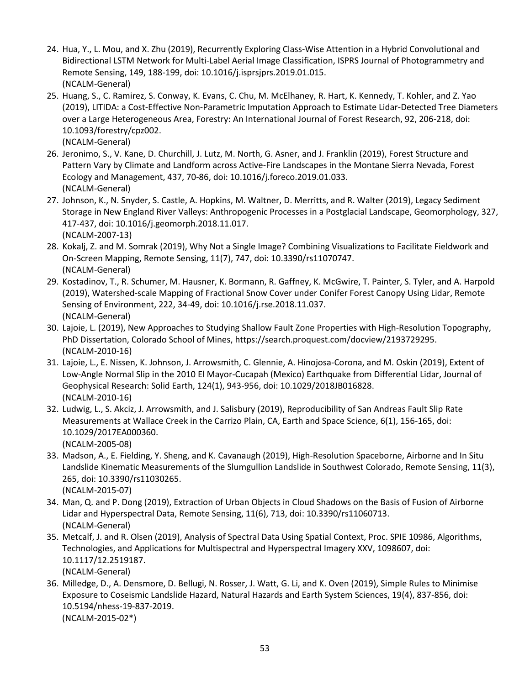- 24. Hua, Y., L. Mou, and X. Zhu (2019), Recurrently Exploring Class-Wise Attention in a Hybrid Convolutional and Bidirectional LSTM Network for Multi-Label Aerial Image Classification, ISPRS Journal of Photogrammetry and Remote Sensing, 149, 188-199, doi: 10.1016/j.isprsjprs.2019.01.015. (NCALM-General)
- 25. Huang, S., C. Ramirez, S. Conway, K. Evans, C. Chu, M. McElhaney, R. Hart, K. Kennedy, T. Kohler, and Z. Yao (2019), LITIDA: a Cost-Effective Non-Parametric Imputation Approach to Estimate Lidar-Detected Tree Diameters over a Large Heterogeneous Area, Forestry: An International Journal of Forest Research, 92, 206-218, doi: 10.1093/forestry/cpz002. (NCALM-General)
- 26. Jeronimo, S., V. Kane, D. Churchill, J. Lutz, M. North, G. Asner, and J. Franklin (2019), Forest Structure and Pattern Vary by Climate and Landform across Active-Fire Landscapes in the Montane Sierra Nevada, Forest Ecology and Management, 437, 70-86, doi: 10.1016/j.foreco.2019.01.033. (NCALM-General)
	- 27. Johnson, K., N. Snyder, S. Castle, A. Hopkins, M. Waltner, D. Merritts, and R. Walter (2019), Legacy Sediment Storage in New England River Valleys: Anthropogenic Processes in a Postglacial Landscape, Geomorphology, 327, 417-437, doi: 10.1016/j.geomorph.2018.11.017. (NCALM-2007-13)
	- 28. Kokalj, Z. and M. Somrak (2019), Why Not a Single Image? Combining Visualizations to Facilitate Fieldwork and On-Screen Mapping, Remote Sensing, 11(7), 747, doi: 10.3390/rs11070747. (NCALM-General)
	- 29. Kostadinov, T., R. Schumer, M. Hausner, K. Bormann, R. Gaffney, K. McGwire, T. Painter, S. Tyler, and A. Harpold (2019), Watershed-scale Mapping of Fractional Snow Cover under Conifer Forest Canopy Using Lidar, Remote Sensing of Environment, 222, 34-49, doi: 10.1016/j.rse.2018.11.037. (NCALM-General)
	- 30. Lajoie, L. (2019), New Approaches to Studying Shallow Fault Zone Properties with High-Resolution Topography, PhD Dissertation, Colorado School of Mines, https://search.proquest.com/docview/2193729295. (NCALM-2010-16)
	- 31. Lajoie, L., E. Nissen, K. Johnson, J. Arrowsmith, C. Glennie, A. Hinojosa-Corona, and M. Oskin (2019), Extent of Low-Angle Normal Slip in the 2010 El Mayor-Cucapah (Mexico) Earthquake from Differential Lidar, Journal of Geophysical Research: Solid Earth, 124(1), 943-956, doi: 10.1029/2018JB016828. (NCALM-2010-16)
	- 32. Ludwig, L., S. Akciz, J. Arrowsmith, and J. Salisbury (2019), Reproducibility of San Andreas Fault Slip Rate Measurements at Wallace Creek in the Carrizo Plain, CA, Earth and Space Science, 6(1), 156-165, doi: 10.1029/2017EA000360.
		- (NCALM-2005-08)
	- 33. Madson, A., E. Fielding, Y. Sheng, and K. Cavanaugh (2019), High-Resolution Spaceborne, Airborne and In Situ Landslide Kinematic Measurements of the Slumgullion Landslide in Southwest Colorado, Remote Sensing, 11(3), 265, doi: 10.3390/rs11030265. (NCALM-2015-07)
	- 34. Man, Q. and P. Dong (2019), Extraction of Urban Objects in Cloud Shadows on the Basis of Fusion of Airborne Lidar and Hyperspectral Data, Remote Sensing, 11(6), 713, doi: 10.3390/rs11060713. (NCALM-General)
	- 35. Metcalf, J. and R. Olsen (2019), Analysis of Spectral Data Using Spatial Context, Proc. SPIE 10986, Algorithms, Technologies, and Applications for Multispectral and Hyperspectral Imagery XXV, 1098607, doi: 10.1117/12.2519187. (NCALM-General)
	- 36. Milledge, D., A. Densmore, D. Bellugi, N. Rosser, J. Watt, G. Li, and K. Oven (2019), Simple Rules to Minimise Exposure to Coseismic Landslide Hazard, Natural Hazards and Earth System Sciences, 19(4), 837-856, doi: 10.5194/nhess-19-837-2019. (NCALM-2015-02\*)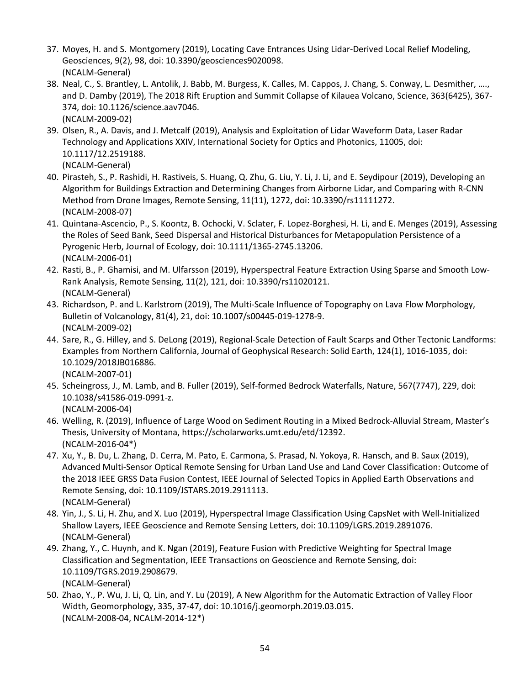- 37. Moyes, H. and S. Montgomery (2019), Locating Cave Entrances Using Lidar-Derived Local Relief Modeling, Geosciences, 9(2), 98, doi: 10.3390/geosciences9020098. (NCALM-General)
- 38. Neal, C., S. Brantley, L. Antolik, J. Babb, M. Burgess, K. Calles, M. Cappos, J. Chang, S. Conway, L. Desmither, …., and D. Damby (2019), The 2018 Rift Eruption and Summit Collapse of Kilauea Volcano, Science, 363(6425), 367- 374, doi: 10.1126/science.aav7046. (NCALM-2009-02)
- 39. Olsen, R., A. Davis, and J. Metcalf (2019), Analysis and Exploitation of Lidar Waveform Data, Laser Radar Technology and Applications XXIV, International Society for Optics and Photonics, 11005, doi: 10.1117/12.2519188. (NCALM-General)
- 40. Pirasteh, S., P. Rashidi, H. Rastiveis, S. Huang, Q. Zhu, G. Liu, Y. Li, J. Li, and E. Seydipour (2019), Developing an Algorithm for Buildings Extraction and Determining Changes from Airborne Lidar, and Comparing with R-CNN Method from Drone Images, Remote Sensing, 11(11), 1272, doi: 10.3390/rs11111272. (NCALM-2008-07)
- 41. Quintana-Ascencio, P., S. Koontz, B. Ochocki, V. Sclater, F. Lopez-Borghesi, H. Li, and E. Menges (2019), Assessing the Roles of Seed Bank, Seed Dispersal and Historical Disturbances for Metapopulation Persistence of a Pyrogenic Herb, Journal of Ecology, doi: 10.1111/1365-2745.13206. (NCALM-2006-01)
- 42. Rasti, B., P. Ghamisi, and M. Ulfarsson (2019), Hyperspectral Feature Extraction Using Sparse and Smooth Low-Rank Analysis, Remote Sensing, 11(2), 121, doi: 10.3390/rs11020121. (NCALM-General)
- 43. Richardson, P. and L. Karlstrom (2019), The Multi-Scale Influence of Topography on Lava Flow Morphology, Bulletin of Volcanology, 81(4), 21, doi: 10.1007/s00445-019-1278-9. (NCALM-2009-02)
- 44. Sare, R., G. Hilley, and S. DeLong (2019), Regional-Scale Detection of Fault Scarps and Other Tectonic Landforms: Examples from Northern California, Journal of Geophysical Research: Solid Earth, 124(1), 1016-1035, doi: 10.1029/2018JB016886. (NCALM-2007-01)
- 45. Scheingross, J., M. Lamb, and B. Fuller (2019), Self-formed Bedrock Waterfalls, Nature, 567(7747), 229, doi: 10.1038/s41586-019-0991-z. (NCALM-2006-04)
- 46. Welling, R. (2019), Influence of Large Wood on Sediment Routing in a Mixed Bedrock-Alluvial Stream, Master's Thesis, University of Montana, https://scholarworks.umt.edu/etd/12392. (NCALM-2016-04\*)
- 47. Xu, Y., B. Du, L. Zhang, D. Cerra, M. Pato, E. Carmona, S. Prasad, N. Yokoya, R. Hansch, and B. Saux (2019), Advanced Multi-Sensor Optical Remote Sensing for Urban Land Use and Land Cover Classification: Outcome of the 2018 IEEE GRSS Data Fusion Contest, IEEE Journal of Selected Topics in Applied Earth Observations and Remote Sensing, doi: 10.1109/JSTARS.2019.2911113. (NCALM-General)
- 48. Yin, J., S. Li, H. Zhu, and X. Luo (2019), Hyperspectral Image Classification Using CapsNet with Well-Initialized Shallow Layers, IEEE Geoscience and Remote Sensing Letters, doi: 10.1109/LGRS.2019.2891076. (NCALM-General)
- 49. Zhang, Y., C. Huynh, and K. Ngan (2019), Feature Fusion with Predictive Weighting for Spectral Image Classification and Segmentation, IEEE Transactions on Geoscience and Remote Sensing, doi: 10.1109/TGRS.2019.2908679. (NCALM-General)
- 50. Zhao, Y., P. Wu, J. Li, Q. Lin, and Y. Lu (2019), A New Algorithm for the Automatic Extraction of Valley Floor Width, Geomorphology, 335, 37-47, doi: 10.1016/j.geomorph.2019.03.015. (NCALM-2008-04, NCALM-2014-12\*)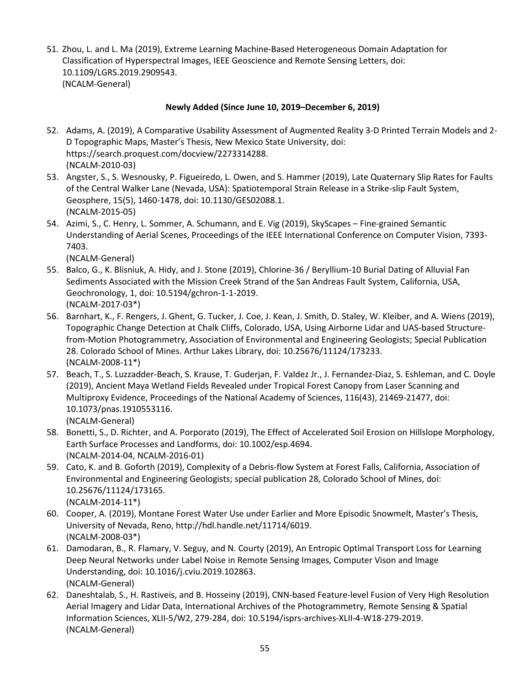51. Zhou, L. and L. Ma (2019), Extreme Learning Machine-Based Heterogeneous Domain Adaptation for Classification of Hyperspectral Images, IEEE Geoscience and Remote Sensing Letters, doi: 10.1109/LGRS.2019.2909543. (NCALM-General)

### **Newly Added (Since June 10, 2019–December 6, 2019)**

- 52. Adams, A. (2019), A Comparative Usability Assessment of Augmented Reality 3-D Printed Terrain Models and 2- D Topographic Maps, Master's Thesis, New Mexico State University, doi: https://search.proquest.com/docview/2273314288. (NCALM-2010-03)
- 53. Angster, S., S. Wesnousky, P. Figueiredo, L. Owen, and S. Hammer (2019), Late Quaternary Slip Rates for Faults of the Central Walker Lane (Nevada, USA): Spatiotemporal Strain Release in a Strike-slip Fault System, Geosphere, 15(5), 1460-1478, doi: 10.1130/GES02088.1. (NCALM-2015-05)
- 54. Azimi, S., C. Henry, L. Sommer, A. Schumann, and E. Vig (2019), SkyScapes Fine-grained Semantic Understanding of Aerial Scenes, Proceedings of the IEEE International Conference on Computer Vision, 7393- 7403.

- 55. Balco, G., K. Blisniuk, A. Hidy, and J. Stone (2019), Chlorine-36 / Beryllium-10 Burial Dating of Alluvial Fan Sediments Associated with the Mission Creek Strand of the San Andreas Fault System, California, USA, Geochronology, 1, doi: 10.5194/gchron-1-1-2019. (NCALM-2017-03\*)
- 56. Barnhart, K., F. Rengers, J. Ghent, G. Tucker, J. Coe, J. Kean, J. Smith, D. Staley, W. Kleiber, and A. Wiens (2019), Topographic Change Detection at Chalk Cliffs, Colorado, USA, Using Airborne Lidar and UAS-based Structurefrom-Motion Photogrammetry, Association of Environmental and Engineering Geologists; Special Publication 28. Colorado School of Mines. Arthur Lakes Library, doi: 10.25676/11124/173233. (NCALM-2008-11\*)
- 57. Beach, T., S. Luzzadder-Beach, S. Krause, T. Guderjan, F. Valdez Jr., J. Fernandez-Diaz, S. Eshleman, and C. Doyle (2019), Ancient Maya Wetland Fields Revealed under Tropical Forest Canopy from Laser Scanning and Multiproxy Evidence, Proceedings of the National Academy of Sciences, 116(43), 21469-21477, doi: 10.1073/pnas.1910553116. (NCALM-General)
- 58. Bonetti, S., D. Richter, and A. Porporato (2019), The Effect of Accelerated Soil Erosion on Hillslope Morphology, Earth Surface Processes and Landforms, doi: 10.1002/esp.4694. (NCALM-2014-04, NCALM-2016-01)
- 59. Cato, K. and B. Goforth (2019), Complexity of a Debris-flow System at Forest Falls, California, Association of Environmental and Engineering Geologists; special publication 28, Colorado School of Mines, doi: 10.25676/11124/173165. (NCALM-2014-11\*)
- 60. Cooper, A. (2019), Montane Forest Water Use under Earlier and More Episodic Snowmelt, Master's Thesis, University of Nevada, Reno, http://hdl.handle.net/11714/6019. (NCALM-2008-03\*)
- 61. Damodaran, B., R. Flamary, V. Seguy, and N. Courty (2019), An Entropic Optimal Transport Loss for Learning Deep Neural Networks under Label Noise in Remote Sensing Images, Computer Vison and Image Understanding, doi: 10.1016/j.cviu.2019.102863. (NCALM-General)
- 62. Daneshtalab, S., H. Rastiveis, and B. Hosseiny (2019), CNN-based Feature-level Fusion of Very High Resolution Aerial Imagery and Lidar Data, International Archives of the Photogrammetry, Remote Sensing & Spatial Information Sciences, XLII-5/W2, 279-284, doi: 10.5194/isprs-archives-XLII-4-W18-279-2019. (NCALM-General)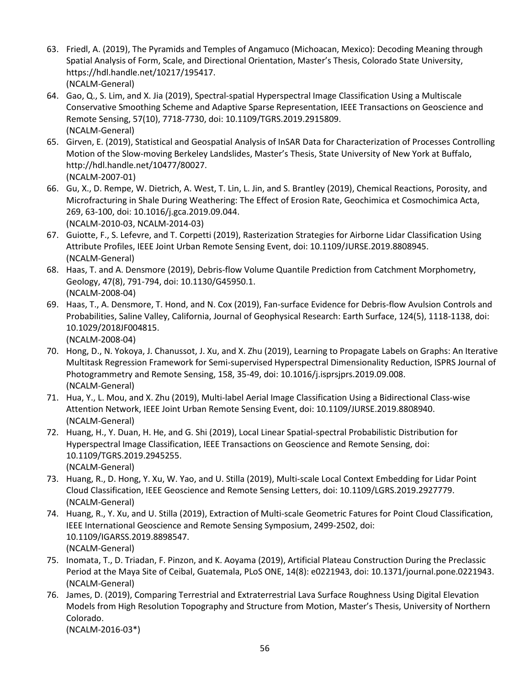- 63. Friedl, A. (2019), The Pyramids and Temples of Angamuco (Michoacan, Mexico): Decoding Meaning through Spatial Analysis of Form, Scale, and Directional Orientation, Master's Thesis, Colorado State University, https://hdl.handle.net/10217/195417. (NCALM-General)
- 64. Gao, Q., S. Lim, and X. Jia (2019), Spectral-spatial Hyperspectral Image Classification Using a Multiscale Conservative Smoothing Scheme and Adaptive Sparse Representation, IEEE Transactions on Geoscience and Remote Sensing, 57(10), 7718-7730, doi: 10.1109/TGRS.2019.2915809. (NCALM-General)
- 65. Girven, E. (2019), Statistical and Geospatial Analysis of InSAR Data for Characterization of Processes Controlling Motion of the Slow-moving Berkeley Landslides, Master's Thesis, State University of New York at Buffalo, http://hdl.handle.net/10477/80027. (NCALM-2007-01)
- 66. Gu, X., D. Rempe, W. Dietrich, A. West, T. Lin, L. Jin, and S. Brantley (2019), Chemical Reactions, Porosity, and Microfracturing in Shale During Weathering: The Effect of Erosion Rate, Geochimica et Cosmochimica Acta, 269, 63-100, doi: 10.1016/j.gca.2019.09.044. (NCALM-2010-03, NCALM-2014-03)
- 67. Guiotte, F., S. Lefevre, and T. Corpetti (2019), Rasterization Strategies for Airborne Lidar Classification Using Attribute Profiles, IEEE Joint Urban Remote Sensing Event, doi: 10.1109/JURSE.2019.8808945. (NCALM-General)
- 68. Haas, T. and A. Densmore (2019), Debris-flow Volume Quantile Prediction from Catchment Morphometry, Geology, 47(8), 791-794, doi: 10.1130/G45950.1. (NCALM-2008-04)
- 69. Haas, T., A. Densmore, T. Hond, and N. Cox (2019), Fan-surface Evidence for Debris-flow Avulsion Controls and Probabilities, Saline Valley, California, Journal of Geophysical Research: Earth Surface, 124(5), 1118-1138, doi: 10.1029/2018JF004815. (NCALM-2008-04)
- 70. Hong, D., N. Yokoya, J. Chanussot, J. Xu, and X. Zhu (2019), Learning to Propagate Labels on Graphs: An Iterative Multitask Regression Framework for Semi-supervised Hyperspectral Dimensionality Reduction, ISPRS Journal of Photogrammetry and Remote Sensing, 158, 35-49, doi: 10.1016/j.isprsjprs.2019.09.008. (NCALM-General)
- 71. Hua, Y., L. Mou, and X. Zhu (2019), Multi-label Aerial Image Classification Using a Bidirectional Class-wise Attention Network, IEEE Joint Urban Remote Sensing Event, doi: 10.1109/JURSE.2019.8808940. (NCALM-General)
- 72. Huang, H., Y. Duan, H. He, and G. Shi (2019), Local Linear Spatial-spectral Probabilistic Distribution for Hyperspectral Image Classification, IEEE Transactions on Geoscience and Remote Sensing, doi: 10.1109/TGRS.2019.2945255. (NCALM-General)
- 73. Huang, R., D. Hong, Y. Xu, W. Yao, and U. Stilla (2019), Multi-scale Local Context Embedding for Lidar Point Cloud Classification, IEEE Geoscience and Remote Sensing Letters, doi: 10.1109/LGRS.2019.2927779. (NCALM-General)
- 74. Huang, R., Y. Xu, and U. Stilla (2019), Extraction of Multi-scale Geometric Fatures for Point Cloud Classification, IEEE International Geoscience and Remote Sensing Symposium, 2499-2502, doi: 10.1109/IGARSS.2019.8898547. (NCALM-General)
- 75. Inomata, T., D. Triadan, F. Pinzon, and K. Aoyama (2019), Artificial Plateau Construction During the Preclassic Period at the Maya Site of Ceibal, Guatemala, PLoS ONE, 14(8): e0221943, doi: 10.1371/journal.pone.0221943. (NCALM-General)
- 76. James, D. (2019), Comparing Terrestrial and Extraterrestrial Lava Surface Roughness Using Digital Elevation Models from High Resolution Topography and Structure from Motion, Master's Thesis, University of Northern Colorado. (NCALM-2016-03\*)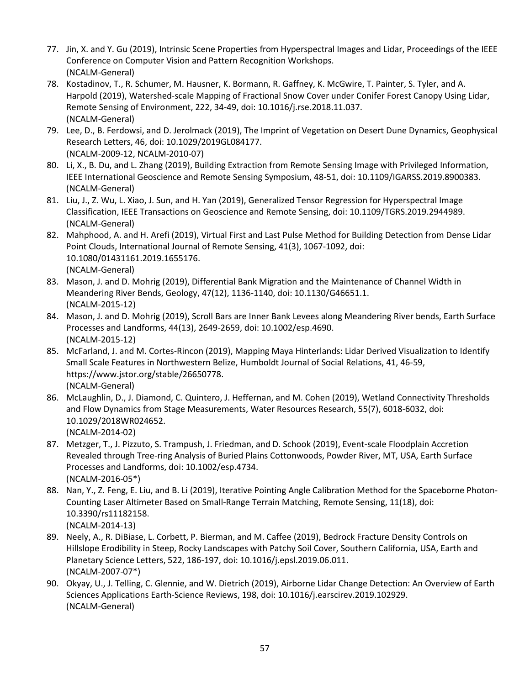- 77. Jin, X. and Y. Gu (2019), Intrinsic Scene Properties from Hyperspectral Images and Lidar, Proceedings of the IEEE Conference on Computer Vision and Pattern Recognition Workshops. (NCALM-General)
- 78. Kostadinov, T., R. Schumer, M. Hausner, K. Bormann, R. Gaffney, K. McGwire, T. Painter, S. Tyler, and A. Harpold (2019), Watershed-scale Mapping of Fractional Snow Cover under Conifer Forest Canopy Using Lidar, Remote Sensing of Environment, 222, 34-49, doi: 10.1016/j.rse.2018.11.037. (NCALM-General)
- 79. Lee, D., B. Ferdowsi, and D. Jerolmack (2019), The Imprint of Vegetation on Desert Dune Dynamics, Geophysical Research Letters, 46, doi: 10.1029/2019GL084177. (NCALM-2009-12, NCALM-2010-07)
- 80. Li, X., B. Du, and L. Zhang (2019), Building Extraction from Remote Sensing Image with Privileged Information, IEEE International Geoscience and Remote Sensing Symposium, 48-51, doi: 10.1109/IGARSS.2019.8900383. (NCALM-General)
- 81. Liu, J., Z. Wu, L. Xiao, J. Sun, and H. Yan (2019), Generalized Tensor Regression for Hyperspectral Image Classification, IEEE Transactions on Geoscience and Remote Sensing, doi: 10.1109/TGRS.2019.2944989. (NCALM-General)
- 82. Mahphood, A. and H. Arefi (2019), Virtual First and Last Pulse Method for Building Detection from Dense Lidar Point Clouds, International Journal of Remote Sensing, 41(3), 1067-1092, doi: 10.1080/01431161.2019.1655176. (NCALM-General)
- 83. Mason, J. and D. Mohrig (2019), Differential Bank Migration and the Maintenance of Channel Width in Meandering River Bends, Geology, 47(12), 1136-1140, doi: 10.1130/G46651.1. (NCALM-2015-12)
- 84. Mason, J. and D. Mohrig (2019), Scroll Bars are Inner Bank Levees along Meandering River bends, Earth Surface Processes and Landforms, 44(13), 2649-2659, doi: 10.1002/esp.4690. (NCALM-2015-12)
- 85. McFarland, J. and M. Cortes-Rincon (2019), Mapping Maya Hinterlands: Lidar Derived Visualization to Identify Small Scale Features in Northwestern Belize, Humboldt Journal of Social Relations, 41, 46-59, https://www.jstor.org/stable/26650778. (NCALM-General)
- 86. McLaughlin, D., J. Diamond, C. Quintero, J. Heffernan, and M. Cohen (2019), Wetland Connectivity Thresholds and Flow Dynamics from Stage Measurements, Water Resources Research, 55(7), 6018-6032, doi: 10.1029/2018WR024652. (NCALM-2014-02)
- 87. Metzger, T., J. Pizzuto, S. Trampush, J. Friedman, and D. Schook (2019), Event-scale Floodplain Accretion Revealed through Tree-ring Analysis of Buried Plains Cottonwoods, Powder River, MT, USA, Earth Surface Processes and Landforms, doi: 10.1002/esp.4734. (NCALM-2016-05\*)
- 88. Nan, Y., Z. Feng, E. Liu, and B. Li (2019), Iterative Pointing Angle Calibration Method for the Spaceborne Photon-Counting Laser Altimeter Based on Small-Range Terrain Matching, Remote Sensing, 11(18), doi: 10.3390/rs11182158.
	- (NCALM-2014-13)
- 89. Neely, A., R. DiBiase, L. Corbett, P. Bierman, and M. Caffee (2019), Bedrock Fracture Density Controls on Hillslope Erodibility in Steep, Rocky Landscapes with Patchy Soil Cover, Southern California, USA, Earth and Planetary Science Letters, 522, 186-197, doi: 10.1016/j.epsl.2019.06.011. (NCALM-2007-07\*)
- 90. Okyay, U., J. Telling, C. Glennie, and W. Dietrich (2019), Airborne Lidar Change Detection: An Overview of Earth Sciences Applications Earth-Science Reviews, 198, doi: 10.1016/j.earscirev.2019.102929. (NCALM-General)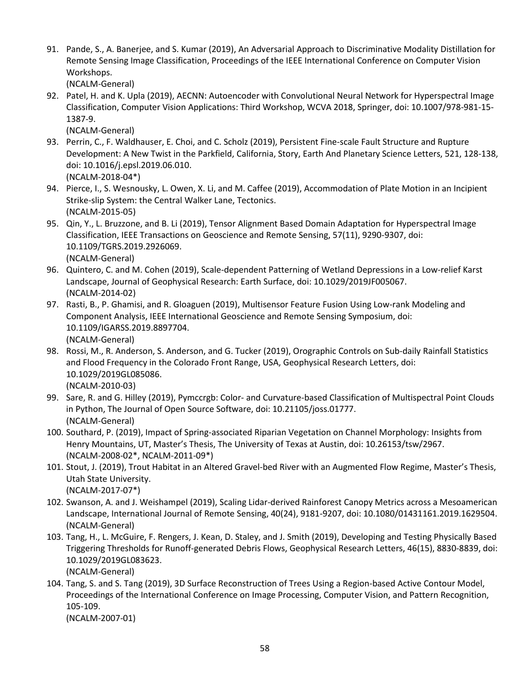91. Pande, S., A. Banerjee, and S. Kumar (2019), An Adversarial Approach to Discriminative Modality Distillation for Remote Sensing Image Classification, Proceedings of the IEEE International Conference on Computer Vision Workshops.

(NCALM-General)

92. Patel, H. and K. Upla (2019), AECNN: Autoencoder with Convolutional Neural Network for Hyperspectral Image Classification, Computer Vision Applications: Third Workshop, WCVA 2018, Springer, doi: 10.1007/978-981-15- 1387-9.

(NCALM-General)

- 93. Perrin, C., F. Waldhauser, E. Choi, and C. Scholz (2019), Persistent Fine-scale Fault Structure and Rupture Development: A New Twist in the Parkfield, California, Story, Earth And Planetary Science Letters, 521, 128-138, doi: 10.1016/j.epsl.2019.06.010. (NCALM-2018-04\*)
- 94. Pierce, I., S. Wesnousky, L. Owen, X. Li, and M. Caffee (2019), Accommodation of Plate Motion in an Incipient Strike-slip System: the Central Walker Lane, Tectonics.

(NCALM-2015-05)

- 95. Qin, Y., L. Bruzzone, and B. Li (2019), Tensor Alignment Based Domain Adaptation for Hyperspectral Image Classification, IEEE Transactions on Geoscience and Remote Sensing, 57(11), 9290-9307, doi: 10.1109/TGRS.2019.2926069. (NCALM-General)
- 96. Quintero, C. and M. Cohen (2019), Scale-dependent Patterning of Wetland Depressions in a Low-relief Karst Landscape, Journal of Geophysical Research: Earth Surface, doi: 10.1029/2019JF005067. (NCALM-2014-02)
- 97. Rasti, B., P. Ghamisi, and R. Gloaguen (2019), Multisensor Feature Fusion Using Low-rank Modeling and Component Analysis, IEEE International Geoscience and Remote Sensing Symposium, doi: 10.1109/IGARSS.2019.8897704. (NCALM-General)
- 98. Rossi, M., R. Anderson, S. Anderson, and G. Tucker (2019), Orographic Controls on Sub-daily Rainfall Statistics and Flood Frequency in the Colorado Front Range, USA, Geophysical Research Letters, doi: 10.1029/2019GL085086.

(NCALM-2010-03)

- 99. Sare, R. and G. Hilley (2019), Pymccrgb: Color- and Curvature-based Classification of Multispectral Point Clouds in Python, The Journal of Open Source Software, doi: 10.21105/joss.01777. (NCALM-General)
- 100. Southard, P. (2019), Impact of Spring-associated Riparian Vegetation on Channel Morphology: Insights from Henry Mountains, UT, Master's Thesis, The University of Texas at Austin, doi: 10.26153/tsw/2967. (NCALM-2008-02\*, NCALM-2011-09\*)
- 101. Stout, J. (2019), Trout Habitat in an Altered Gravel-bed River with an Augmented Flow Regime, Master's Thesis, Utah State University. (NCALM-2017-07\*)
- 102. Swanson, A. and J. Weishampel (2019), Scaling Lidar-derived Rainforest Canopy Metrics across a Mesoamerican Landscape, International Journal of Remote Sensing, 40(24), 9181-9207, doi: 10.1080/01431161.2019.1629504. (NCALM-General)
- 103. Tang, H., L. McGuire, F. Rengers, J. Kean, D. Staley, and J. Smith (2019), Developing and Testing Physically Based Triggering Thresholds for Runoff-generated Debris Flows, Geophysical Research Letters, 46(15), 8830-8839, doi: 10.1029/2019GL083623.

(NCALM-General)

104. Tang, S. and S. Tang (2019), 3D Surface Reconstruction of Trees Using a Region-based Active Contour Model, Proceedings of the International Conference on Image Processing, Computer Vision, and Pattern Recognition, 105-109.

(NCALM-2007-01)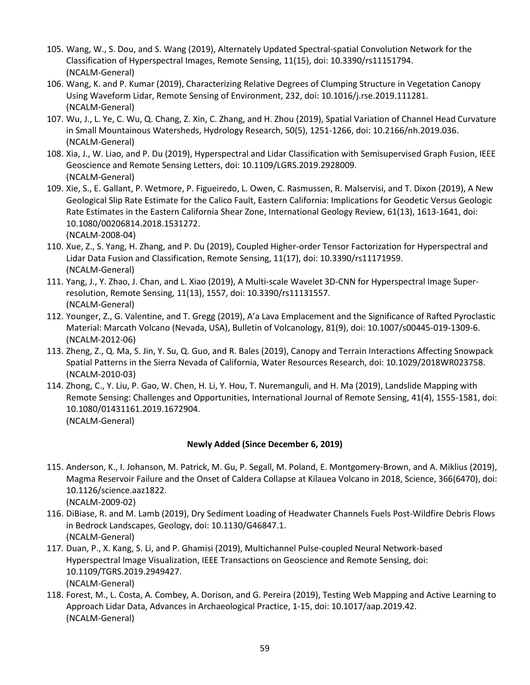- 105. Wang, W., S. Dou, and S. Wang (2019), Alternately Updated Spectral-spatial Convolution Network for the Classification of Hyperspectral Images, Remote Sensing, 11(15), doi: 10.3390/rs11151794. (NCALM-General)
- 106. Wang, K. and P. Kumar (2019), Characterizing Relative Degrees of Clumping Structure in Vegetation Canopy Using Waveform Lidar, Remote Sensing of Environment, 232, doi: 10.1016/j.rse.2019.111281. (NCALM-General)
- 107. Wu, J., L. Ye, C. Wu, Q. Chang, Z. Xin, C. Zhang, and H. Zhou (2019), Spatial Variation of Channel Head Curvature in Small Mountainous Watersheds, Hydrology Research, 50(5), 1251-1266, doi: 10.2166/nh.2019.036. (NCALM-General)
- 108. Xia, J., W. Liao, and P. Du (2019), Hyperspectral and Lidar Classification with Semisupervised Graph Fusion, IEEE Geoscience and Remote Sensing Letters, doi: 10.1109/LGRS.2019.2928009. (NCALM-General)
- 109. Xie, S., E. Gallant, P. Wetmore, P. Figueiredo, L. Owen, C. Rasmussen, R. Malservisi, and T. Dixon (2019), A New Geological Slip Rate Estimate for the Calico Fault, Eastern California: Implications for Geodetic Versus Geologic Rate Estimates in the Eastern California Shear Zone, International Geology Review, 61(13), 1613-1641, doi: 10.1080/00206814.2018.1531272. (NCALM-2008-04)
- 110. Xue, Z., S. Yang, H. Zhang, and P. Du (2019), Coupled Higher-order Tensor Factorization for Hyperspectral and Lidar Data Fusion and Classification, Remote Sensing, 11(17), doi: 10.3390/rs11171959. (NCALM-General)
- 111. Yang, J., Y. Zhao, J. Chan, and L. Xiao (2019), A Multi-scale Wavelet 3D-CNN for Hyperspectral Image Superresolution, Remote Sensing, 11(13), 1557, doi: 10.3390/rs11131557. (NCALM-General)
- 112. Younger, Z., G. Valentine, and T. Gregg (2019), A'a Lava Emplacement and the Significance of Rafted Pyroclastic Material: Marcath Volcano (Nevada, USA), Bulletin of Volcanology, 81(9), doi: 10.1007/s00445-019-1309-6. (NCALM-2012-06)
- 113. Zheng, Z., Q. Ma, S. Jin, Y. Su, Q. Guo, and R. Bales (2019), Canopy and Terrain Interactions Affecting Snowpack Spatial Patterns in the Sierra Nevada of California, Water Resources Research, doi: 10.1029/2018WR023758. (NCALM-2010-03)
- 114. Zhong, C., Y. Liu, P. Gao, W. Chen, H. Li, Y. Hou, T. Nuremanguli, and H. Ma (2019), Landslide Mapping with Remote Sensing: Challenges and Opportunities, International Journal of Remote Sensing, 41(4), 1555-1581, doi: 10.1080/01431161.2019.1672904. (NCALM-General)

#### **Newly Added (Since December 6, 2019)**

- 115. Anderson, K., I. Johanson, M. Patrick, M. Gu, P. Segall, M. Poland, E. Montgomery-Brown, and A. Miklius (2019), Magma Reservoir Failure and the Onset of Caldera Collapse at Kilauea Volcano in 2018, Science, 366(6470), doi: 10.1126/science.aaz1822. (NCALM-2009-02)
- 116. DiBiase, R. and M. Lamb (2019), Dry Sediment Loading of Headwater Channels Fuels Post-Wildfire Debris Flows in Bedrock Landscapes, Geology, doi: 10.1130/G46847.1. (NCALM-General)
- 117. Duan, P., X. Kang, S. Li, and P. Ghamisi (2019), Multichannel Pulse-coupled Neural Network-based Hyperspectral Image Visualization, IEEE Transactions on Geoscience and Remote Sensing, doi: 10.1109/TGRS.2019.2949427. (NCALM-General)
- 118. Forest, M., L. Costa, A. Combey, A. Dorison, and G. Pereira (2019), Testing Web Mapping and Active Learning to Approach Lidar Data, Advances in Archaeological Practice, 1-15, doi: 10.1017/aap.2019.42. (NCALM-General)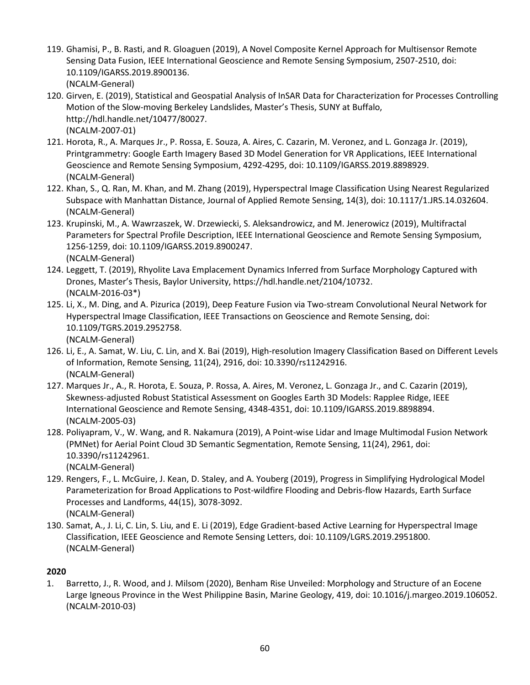- 119. Ghamisi, P., B. Rasti, and R. Gloaguen (2019), A Novel Composite Kernel Approach for Multisensor Remote Sensing Data Fusion, IEEE International Geoscience and Remote Sensing Symposium, 2507-2510, doi: 10.1109/IGARSS.2019.8900136. (NCALM-General)
- 120. Girven, E. (2019), Statistical and Geospatial Analysis of InSAR Data for Characterization for Processes Controlling Motion of the Slow-moving Berkeley Landslides, Master's Thesis, SUNY at Buffalo, http://hdl.handle.net/10477/80027. (NCALM-2007-01)
- 121. Horota, R., A. Marques Jr., P. Rossa, E. Souza, A. Aires, C. Cazarin, M. Veronez, and L. Gonzaga Jr. (2019), Printgrammetry: Google Earth Imagery Based 3D Model Generation for VR Applications, IEEE International Geoscience and Remote Sensing Symposium, 4292-4295, doi: 10.1109/IGARSS.2019.8898929. (NCALM-General)
- 122. Khan, S., Q. Ran, M. Khan, and M. Zhang (2019), Hyperspectral Image Classification Using Nearest Regularized Subspace with Manhattan Distance, Journal of Applied Remote Sensing, 14(3), doi: 10.1117/1.JRS.14.032604. (NCALM-General)
- 123. Krupinski, M., A. Wawrzaszek, W. Drzewiecki, S. Aleksandrowicz, and M. Jenerowicz (2019), Multifractal Parameters for Spectral Profile Description, IEEE International Geoscience and Remote Sensing Symposium, 1256-1259, doi: 10.1109/IGARSS.2019.8900247. (NCALM-General)
- 124. Leggett, T. (2019), Rhyolite Lava Emplacement Dynamics Inferred from Surface Morphology Captured with Drones, Master's Thesis, Baylor University, https://hdl.handle.net/2104/10732. (NCALM-2016-03\*)
- 125. Li, X., M. Ding, and A. Pizurica (2019), Deep Feature Fusion via Two-stream Convolutional Neural Network for Hyperspectral Image Classification, IEEE Transactions on Geoscience and Remote Sensing, doi: 10.1109/TGRS.2019.2952758. (NCALM-General)
- 126. Li, E., A. Samat, W. Liu, C. Lin, and X. Bai (2019), High-resolution Imagery Classification Based on Different Levels of Information, Remote Sensing, 11(24), 2916, doi: 10.3390/rs11242916. (NCALM-General)
- 127. Marques Jr., A., R. Horota, E. Souza, P. Rossa, A. Aires, M. Veronez, L. Gonzaga Jr., and C. Cazarin (2019), Skewness-adjusted Robust Statistical Assessment on Googles Earth 3D Models: Rapplee Ridge, IEEE International Geoscience and Remote Sensing, 4348-4351, doi: 10.1109/IGARSS.2019.8898894. (NCALM-2005-03)
- 128. Poliyapram, V., W. Wang, and R. Nakamura (2019), A Point-wise Lidar and Image Multimodal Fusion Network (PMNet) for Aerial Point Cloud 3D Semantic Segmentation, Remote Sensing, 11(24), 2961, doi: 10.3390/rs11242961.
	- (NCALM-General)
- 129. Rengers, F., L. McGuire, J. Kean, D. Staley, and A. Youberg (2019), Progress in Simplifying Hydrological Model Parameterization for Broad Applications to Post-wildfire Flooding and Debris-flow Hazards, Earth Surface Processes and Landforms, 44(15), 3078-3092. (NCALM-General)
- 130. Samat, A., J. Li, C. Lin, S. Liu, and E. Li (2019), Edge Gradient-based Active Learning for Hyperspectral Image Classification, IEEE Geoscience and Remote Sensing Letters, doi: 10.1109/LGRS.2019.2951800. (NCALM-General)

## **2020**

1. Barretto, J., R. Wood, and J. Milsom (2020), Benham Rise Unveiled: Morphology and Structure of an Eocene Large Igneous Province in the West Philippine Basin, Marine Geology, 419, doi: 10.1016/j.margeo.2019.106052. (NCALM-2010-03)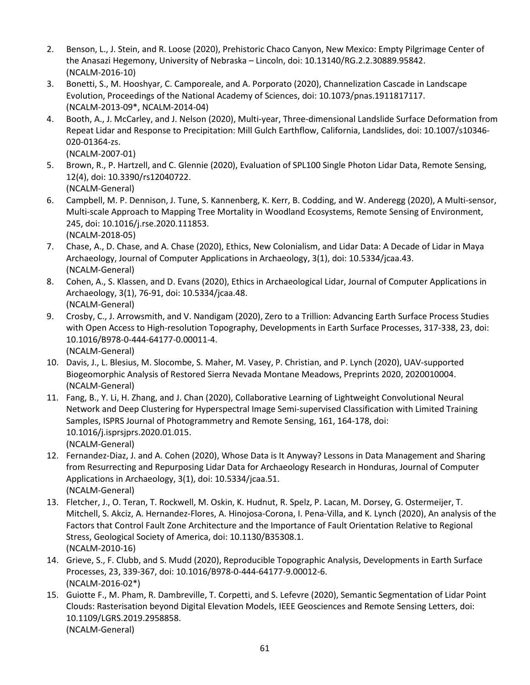- 2. Benson, L., J. Stein, and R. Loose (2020), Prehistoric Chaco Canyon, New Mexico: Empty Pilgrimage Center of the Anasazi Hegemony, University of Nebraska – Lincoln, doi: 10.13140/RG.2.2.30889.95842. (NCALM-2016-10)
- 3. Bonetti, S., M. Hooshyar, C. Camporeale, and A. Porporato (2020), Channelization Cascade in Landscape Evolution, Proceedings of the National Academy of Sciences, doi: 10.1073/pnas.1911817117. (NCALM-2013-09\*, NCALM-2014-04)
- 4. Booth, A., J. McCarley, and J. Nelson (2020), Multi-year, Three-dimensional Landslide Surface Deformation from Repeat Lidar and Response to Precipitation: Mill Gulch Earthflow, California, Landslides, doi: 10.1007/s10346- 020-01364-zs.

(NCALM-2007-01)

- 5. Brown, R., P. Hartzell, and C. Glennie (2020), Evaluation of SPL100 Single Photon Lidar Data, Remote Sensing, 12(4), doi: 10.3390/rs12040722. (NCALM-General)
- 6. Campbell, M. P. Dennison, J. Tune, S. Kannenberg, K. Kerr, B. Codding, and W. Anderegg (2020), A Multi-sensor, Multi-scale Approach to Mapping Tree Mortality in Woodland Ecosystems, Remote Sensing of Environment, 245, doi: 10.1016/j.rse.2020.111853. (NCALM-2018-05)
- 7. Chase, A., D. Chase, and A. Chase (2020), Ethics, New Colonialism, and Lidar Data: A Decade of Lidar in Maya Archaeology, Journal of Computer Applications in Archaeology, 3(1), doi: 10.5334/jcaa.43. (NCALM-General)
- 8. Cohen, A., S. Klassen, and D. Evans (2020), Ethics in Archaeological Lidar, Journal of Computer Applications in Archaeology, 3(1), 76-91, doi: 10.5334/jcaa.48. (NCALM-General)
- 9. Crosby, C., J. Arrowsmith, and V. Nandigam (2020), Zero to a Trillion: Advancing Earth Surface Process Studies with Open Access to High-resolution Topography, Developments in Earth Surface Processes, 317-338, 23, doi: 10.1016/B978-0-444-64177-0.00011-4. (NCALM-General)
- 10. Davis, J., L. Blesius, M. Slocombe, S. Maher, M. Vasey, P. Christian, and P. Lynch (2020), UAV-supported Biogeomorphic Analysis of Restored Sierra Nevada Montane Meadows, Preprints 2020, 2020010004. (NCALM-General)
- 11. Fang, B., Y. Li, H. Zhang, and J. Chan (2020), Collaborative Learning of Lightweight Convolutional Neural Network and Deep Clustering for Hyperspectral Image Semi-supervised Classification with Limited Training Samples, ISPRS Journal of Photogrammetry and Remote Sensing, 161, 164-178, doi: 10.1016/j.isprsjprs.2020.01.015. (NCALM-General)
- 12. Fernandez-Diaz, J. and A. Cohen (2020), Whose Data is It Anyway? Lessons in Data Management and Sharing from Resurrecting and Repurposing Lidar Data for Archaeology Research in Honduras, Journal of Computer Applications in Archaeology, 3(1), doi: 10.5334/jcaa.51. (NCALM-General)
- 13. Fletcher, J., O. Teran, T. Rockwell, M. Oskin, K. Hudnut, R. Spelz, P. Lacan, M. Dorsey, G. Ostermeijer, T. Mitchell, S. Akciz, A. Hernandez-Flores, A. Hinojosa-Corona, I. Pena-Villa, and K. Lynch (2020), An analysis of the Factors that Control Fault Zone Architecture and the Importance of Fault Orientation Relative to Regional Stress, Geological Society of America, doi: 10.1130/B35308.1. (NCALM-2010-16)
- 14. Grieve, S., F. Clubb, and S. Mudd (2020), Reproducible Topographic Analysis, Developments in Earth Surface Processes, 23, 339-367, doi: 10.1016/B978-0-444-64177-9.00012-6. (NCALM-2016-02\*)
- 15. Guiotte F., M. Pham, R. Dambreville, T. Corpetti, and S. Lefevre (2020), Semantic Segmentation of Lidar Point Clouds: Rasterisation beyond Digital Elevation Models, IEEE Geosciences and Remote Sensing Letters, doi: 10.1109/LGRS.2019.2958858. (NCALM-General)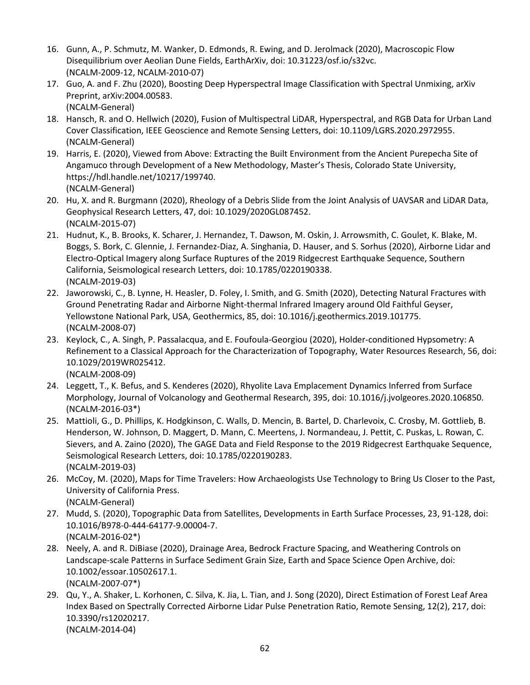- 16. Gunn, A., P. Schmutz, M. Wanker, D. Edmonds, R. Ewing, and D. Jerolmack (2020), Macroscopic Flow Disequilibrium over Aeolian Dune Fields, EarthArXiv, doi: 10.31223/osf.io/s32vc. (NCALM-2009-12, NCALM-2010-07)
- 17. Guo, A. and F. Zhu (2020), Boosting Deep Hyperspectral Image Classification with Spectral Unmixing, arXiv Preprint, arXiv:2004.00583. (NCALM-General)
- 18. Hansch, R. and O. Hellwich (2020), Fusion of Multispectral LiDAR, Hyperspectral, and RGB Data for Urban Land Cover Classification, IEEE Geoscience and Remote Sensing Letters, doi: 10.1109/LGRS.2020.2972955. (NCALM-General)
- 19. Harris, E. (2020), Viewed from Above: Extracting the Built Environment from the Ancient Purepecha Site of Angamuco through Development of a New Methodology, Master's Thesis, Colorado State University, https://hdl.handle.net/10217/199740. (NCALM-General)
- 20. Hu, X. and R. Burgmann (2020), Rheology of a Debris Slide from the Joint Analysis of UAVSAR and LiDAR Data, Geophysical Research Letters, 47, doi: 10.1029/2020GL087452. (NCALM-2015-07)
- 21. Hudnut, K., B. Brooks, K. Scharer, J. Hernandez, T. Dawson, M. Oskin, J. Arrowsmith, C. Goulet, K. Blake, M. Boggs, S. Bork, C. Glennie, J. Fernandez-Diaz, A. Singhania, D. Hauser, and S. Sorhus (2020), Airborne Lidar and Electro-Optical Imagery along Surface Ruptures of the 2019 Ridgecrest Earthquake Sequence, Southern California, Seismological research Letters, doi: 10.1785/0220190338. (NCALM-2019-03)
- 22. Jaworowski, C., B. Lynne, H. Heasler, D. Foley, I. Smith, and G. Smith (2020), Detecting Natural Fractures with Ground Penetrating Radar and Airborne Night-thermal Infrared Imagery around Old Faithful Geyser, Yellowstone National Park, USA, Geothermics, 85, doi: 10.1016/j.geothermics.2019.101775. (NCALM-2008-07)
- 23. Keylock, C., A. Singh, P. Passalacqua, and E. Foufoula-Georgiou (2020), Holder-conditioned Hypsometry: A Refinement to a Classical Approach for the Characterization of Topography, Water Resources Research, 56, doi: 10.1029/2019WR025412. (NCALM-2008-09)
- 24. Leggett, T., K. Befus, and S. Kenderes (2020), Rhyolite Lava Emplacement Dynamics Inferred from Surface Morphology, Journal of Volcanology and Geothermal Research, 395, doi: 10.1016/j.jvolgeores.2020.106850. (NCALM-2016-03\*)
- 25. Mattioli, G., D. Phillips, K. Hodgkinson, C. Walls, D. Mencin, B. Bartel, D. Charlevoix, C. Crosby, M. Gottlieb, B. Henderson, W. Johnson, D. Maggert, D. Mann, C. Meertens, J. Normandeau, J. Pettit, C. Puskas, L. Rowan, C. Sievers, and A. Zaino (2020), The GAGE Data and Field Response to the 2019 Ridgecrest Earthquake Sequence, Seismological Research Letters, doi: 10.1785/0220190283. (NCALM-2019-03)
- 26. McCoy, M. (2020), Maps for Time Travelers: How Archaeologists Use Technology to Bring Us Closer to the Past, University of California Press. (NCALM-General)
- 27. Mudd, S. (2020), Topographic Data from Satellites, Developments in Earth Surface Processes, 23, 91-128, doi: 10.1016/B978-0-444-64177-9.00004-7. (NCALM-2016-02\*)
- 28. Neely, A. and R. DiBiase (2020), Drainage Area, Bedrock Fracture Spacing, and Weathering Controls on Landscape-scale Patterns in Surface Sediment Grain Size, Earth and Space Science Open Archive, doi: 10.1002/essoar.10502617.1. (NCALM-2007-07\*)
- 29. Qu, Y., A. Shaker, L. Korhonen, C. Silva, K. Jia, L. Tian, and J. Song (2020), Direct Estimation of Forest Leaf Area Index Based on Spectrally Corrected Airborne Lidar Pulse Penetration Ratio, Remote Sensing, 12(2), 217, doi: 10.3390/rs12020217. (NCALM-2014-04)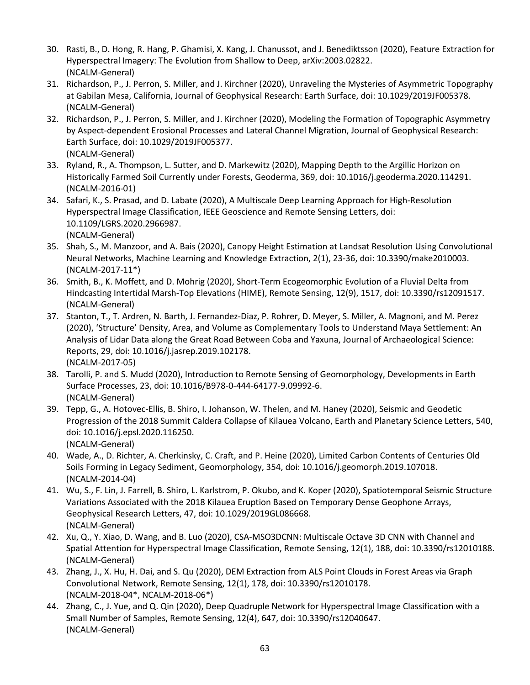- 30. Rasti, B., D. Hong, R. Hang, P. Ghamisi, X. Kang, J. Chanussot, and J. Benediktsson (2020), Feature Extraction for Hyperspectral Imagery: The Evolution from Shallow to Deep, arXiv:2003.02822. (NCALM-General)
- 31. Richardson, P., J. Perron, S. Miller, and J. Kirchner (2020), Unraveling the Mysteries of Asymmetric Topography at Gabilan Mesa, California, Journal of Geophysical Research: Earth Surface, doi: 10.1029/2019JF005378. (NCALM-General)
- 32. Richardson, P., J. Perron, S. Miller, and J. Kirchner (2020), Modeling the Formation of Topographic Asymmetry by Aspect-dependent Erosional Processes and Lateral Channel Migration, Journal of Geophysical Research: Earth Surface, doi: 10.1029/2019JF005377. (NCALM-General)
- 33. Ryland, R., A. Thompson, L. Sutter, and D. Markewitz (2020), Mapping Depth to the Argillic Horizon on Historically Farmed Soil Currently under Forests, Geoderma, 369, doi: 10.1016/j.geoderma.2020.114291. (NCALM-2016-01)
- 34. Safari, K., S. Prasad, and D. Labate (2020), A Multiscale Deep Learning Approach for High-Resolution Hyperspectral Image Classification, IEEE Geoscience and Remote Sensing Letters, doi: 10.1109/LGRS.2020.2966987. (NCALM-General)
- 35. Shah, S., M. Manzoor, and A. Bais (2020), Canopy Height Estimation at Landsat Resolution Using Convolutional Neural Networks, Machine Learning and Knowledge Extraction, 2(1), 23-36, doi: 10.3390/make2010003. (NCALM-2017-11\*)
- 36. Smith, B., K. Moffett, and D. Mohrig (2020), Short-Term Ecogeomorphic Evolution of a Fluvial Delta from Hindcasting Intertidal Marsh-Top Elevations (HIME), Remote Sensing, 12(9), 1517, doi: 10.3390/rs12091517. (NCALM-General)
- 37. Stanton, T., T. Ardren, N. Barth, J. Fernandez-Diaz, P. Rohrer, D. Meyer, S. Miller, A. Magnoni, and M. Perez (2020), 'Structure' Density, Area, and Volume as Complementary Tools to Understand Maya Settlement: An Analysis of Lidar Data along the Great Road Between Coba and Yaxuna, Journal of Archaeological Science: Reports, 29, doi: 10.1016/j.jasrep.2019.102178. (NCALM-2017-05)
- 38. Tarolli, P. and S. Mudd (2020), Introduction to Remote Sensing of Geomorphology, Developments in Earth Surface Processes, 23, doi: 10.1016/B978-0-444-64177-9.09992-6. (NCALM-General)
- 39. Tepp, G., A. Hotovec-Ellis, B. Shiro, I. Johanson, W. Thelen, and M. Haney (2020), Seismic and Geodetic Progression of the 2018 Summit Caldera Collapse of Kilauea Volcano, Earth and Planetary Science Letters, 540, doi: 10.1016/j.epsl.2020.116250. (NCALM-General)
- 40. Wade, A., D. Richter, A. Cherkinsky, C. Craft, and P. Heine (2020), Limited Carbon Contents of Centuries Old Soils Forming in Legacy Sediment, Geomorphology, 354, doi: 10.1016/j.geomorph.2019.107018. (NCALM-2014-04)
- 41. Wu, S., F. Lin, J. Farrell, B. Shiro, L. Karlstrom, P. Okubo, and K. Koper (2020), Spatiotemporal Seismic Structure Variations Associated with the 2018 Kilauea Eruption Based on Temporary Dense Geophone Arrays, Geophysical Research Letters, 47, doi: 10.1029/2019GL086668. (NCALM-General)
- 42. Xu, Q., Y. Xiao, D. Wang, and B. Luo (2020), CSA-MSO3DCNN: Multiscale Octave 3D CNN with Channel and Spatial Attention for Hyperspectral Image Classification, Remote Sensing, 12(1), 188, doi: 10.3390/rs12010188. (NCALM-General)
- 43. Zhang, J., X. Hu, H. Dai, and S. Qu (2020), DEM Extraction from ALS Point Clouds in Forest Areas via Graph Convolutional Network, Remote Sensing, 12(1), 178, doi: 10.3390/rs12010178. (NCALM-2018-04\*, NCALM-2018-06\*)
- 44. Zhang, C., J. Yue, and Q. Qin (2020), Deep Quadruple Network for Hyperspectral Image Classification with a Small Number of Samples, Remote Sensing, 12(4), 647, doi: 10.3390/rs12040647. (NCALM-General)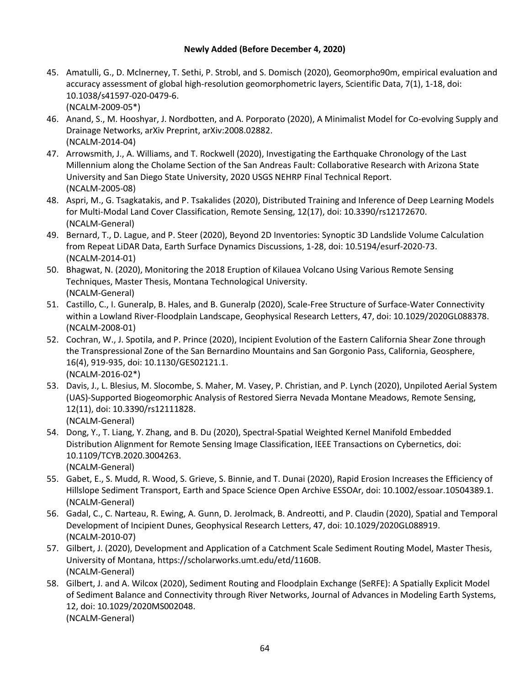#### **Newly Added (Before December 4, 2020)**

- 45. Amatulli, G., D. Mclnerney, T. Sethi, P. Strobl, and S. Domisch (2020), [Geomorpho90m, empirical evaluation and](https://www.nature.com/articles/s41597-020-0479-6)  [accuracy assessment of global high-resolution geomorphometric layers,](https://www.nature.com/articles/s41597-020-0479-6) Scientific Data, 7(1), 1-18, doi: 10.1038/s41597-020-0479-6. (NCALM-2009-05\*)
- 46. Anand, S., M. Hooshyar, J. Nordbotten, and A. Porporato (2020), A Minimalist Model for Co-evolving Supply and Drainage Networks, arXiv Preprint, arXiv:2008.02882. (NCALM-2014-04)
- 47. Arrowsmith, J., A. Williams, and T. Rockwell (2020), Investigating the Earthquake Chronology of the Last Millennium along the Cholame Section of the San Andreas Fault: Collaborative Research with Arizona State University and San Diego State University, 2020 USGS NEHRP Final Technical Report. (NCALM-2005-08)
- 48. Aspri, M., G. Tsagkatakis, and P. Tsakalides (2020), Distributed Training and Inference of Deep Learning Models for Multi-Modal Land Cover Classification, Remote Sensing, 12(17), doi: 10.3390/rs12172670. (NCALM-General)
- 49. Bernard, T., D. Lague, and P. Steer (2020), Beyond 2D Inventories: Synoptic 3D Landslide Volume Calculation from Repeat LiDAR Data, Earth Surface Dynamics Discussions, 1-28, doi: 10.5194/esurf-2020-73. (NCALM-2014-01)
- 50. Bhagwat, N. (2020), Monitoring the 2018 Eruption of Kilauea Volcano Using Various Remote Sensing Techniques, Master Thesis, Montana Technological University. (NCALM-General)
- 51. Castillo, C., I. Guneralp, B. Hales, and B. Guneralp (2020), Scale-Free Structure of Surface-Water Connectivity within a Lowland River-Floodplain Landscape, Geophysical Research Letters, 47, doi: 10.1029/2020GL088378. (NCALM-2008-01)
- 52. Cochran, W., J. Spotila, and P. Prince (2020), Incipient Evolution of the Eastern California Shear Zone through the Transpressional Zone of the San Bernardino Mountains and San Gorgonio Pass, California, Geosphere, 16(4), 919-935, doi: 10.1130/GES02121.1. (NCALM-2016-02\*)
- 53. Davis, J., L. Blesius, M. Slocombe, S. Maher, M. Vasey, P. Christian, and P. Lynch (2020), Unpiloted Aerial System (UAS)-Supported Biogeomorphic Analysis of Restored Sierra Nevada Montane Meadows, Remote Sensing, 12(11), doi: 10.3390/rs12111828. (NCALM-General)
- 54. Dong, Y., T. Liang, Y. Zhang, and B. Du (2020), Spectral-Spatial Weighted Kernel Manifold Embedded Distribution Alignment for Remote Sensing Image Classification, IEEE Transactions on Cybernetics, doi: 10.1109/TCYB.2020.3004263.
	- (NCALM-General)
- 55. Gabet, E., S. Mudd, R. Wood, S. Grieve, S. Binnie, and T. Dunai (2020), Rapid Erosion Increases the Efficiency of Hillslope Sediment Transport, Earth and Space Science Open Archive ESSOAr, doi: 10.1002/essoar.10504389.1. (NCALM-General)
- 56. Gadal, C., C. Narteau, R. Ewing, A. Gunn, D. Jerolmack, B. Andreotti, and P. Claudin (2020), Spatial and Temporal Development of Incipient Dunes, Geophysical Research Letters, 47, doi: 10.1029/2020GL088919. (NCALM-2010-07)
- 57. Gilbert, J. (2020), Development and Application of a Catchment Scale Sediment Routing Model, Master Thesis, University of Montana, https://scholarworks.umt.edu/etd/1160B. (NCALM-General)
- 58. Gilbert, J. and A. Wilcox (2020), Sediment Routing and Floodplain Exchange (SeRFE): A Spatially Explicit Model of Sediment Balance and Connectivity through River Networks, Journal of Advances in Modeling Earth Systems, 12, doi: 10.1029/2020MS002048. (NCALM-General)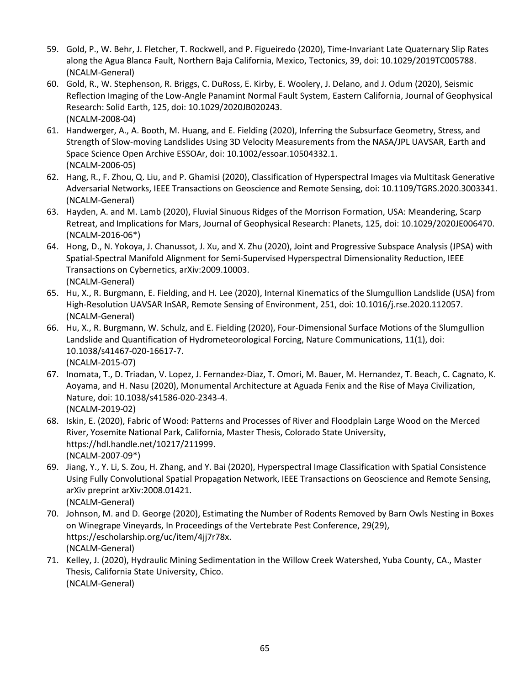- 59. Gold, P., W. Behr, J. Fletcher, T. Rockwell, and P. Figueiredo (2020), Time-Invariant Late Quaternary Slip Rates along the Agua Blanca Fault, Northern Baja California, Mexico, Tectonics, 39, doi: 10.1029/2019TC005788. (NCALM-General)
- 60. Gold, R., W. Stephenson, R. Briggs, C. DuRoss, E. Kirby, E. Woolery, J. Delano, and J. Odum (2020), Seismic Reflection Imaging of the Low-Angle Panamint Normal Fault System, Eastern California, Journal of Geophysical Research: Solid Earth, 125, doi: 10.1029/2020JB020243. (NCALM-2008-04)
- 61. Handwerger, A., A. Booth, M. Huang, and E. Fielding (2020), Inferring the Subsurface Geometry, Stress, and Strength of Slow-moving Landslides Using 3D Velocity Measurements from the NASA/JPL UAVSAR, Earth and Space Science Open Archive ESSOAr, doi: 10.1002/essoar.10504332.1. (NCALM-2006-05)
- 62. Hang, R., F. Zhou, Q. Liu, and P. Ghamisi (2020), Classification of Hyperspectral Images via Multitask Generative Adversarial Networks, IEEE Transactions on Geoscience and Remote Sensing, doi: 10.1109/TGRS.2020.3003341. (NCALM-General)
- 63. Hayden, A. and M. Lamb (2020), Fluvial Sinuous Ridges of the Morrison Formation, USA: Meandering, Scarp Retreat, and Implications for Mars, Journal of Geophysical Research: Planets, 125, doi: 10.1029/2020JE006470. (NCALM-2016-06\*)
- 64. Hong, D., N. Yokoya, J. Chanussot, J. Xu, and X. Zhu (2020), Joint and Progressive Subspace Analysis (JPSA) with Spatial-Spectral Manifold Alignment for Semi-Supervised Hyperspectral Dimensionality Reduction, IEEE Transactions on Cybernetics, arXiv:2009.10003. (NCALM-General)
- 65. Hu, X., R. Burgmann, E. Fielding, and H. Lee (2020), Internal Kinematics of the Slumgullion Landslide (USA) from High-Resolution UAVSAR InSAR, Remote Sensing of Environment, 251, doi: 10.1016/j.rse.2020.112057. (NCALM-General)
- 66. Hu, X., R. Burgmann, W. Schulz, and E. Fielding (2020), Four-Dimensional Surface Motions of the Slumgullion Landslide and Quantification of Hydrometeorological Forcing, Nature Communications, 11(1), doi: 10.1038/s41467-020-16617-7. (NCALM-2015-07)
- 67. Inomata, T., D. Triadan, V. Lopez, J. Fernandez-Diaz, T. Omori, M. Bauer, M. Hernandez, T. Beach, C. Cagnato, K. Aoyama, and H. Nasu (2020), Monumental Architecture at Aguada Fenix and the Rise of Maya Civilization, Nature, doi: 10.1038/s41586-020-2343-4. (NCALM-2019-02)
- 68. Iskin, E. (2020), Fabric of Wood: Patterns and Processes of River and Floodplain Large Wood on the Merced River, Yosemite National Park, California, Master Thesis, Colorado State University, https://hdl.handle.net/10217/211999. (NCALM-2007-09\*)
- 69. Jiang, Y., Y. Li, S. Zou, H. Zhang, and Y. Bai (2020), Hyperspectral Image Classification with Spatial Consistence Using Fully Convolutional Spatial Propagation Network, IEEE Transactions on Geoscience and Remote Sensing, arXiv preprint arXiv:2008.01421. (NCALM-General)
- 70. Johnson, M. and D. George (2020), Estimating the Number of Rodents Removed by Barn Owls Nesting in Boxes on Winegrape Vineyards, In Proceedings of the Vertebrate Pest Conference, 29(29), https://escholarship.org/uc/item/4jj7r78x. (NCALM-General)
- 71. Kelley, J. (2020), Hydraulic Mining Sedimentation in the Willow Creek Watershed, Yuba County, CA., Master Thesis, California State University, Chico. (NCALM-General)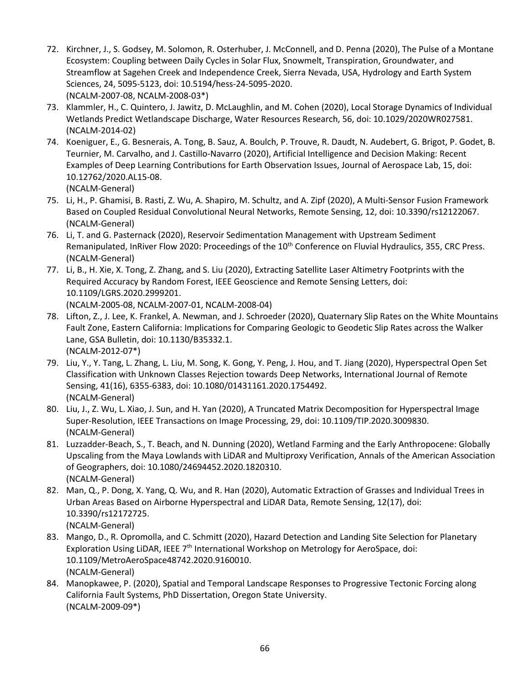- 72. Kirchner, J., S. Godsey, M. Solomon, R. Osterhuber, J. McConnell, and D. Penna (2020), The Pulse of a Montane Ecosystem: Coupling between Daily Cycles in Solar Flux, Snowmelt, Transpiration, Groundwater, and Streamflow at Sagehen Creek and Independence Creek, Sierra Nevada, USA, Hydrology and Earth System Sciences, 24, 5095-5123, doi: 10.5194/hess-24-5095-2020. (NCALM-2007-08, NCALM-2008-03\*)
- 73. Klammler, H., C. Quintero, J. Jawitz, D. McLaughlin, and M. Cohen (2020), Local Storage Dynamics of Individual Wetlands Predict Wetlandscape Discharge, Water Resources Research, 56, doi: 10.1029/2020WR027581. (NCALM-2014-02)
- 74. Koeniguer, E., G. Besnerais, A. Tong, B. Sauz, A. Boulch, P. Trouve, R. Daudt, N. Audebert, G. Brigot, P. Godet, B. Teurnier, M. Carvalho, and J. Castillo-Navarro (2020), Artificial Intelligence and Decision Making: Recent Examples of Deep Learning Contributions for Earth Observation Issues, Journal of Aerospace Lab, 15, doi: 10.12762/2020.AL15-08. (NCALM-General)
- 75. Li, H., P. Ghamisi, B. Rasti, Z. Wu, A. Shapiro, M. Schultz, and A. Zipf (2020), A Multi-Sensor Fusion Framework Based on Coupled Residual Convolutional Neural Networks, Remote Sensing, 12, doi: 10.3390/rs12122067. (NCALM-General)
- 76. Li, T. and G. Pasternack (2020), Reservoir Sedimentation Management with Upstream Sediment Remanipulated, InRiver Flow 2020: Proceedings of the  $10<sup>th</sup>$  Conference on Fluvial Hydraulics, 355, CRC Press. (NCALM-General)
- 77. Li, B., H. Xie, X. Tong, Z. Zhang, and S. Liu (2020), Extracting Satellite Laser Altimetry Footprints with the Required Accuracy by Random Forest, IEEE Geoscience and Remote Sensing Letters, doi: 10.1109/LGRS.2020.2999201. (NCALM-2005-08, NCALM-2007-01, NCALM-2008-04)
- 78. Lifton, Z., J. Lee, K. Frankel, A. Newman, and J. Schroeder (2020), Quaternary Slip Rates on the White Mountains Fault Zone, Eastern California: Implications for Comparing Geologic to Geodetic Slip Rates across the Walker Lane, GSA Bulletin, doi: 10.1130/B35332.1. (NCALM-2012-07\*)
- 79. Liu, Y., Y. Tang, L. Zhang, L. Liu, M. Song, K. Gong, Y. Peng, J. Hou, and T. Jiang (2020), Hyperspectral Open Set Classification with Unknown Classes Rejection towards Deep Networks, International Journal of Remote Sensing, 41(16), 6355-6383, doi: 10.1080/01431161.2020.1754492. (NCALM-General)
- 80. Liu, J., Z. Wu, L. Xiao, J. Sun, and H. Yan (2020), A Truncated Matrix Decomposition for Hyperspectral Image Super-Resolution, IEEE Transactions on Image Processing, 29, doi: 10.1109/TIP.2020.3009830. (NCALM-General)
- 81. Luzzadder-Beach, S., T. Beach, and N. Dunning (2020), Wetland Farming and the Early Anthropocene: Globally Upscaling from the Maya Lowlands with LiDAR and Multiproxy Verification, Annals of the American Association of Geographers, doi: 10.1080/24694452.2020.1820310. (NCALM-General)
- 82. Man, Q., P. Dong, X. Yang, Q. Wu, and R. Han (2020), Automatic Extraction of Grasses and Individual Trees in Urban Areas Based on Airborne Hyperspectral and LiDAR Data, Remote Sensing, 12(17), doi: 10.3390/rs12172725. (NCALM-General)
- 83. Mango, D., R. Opromolla, and C. Schmitt (2020), Hazard Detection and Landing Site Selection for Planetary Exploration Using LiDAR, IEEE 7<sup>th</sup> International Workshop on Metrology for AeroSpace, doi: 10.1109/MetroAeroSpace48742.2020.9160010. (NCALM-General)
- 84. Manopkawee, P. (2020), Spatial and Temporal Landscape Responses to Progressive Tectonic Forcing along California Fault Systems, PhD Dissertation, Oregon State University. (NCALM-2009-09\*)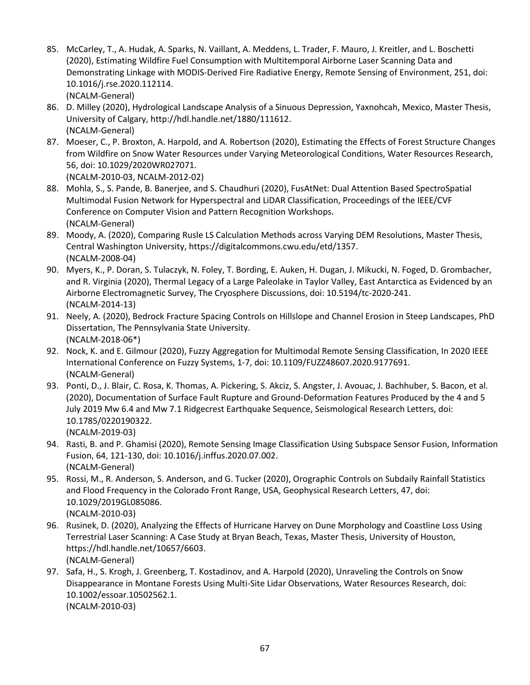- 85. McCarley, T., A. Hudak, A. Sparks, N. Vaillant, A. Meddens, L. Trader, F. Mauro, J. Kreitler, and L. Boschetti (2020), Estimating Wildfire Fuel Consumption with Multitemporal Airborne Laser Scanning Data and Demonstrating Linkage with MODIS-Derived Fire Radiative Energy, Remote Sensing of Environment, 251, doi: 10.1016/j.rse.2020.112114. (NCALM-General)
- 86. D. Milley (2020), Hydrological Landscape Analysis of a Sinuous Depression, Yaxnohcah, Mexico, Master Thesis, University of Calgary, http://hdl.handle.net/1880/111612. (NCALM-General)
- 87. Moeser, C., P. Broxton, A. Harpold, and A. Robertson (2020), Estimating the Effects of Forest Structure Changes from Wildfire on Snow Water Resources under Varying Meteorological Conditions, Water Resources Research, 56, doi: 10.1029/2020WR027071.

(NCALM-2010-03, NCALM-2012-02)

- 88. Mohla, S., S. Pande, B. Banerjee, and S. Chaudhuri (2020), FusAtNet: Dual Attention Based SpectroSpatial Multimodal Fusion Network for Hyperspectral and LiDAR Classification, Proceedings of the IEEE/CVF Conference on Computer Vision and Pattern Recognition Workshops. (NCALM-General)
- 89. Moody, A. (2020), Comparing Rusle LS Calculation Methods across Varying DEM Resolutions, Master Thesis, Central Washington University, https://digitalcommons.cwu.edu/etd/1357. (NCALM-2008-04)
- 90. Myers, K., P. Doran, S. Tulaczyk, N. Foley, T. Bording, E. Auken, H. Dugan, J. Mikucki, N. Foged, D. Grombacher, and R. Virginia (2020), Thermal Legacy of a Large Paleolake in Taylor Valley, East Antarctica as Evidenced by an Airborne Electromagnetic Survey, The Cryosphere Discussions, doi: 10.5194/tc-2020-241. (NCALM-2014-13)
- 91. Neely, A. (2020), Bedrock Fracture Spacing Controls on Hillslope and Channel Erosion in Steep Landscapes, PhD Dissertation, The Pennsylvania State University. (NCALM-2018-06\*)
- 92. Nock, K. and E. Gilmour (2020), Fuzzy Aggregation for Multimodal Remote Sensing Classification, In 2020 IEEE International Conference on Fuzzy Systems, 1-7, doi: 10.1109/FUZZ48607.2020.9177691. (NCALM-General)
- 93. Ponti, D., J. Blair, C. Rosa, K. Thomas, A. Pickering, S. Akciz, S. Angster, J. Avouac, J. Bachhuber, S. Bacon, et al. (2020), Documentation of Surface Fault Rupture and Ground-Deformation Features Produced by the 4 and 5 July 2019 Mw 6.4 and Mw 7.1 Ridgecrest Earthquake Sequence, Seismological Research Letters, doi: 10.1785/0220190322. (NCALM-2019-03)
- 94. Rasti, B. and P. Ghamisi (2020), Remote Sensing Image Classification Using Subspace Sensor Fusion, Information Fusion, 64, 121-130, doi: 10.1016/j.inffus.2020.07.002. (NCALM-General)
- 95. Rossi, M., R. Anderson, S. Anderson, and G. Tucker (2020), Orographic Controls on Subdaily Rainfall Statistics and Flood Frequency in the Colorado Front Range, USA, Geophysical Research Letters, 47, doi: 10.1029/2019GL085086. (NCALM-2010-03)
- 96. Rusinek, D. (2020), Analyzing the Effects of Hurricane Harvey on Dune Morphology and Coastline Loss Using Terrestrial Laser Scanning: A Case Study at Bryan Beach, Texas, Master Thesis, University of Houston, https://hdl.handle.net/10657/6603. (NCALM-General)
- 97. Safa, H., S. Krogh, J. Greenberg, T. Kostadinov, and A. Harpold (2020), Unraveling the Controls on Snow Disappearance in Montane Forests Using Multi-Site Lidar Observations, Water Resources Research, doi: 10.1002/essoar.10502562.1. (NCALM-2010-03)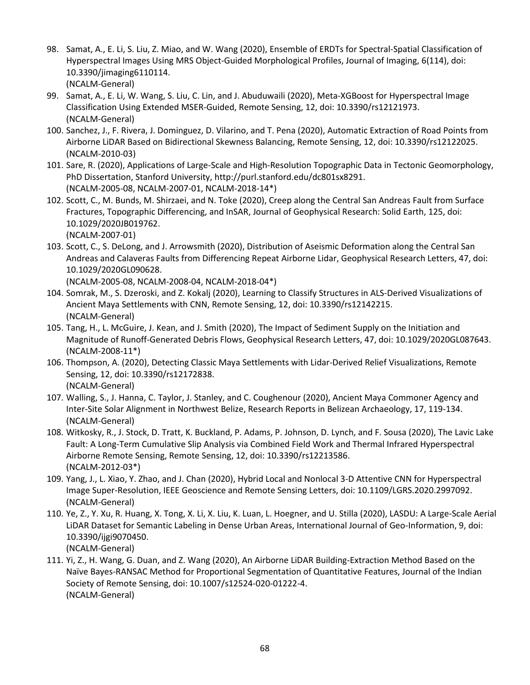- 98. Samat, A., E. Li, S. Liu, Z. Miao, and W. Wang (2020), Ensemble of ERDTs for Spectral-Spatial Classification of Hyperspectral Images Using MRS Object-Guided Morphological Profiles, Journal of Imaging, 6(114), doi: 10.3390/jimaging6110114. (NCALM-General)
- 99. Samat, A., E. Li, W. Wang, S. Liu, C. Lin, and J. Abuduwaili (2020), Meta-XGBoost for Hyperspectral Image Classification Using Extended MSER-Guided, Remote Sensing, 12, doi: 10.3390/rs12121973. (NCALM-General)
- 100. Sanchez, J., F. Rivera, J. Dominguez, D. Vilarino, and T. Pena (2020), Automatic Extraction of Road Points from Airborne LiDAR Based on Bidirectional Skewness Balancing, Remote Sensing, 12, doi: 10.3390/rs12122025. (NCALM-2010-03)
- 101. Sare, R. (2020), Applications of Large-Scale and High-Resolution Topographic Data in Tectonic Geomorphology, PhD Dissertation, Stanford University, http://purl.stanford.edu/dc801sx8291. (NCALM-2005-08, NCALM-2007-01, NCALM-2018-14\*)
- 102. Scott, C., M. Bunds, M. Shirzaei, and N. Toke (2020), Creep along the Central San Andreas Fault from Surface Fractures, Topographic Differencing, and InSAR, Journal of Geophysical Research: Solid Earth, 125, doi: 10.1029/2020JB019762.

(NCALM-2007-01)

103. Scott, C., S. DeLong, and J. Arrowsmith (2020), Distribution of Aseismic Deformation along the Central San Andreas and Calaveras Faults from Differencing Repeat Airborne Lidar, Geophysical Research Letters, 47, doi: 10.1029/2020GL090628.

(NCALM-2005-08, NCALM-2008-04, NCALM-2018-04\*)

- 104. Somrak, M., S. Dzeroski, and Z. Kokalj (2020), Learning to Classify Structures in ALS-Derived Visualizations of Ancient Maya Settlements with CNN, Remote Sensing, 12, doi: 10.3390/rs12142215. (NCALM-General)
- 105. Tang, H., L. McGuire, J. Kean, and J. Smith (2020), The Impact of Sediment Supply on the Initiation and Magnitude of Runoff-Generated Debris Flows, Geophysical Research Letters, 47, doi: 10.1029/2020GL087643. (NCALM-2008-11\*)
- 106. Thompson, A. (2020), Detecting Classic Maya Settlements with Lidar-Derived Relief Visualizations, Remote Sensing, 12, doi: 10.3390/rs12172838. (NCALM-General)
- 107. Walling, S., J. Hanna, C. Taylor, J. Stanley, and C. Coughenour (2020), Ancient Maya Commoner Agency and Inter-Site Solar Alignment in Northwest Belize, Research Reports in Belizean Archaeology, 17, 119-134. (NCALM-General)
- 108. Witkosky, R., J. Stock, D. Tratt, K. Buckland, P. Adams, P. Johnson, D. Lynch, and F. Sousa (2020), The Lavic Lake Fault: A Long-Term Cumulative Slip Analysis via Combined Field Work and Thermal Infrared Hyperspectral Airborne Remote Sensing, Remote Sensing, 12, doi: 10.3390/rs12213586. (NCALM-2012-03\*)
- 109. Yang, J., L. Xiao, Y. Zhao, and J. Chan (2020), Hybrid Local and Nonlocal 3-D Attentive CNN for Hyperspectral Image Super-Resolution, IEEE Geoscience and Remote Sensing Letters, doi: 10.1109/LGRS.2020.2997092. (NCALM-General)
- 110. Ye, Z., Y. Xu, R. Huang, X. Tong, X. Li, X. Liu, K. Luan, L. Hoegner, and U. Stilla (2020), LASDU: A Large-Scale Aerial LiDAR Dataset for Semantic Labeling in Dense Urban Areas, International Journal of Geo-Information, 9, doi: 10.3390/ijgi9070450. (NCALM-General)
- 111. Yi, Z., H. Wang, G. Duan, and Z. Wang (2020), An Airborne LiDAR Building-Extraction Method Based on the Naïve Bayes-RANSAC Method for Proportional Segmentation of Quantitative Features, Journal of the Indian Society of Remote Sensing, doi: 10.1007/s12524-020-01222-4. (NCALM-General)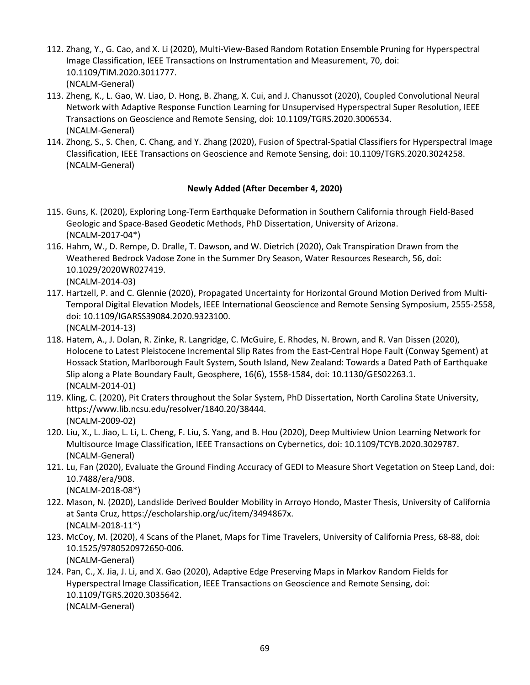- 112. Zhang, Y., G. Cao, and X. Li (2020), Multi-View-Based Random Rotation Ensemble Pruning for Hyperspectral Image Classification, IEEE Transactions on Instrumentation and Measurement, 70, doi: 10.1109/TIM.2020.3011777. (NCALM-General)
- 113. Zheng, K., L. Gao, W. Liao, D. Hong, B. Zhang, X. Cui, and J. Chanussot (2020), Coupled Convolutional Neural Network with Adaptive Response Function Learning for Unsupervised Hyperspectral Super Resolution, IEEE Transactions on Geoscience and Remote Sensing, doi: 10.1109/TGRS.2020.3006534. (NCALM-General)
- 114. Zhong, S., S. Chen, C. Chang, and Y. Zhang (2020), Fusion of Spectral-Spatial Classifiers for Hyperspectral Image Classification, IEEE Transactions on Geoscience and Remote Sensing, doi: 10.1109/TGRS.2020.3024258. (NCALM-General)

### **Newly Added (After December 4, 2020)**

- 115. Guns, K. (2020), Exploring Long-Term Earthquake Deformation in Southern California through Field-Based Geologic and Space-Based Geodetic Methods, PhD Dissertation, University of Arizona. (NCALM-2017-04\*)
- 116. Hahm, W., D. Rempe, D. Dralle, T. Dawson, and W. Dietrich (2020), Oak Transpiration Drawn from the Weathered Bedrock Vadose Zone in the Summer Dry Season, Water Resources Research, 56, doi: 10.1029/2020WR027419. (NCALM-2014-03)
- 117. Hartzell, P. and C. Glennie (2020), Propagated Uncertainty for Horizontal Ground Motion Derived from Multi-Temporal Digital Elevation Models, IEEE International Geoscience and Remote Sensing Symposium, 2555-2558, doi: 10.1109/IGARSS39084.2020.9323100. (NCALM-2014-13)
- 118. Hatem, A., J. Dolan, R. Zinke, R. Langridge, C. McGuire, E. Rhodes, N. Brown, and R. Van Dissen (2020), Holocene to Latest Pleistocene Incremental Slip Rates from the East-Central Hope Fault (Conway Sgement) at Hossack Station, Marlborough Fault System, South Island, New Zealand: Towards a Dated Path of Earthquake Slip along a Plate Boundary Fault, Geosphere, 16(6), 1558-1584, doi: 10.1130/GES02263.1. (NCALM-2014-01)
- 119. Kling, C. (2020), Pit Craters throughout the Solar System, PhD Dissertation, North Carolina State University, https://www.lib.ncsu.edu/resolver/1840.20/38444. (NCALM-2009-02)
- 120. Liu, X., L. Jiao, L. Li, L. Cheng, F. Liu, S. Yang, and B. Hou (2020), Deep Multiview Union Learning Network for Multisource Image Classification, IEEE Transactions on Cybernetics, doi: 10.1109/TCYB.2020.3029787. (NCALM-General)
- 121. Lu, Fan (2020), Evaluate the Ground Finding Accuracy of GEDI to Measure Short Vegetation on Steep Land, doi: 10.7488/era/908. (NCALM-2018-08\*)
- 122. Mason, N. (2020), Landslide Derived Boulder Mobility in Arroyo Hondo, Master Thesis, University of California
- at Santa Cruz, https://escholarship.org/uc/item/3494867x. (NCALM-2018-11\*) 123. McCoy, M. (2020), 4 Scans of the Planet, Maps for Time Travelers, University of California Press, 68-88, doi:
- 10.1525/9780520972650-006. (NCALM-General)
- 124. Pan, C., X. Jia, J. Li, and X. Gao (2020), Adaptive Edge Preserving Maps in Markov Random Fields for Hyperspectral Image Classification, IEEE Transactions on Geoscience and Remote Sensing, doi: 10.1109/TGRS.2020.3035642. (NCALM-General)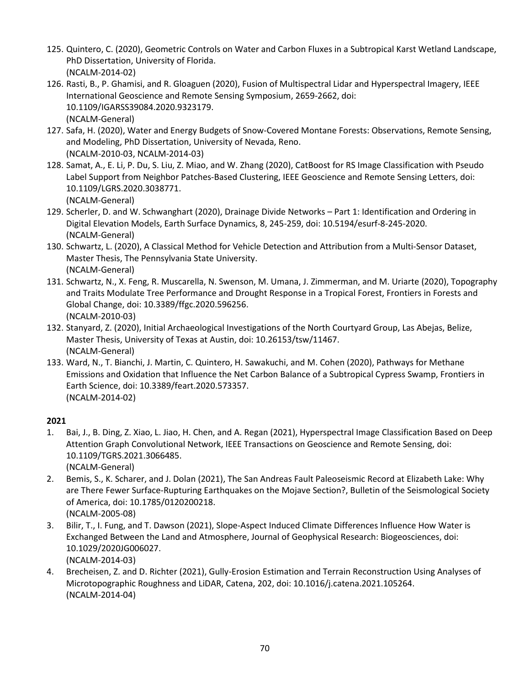- 125. Quintero, C. (2020), Geometric Controls on Water and Carbon Fluxes in a Subtropical Karst Wetland Landscape, PhD Dissertation, University of Florida. (NCALM-2014-02)
- 126. Rasti, B., P. Ghamisi, and R. Gloaguen (2020), Fusion of Multispectral Lidar and Hyperspectral Imagery, IEEE International Geoscience and Remote Sensing Symposium, 2659-2662, doi: 10.1109/IGARSS39084.2020.9323179. (NCALM-General)
- 127. Safa, H. (2020), Water and Energy Budgets of Snow-Covered Montane Forests: Observations, Remote Sensing, and Modeling, PhD Dissertation, University of Nevada, Reno. (NCALM-2010-03, NCALM-2014-03)
- 128. Samat, A., E. Li, P. Du, S. Liu, Z. Miao, and W. Zhang (2020), CatBoost for RS Image Classification with Pseudo Label Support from Neighbor Patches-Based Clustering, IEEE Geoscience and Remote Sensing Letters, doi: 10.1109/LGRS.2020.3038771.

- 129. Scherler, D. and W. Schwanghart (2020), Drainage Divide Networks Part 1: Identification and Ordering in Digital Elevation Models, Earth Surface Dynamics, 8, 245-259, doi: 10.5194/esurf-8-245-2020. (NCALM-General)
- 130. Schwartz, L. (2020), A Classical Method for Vehicle Detection and Attribution from a Multi-Sensor Dataset, Master Thesis, The Pennsylvania State University. (NCALM-General)
- 131. Schwartz, N., X. Feng, R. Muscarella, N. Swenson, M. Umana, J. Zimmerman, and M. Uriarte (2020), Topography and Traits Modulate Tree Performance and Drought Response in a Tropical Forest, Frontiers in Forests and Global Change, doi: 10.3389/ffgc.2020.596256. (NCALM-2010-03)
- 132. Stanyard, Z. (2020), Initial Archaeological Investigations of the North Courtyard Group, Las Abejas, Belize, Master Thesis, University of Texas at Austin, doi: 10.26153/tsw/11467. (NCALM-General)
- 133. Ward, N., T. Bianchi, J. Martin, C. Quintero, H. Sawakuchi, and M. Cohen (2020), Pathways for Methane Emissions and Oxidation that Influence the Net Carbon Balance of a Subtropical Cypress Swamp, Frontiers in Earth Science, doi: 10.3389/feart.2020.573357. (NCALM-2014-02)

## **2021**

- 1. Bai, J., B. Ding, Z. Xiao, L. Jiao, H. Chen, and A. Regan (2021), Hyperspectral Image Classification Based on Deep Attention Graph Convolutional Network, IEEE Transactions on Geoscience and Remote Sensing, doi: 10.1109/TGRS.2021.3066485. (NCALM-General)
- 2. Bemis, S., K. Scharer, and J. Dolan (2021), The San Andreas Fault Paleoseismic Record at Elizabeth Lake: Why are There Fewer Surface-Rupturing Earthquakes on the Mojave Section?, Bulletin of the Seismological Society of America, doi: 10.1785/0120200218. (NCALM-2005-08)
- 3. Bilir, T., I. Fung, and T. Dawson (2021), Slope-Aspect Induced Climate Differences Influence How Water is Exchanged Between the Land and Atmosphere, Journal of Geophysical Research: Biogeosciences, doi: 10.1029/2020JG006027. (NCALM-2014-03)
- 4. Brecheisen, Z. and D. Richter (2021), Gully-Erosion Estimation and Terrain Reconstruction Using Analyses of Microtopographic Roughness and LiDAR, Catena, 202, doi: 10.1016/j.catena.2021.105264. (NCALM-2014-04)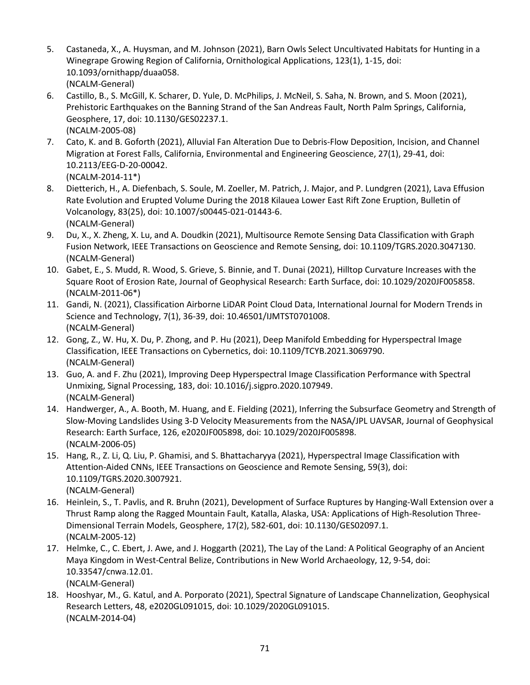- 5. Castaneda, X., A. Huysman, and M. Johnson (2021), Barn Owls Select Uncultivated Habitats for Hunting in a Winegrape Growing Region of California, Ornithological Applications, 123(1), 1-15, doi: 10.1093/ornithapp/duaa058. (NCALM-General)
- 6. Castillo, B., S. McGill, K. Scharer, D. Yule, D. McPhilips, J. McNeil, S. Saha, N. Brown, and S. Moon (2021), Prehistoric Earthquakes on the Banning Strand of the San Andreas Fault, North Palm Springs, California, Geosphere, 17, doi: 10.1130/GES02237.1. (NCALM-2005-08)
- 7. Cato, K. and B. Goforth (2021), Alluvial Fan Alteration Due to Debris-Flow Deposition, Incision, and Channel Migration at Forest Falls, California, Environmental and Engineering Geoscience, 27(1), 29-41, doi: 10.2113/EEG-D-20-00042. (NCALM-2014-11\*)
- 8. Dietterich, H., A. Diefenbach, S. Soule, M. Zoeller, M. Patrich, J. Major, and P. Lundgren (2021), Lava Effusion Rate Evolution and Erupted Volume During the 2018 Kilauea Lower East Rift Zone Eruption, Bulletin of Volcanology, 83(25), doi: 10.1007/s00445-021-01443-6. (NCALM-General)
- 9. Du, X., X. Zheng, X. Lu, and A. Doudkin (2021), Multisource Remote Sensing Data Classification with Graph Fusion Network, IEEE Transactions on Geoscience and Remote Sensing, doi: 10.1109/TGRS.2020.3047130. (NCALM-General)
- 10. Gabet, E., S. Mudd, R. Wood, S. Grieve, S. Binnie, and T. Dunai (2021), Hilltop Curvature Increases with the Square Root of Erosion Rate, Journal of Geophysical Research: Earth Surface, doi: 10.1029/2020JF005858. (NCALM-2011-06\*)
- 11. Gandi, N. (2021), Classification Airborne LiDAR Point Cloud Data, International Journal for Modern Trends in Science and Technology, 7(1), 36-39, doi: 10.46501/IJMTST0701008. (NCALM-General)
- 12. Gong, Z., W. Hu, X. Du, P. Zhong, and P. Hu (2021), Deep Manifold Embedding for Hyperspectral Image Classification, IEEE Transactions on Cybernetics, doi: 10.1109/TCYB.2021.3069790. (NCALM-General)
- 13. Guo, A. and F. Zhu (2021), Improving Deep Hyperspectral Image Classification Performance with Spectral Unmixing, Signal Processing, 183, doi: 10.1016/j.sigpro.2020.107949. (NCALM-General)
- 14. Handwerger, A., A. Booth, M. Huang, and E. Fielding (2021), Inferring the Subsurface Geometry and Strength of Slow-Moving Landslides Using 3-D Velocity Measurements from the NASA/JPL UAVSAR, Journal of Geophysical Research: Earth Surface, 126, e2020JF005898, doi: 10.1029/2020JF005898. (NCALM-2006-05)
- 15. Hang, R., Z. Li, Q. Liu, P. Ghamisi, and S. Bhattacharyya (2021), Hyperspectral Image Classification with Attention-Aided CNNs, IEEE Transactions on Geoscience and Remote Sensing, 59(3), doi: 10.1109/TGRS.2020.3007921. (NCALM-General)
- 16. Heinlein, S., T. Pavlis, and R. Bruhn (2021), Development of Surface Ruptures by Hanging-Wall Extension over a Thrust Ramp along the Ragged Mountain Fault, Katalla, Alaska, USA: Applications of High-Resolution Three-Dimensional Terrain Models, Geosphere, 17(2), 582-601, doi: 10.1130/GES02097.1. (NCALM-2005-12)
- 17. Helmke, C., C. Ebert, J. Awe, and J. Hoggarth (2021), The Lay of the Land: A Political Geography of an Ancient Maya Kingdom in West-Central Belize, Contributions in New World Archaeology, 12, 9-54, doi: 10.33547/cnwa.12.01. (NCALM-General)
- 18. Hooshyar, M., G. Katul, and A. Porporato (2021), Spectral Signature of Landscape Channelization, Geophysical Research Letters, 48, e2020GL091015, doi: 10.1029/2020GL091015. (NCALM-2014-04)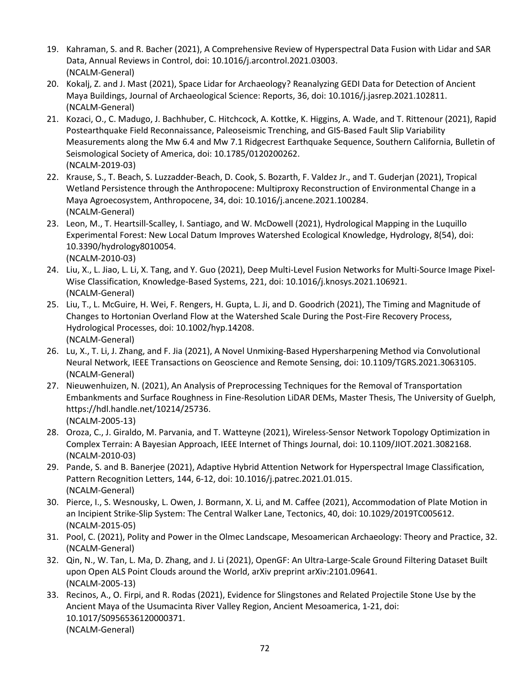- 19. Kahraman, S. and R. Bacher (2021), A Comprehensive Review of Hyperspectral Data Fusion with Lidar and SAR Data, Annual Reviews in Control, doi: 10.1016/j.arcontrol.2021.03003. (NCALM-General)
- 20. Kokalj, Z. and J. Mast (2021), Space Lidar for Archaeology? Reanalyzing GEDI Data for Detection of Ancient Maya Buildings, Journal of Archaeological Science: Reports, 36, doi: 10.1016/j.jasrep.2021.102811. (NCALM-General)
- 21. Kozaci, O., C. Madugo, J. Bachhuber, C. Hitchcock, A. Kottke, K. Higgins, A. Wade, and T. Rittenour (2021), Rapid Postearthquake Field Reconnaissance, Paleoseismic Trenching, and GIS-Based Fault Slip Variability Measurements along the Mw 6.4 and Mw 7.1 Ridgecrest Earthquake Sequence, Southern California, Bulletin of Seismological Society of America, doi: 10.1785/0120200262. (NCALM-2019-03)
- 22. Krause, S., T. Beach, S. Luzzadder-Beach, D. Cook, S. Bozarth, F. Valdez Jr., and T. Guderjan (2021), Tropical Wetland Persistence through the Anthropocene: Multiproxy Reconstruction of Environmental Change in a Maya Agroecosystem, Anthropocene, 34, doi: 10.1016/j.ancene.2021.100284. (NCALM-General)
- 23. Leon, M., T. Heartsill-Scalley, I. Santiago, and W. McDowell (2021), Hydrological Mapping in the Luquillo Experimental Forest: New Local Datum Improves Watershed Ecological Knowledge, Hydrology, 8(54), doi: 10.3390/hydrology8010054. (NCALM-2010-03)
- 24. Liu, X., L. Jiao, L. Li, X. Tang, and Y. Guo (2021), Deep Multi-Level Fusion Networks for Multi-Source Image Pixel-Wise Classification, Knowledge-Based Systems, 221, doi: 10.1016/j.knosys.2021.106921. (NCALM-General)
- 25. Liu, T., L. McGuire, H. Wei, F. Rengers, H. Gupta, L. Ji, and D. Goodrich (2021), The Timing and Magnitude of Changes to Hortonian Overland Flow at the Watershed Scale During the Post-Fire Recovery Process, Hydrological Processes, doi: 10.1002/hyp.14208. (NCALM-General)
- 26. Lu, X., T. Li, J. Zhang, and F. Jia (2021), A Novel Unmixing-Based Hypersharpening Method via Convolutional Neural Network, IEEE Transactions on Geoscience and Remote Sensing, doi: 10.1109/TGRS.2021.3063105. (NCALM-General)
- 27. Nieuwenhuizen, N. (2021), An Analysis of Preprocessing Techniques for the Removal of Transportation Embankments and Surface Roughness in Fine-Resolution LiDAR DEMs, Master Thesis, The University of Guelph, https://hdl.handle.net/10214/25736. (NCALM-2005-13)
- 28. Oroza, C., J. Giraldo, M. Parvania, and T. Watteyne (2021), Wireless-Sensor Network Topology Optimization in Complex Terrain: A Bayesian Approach, IEEE Internet of Things Journal, doi: 10.1109/JIOT.2021.3082168. (NCALM-2010-03)
- 29. Pande, S. and B. Banerjee (2021), Adaptive Hybrid Attention Network for Hyperspectral Image Classification, Pattern Recognition Letters, 144, 6-12, doi: 10.1016/j.patrec.2021.01.015. (NCALM-General)
- 30. Pierce, I., S. Wesnousky, L. Owen, J. Bormann, X. Li, and M. Caffee (2021), Accommodation of Plate Motion in an Incipient Strike-Slip System: The Central Walker Lane, Tectonics, 40, doi: 10.1029/2019TC005612. (NCALM-2015-05)
- 31. Pool, C. (2021), Polity and Power in the Olmec Landscape, Mesoamerican Archaeology: Theory and Practice, 32. (NCALM-General)
- 32. Qin, N., W. Tan, L. Ma, D. Zhang, and J. Li (2021), OpenGF: An Ultra-Large-Scale Ground Filtering Dataset Built upon Open ALS Point Clouds around the World, arXiv preprint arXiv:2101.09641. (NCALM-2005-13)
- 33. Recinos, A., O. Firpi, and R. Rodas (2021), Evidence for Slingstones and Related Projectile Stone Use by the Ancient Maya of the Usumacinta River Valley Region, Ancient Mesoamerica, 1-21, doi: 10.1017/S0956536120000371. (NCALM-General)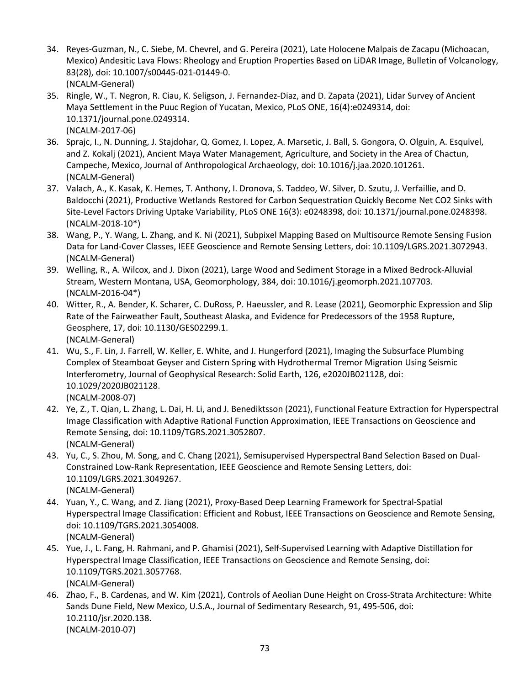- 34. Reyes-Guzman, N., C. Siebe, M. Chevrel, and G. Pereira (2021), Late Holocene Malpais de Zacapu (Michoacan, Mexico) Andesitic Lava Flows: Rheology and Eruption Properties Based on LiDAR Image, Bulletin of Volcanology, 83(28), doi: 10.1007/s00445-021-01449-0. (NCALM-General)
- 35. Ringle, W., T. Negron, R. Ciau, K. Seligson, J. Fernandez-Diaz, and D. Zapata (2021), Lidar Survey of Ancient Maya Settlement in the Puuc Region of Yucatan, Mexico, PLoS ONE, 16(4):e0249314, doi: 10.1371/journal.pone.0249314. (NCALM-2017-06)
- 36. Sprajc, I., N. Dunning, J. Stajdohar, Q. Gomez, I. Lopez, A. Marsetic, J. Ball, S. Gongora, O. Olguin, A. Esquivel, and Z. Kokalj (2021), Ancient Maya Water Management, Agriculture, and Society in the Area of Chactun, Campeche, Mexico, Journal of Anthropological Archaeology, doi: 10.1016/j.jaa.2020.101261. (NCALM-General)
- 37. Valach, A., K. Kasak, K. Hemes, T. Anthony, I. Dronova, S. Taddeo, W. Silver, D. Szutu, J. Verfaillie, and D. Baldocchi (2021), Productive Wetlands Restored for Carbon Sequestration Quickly Become Net CO2 Sinks with Site-Level Factors Driving Uptake Variability, PLoS ONE 16(3): e0248398, doi: 10.1371/journal.pone.0248398. (NCALM-2018-10\*)
- 38. Wang, P., Y. Wang, L. Zhang, and K. Ni (2021), Subpixel Mapping Based on Multisource Remote Sensing Fusion Data for Land-Cover Classes, IEEE Geoscience and Remote Sensing Letters, doi: 10.1109/LGRS.2021.3072943. (NCALM-General)
- 39. Welling, R., A. Wilcox, and J. Dixon (2021), Large Wood and Sediment Storage in a Mixed Bedrock-Alluvial Stream, Western Montana, USA, Geomorphology, 384, doi: 10.1016/j.geomorph.2021.107703. (NCALM-2016-04\*)
- 40. Witter, R., A. Bender, K. Scharer, C. DuRoss, P. Haeussler, and R. Lease (2021), Geomorphic Expression and Slip Rate of the Fairweather Fault, Southeast Alaska, and Evidence for Predecessors of the 1958 Rupture, Geosphere, 17, doi: 10.1130/GES02299.1. (NCALM-General)
- 41. Wu, S., F. Lin, J. Farrell, W. Keller, E. White, and J. Hungerford (2021), Imaging the Subsurface Plumbing Complex of Steamboat Geyser and Cistern Spring with Hydrothermal Tremor Migration Using Seismic Interferometry, Journal of Geophysical Research: Solid Earth, 126, e2020JB021128, doi: 10.1029/2020JB021128. (NCALM-2008-07)
- 42. Ye, Z., T. Qian, L. Zhang, L. Dai, H. Li, and J. Benediktsson (2021), Functional Feature Extraction for Hyperspectral Image Classification with Adaptive Rational Function Approximation, IEEE Transactions on Geoscience and Remote Sensing, doi: 10.1109/TGRS.2021.3052807. (NCALM-General)
- 43. Yu, C., S. Zhou, M. Song, and C. Chang (2021), Semisupervised Hyperspectral Band Selection Based on Dual-Constrained Low-Rank Representation, IEEE Geoscience and Remote Sensing Letters, doi: 10.1109/LGRS.2021.3049267. (NCALM-General)
- 44. Yuan, Y., C. Wang, and Z. Jiang (2021), Proxy-Based Deep Learning Framework for Spectral-Spatial Hyperspectral Image Classification: Efficient and Robust, IEEE Transactions on Geoscience and Remote Sensing, doi: 10.1109/TGRS.2021.3054008. (NCALM-General)
- 45. Yue, J., L. Fang, H. Rahmani, and P. Ghamisi (2021), Self-Supervised Learning with Adaptive Distillation for Hyperspectral Image Classification, IEEE Transactions on Geoscience and Remote Sensing, doi: 10.1109/TGRS.2021.3057768. (NCALM-General)
- 46. Zhao, F., B. Cardenas, and W. Kim (2021), Controls of Aeolian Dune Height on Cross-Strata Architecture: White Sands Dune Field, New Mexico, U.S.A., Journal of Sedimentary Research, 91, 495-506, doi: 10.2110/jsr.2020.138. (NCALM-2010-07)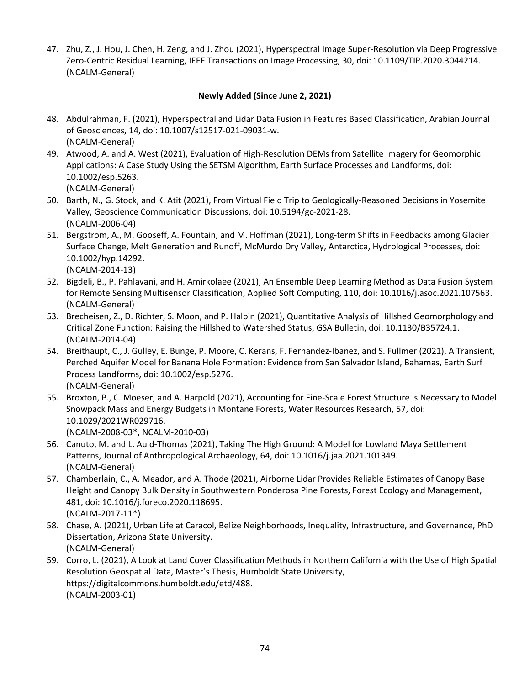47. Zhu, Z., J. Hou, J. Chen, H. Zeng, and J. Zhou (2021), Hyperspectral Image Super-Resolution via Deep Progressive Zero-Centric Residual Learning, IEEE Transactions on Image Processing, 30, doi: 10.1109/TIP.2020.3044214. (NCALM-General)

## **Newly Added (Since June 2, 2021)**

- 48. Abdulrahman, F. (2021), Hyperspectral and Lidar Data Fusion in Features Based Classification, Arabian Journal of Geosciences, 14, doi: 10.1007/s12517-021-09031-w. (NCALM-General)
- 49. Atwood, A. and A. West (2021), Evaluation of High-Resolution DEMs from Satellite Imagery for Geomorphic Applications: A Case Study Using the SETSM Algorithm, Earth Surface Processes and Landforms, doi: 10.1002/esp.5263. (NCALM-General)
- 50. Barth, N., G. Stock, and K. Atit (2021), From Virtual Field Trip to Geologically-Reasoned Decisions in Yosemite Valley, Geoscience Communication Discussions, doi: 10.5194/gc-2021-28. (NCALM-2006-04)
- 51. Bergstrom, A., M. Gooseff, A. Fountain, and M. Hoffman (2021), Long-term Shifts in Feedbacks among Glacier Surface Change, Melt Generation and Runoff, McMurdo Dry Valley, Antarctica, Hydrological Processes, doi: 10.1002/hyp.14292.

(NCALM-2014-13)

- 52. Bigdeli, B., P. Pahlavani, and H. Amirkolaee (2021), An Ensemble Deep Learning Method as Data Fusion System for Remote Sensing Multisensor Classification, Applied Soft Computing, 110, doi: 10.1016/j.asoc.2021.107563. (NCALM-General)
- 53. Brecheisen, Z., D. Richter, S. Moon, and P. Halpin (2021), Quantitative Analysis of Hillshed Geomorphology and Critical Zone Function: Raising the Hillshed to Watershed Status, GSA Bulletin, doi: 10.1130/B35724.1. (NCALM-2014-04)
- 54. Breithaupt, C., J. Gulley, E. Bunge, P. Moore, C. Kerans, F. Fernandez-Ibanez, and S. Fullmer (2021), A Transient, Perched Aquifer Model for Banana Hole Formation: Evidence from San Salvador Island, Bahamas, Earth Surf Process Landforms, doi: 10.1002/esp.5276. (NCALM-General)
- 55. Broxton, P., C. Moeser, and A. Harpold (2021), Accounting for Fine-Scale Forest Structure is Necessary to Model Snowpack Mass and Energy Budgets in Montane Forests, Water Resources Research, 57, doi: 10.1029/2021WR029716. (NCALM-2008-03\*, NCALM-2010-03)
- 56. Canuto, M. and L. Auld-Thomas (2021), Taking The High Ground: A Model for Lowland Maya Settlement Patterns, Journal of Anthropological Archaeology, 64, doi: 10.1016/j.jaa.2021.101349. (NCALM-General)
- 57. Chamberlain, C., A. Meador, and A. Thode (2021), Airborne Lidar Provides Reliable Estimates of Canopy Base Height and Canopy Bulk Density in Southwestern Ponderosa Pine Forests, Forest Ecology and Management, 481, doi: 10.1016/j.foreco.2020.118695. (NCALM-2017-11\*)
- 58. Chase, A. (2021), Urban Life at Caracol, Belize Neighborhoods, Inequality, Infrastructure, and Governance, PhD Dissertation, Arizona State University. (NCALM-General)
- 59. Corro, L. (2021), A Look at Land Cover Classification Methods in Northern California with the Use of High Spatial Resolution Geospatial Data, Master's Thesis, Humboldt State University, https://digitalcommons.humboldt.edu/etd/488. (NCALM-2003-01)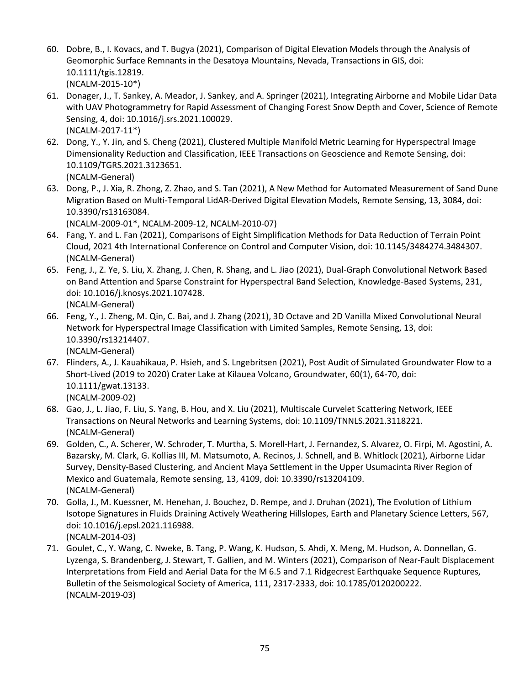- 60. Dobre, B., I. Kovacs, and T. Bugya (2021), Comparison of Digital Elevation Models through the Analysis of Geomorphic Surface Remnants in the Desatoya Mountains, Nevada, Transactions in GIS, doi: 10.1111/tgis.12819. (NCALM-2015-10\*)
- 61. Donager, J., T. Sankey, A. Meador, J. Sankey, and A. Springer (2021), Integrating Airborne and Mobile Lidar Data with UAV Photogrammetry for Rapid Assessment of Changing Forest Snow Depth and Cover, Science of Remote Sensing, 4, doi: 10.1016/j.srs.2021.100029. (NCALM-2017-11\*)
- 62. Dong, Y., Y. Jin, and S. Cheng (2021), Clustered Multiple Manifold Metric Learning for Hyperspectral Image Dimensionality Reduction and Classification, IEEE Transactions on Geoscience and Remote Sensing, doi: 10.1109/TGRS.2021.3123651. (NCALM-General)
- 63. Dong, P., J. Xia, R. Zhong, Z. Zhao, and S. Tan (2021), A New Method for Automated Measurement of Sand Dune Migration Based on Multi-Temporal LidAR-Derived Digital Elevation Models, Remote Sensing, 13, 3084, doi: 10.3390/rs13163084.

(NCALM-2009-01\*, NCALM-2009-12, NCALM-2010-07)

- 64. Fang, Y. and L. Fan (2021), Comparisons of Eight Simplification Methods for Data Reduction of Terrain Point Cloud, 2021 4th International Conference on Control and Computer Vision, doi: 10.1145/3484274.3484307. (NCALM-General)
- 65. Feng, J., Z. Ye, S. Liu, X. Zhang, J. Chen, R. Shang, and L. Jiao (2021), Dual-Graph Convolutional Network Based on Band Attention and Sparse Constraint for Hyperspectral Band Selection, Knowledge-Based Systems, 231, doi: 10.1016/j.knosys.2021.107428. (NCALM-General)
- 66. Feng, Y., J. Zheng, M. Qin, C. Bai, and J. Zhang (2021), 3D Octave and 2D Vanilla Mixed Convolutional Neural Network for Hyperspectral Image Classification with Limited Samples, Remote Sensing, 13, doi: 10.3390/rs13214407. (NCALM-General)
- 67. Flinders, A., J. Kauahikaua, P. Hsieh, and S. Lngebritsen (2021), Post Audit of Simulated Groundwater Flow to a Short-Lived (2019 to 2020) Crater Lake at Kilauea Volcano, Groundwater, 60(1), 64-70, doi: 10.1111/gwat.13133. (NCALM-2009-02)
- 68. Gao, J., L. Jiao, F. Liu, S. Yang, B. Hou, and X. Liu (2021), Multiscale Curvelet Scattering Network, IEEE Transactions on Neural Networks and Learning Systems, doi: 10.1109/TNNLS.2021.3118221. (NCALM-General)
- 69. Golden, C., A. Scherer, W. Schroder, T. Murtha, S. Morell-Hart, J. Fernandez, S. Alvarez, O. Firpi, M. Agostini, A. Bazarsky, M. Clark, G. Kollias III, M. Matsumoto, A. Recinos, J. Schnell, and B. Whitlock (2021), Airborne Lidar Survey, Density-Based Clustering, and Ancient Maya Settlement in the Upper Usumacinta River Region of Mexico and Guatemala, Remote sensing, 13, 4109, doi: 10.3390/rs13204109. (NCALM-General)
- 70. Golla, J., M. Kuessner, M. Henehan, J. Bouchez, D. Rempe, and J. Druhan (2021), The Evolution of Lithium Isotope Signatures in Fluids Draining Actively Weathering Hillslopes, Earth and Planetary Science Letters, 567, doi: 10.1016/j.epsl.2021.116988. (NCALM-2014-03)
- 71. Goulet, C., Y. Wang, C. Nweke, B. Tang, P. Wang, K. Hudson, S. Ahdi, X. Meng, M. Hudson, A. Donnellan, G. Lyzenga, S. Brandenberg, J. Stewart, T. Gallien, and M. Winters (2021), Comparison of Near-Fault Displacement Interpretations from Field and Aerial Data for the M 6.5 and 7.1 Ridgecrest Earthquake Sequence Ruptures, Bulletin of the Seismological Society of America, 111, 2317-2333, doi: 10.1785/0120200222. (NCALM-2019-03)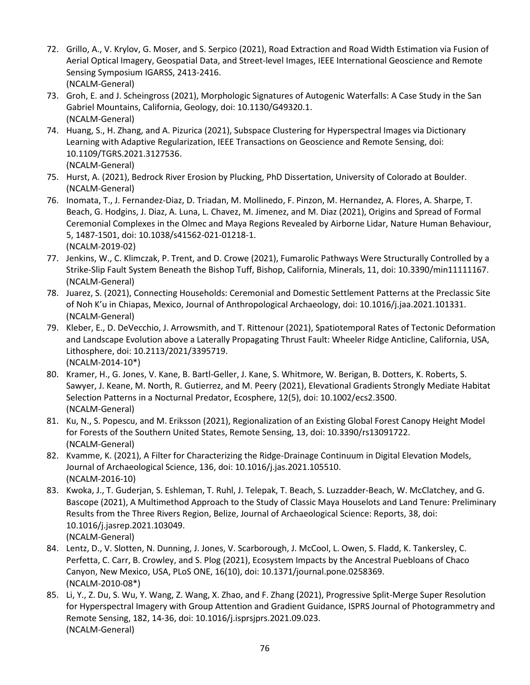- 72. Grillo, A., V. Krylov, G. Moser, and S. Serpico (2021), Road Extraction and Road Width Estimation via Fusion of Aerial Optical Imagery, Geospatial Data, and Street-level Images, IEEE International Geoscience and Remote Sensing Symposium IGARSS, 2413-2416. (NCALM-General)
- 73. Groh, E. and J. Scheingross (2021), Morphologic Signatures of Autogenic Waterfalls: A Case Study in the San Gabriel Mountains, California, Geology, doi: 10.1130/G49320.1. (NCALM-General)
- 74. Huang, S., H. Zhang, and A. Pizurica (2021), Subspace Clustering for Hyperspectral Images via Dictionary Learning with Adaptive Regularization, IEEE Transactions on Geoscience and Remote Sensing, doi: 10.1109/TGRS.2021.3127536. (NCALM-General)
- 75. Hurst, A. (2021), Bedrock River Erosion by Plucking, PhD Dissertation, University of Colorado at Boulder. (NCALM-General)
- 76. Inomata, T., J. Fernandez-Diaz, D. Triadan, M. Mollinedo, F. Pinzon, M. Hernandez, A. Flores, A. Sharpe, T. Beach, G. Hodgins, J. Diaz, A. Luna, L. Chavez, M. Jimenez, and M. Diaz (2021), Origins and Spread of Formal Ceremonial Complexes in the Olmec and Maya Regions Revealed by Airborne Lidar, Nature Human Behaviour, 5, 1487-1501, doi: 10.1038/s41562-021-01218-1. (NCALM-2019-02)
- 77. Jenkins, W., C. Klimczak, P. Trent, and D. Crowe (2021), Fumarolic Pathways Were Structurally Controlled by a Strike-Slip Fault System Beneath the Bishop Tuff, Bishop, California, Minerals, 11, doi: 10.3390/min11111167. (NCALM-General)
- 78. Juarez, S. (2021), Connecting Households: Ceremonial and Domestic Settlement Patterns at the Preclassic Site of Noh K'u in Chiapas, Mexico, Journal of Anthropological Archaeology, doi: 10.1016/j.jaa.2021.101331. (NCALM-General)
- 79. Kleber, E., D. DeVecchio, J. Arrowsmith, and T. Rittenour (2021), Spatiotemporal Rates of Tectonic Deformation and Landscape Evolution above a Laterally Propagating Thrust Fault: Wheeler Ridge Anticline, California, USA, Lithosphere, doi: 10.2113/2021/3395719. (NCALM-2014-10\*)
- 80. Kramer, H., G. Jones, V. Kane, B. Bartl-Geller, J. Kane, S. Whitmore, W. Berigan, B. Dotters, K. Roberts, S. Sawyer, J. Keane, M. North, R. Gutierrez, and M. Peery (2021), Elevational Gradients Strongly Mediate Habitat Selection Patterns in a Nocturnal Predator, Ecosphere, 12(5), doi: 10.1002/ecs2.3500. (NCALM-General)
- 81. Ku, N., S. Popescu, and M. Eriksson (2021), Regionalization of an Existing Global Forest Canopy Height Model for Forests of the Southern United States, Remote Sensing, 13, doi: 10.3390/rs13091722. (NCALM-General)
- 82. Kvamme, K. (2021), A Filter for Characterizing the Ridge-Drainage Continuum in Digital Elevation Models, Journal of Archaeological Science, 136, doi: 10.1016/j.jas.2021.105510. (NCALM-2016-10)
- 83. Kwoka, J., T. Guderjan, S. Eshleman, T. Ruhl, J. Telepak, T. Beach, S. Luzzadder-Beach, W. McClatchey, and G. Bascope (2021), A Multimethod Approach to the Study of Classic Maya Houselots and Land Tenure: Preliminary Results from the Three Rivers Region, Belize, Journal of Archaeological Science: Reports, 38, doi: 10.1016/j.jasrep.2021.103049. (NCALM-General)
- 84. Lentz, D., V. Slotten, N. Dunning, J. Jones, V. Scarborough, J. McCool, L. Owen, S. Fladd, K. Tankersley, C. Perfetta, C. Carr, B. Crowley, and S. Plog (2021), Ecosystem Impacts by the Ancestral Puebloans of Chaco Canyon, New Mexico, USA, PLoS ONE, 16(10), doi: 10.1371/journal.pone.0258369. (NCALM-2010-08\*)
- 85. Li, Y., Z. Du, S. Wu, Y. Wang, Z. Wang, X. Zhao, and F. Zhang (2021), Progressive Split-Merge Super Resolution for Hyperspectral Imagery with Group Attention and Gradient Guidance, ISPRS Journal of Photogrammetry and Remote Sensing, 182, 14-36, doi: 10.1016/j.isprsjprs.2021.09.023. (NCALM-General)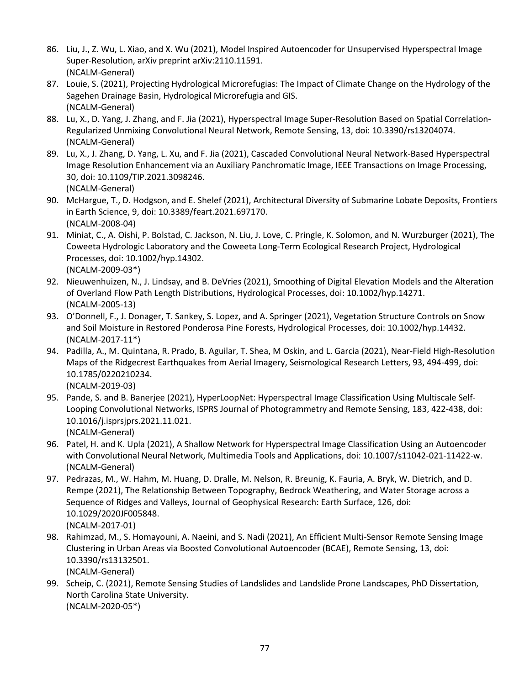- 86. Liu, J., Z. Wu, L. Xiao, and X. Wu (2021), Model Inspired Autoencoder for Unsupervised Hyperspectral Image Super-Resolution, arXiv preprint arXiv:2110.11591. (NCALM-General)
- 87. Louie, S. (2021), Projecting Hydrological Microrefugias: The Impact of Climate Change on the Hydrology of the Sagehen Drainage Basin, Hydrological Microrefugia and GIS. (NCALM-General)
- 88. Lu, X., D. Yang, J. Zhang, and F. Jia (2021), Hyperspectral Image Super-Resolution Based on Spatial Correlation-Regularized Unmixing Convolutional Neural Network, Remote Sensing, 13, doi: 10.3390/rs13204074. (NCALM-General)
- 89. Lu, X., J. Zhang, D. Yang, L. Xu, and F. Jia (2021), Cascaded Convolutional Neural Network-Based Hyperspectral Image Resolution Enhancement via an Auxiliary Panchromatic Image, IEEE Transactions on Image Processing, 30, doi: 10.1109/TIP.2021.3098246. (NCALM-General)
- 90. McHargue, T., D. Hodgson, and E. Shelef (2021), Architectural Diversity of Submarine Lobate Deposits, Frontiers in Earth Science, 9, doi: 10.3389/feart.2021.697170. (NCALM-2008-04)
- 91. Miniat, C., A. Oishi, P. Bolstad, C. Jackson, N. Liu, J. Love, C. Pringle, K. Solomon, and N. Wurzburger (2021), The Coweeta Hydrologic Laboratory and the Coweeta Long-Term Ecological Research Project, Hydrological Processes, doi: 10.1002/hyp.14302. (NCALM-2009-03\*)
- 92. Nieuwenhuizen, N., J. Lindsay, and B. DeVries (2021), Smoothing of Digital Elevation Models and the Alteration of Overland Flow Path Length Distributions, Hydrological Processes, doi: 10.1002/hyp.14271. (NCALM-2005-13)
- 93. O'Donnell, F., J. Donager, T. Sankey, S. Lopez, and A. Springer (2021), Vegetation Structure Controls on Snow and Soil Moisture in Restored Ponderosa Pine Forests, Hydrological Processes, doi: 10.1002/hyp.14432. (NCALM-2017-11\*)
- 94. Padilla, A., M. Quintana, R. Prado, B. Aguilar, T. Shea, M Oskin, and L. Garcia (2021), Near-Field High-Resolution Maps of the Ridgecrest Earthquakes from Aerial Imagery, Seismological Research Letters, 93, 494-499, doi: 10.1785/0220210234.

(NCALM-2019-03)

- 95. Pande, S. and B. Banerjee (2021), HyperLoopNet: Hyperspectral Image Classification Using Multiscale Self-Looping Convolutional Networks, ISPRS Journal of Photogrammetry and Remote Sensing, 183, 422-438, doi: 10.1016/j.isprsjprs.2021.11.021. (NCALM-General)
- 96. Patel, H. and K. Upla (2021), A Shallow Network for Hyperspectral Image Classification Using an Autoencoder with Convolutional Neural Network, Multimedia Tools and Applications, doi: 10.1007/s11042-021-11422-w. (NCALM-General)
- 97. Pedrazas, M., W. Hahm, M. Huang, D. Dralle, M. Nelson, R. Breunig, K. Fauria, A. Bryk, W. Dietrich, and D. Rempe (2021), The Relationship Between Topography, Bedrock Weathering, and Water Storage across a Sequence of Ridges and Valleys, Journal of Geophysical Research: Earth Surface, 126, doi: 10.1029/2020JF005848. (NCALM-2017-01)
- 98. Rahimzad, M., S. Homayouni, A. Naeini, and S. Nadi (2021), An Efficient Multi-Sensor Remote Sensing Image Clustering in Urban Areas via Boosted Convolutional Autoencoder (BCAE), Remote Sensing, 13, doi: 10.3390/rs13132501. (NCALM-General)
- 99. Scheip, C. (2021), Remote Sensing Studies of Landslides and Landslide Prone Landscapes, PhD Dissertation, North Carolina State University. (NCALM-2020-05\*)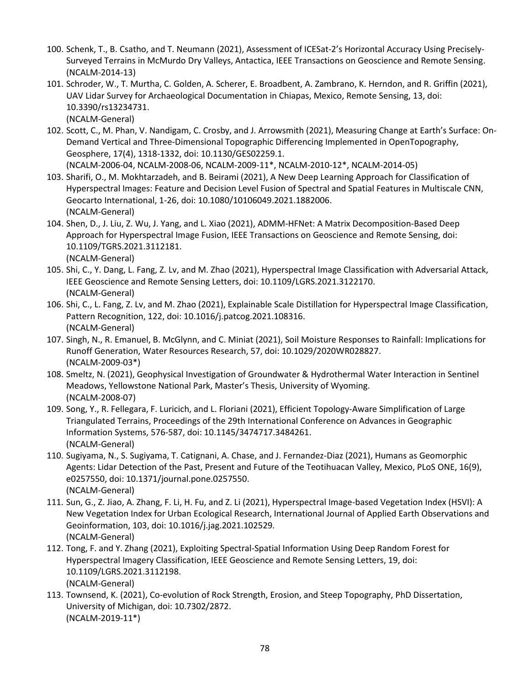- 100. Schenk, T., B. Csatho, and T. Neumann (2021), Assessment of ICESat-2's Horizontal Accuracy Using Precisely-Surveyed Terrains in McMurdo Dry Valleys, Antactica, IEEE Transactions on Geoscience and Remote Sensing. (NCALM-2014-13)
- 101. Schroder, W., T. Murtha, C. Golden, A. Scherer, E. Broadbent, A. Zambrano, K. Herndon, and R. Griffin (2021), UAV Lidar Survey for Archaeological Documentation in Chiapas, Mexico, Remote Sensing, 13, doi: 10.3390/rs13234731. (NCALM-General)
- 102. Scott, C., M. Phan, V. Nandigam, C. Crosby, and J. Arrowsmith (2021), Measuring Change at Earth's Surface: On-Demand Vertical and Three-Dimensional Topographic Differencing Implemented in OpenTopography, Geosphere, 17(4), 1318-1332, doi: 10.1130/GES02259.1. (NCALM-2006-04, NCALM-2008-06, NCALM-2009-11\*, NCALM-2010-12\*, NCALM-2014-05)
- 103. Sharifi, O., M. Mokhtarzadeh, and B. Beirami (2021), A New Deep Learning Approach for Classification of Hyperspectral Images: Feature and Decision Level Fusion of Spectral and Spatial Features in Multiscale CNN, Geocarto International, 1-26, doi: 10.1080/10106049.2021.1882006. (NCALM-General)
- 104. Shen, D., J. Liu, Z. Wu, J. Yang, and L. Xiao (2021), ADMM-HFNet: A Matrix Decomposition-Based Deep Approach for Hyperspectral Image Fusion, IEEE Transactions on Geoscience and Remote Sensing, doi: 10.1109/TGRS.2021.3112181. (NCALM-General)
- 105. Shi, C., Y. Dang, L. Fang, Z. Lv, and M. Zhao (2021), Hyperspectral Image Classification with Adversarial Attack, IEEE Geoscience and Remote Sensing Letters, doi: 10.1109/LGRS.2021.3122170. (NCALM-General)
- 106. Shi, C., L. Fang, Z. Lv, and M. Zhao (2021), Explainable Scale Distillation for Hyperspectral Image Classification, Pattern Recognition, 122, doi: 10.1016/j.patcog.2021.108316. (NCALM-General)
- 107. Singh, N., R. Emanuel, B. McGlynn, and C. Miniat (2021), Soil Moisture Responses to Rainfall: Implications for Runoff Generation, Water Resources Research, 57, doi: 10.1029/2020WR028827. (NCALM-2009-03\*)
- 108. Smeltz, N. (2021), Geophysical Investigation of Groundwater & Hydrothermal Water Interaction in Sentinel Meadows, Yellowstone National Park, Master's Thesis, University of Wyoming. (NCALM-2008-07)
- 109. Song, Y., R. Fellegara, F. Luricich, and L. Floriani (2021), Efficient Topology-Aware Simplification of Large Triangulated Terrains, Proceedings of the 29th International Conference on Advances in Geographic Information Systems, 576-587, doi: 10.1145/3474717.3484261. (NCALM-General)
- 110. Sugiyama, N., S. Sugiyama, T. Catignani, A. Chase, and J. Fernandez-Diaz (2021), Humans as Geomorphic Agents: Lidar Detection of the Past, Present and Future of the Teotihuacan Valley, Mexico, PLoS ONE, 16(9), e0257550, doi: 10.1371/journal.pone.0257550. (NCALM-General)
- 111. Sun, G., Z. Jiao, A. Zhang, F. Li, H. Fu, and Z. Li (2021), Hyperspectral Image-based Vegetation Index (HSVI): A New Vegetation Index for Urban Ecological Research, International Journal of Applied Earth Observations and Geoinformation, 103, doi: 10.1016/j.jag.2021.102529. (NCALM-General)
- 112. Tong, F. and Y. Zhang (2021), Exploiting Spectral-Spatial Information Using Deep Random Forest for Hyperspectral Imagery Classification, IEEE Geoscience and Remote Sensing Letters, 19, doi: 10.1109/LGRS.2021.3112198. (NCALM-General)
- 113. Townsend, K. (2021), Co-evolution of Rock Strength, Erosion, and Steep Topography, PhD Dissertation, University of Michigan, doi: 10.7302/2872. (NCALM-2019-11\*)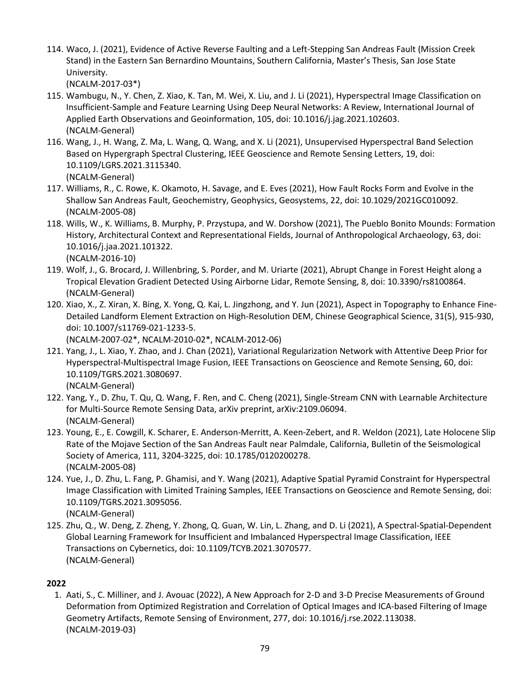114. Waco, J. (2021), Evidence of Active Reverse Faulting and a Left-Stepping San Andreas Fault (Mission Creek Stand) in the Eastern San Bernardino Mountains, Southern California, Master's Thesis, San Jose State University.

(NCALM-2017-03\*)

- 115. Wambugu, N., Y. Chen, Z. Xiao, K. Tan, M. Wei, X. Liu, and J. Li (2021), Hyperspectral Image Classification on Insufficient-Sample and Feature Learning Using Deep Neural Networks: A Review, International Journal of Applied Earth Observations and Geoinformation, 105, doi: 10.1016/j.jag.2021.102603. (NCALM-General)
- 116. Wang, J., H. Wang, Z. Ma, L. Wang, Q. Wang, and X. Li (2021), Unsupervised Hyperspectral Band Selection Based on Hypergraph Spectral Clustering, IEEE Geoscience and Remote Sensing Letters, 19, doi: 10.1109/LGRS.2021.3115340. (NCALM-General)
- 117. Williams, R., C. Rowe, K. Okamoto, H. Savage, and E. Eves (2021), How Fault Rocks Form and Evolve in the Shallow San Andreas Fault, Geochemistry, Geophysics, Geosystems, 22, doi: 10.1029/2021GC010092. (NCALM-2005-08)
- 118. Wills, W., K. Williams, B. Murphy, P. Przystupa, and W. Dorshow (2021), The Pueblo Bonito Mounds: Formation History, Architectural Context and Representational Fields, Journal of Anthropological Archaeology, 63, doi: 10.1016/j.jaa.2021.101322. (NCALM-2016-10)
- 119. Wolf, J., G. Brocard, J. Willenbring, S. Porder, and M. Uriarte (2021), Abrupt Change in Forest Height along a Tropical Elevation Gradient Detected Using Airborne Lidar, Remote Sensing, 8, doi: 10.3390/rs8100864. (NCALM-General)
- 120. Xiao, X., Z. Xiran, X. Bing, X. Yong, Q. Kai, L. Jingzhong, and Y. Jun (2021), Aspect in Topography to Enhance Fine-Detailed Landform Element Extraction on High-Resolution DEM, Chinese Geographical Science, 31(5), 915-930, doi: 10.1007/s11769-021-1233-5.

(NCALM-2007-02\*, NCALM-2010-02\*, NCALM-2012-06)

121. Yang, J., L. Xiao, Y. Zhao, and J. Chan (2021), Variational Regularization Network with Attentive Deep Prior for Hyperspectral-Multispectral Image Fusion, IEEE Transactions on Geoscience and Remote Sensing, 60, doi: 10.1109/TGRS.2021.3080697.

(NCALM-General)

- 122. Yang, Y., D. Zhu, T. Qu, Q. Wang, F. Ren, and C. Cheng (2021), Single-Stream CNN with Learnable Architecture for Multi-Source Remote Sensing Data, arXiv preprint, arXiv:2109.06094. (NCALM-General)
- 123. Young, E., E. Cowgill, K. Scharer, E. Anderson-Merritt, A. Keen-Zebert, and R. Weldon (2021), Late Holocene Slip Rate of the Mojave Section of the San Andreas Fault near Palmdale, California, Bulletin of the Seismological Society of America, 111, 3204-3225, doi: 10.1785/0120200278. (NCALM-2005-08)
- 124. Yue, J., D. Zhu, L. Fang, P. Ghamisi, and Y. Wang (2021), Adaptive Spatial Pyramid Constraint for Hyperspectral Image Classification with Limited Training Samples, IEEE Transactions on Geoscience and Remote Sensing, doi: 10.1109/TGRS.2021.3095056. (NCALM-General)
- 125. Zhu, Q., W. Deng, Z. Zheng, Y. Zhong, Q. Guan, W. Lin, L. Zhang, and D. Li (2021), A Spectral-Spatial-Dependent Global Learning Framework for Insufficient and Imbalanced Hyperspectral Image Classification, IEEE Transactions on Cybernetics, doi: 10.1109/TCYB.2021.3070577. (NCALM-General)

## **2022**

1. Aati, S., C. Milliner, and J. Avouac (2022), A New Approach for 2-D and 3-D Precise Measurements of Ground Deformation from Optimized Registration and Correlation of Optical Images and ICA-based Filtering of Image Geometry Artifacts, Remote Sensing of Environment, 277, doi: 10.1016/j.rse.2022.113038. (NCALM-2019-03)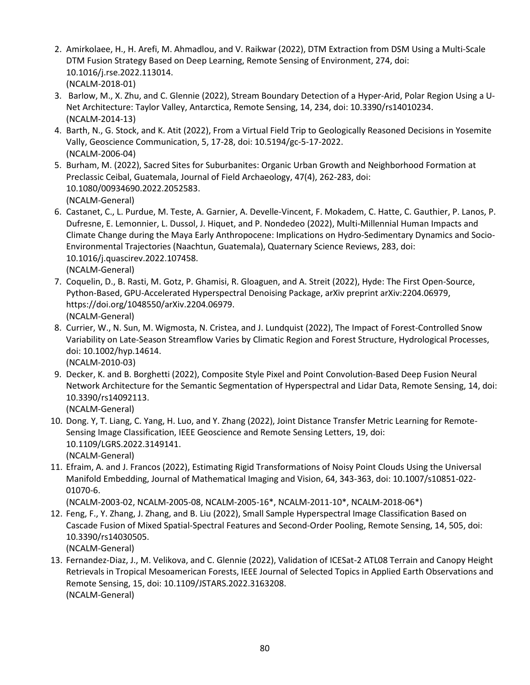- 2. Amirkolaee, H., H. Arefi, M. Ahmadlou, and V. Raikwar (2022), DTM Extraction from DSM Using a Multi-Scale DTM Fusion Strategy Based on Deep Learning, Remote Sensing of Environment, 274, doi: 10.1016/j.rse.2022.113014. (NCALM-2018-01)
- 3. Barlow, M., X. Zhu, and C. Glennie (2022), Stream Boundary Detection of a Hyper-Arid, Polar Region Using a U-Net Architecture: Taylor Valley, Antarctica, Remote Sensing, 14, 234, doi: 10.3390/rs14010234. (NCALM-2014-13)
- 4. Barth, N., G. Stock, and K. Atit (2022), From a Virtual Field Trip to Geologically Reasoned Decisions in Yosemite Vally, Geoscience Communication, 5, 17-28, doi: 10.5194/gc-5-17-2022. (NCALM-2006-04)
- 5. Burham, M. (2022), Sacred Sites for Suburbanites: Organic Urban Growth and Neighborhood Formation at Preclassic Ceibal, Guatemala, Journal of Field Archaeology, 47(4), 262-283, doi: 10.1080/00934690.2022.2052583. (NCALM-General)
- 6. Castanet, C., L. Purdue, M. Teste, A. Garnier, A. Develle-Vincent, F. Mokadem, C. Hatte, C. Gauthier, P. Lanos, P. Dufresne, E. Lemonnier, L. Dussol, J. Hiquet, and P. Nondedeo (2022), Multi-Millennial Human Impacts and Climate Change during the Maya Early Anthropocene: Implications on Hydro-Sedimentary Dynamics and Socio-Environmental Trajectories (Naachtun, Guatemala), Quaternary Science Reviews, 283, doi: 10.1016/j.quascirev.2022.107458. (NCALM-General)
- 7. Coquelin, D., B. Rasti, M. Gotz, P. Ghamisi, R. Gloaguen, and A. Streit (2022), Hyde: The First Open-Source, Python-Based, GPU-Accelerated Hyperspectral Denoising Package, arXiv preprint arXiv:2204.06979, https://doi.org/1048550/arXiv.2204.06979. (NCALM-General)
- 8. Currier, W., N. Sun, M. Wigmosta, N. Cristea, and J. Lundquist (2022), The Impact of Forest-Controlled Snow Variability on Late-Season Streamflow Varies by Climatic Region and Forest Structure, Hydrological Processes, doi: 10.1002/hyp.14614. (NCALM-2010-03)
- 9. Decker, K. and B. Borghetti (2022), Composite Style Pixel and Point Convolution-Based Deep Fusion Neural Network Architecture for the Semantic Segmentation of Hyperspectral and Lidar Data, Remote Sensing, 14, doi: 10.3390/rs14092113.

(NCALM-General)

- 10. Dong. Y, T. Liang, C. Yang, H. Luo, and Y. Zhang (2022), Joint Distance Transfer Metric Learning for Remote-Sensing Image Classification, IEEE Geoscience and Remote Sensing Letters, 19, doi: 10.1109/LGRS.2022.3149141. (NCALM-General)
- 11. Efraim, A. and J. Francos (2022), Estimating Rigid Transformations of Noisy Point Clouds Using the Universal Manifold Embedding, Journal of Mathematical Imaging and Vision, 64, 343-363, doi: 10.1007/s10851-022- 01070-6.

(NCALM-2003-02, NCALM-2005-08, NCALM-2005-16\*, NCALM-2011-10\*, NCALM-2018-06\*)

- 12. Feng, F., Y. Zhang, J. Zhang, and B. Liu (2022), Small Sample Hyperspectral Image Classification Based on Cascade Fusion of Mixed Spatial-Spectral Features and Second-Order Pooling, Remote Sensing, 14, 505, doi: 10.3390/rs14030505. (NCALM-General)
- 13. Fernandez-Diaz, J., M. Velikova, and C. Glennie (2022), Validation of ICESat-2 ATL08 Terrain and Canopy Height Retrievals in Tropical Mesoamerican Forests, IEEE Journal of Selected Topics in Applied Earth Observations and Remote Sensing, 15, doi: 10.1109/JSTARS.2022.3163208. (NCALM-General)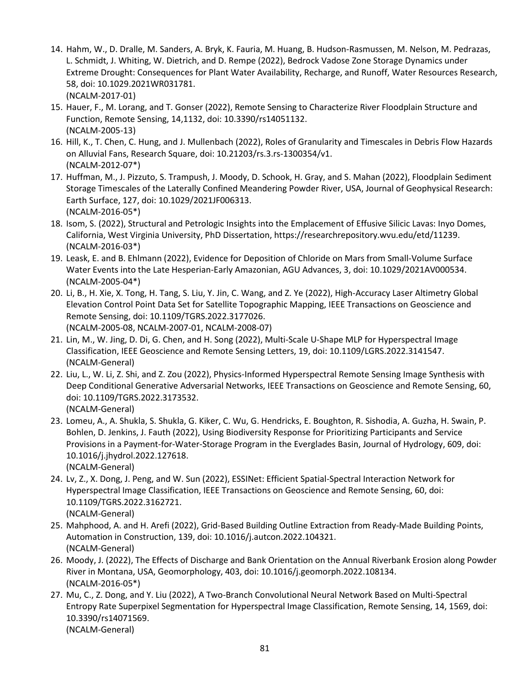- 14. Hahm, W., D. Dralle, M. Sanders, A. Bryk, K. Fauria, M. Huang, B. Hudson-Rasmussen, M. Nelson, M. Pedrazas, L. Schmidt, J. Whiting, W. Dietrich, and D. Rempe (2022), Bedrock Vadose Zone Storage Dynamics under Extreme Drought: Consequences for Plant Water Availability, Recharge, and Runoff, Water Resources Research, 58, doi: 10.1029.2021WR031781. (NCALM-2017-01)
- 15. Hauer, F., M. Lorang, and T. Gonser (2022), Remote Sensing to Characterize River Floodplain Structure and Function, Remote Sensing, 14,1132, doi: 10.3390/rs14051132. (NCALM-2005-13)
- 16. Hill, K., T. Chen, C. Hung, and J. Mullenbach (2022), Roles of Granularity and Timescales in Debris Flow Hazards on Alluvial Fans, Research Square, doi: 10.21203/rs.3.rs-1300354/v1. (NCALM-2012-07\*)
- 17. Huffman, M., J. Pizzuto, S. Trampush, J. Moody, D. Schook, H. Gray, and S. Mahan (2022), Floodplain Sediment Storage Timescales of the Laterally Confined Meandering Powder River, USA, Journal of Geophysical Research: Earth Surface, 127, doi: 10.1029/2021JF006313. (NCALM-2016-05\*)
- 18. Isom, S. (2022), Structural and Petrologic Insights into the Emplacement of Effusive Silicic Lavas: Inyo Domes, California, West Virginia University, PhD Dissertation, https://researchrepository.wvu.edu/etd/11239. (NCALM-2016-03\*)
- 19. Leask, E. and B. Ehlmann (2022), Evidence for Deposition of Chloride on Mars from Small-Volume Surface Water Events into the Late Hesperian-Early Amazonian, AGU Advances, 3, doi: 10.1029/2021AV000534. (NCALM-2005-04\*)
- 20. Li, B., H. Xie, X. Tong, H. Tang, S. Liu, Y. Jin, C. Wang, and Z. Ye (2022), High-Accuracy Laser Altimetry Global Elevation Control Point Data Set for Satellite Topographic Mapping, IEEE Transactions on Geoscience and Remote Sensing, doi: 10.1109/TGRS.2022.3177026. (NCALM-2005-08, NCALM-2007-01, NCALM-2008-07)
- 21. Lin, M., W. Jing, D. Di, G. Chen, and H. Song (2022), Multi-Scale U-Shape MLP for Hyperspectral Image Classification, IEEE Geoscience and Remote Sensing Letters, 19, doi: 10.1109/LGRS.2022.3141547. (NCALM-General)
- 22. Liu, L., W. Li, Z. Shi, and Z. Zou (2022), Physics-Informed Hyperspectral Remote Sensing Image Synthesis with Deep Conditional Generative Adversarial Networks, IEEE Transactions on Geoscience and Remote Sensing, 60, doi: 10.1109/TGRS.2022.3173532. (NCALM-General)
- 23. Lomeu, A., A. Shukla, S. Shukla, G. Kiker, C. Wu, G. Hendricks, E. Boughton, R. Sishodia, A. Guzha, H. Swain, P. Bohlen, D. Jenkins, J. Fauth (2022), Using Biodiversity Response for Prioritizing Participants and Service Provisions in a Payment-for-Water-Storage Program in the Everglades Basin, Journal of Hydrology, 609, doi: 10.1016/j.jhydrol.2022.127618.

(NCALM-General)

- 24. Lv, Z., X. Dong, J. Peng, and W. Sun (2022), ESSINet: Efficient Spatial-Spectral Interaction Network for Hyperspectral Image Classification, IEEE Transactions on Geoscience and Remote Sensing, 60, doi: 10.1109/TGRS.2022.3162721. (NCALM-General)
- 25. Mahphood, A. and H. Arefi (2022), Grid-Based Building Outline Extraction from Ready-Made Building Points, Automation in Construction, 139, doi: 10.1016/j.autcon.2022.104321. (NCALM-General)
- 26. Moody, J. (2022), The Effects of Discharge and Bank Orientation on the Annual Riverbank Erosion along Powder River in Montana, USA, Geomorphology, 403, doi: 10.1016/j.geomorph.2022.108134. (NCALM-2016-05\*)
- 27. Mu, C., Z. Dong, and Y. Liu (2022), A Two-Branch Convolutional Neural Network Based on Multi-Spectral Entropy Rate Superpixel Segmentation for Hyperspectral Image Classification, Remote Sensing, 14, 1569, doi: 10.3390/rs14071569. (NCALM-General)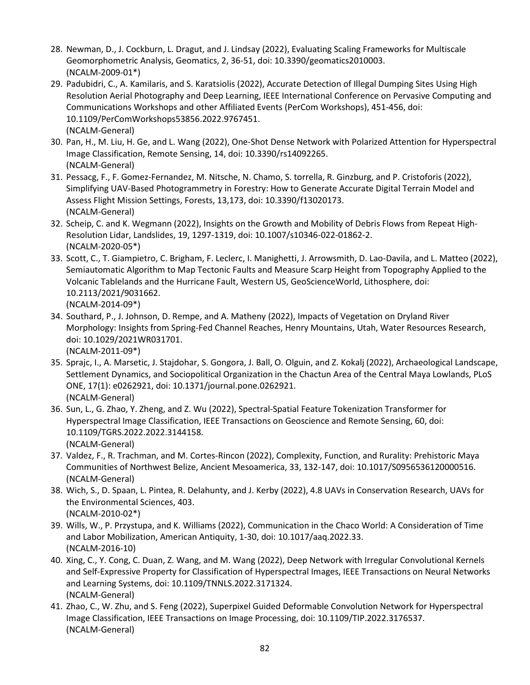- 28. Newman, D., J. Cockburn, L. Dragut, and J. Lindsay (2022), Evaluating Scaling Frameworks for Multiscale Geomorphometric Analysis, Geomatics, 2, 36-51, doi: 10.3390/geomatics2010003. (NCALM-2009-01\*)
- 29. Padubidri, C., A. Kamilaris, and S. Karatsiolis (2022), Accurate Detection of Illegal Dumping Sites Using High Resolution Aerial Photography and Deep Learning, IEEE International Conference on Pervasive Computing and Communications Workshops and other Affiliated Events (PerCom Workshops), 451-456, doi: 10.1109/PerComWorkshops53856.2022.9767451. (NCALM-General)
- 30. Pan, H., M. Liu, H. Ge, and L. Wang (2022), One-Shot Dense Network with Polarized Attention for Hyperspectral Image Classification, Remote Sensing, 14, doi: 10.3390/rs14092265. (NCALM-General)
- 31. Pessacg, F., F. Gomez-Fernandez, M. Nitsche, N. Chamo, S. torrella, R. Ginzburg, and P. Cristoforis (2022), Simplifying UAV-Based Photogrammetry in Forestry: How to Generate Accurate Digital Terrain Model and Assess Flight Mission Settings, Forests, 13,173, doi: 10.3390/f13020173. (NCALM-General)
- 32. Scheip, C. and K. Wegmann (2022), Insights on the Growth and Mobility of Debris Flows from Repeat High-Resolution Lidar, Landslides, 19, 1297-1319, doi: 10.1007/s10346-022-01862-2. (NCALM-2020-05\*)
- 33. Scott, C., T. Giampietro, C. Brigham, F. Leclerc, I. Manighetti, J. Arrowsmith, D. Lao-Davila, and L. Matteo (2022), Semiautomatic Algorithm to Map Tectonic Faults and Measure Scarp Height from Topography Applied to the Volcanic Tablelands and the Hurricane Fault, Western US, GeoScienceWorld, Lithosphere, doi: 10.2113/2021/9031662. (NCALM-2014-09\*)
- 34. Southard, P., J. Johnson, D. Rempe, and A. Matheny (2022), Impacts of Vegetation on Dryland River Morphology: Insights from Spring-Fed Channel Reaches, Henry Mountains, Utah, Water Resources Research, doi: 10.1029/2021WR031701. (NCALM-2011-09\*)
- 35. Sprajc, I., A. Marsetic, J. Stajdohar, S. Gongora, J. Ball, O. Olguin, and Z. Kokalj (2022), Archaeological Landscape, Settlement Dynamics, and Sociopolitical Organization in the Chactun Area of the Central Maya Lowlands, PLoS ONE, 17(1): e0262921, doi: 10.1371/journal.pone.0262921. (NCALM-General)
- 36. Sun, L., G. Zhao, Y. Zheng, and Z. Wu (2022), Spectral-Spatial Feature Tokenization Transformer for Hyperspectral Image Classification, IEEE Transactions on Geoscience and Remote Sensing, 60, doi: 10.1109/TGRS.2022.2022.3144158. (NCALM-General)
- 37. Valdez, F., R. Trachman, and M. Cortes-Rincon (2022), Complexity, Function, and Rurality: Prehistoric Maya Communities of Northwest Belize, Ancient Mesoamerica, 33, 132-147, doi: 10.1017/S0956536120000516. (NCALM-General)
- 38. Wich, S., D. Spaan, L. Pintea, R. Delahunty, and J. Kerby (2022), 4.8 UAVs in Conservation Research, UAVs for the Environmental Sciences, 403. (NCALM-2010-02\*)
- 39. Wills, W., P. Przystupa, and K. Williams (2022), Communication in the Chaco World: A Consideration of Time and Labor Mobilization, American Antiquity, 1-30, doi: 10.1017/aaq.2022.33. (NCALM-2016-10)
- 40. Xing, C., Y. Cong, C. Duan, Z. Wang, and M. Wang (2022), Deep Network with Irregular Convolutional Kernels and Self-Expressive Property for Classification of Hyperspectral Images, IEEE Transactions on Neural Networks and Learning Systems, doi: 10.1109/TNNLS.2022.3171324. (NCALM-General)
- 41. Zhao, C., W. Zhu, and S. Feng (2022), Superpixel Guided Deformable Convolution Network for Hyperspectral Image Classification, IEEE Transactions on Image Processing, doi: 10.1109/TIP.2022.3176537. (NCALM-General)